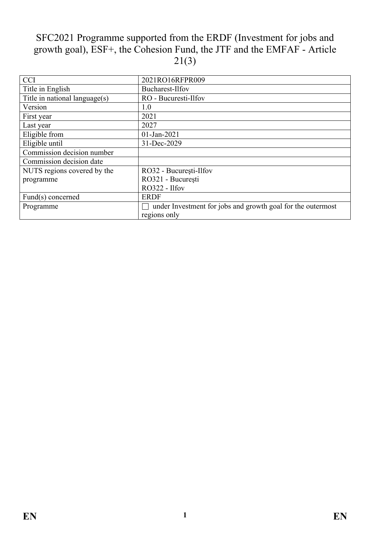# SFC2021 Programme supported from the ERDF (Investment for jobs and growth goal), ESF+, the Cohesion Fund, the JTF and the EMFAF - Article  $21(3)$

| <b>CCI</b>                    | 2021RO16RFPR009                                             |
|-------------------------------|-------------------------------------------------------------|
| Title in English              | Bucharest-Ilfov                                             |
| Title in national language(s) | RO - Bucuresti-Ilfov                                        |
| Version                       | 1.0                                                         |
| First year                    | 2021                                                        |
| Last year                     | 2027                                                        |
| Eligible from                 | $01$ -Jan-2021                                              |
| Eligible until                | 31-Dec-2029                                                 |
| Commission decision number    |                                                             |
| Commission decision date      |                                                             |
| NUTS regions covered by the   | RO32 - București-Ilfov                                      |
| programme                     | RO321 - București                                           |
|                               | RO322 - Ilfov                                               |
| Fund(s) concerned             | <b>ERDF</b>                                                 |
| Programme                     | under Investment for jobs and growth goal for the outermost |
|                               | regions only                                                |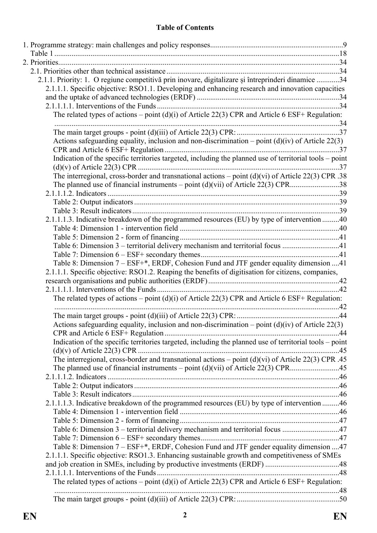#### **Table of Contents**

| 2.1.1. Priority: 1. O regiune competitivă prin inovare, digitalizare și întreprinderi dinamice 34       |  |
|---------------------------------------------------------------------------------------------------------|--|
| 2.1.1.1. Specific objective: RSO1.1. Developing and enhancing research and innovation capacities        |  |
|                                                                                                         |  |
|                                                                                                         |  |
| The related types of actions – point (d)(i) of Article 22(3) CPR and Article 6 ESF+ Regulation:         |  |
|                                                                                                         |  |
|                                                                                                         |  |
| Actions safeguarding equality, inclusion and non-discrimination – point $(d)(iv)$ of Article 22(3)      |  |
| Indication of the specific territories targeted, including the planned use of territorial tools - point |  |
|                                                                                                         |  |
| The interregional, cross-border and transnational actions – point $(d)(vi)$ of Article 22(3) CPR .38    |  |
|                                                                                                         |  |
|                                                                                                         |  |
|                                                                                                         |  |
|                                                                                                         |  |
| 2.1.1.1.3. Indicative breakdown of the programmed resources (EU) by type of intervention 40             |  |
|                                                                                                         |  |
|                                                                                                         |  |
| Table 6: Dimension 3 – territorial delivery mechanism and territorial focus 41                          |  |
|                                                                                                         |  |
| Table 8: Dimension 7 – ESF+*, ERDF, Cohesion Fund and JTF gender equality dimension 41                  |  |
| 2.1.1.1. Specific objective: RSO1.2. Reaping the benefits of digitisation for citizens, companies,      |  |
|                                                                                                         |  |
|                                                                                                         |  |
| The related types of actions – point (d)(i) of Article 22(3) CPR and Article 6 ESF+ Regulation:         |  |
|                                                                                                         |  |
|                                                                                                         |  |
| Actions safeguarding equality, inclusion and non-discrimination – point $(d)(iv)$ of Article 22(3)      |  |
|                                                                                                         |  |
| Indication of the specific territories targeted, including the planned use of territorial tools – point |  |
|                                                                                                         |  |
| The interregional, cross-border and transnational actions – point $(d)(vi)$ of Article 22(3) CPR .45    |  |
|                                                                                                         |  |
|                                                                                                         |  |
|                                                                                                         |  |
| 2.1.1.1.3. Indicative breakdown of the programmed resources (EU) by type of intervention 46             |  |
|                                                                                                         |  |
|                                                                                                         |  |
| Table 6: Dimension 3 – territorial delivery mechanism and territorial focus 47                          |  |
|                                                                                                         |  |
| Table 8: Dimension 7 - ESF+*, ERDF, Cohesion Fund and JTF gender equality dimension 47                  |  |
| 2.1.1.1. Specific objective: RSO1.3. Enhancing sustainable growth and competitiveness of SMEs           |  |
|                                                                                                         |  |
|                                                                                                         |  |
| The related types of actions – point $(d)(i)$ of Article 22(3) CPR and Article 6 ESF+ Regulation:       |  |
|                                                                                                         |  |
|                                                                                                         |  |
|                                                                                                         |  |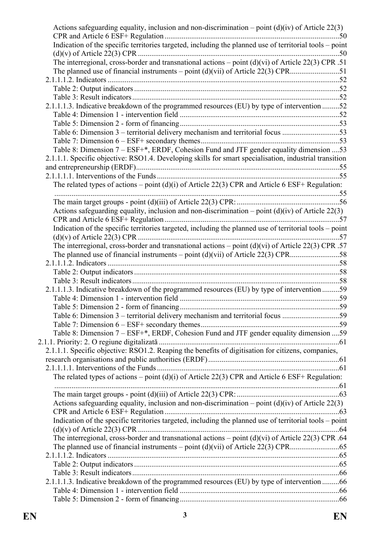| Actions safeguarding equality, inclusion and non-discrimination – point $(d)(iv)$ of Article 22(3)      |  |
|---------------------------------------------------------------------------------------------------------|--|
| Indication of the specific territories targeted, including the planned use of territorial tools - point |  |
|                                                                                                         |  |
| The interregional, cross-border and transnational actions – point $(d)(vi)$ of Article 22(3) CPR .51    |  |
|                                                                                                         |  |
|                                                                                                         |  |
|                                                                                                         |  |
|                                                                                                         |  |
| 2.1.1.1.3. Indicative breakdown of the programmed resources (EU) by type of intervention 52             |  |
|                                                                                                         |  |
|                                                                                                         |  |
| Table 6: Dimension 3 – territorial delivery mechanism and territorial focus 53                          |  |
|                                                                                                         |  |
| Table 8: Dimension 7 – ESF+*, ERDF, Cohesion Fund and JTF gender equality dimension  53                 |  |
| 2.1.1.1. Specific objective: RSO1.4. Developing skills for smart specialisation, industrial transition  |  |
|                                                                                                         |  |
|                                                                                                         |  |
| The related types of actions – point (d)(i) of Article 22(3) CPR and Article 6 ESF+ Regulation:         |  |
|                                                                                                         |  |
|                                                                                                         |  |
| Actions safeguarding equality, inclusion and non-discrimination – point $(d)(iv)$ of Article 22(3)      |  |
|                                                                                                         |  |
|                                                                                                         |  |
| Indication of the specific territories targeted, including the planned use of territorial tools - point |  |
|                                                                                                         |  |
| The interregional, cross-border and transnational actions – point $(d)(vi)$ of Article 22(3) CPR .57    |  |
|                                                                                                         |  |
|                                                                                                         |  |
|                                                                                                         |  |
|                                                                                                         |  |
| 2.1.1.1.3. Indicative breakdown of the programmed resources (EU) by type of intervention 59             |  |
|                                                                                                         |  |
|                                                                                                         |  |
| Table 6: Dimension 3 – territorial delivery mechanism and territorial focus 59                          |  |
|                                                                                                         |  |
| Table 8: Dimension 7 - ESF+*, ERDF, Cohesion Fund and JTF gender equality dimension  59                 |  |
|                                                                                                         |  |
| 2.1.1.1. Specific objective: RSO1.2. Reaping the benefits of digitisation for citizens, companies,      |  |
|                                                                                                         |  |
|                                                                                                         |  |
| The related types of actions – point $(d)(i)$ of Article 22(3) CPR and Article 6 ESF+ Regulation:       |  |
|                                                                                                         |  |
|                                                                                                         |  |
| Actions safeguarding equality, inclusion and non-discrimination – point $(d)(iv)$ of Article 22(3)      |  |
|                                                                                                         |  |
| Indication of the specific territories targeted, including the planned use of territorial tools – point |  |
|                                                                                                         |  |
| The interregional, cross-border and transnational actions – point $(d)(vi)$ of Article 22(3) CPR .64    |  |
|                                                                                                         |  |
|                                                                                                         |  |
|                                                                                                         |  |
|                                                                                                         |  |
| 2.1.1.1.3. Indicative breakdown of the programmed resources (EU) by type of intervention 66             |  |
|                                                                                                         |  |
|                                                                                                         |  |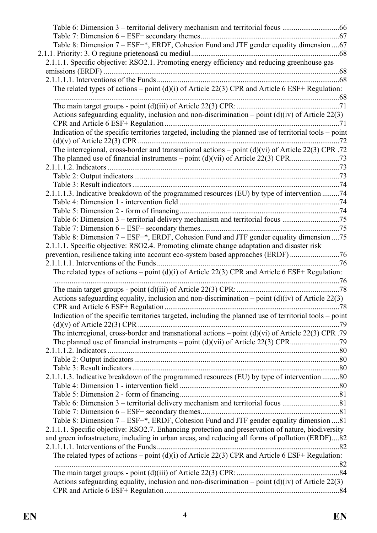| Table 8: Dimension 7 - ESF+*, ERDF, Cohesion Fund and JTF gender equality dimension  67                 |  |
|---------------------------------------------------------------------------------------------------------|--|
|                                                                                                         |  |
| 2.1.1.1. Specific objective: RSO2.1. Promoting energy efficiency and reducing greenhouse gas            |  |
|                                                                                                         |  |
|                                                                                                         |  |
|                                                                                                         |  |
| The related types of actions – point $(d)(i)$ of Article 22(3) CPR and Article 6 ESF+ Regulation:       |  |
|                                                                                                         |  |
|                                                                                                         |  |
| Actions safeguarding equality, inclusion and non-discrimination – point $(d)(iv)$ of Article 22(3)      |  |
|                                                                                                         |  |
| Indication of the specific territories targeted, including the planned use of territorial tools - point |  |
|                                                                                                         |  |
| The interregional, cross-border and transnational actions - point (d)(vi) of Article 22(3) CPR .72      |  |
|                                                                                                         |  |
|                                                                                                         |  |
|                                                                                                         |  |
|                                                                                                         |  |
| 2.1.1.1.3. Indicative breakdown of the programmed resources (EU) by type of intervention 74             |  |
|                                                                                                         |  |
|                                                                                                         |  |
| Table 6: Dimension 3 – territorial delivery mechanism and territorial focus 75                          |  |
|                                                                                                         |  |
| Table 8: Dimension 7 - ESF+*, ERDF, Cohesion Fund and JTF gender equality dimension  75                 |  |
| 2.1.1.1. Specific objective: RSO2.4. Promoting climate change adaptation and disaster risk              |  |
| prevention, resilience taking into account eco-system based approaches (ERDF)76                         |  |
|                                                                                                         |  |
| The related types of actions – point (d)(i) of Article 22(3) CPR and Article 6 ESF+ Regulation:         |  |
|                                                                                                         |  |
|                                                                                                         |  |
| Actions safeguarding equality, inclusion and non-discrimination – point $(d)(iv)$ of Article 22(3)      |  |
|                                                                                                         |  |
| Indication of the specific territories targeted, including the planned use of territorial tools – point |  |
|                                                                                                         |  |
| The interregional, cross-border and transnational actions – point $(d)(vi)$ of Article 22(3) CPR .79    |  |
|                                                                                                         |  |
|                                                                                                         |  |
|                                                                                                         |  |
|                                                                                                         |  |
| 2.1.1.1.3. Indicative breakdown of the programmed resources (EU) by type of intervention 80             |  |
|                                                                                                         |  |
|                                                                                                         |  |
|                                                                                                         |  |
|                                                                                                         |  |
| Table 8: Dimension 7 - ESF+*, ERDF, Cohesion Fund and JTF gender equality dimension 81                  |  |
| 2.1.1.1. Specific objective: RSO2.7. Enhancing protection and preservation of nature, biodiversity      |  |
| and green infrastructure, including in urban areas, and reducing all forms of pollution (ERDF)82        |  |
|                                                                                                         |  |
| The related types of actions – point $(d)(i)$ of Article 22(3) CPR and Article 6 ESF+ Regulation:       |  |
|                                                                                                         |  |
|                                                                                                         |  |
| Actions safeguarding equality, inclusion and non-discrimination – point $(d)(iv)$ of Article 22(3)      |  |
|                                                                                                         |  |
|                                                                                                         |  |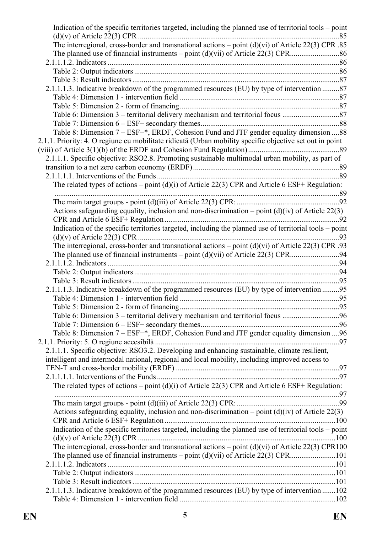| Indication of the specific territories targeted, including the planned use of territorial tools – point  |  |
|----------------------------------------------------------------------------------------------------------|--|
| The interregional, cross-border and transnational actions – point $(d)(vi)$ of Article 22(3) CPR .85     |  |
|                                                                                                          |  |
|                                                                                                          |  |
|                                                                                                          |  |
|                                                                                                          |  |
| 2.1.1.1.3. Indicative breakdown of the programmed resources (EU) by type of intervention 87              |  |
|                                                                                                          |  |
|                                                                                                          |  |
|                                                                                                          |  |
|                                                                                                          |  |
| Table 8: Dimension 7 – ESF+*, ERDF, Cohesion Fund and JTF gender equality dimension 88                   |  |
| 2.1.1. Priority: 4. O regiune cu mobilitate ridicată (Urban mobility specific objective set out in point |  |
|                                                                                                          |  |
|                                                                                                          |  |
| 2.1.1.1. Specific objective: RSO2.8. Promoting sustainable multimodal urban mobility, as part of         |  |
|                                                                                                          |  |
|                                                                                                          |  |
| The related types of actions – point (d)(i) of Article 22(3) CPR and Article 6 ESF+ Regulation:          |  |
|                                                                                                          |  |
|                                                                                                          |  |
| Actions safeguarding equality, inclusion and non-discrimination – point $(d)(iv)$ of Article 22(3)       |  |
|                                                                                                          |  |
| Indication of the specific territories targeted, including the planned use of territorial tools - point  |  |
|                                                                                                          |  |
| The interregional, cross-border and transnational actions – point $(d)(vi)$ of Article 22(3) CPR .93     |  |
|                                                                                                          |  |
|                                                                                                          |  |
|                                                                                                          |  |
|                                                                                                          |  |
| 2.1.1.1.3. Indicative breakdown of the programmed resources (EU) by type of intervention 95              |  |
|                                                                                                          |  |
|                                                                                                          |  |
| Table 6: Dimension 3 – territorial delivery mechanism and territorial focus 96                           |  |
|                                                                                                          |  |
| Table 8: Dimension 7 – ESF+*, ERDF, Cohesion Fund and JTF gender equality dimension  96                  |  |
|                                                                                                          |  |
| 2.1.1.1. Specific objective: RSO3.2. Developing and enhancing sustainable, climate resilient,            |  |
| intelligent and intermodal national, regional and local mobility, including improved access to           |  |
|                                                                                                          |  |
|                                                                                                          |  |
| The related types of actions – point (d)(i) of Article 22(3) CPR and Article 6 ESF+ Regulation:          |  |
|                                                                                                          |  |
|                                                                                                          |  |
| Actions safeguarding equality, inclusion and non-discrimination – point $(d)(iv)$ of Article 22(3)       |  |
|                                                                                                          |  |
| Indication of the specific territories targeted, including the planned use of territorial tools - point  |  |
|                                                                                                          |  |
| The interregional, cross-border and transnational actions – point $(d)(vi)$ of Article 22(3) CPR100      |  |
|                                                                                                          |  |
|                                                                                                          |  |
|                                                                                                          |  |
|                                                                                                          |  |
| 2.1.1.1.3. Indicative breakdown of the programmed resources (EU) by type of intervention 102             |  |
|                                                                                                          |  |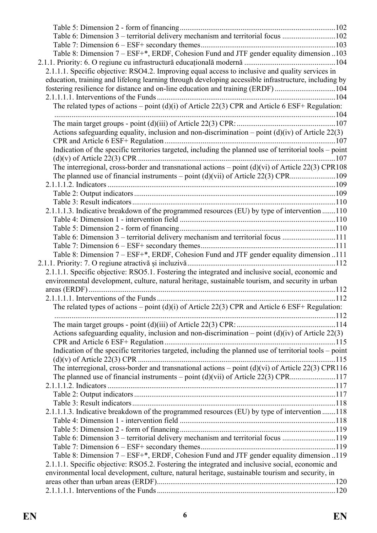| Table 6: Dimension 3 – territorial delivery mechanism and territorial focus 102                         |  |
|---------------------------------------------------------------------------------------------------------|--|
|                                                                                                         |  |
| Table 8: Dimension 7 – ESF+*, ERDF, Cohesion Fund and JTF gender equality dimension 103                 |  |
|                                                                                                         |  |
| 2.1.1.1. Specific objective: RSO4.2. Improving equal access to inclusive and quality services in        |  |
| education, training and lifelong learning through developing accessible infrastructure, including by    |  |
| fostering resilience for distance and on-line education and training (ERDF)104                          |  |
|                                                                                                         |  |
| The related types of actions – point (d)(i) of Article 22(3) CPR and Article 6 ESF+ Regulation:         |  |
|                                                                                                         |  |
|                                                                                                         |  |
| Actions safeguarding equality, inclusion and non-discrimination – point $(d)(iv)$ of Article 22(3)      |  |
|                                                                                                         |  |
|                                                                                                         |  |
| Indication of the specific territories targeted, including the planned use of territorial tools - point |  |
|                                                                                                         |  |
| The interregional, cross-border and transnational actions – point $(d)(vi)$ of Article 22(3) CPR108     |  |
|                                                                                                         |  |
|                                                                                                         |  |
|                                                                                                         |  |
|                                                                                                         |  |
| 2.1.1.1.3. Indicative breakdown of the programmed resources (EU) by type of intervention 110            |  |
|                                                                                                         |  |
|                                                                                                         |  |
| Table 6: Dimension 3 – territorial delivery mechanism and territorial focus 111                         |  |
|                                                                                                         |  |
| Table 8: Dimension 7 – ESF+*, ERDF, Cohesion Fund and JTF gender equality dimension 111                 |  |
|                                                                                                         |  |
| 2.1.1.1. Specific objective: RSO5.1. Fostering the integrated and inclusive social, economic and        |  |
| environmental development, culture, natural heritage, sustainable tourism, and security in urban        |  |
|                                                                                                         |  |
|                                                                                                         |  |
| The related types of actions – point (d)(i) of Article 22(3) CPR and Article 6 ESF+ Regulation:         |  |
|                                                                                                         |  |
|                                                                                                         |  |
| Actions safeguarding equality, inclusion and non-discrimination – point $(d)(iv)$ of Article 22(3)      |  |
|                                                                                                         |  |
| Indication of the specific territories targeted, including the planned use of territorial tools – point |  |
|                                                                                                         |  |
| The interregional, cross-border and transnational actions – point $(d)(vi)$ of Article 22(3) CPR116     |  |
|                                                                                                         |  |
|                                                                                                         |  |
|                                                                                                         |  |
|                                                                                                         |  |
| 2.1.1.1.3. Indicative breakdown of the programmed resources (EU) by type of intervention 118            |  |
|                                                                                                         |  |
|                                                                                                         |  |
| Table 6: Dimension 3 – territorial delivery mechanism and territorial focus 119                         |  |
|                                                                                                         |  |
| Table 8: Dimension 7 – ESF+*, ERDF, Cohesion Fund and JTF gender equality dimension 119                 |  |
|                                                                                                         |  |
| 2.1.1.1. Specific objective: RSO5.2. Fostering the integrated and inclusive social, economic and        |  |
| environmental local development, culture, natural heritage, sustainable tourism and security, in        |  |
|                                                                                                         |  |
|                                                                                                         |  |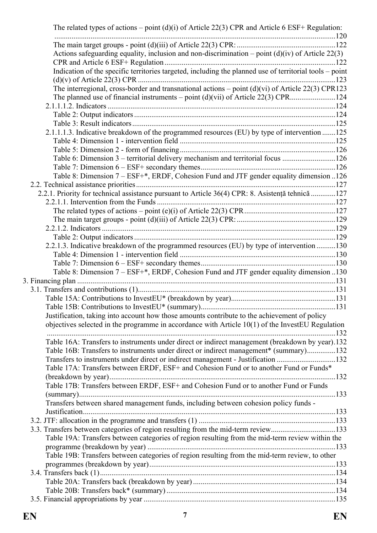| The related types of actions – point (d)(i) of Article 22(3) CPR and Article 6 ESF+ Regulation:         |  |
|---------------------------------------------------------------------------------------------------------|--|
|                                                                                                         |  |
|                                                                                                         |  |
| Actions safeguarding equality, inclusion and non-discrimination – point $(d)(iv)$ of Article 22(3)      |  |
|                                                                                                         |  |
| Indication of the specific territories targeted, including the planned use of territorial tools – point |  |
|                                                                                                         |  |
| The interregional, cross-border and transnational actions – point $(d)(vi)$ of Article 22(3) CPR123     |  |
|                                                                                                         |  |
|                                                                                                         |  |
|                                                                                                         |  |
| 2.1.1.1.3. Indicative breakdown of the programmed resources (EU) by type of intervention 125            |  |
|                                                                                                         |  |
|                                                                                                         |  |
| Table 6: Dimension 3 – territorial delivery mechanism and territorial focus 126                         |  |
|                                                                                                         |  |
| Table 8: Dimension 7 – ESF+*, ERDF, Cohesion Fund and JTF gender equality dimension 126                 |  |
|                                                                                                         |  |
| 2.2.1. Priority for technical assistance pursuant to Article 36(4) CPR: 8. Asistență tehnică 127        |  |
|                                                                                                         |  |
|                                                                                                         |  |
|                                                                                                         |  |
|                                                                                                         |  |
|                                                                                                         |  |
| 2.2.1.3. Indicative breakdown of the programmed resources (EU) by type of intervention 130              |  |
|                                                                                                         |  |
|                                                                                                         |  |
| Table 8: Dimension 7 - ESF+*, ERDF, Cohesion Fund and JTF gender equality dimension 130                 |  |
|                                                                                                         |  |
|                                                                                                         |  |
|                                                                                                         |  |
|                                                                                                         |  |
| Justification, taking into account how those amounts contribute to the achievement of policy            |  |
| objectives selected in the programme in accordance with Article $10(1)$ of the InvestEU Regulation      |  |
|                                                                                                         |  |
| Table 16A: Transfers to instruments under direct or indirect management (breakdown by year).132         |  |
| Table 16B: Transfers to instruments under direct or indirect management* (summary)132                   |  |
| Transfers to instruments under direct or indirect management - Justification 132                        |  |
| Table 17A: Transfers between ERDF, ESF+ and Cohesion Fund or to another Fund or Funds*                  |  |
|                                                                                                         |  |
| Table 17B: Transfers between ERDF, ESF+ and Cohesion Fund or to another Fund or Funds                   |  |
|                                                                                                         |  |
| Transfers between shared management funds, including between cohesion policy funds -                    |  |
|                                                                                                         |  |
|                                                                                                         |  |
| 3.3. Transfers between categories of region resulting from the mid-term review133                       |  |
| Table 19A: Transfers between categories of region resulting from the mid-term review within the         |  |
|                                                                                                         |  |
| Table 19B: Transfers between categories of region resulting from the mid-term review, to other          |  |
|                                                                                                         |  |
|                                                                                                         |  |
|                                                                                                         |  |
|                                                                                                         |  |
|                                                                                                         |  |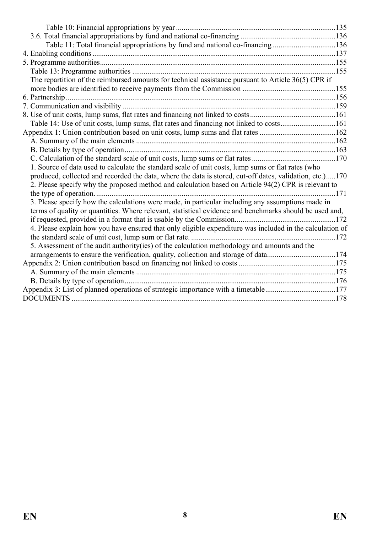| Table 11: Total financial appropriations by fund and national co-financing 136                                                                                                                                                                                                                                        |  |
|-----------------------------------------------------------------------------------------------------------------------------------------------------------------------------------------------------------------------------------------------------------------------------------------------------------------------|--|
|                                                                                                                                                                                                                                                                                                                       |  |
|                                                                                                                                                                                                                                                                                                                       |  |
|                                                                                                                                                                                                                                                                                                                       |  |
| The repartition of the reimbursed amounts for technical assistance pursuant to Article 36(5) CPR if                                                                                                                                                                                                                   |  |
|                                                                                                                                                                                                                                                                                                                       |  |
|                                                                                                                                                                                                                                                                                                                       |  |
|                                                                                                                                                                                                                                                                                                                       |  |
|                                                                                                                                                                                                                                                                                                                       |  |
| Table 14: Use of unit costs, lump sums, flat rates and financing not linked to costs161                                                                                                                                                                                                                               |  |
|                                                                                                                                                                                                                                                                                                                       |  |
|                                                                                                                                                                                                                                                                                                                       |  |
|                                                                                                                                                                                                                                                                                                                       |  |
|                                                                                                                                                                                                                                                                                                                       |  |
| 1. Source of data used to calculate the standard scale of unit costs, lump sums or flat rates (who<br>produced, collected and recorded the data, where the data is stored, cut-off dates, validation, etc.)170<br>2. Please specify why the proposed method and calculation based on Article 94(2) CPR is relevant to |  |
| 3. Please specify how the calculations were made, in particular including any assumptions made in<br>terms of quality or quantities. Where relevant, statistical evidence and benchmarks should be used and,                                                                                                          |  |
|                                                                                                                                                                                                                                                                                                                       |  |
| 4. Please explain how you have ensured that only eligible expenditure was included in the calculation of                                                                                                                                                                                                              |  |
| 5. Assessment of the audit authority(ies) of the calculation methodology and amounts and the                                                                                                                                                                                                                          |  |
| arrangements to ensure the verification, quality, collection and storage of data174                                                                                                                                                                                                                                   |  |
|                                                                                                                                                                                                                                                                                                                       |  |
|                                                                                                                                                                                                                                                                                                                       |  |
|                                                                                                                                                                                                                                                                                                                       |  |
| Appendix 3: List of planned operations of strategic importance with a timetable177                                                                                                                                                                                                                                    |  |
|                                                                                                                                                                                                                                                                                                                       |  |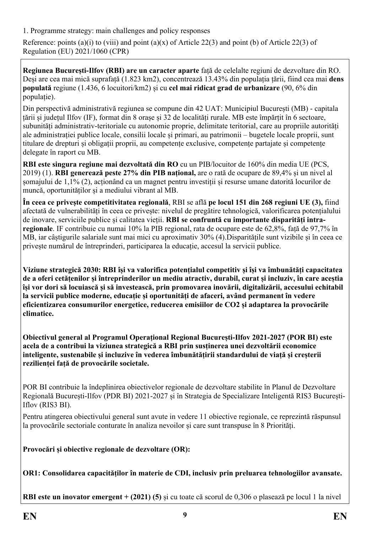<span id="page-8-0"></span>1. Programme strategy: main challenges and policy responses

Reference: points (a)(i) to (viii) and point (a)(x) of Article 22(3) and point (b) of Article 22(3) of Regulation (EU) 2021/1060 (CPR)

**Regiunea București-Ilfov (RBI) are un caracter aparte** față de celelalte regiuni de dezvoltare din RO. Deși are cea mai mică suprafață (1.823 km2), concentrează 13.43% din populația țării, fiind cea mai **dens populată** regiune (1.436, 6 locuitori/km2) și cu **cel mai ridicat grad de urbanizare** (90, 6% din populație).

Din perspectivă administrativă regiunea se compune din 42 UAT: Municipiul București (MB) - capitala țării și județul Ilfov (IF), format din 8 orașe și 32 de localități rurale. MB este împărțit în 6 sectoare, subunități administrativ-teritoriale cu autonomie proprie, delimitate teritorial, care au propriile autorități ale administrației publice locale, consilii locale și primari, au patrimonii – bugetele locale proprii, sunt titulare de drepturi și obligații proprii, au competențe exclusive, competențe partajate și competențe delegate în raport cu MB.

**RBI este singura regiune mai dezvoltată din RO** cu un PIB/locuitor de 160% din media UE (PCS, 2019) (1). **RBI generează peste 27% din PIB național,** are o rată de ocupare de 89,4% și un nivel al șomajului de 1,1% (2), acționând ca un magnet pentru investiții și resurse umane datorită locurilor de muncă, oportunităților și a mediului vibrant al MB.

**În ceea ce privește competitivitatea regională**, RBI se află **pe locul 151 din 268 regiuni UE (3),** fiind afectată de vulnerabilități în ceea ce privește: nivelul de pregătire tehnologică, valorificarea potențialului de inovare, serviciile publice și calitatea vieții. **RBI se confruntă cu importante disparități intraregionale**. IF contribuie cu numai 10% la PIB regional, rata de ocupare este de 62,8%, față de 97,7% în MB, iar câștigurile salariale sunt mai mici cu aproximativ 30% (4).Disparitățile sunt vizibile și în ceea ce privește numărul de întreprinderi, participarea la educație, accesul la servicii publice.

**Viziune strategică 2030: RBI își va valorifica potențialul competitiv și își va îmbunătăți capacitatea de a oferi cetățenilor și întreprinderilor un mediu atractiv, durabil, curat și incluziv, în care aceștia își vor dori să locuiască și să investească, prin promovarea inovării, digitalizării, accesului echitabil la servicii publice moderne, educație și oportunități de afaceri, având permanent în vedere eficientizarea consumurilor energetice, reducerea emisiilor de CO2 și adaptarea la provocările climatice.**

**Obiectivul general al Programul Operațional Regional București-Ilfov 2021-2027 (POR BI) este acela de a contribui la viziunea strategică a RBI prin susținerea unei dezvoltării economice inteligente, sustenabile și incluzive în vederea îmbunătățirii standardului de viață și creșterii rezilienței față de provocările societale.** 

POR BI contribuie la îndeplinirea obiectivelor regionale de dezvoltare stabilite în Planul de Dezvoltare Regională București-Ilfov (PDR BI) 2021-2027 și în Strategia de Specializare Inteligentă RIS3 București-Iflov (RIS3 BI).

Pentru atingerea obiectivului general sunt avute in vedere 11 obiective regionale, ce reprezintă răspunsul la provocările sectoriale conturate în analiza nevoilor și care sunt transpuse în 8 Priorități.

**Provocări și obiective regionale de dezvoltare (OR):**

**OR1: Consolidarea capacităților în materie de CDI, inclusiv prin preluarea tehnologiilor avansate.**

**RBI este un inovator emergent + (2021) (5)** și cu toate că scorul de 0,306 o plasează pe locul 1 la nivel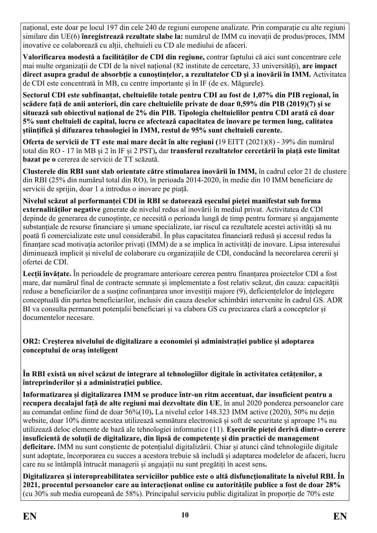național, este doar pe locul 197 din cele 240 de regiuni europene analizate. Prin comparație cu alte regiuni similare din UE(6) **înregistrează rezultate slabe la:** numărul de IMM cu inovații de produs/proces, IMM inovative ce colaborează cu alții, cheltuieli cu CD ale mediului de afaceri.

**Valorificarea modestă a facilităților de CDI din regiune,** contrar faptului că aici sunt concentrare cele mai multe organizații de CDI de la nivel național (82 institute de cercetare, 33 universități), **are impact direct asupra gradul de absorbție a cunoștințelor, a rezultatelor CD și a inovării în IMM.** Activitatea de CDI este concentrată în MB, cu centre importante și în IF (de ex. Măgurele).

**Sectorul CDI este subfinanțat, cheltuielile totale pentru CDI au fost de 1,07% din PIB regional, în scădere față de anii anteriori, din care cheltuielile private de doar 0,59% din PIB (2019)(7) și se situează sub obiectivul național de 2% din PIB. Tipologia cheltuielilor pentru CDI arată că doar 5% sunt cheltuieli de capital, lucru ce afectează capacitatea de inovare pe termen lung, calitatea științifică și difuzarea tehnologiei în IMM, restul de 95% sunt cheltuieli curente.** 

**Oferta de servicii de TT este mai mare decât în alte regiuni (**19 EITT (2021)(8) - 39% din numărul total din RO - 17 în MB și 2 în IF și 2 PST)**,** dar **transferul rezultatelor cercetării în piață este limitat bazat pe o** cererea de servicii de TT scăzută.

**Clusterele din RBI sunt slab orientate către stimularea inovării în IMM,** în cadrul celor 21 de clustere din RBI (25% din numărul total din RO), în perioada 2014-2020, în medie din 10 IMM beneficiare de servicii de sprijin, doar 1 a introdus o inovare pe piață.

**Nivelul scăzut al performanței CDI in RBI se datorează eșecului pieței manifestat sub forma externalităților negative** generate de nivelul redus al inovării în mediul privat. Activitatea de CDI depinde de generarea de cunoștințe, ce necesită o perioada lungă de timp pentru formare și angajamente substanțiale de resurse financiare și umane specializate, iar riscul ca rezultatele acestei activități să nu poată fi comercializate este unul considerabil. În plus capacitatea financiară redusă și accesul redus la finanțare scad motivația actorilor privați (IMM) de a se implica în activități de inovare. Lipsa interesului diminuează implicit și nivelul de colaborare cu organizațiile de CDI, conducând la necorelarea cererii și ofertei de CDI.

**Lecții învățate.** În perioadele de programare anterioare cererea pentru finanțarea proiectelor CDI a fost mare, dar numărul final de contracte semnate și implementate a fost relativ scăzut, din cauza: capacității reduse a beneficiarilor de a susține cofinanțarea unor investiții majore (9), deficiențelelor de înțelegere conceptuală din partea beneficiarilor, inclusiv din cauza deselor schimbări intervenite în cadrul GS. ADR BI va consulta permanent potențalii beneficiari și va elabora GS cu precizarea clară a conceptelor și documentelor necesare.

**OR2: Creșterea nivelului de digitalizare a economiei și administrației publice și adoptarea conceptului de oraș inteligent**

**În RBI există un nivel scăzut de integrare al tehnologiilor digitale în activitatea cetățenilor, a întreprinderilor și a administrației publice.** 

**Informatizarea și digitalizarea IMM se produce într-un ritm accentuat, dar insuficient pentru a recupera decalajul față de alte regiuni mai dezvoltate din UE**, în anul 2020 ponderea persoanelor care au comandat online fiind de doar 56%(10)**.** La nivelul celor 148.323 IMM active (2020), 50% nu dețin website, doar 10% dintre acestea utilizează semnătura electronică și soft de securitate și aproape 1% nu utilizează deloc elemente de bază ale tehnologiei informatice (11). **Eșecurile pieței derivă dintr-o cerere insuficientă de soluții de digitalizare, din lipsă de competențe și din practici de management deficitare.** IMM nu sunt conștiente de potențialul digitalizării. Chiar și atunci când tehnologiile digitale sunt adoptate, încorporarea cu succes a acestora trebuie să includă și adaptarea modelelor de afaceri, lucru care nu se întâmplă întrucât managerii și angajații nu sunt pregătiți în acest sens**.**

**Digitalizarea și interopreabilitatea serviciilor publice este o altă disfuncţionalitate la nivelul RBI. În 2021, procentul persoanelor care au interacționat online cu autoritățile publice a fost de doar 28%** (cu 30% sub media europeană de 58%). Principalul serviciu public digitalizat în proporție de 70% este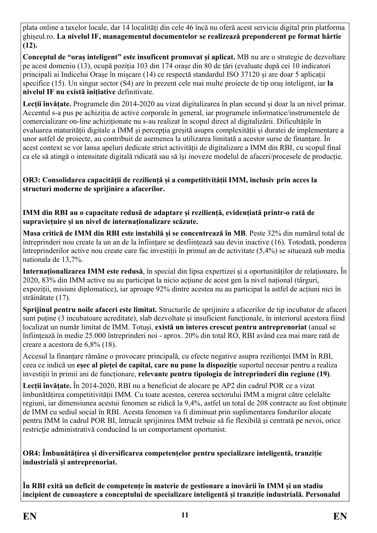plata online a taxelor locale, dar 14 localități din cele 46 încă nu oferă acest serviciu digital prin platforma ghișeul.ro. **La nivelul IF, managementul documentelor se realizează preponderent pe format hârtie (12).** 

**Conceptul de "oraș inteligent" este insuficent promovat și aplicat.** MB nu are o strategie de dezvoltare pe acest domeniu (13), ocupă poziția 103 din 174 orașe din 80 de țări (evaluate după cei 10 indicatori principali ai Indicelui Orașe în mișcare (14) ce respectă standardul ISO 37120 și are doar 5 aplicații specifice (15). Un singur sector (S4) are în prezent cele mai multe proiecte de tip oraș inteligent, iar **la nivelul IF nu există inițiative** definitivate.

**Lecții învățate.** Programele din 2014-2020 au vizat digitalizarea în plan secund și doar la un nivel primar. Accentul s-a pus pe achiziția de active corporale în general, iar programele informatice/instrumentele de comercializare on-line achiziționate nu s-au realizat în scopul direct al digitalizării. Dificultățile în evaluarea maturității digitale a IMM și percepția greșită asupra complexității și duratei de implementare a unor astfel de proiecte, au contribuit de asemenea la utilizarea limitată a acestor surse de finanțare. În acest context se vor lansa apeluri dedicate strict activității de digitalizare a IMM din RBI, cu scopul final ca ele să atingă o intensitate digitală ridicată sau să își inoveze modelul de afaceri/procesele de producție.

**OR3: Consolidarea capacității de reziliență și a competitivității IMM, inclusiv prin acces la structuri moderne de sprijinire a afacerilor.**

**IMM din RBI au o capacitate redusă de adaptare și reziliență, evidențiată printr-o rată de supraviețuire și un nivel de internaționalizare scăzute.**

**Masa critică de IMM din RBI este instabilă și se concentrează în MB**. Peste 32% din numărul total de întreprinderi nou create la un an de la înființare se desființează sau devin inactive (16). Totodată, ponderea întreprinderilor active nou create care fac investiții în primul an de activitate (5,4%) se situează sub media nationala de 13,7%.

**Internaționalizarea IMM este redusă**, în special din lipsa expertizei și a oportunităților de relaționare**.** În 2020, 83% din IMM active nu au participat la nicio acțiune de acest gen la nivel național (târguri, expoziții, misiuni diplomatice), iar aproape 92% dintre acestea nu au participat la astfel de acțiuni nici în străinătate (17).

**Sprijinul pentru noile afaceri este limitat.** Structurile de sprijinire a afacerilor de tip incubator de afaceri sunt puține (3 incubatoare acreditate), slab dezvoltate și insuficient funcționale, în interiorul acestora fiind localizat un număr limitat de IMM. Totuși, **există un interes crescut pentru antreprenoriat** (anual se înființează în medie 25.000 întreprinderi noi - aprox. 20% din total RO, RBI având cea mai mare rată de creare a acestora de 6,8% (18).

Accesul la finanțare rămâne o provocare principală, cu efecte negative asupra rezilienței IMM în RBI, ceea ce indică un **eșec al pieței de capital, care nu pune la dispoziție** suportul necesar pentru a realiza investiții în primii ani de funcționare, **relevante pentru tipologia de întreprinderi din regiune (19)**.

**Lecții învățate.** În 2014-2020, RBI nu a beneficiat de alocare pe AP2 din cadrul POR ce a vizat îmbunătățirea competitivității IMM. Cu toate acestea, cererea sectorului IMM a migrat către celelalte regiuni, iar dimensiunea acestui fenomen se ridică la 9,4%, astfel un total de 208 contracte au fost obtinute de IMM cu sediul social în RBI. Acesta fenomen va fi diminuat prin suplimentarea fondurilor alocate pentru IMM în cadrul POR BI, întrucât sprijinirea IMM trebuie să fie flexibilă şi centrată pe nevoi, orice restrictie administrativă conducând la un comportament oportunist.

**OR4: Îmbunătățirea și diversificarea competențelor pentru specializare inteligentă, tranziție industrială și antreprenoriat.**

**În RBI exită un deficit de competențe în materie de gestionare a inovării în IMM și un stadiu incipient de cunoaștere a conceptului de specializare inteligentă și tranziție industrială. Personalul**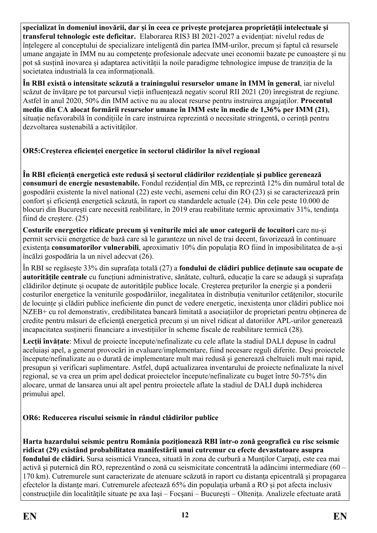**specializat în domeniul inovării, dar și în ceea ce privește protejarea proprietății intelectuale și transferul tehnologic este deficitar.** Elaborarea RIS3 BI 2021-2027 a evidențiat: nivelul redus de înțelegere al conceptului de specializare inteligentă din partea IMM-urilor, precum și faptul că resursele umane angajate în IMM nu au competențe profesionale adecvate unei economii bazate pe cunoaștere și nu pot să susțină inovarea și adaptarea activității la noile paradigme tehnologice impuse de tranziția de la societatea industrială la cea informațională.

**În RBI există o intensitate scăzută a trainingului resurselor umane în IMM în general**, iar nivelul scăzut de învățare pe tot parcursul vieții influențează negativ scorul RII 2021 (20) înregistrat de regiune. Astfel în anul 2020, 50% din IMM active nu au alocat resurse pentru instruirea angajaților. **Procentul mediu din CA alocat formării resurselor umane în IMM este în medie de 1,36% per IMM (21)**, situație nefavorabilă în condițiile în care instruirea reprezintă o necesitate stringentă, o cerință pentru dezvoltarea sustenabilă a activităților.

## **OR5:Creșterea eficienței energetice în sectorul clădirilor la nivel regional**

**În RBI eficiență energetică este redusă și sectorul clădirilor rezidențiale și publice gerenează consumuri de energie nesustenabile.** Fondul rezidențial din MB**,** ce reprezintă 12% din numărul total de gospodării existente la nivel national (22) este vechi, asemeni celui din RO (23) și se caracterizează prin confort şi eficienţă energetică scăzută, în raport cu standardele actuale (24). Din cele peste 10.000 de blocuri din București care necesită reabilitare, în 2019 erau reabilitate termic aproximativ 31%, tendința fiind de creștere. (25)

**Costurile energetice ridicate precum și veniturile mici ale unor categorii de locuitori** care nu-și permit servicii energetice de bază care să le garanteze un nivel de trai decent, favorizează în continuare existența **consumatorilor vulnerabili**, aproximativ 10% din populația RO fiind în imposibilitatea de a-și încălzi gospodăria la un nivel adecvat (26).

În RBI se regăsește 33% din suprafața totală (27) a **fondului de clădiri publice deținute sau ocupate de autoritățile centrale** cu funcțiuni administrative, sănătate, cultură, educație la care se adaugă și suprafața clădirilor deținute și ocupate de autoritățile publice locale. Creșterea prețurilor la energie și a ponderii costurilor energetice la veniturile gospodăriilor, inegalitatea în distribuția veniturilor cetățenilor, stocurile de locuințe și clădiri publice ineficiente din punct de vedere energetic, inexistența unor clădiri publice noi NZEB+ cu rol demonstrativ, credibilitatea bancară limitată a asociațiilor de proprietari pentru obținerea de credite pentru măsuri de eficiență energetică precum și un nivel ridicat al datoriilor APL-urilor generează incapacitatea susținerii financiare a investițiilor în scheme fiscale de reabilitare termică (28).

**Lecții învățate**: Mixul de proiecte începute/nefinalizate cu cele aflate la stadiul DALI depuse în cadrul aceluiași apel, a generat provocări in evaluare/implementare, fiind necesare reguli diferite. Deși proiectele începute/nefinalizate au o durată de implementare mult mai redusă și generează cheltuieli mult mai rapid, presupun și verificari suplimentare. Astfel, după actualizarea inventarului de proiecte nefinalizate la nivel regional, se va crea un prim apel dedicat proiectelor începute/nefinalizate cu buget între 50-75% din alocare, urmat de lansarea unui alt apel pentru proiectele aflate la stadiul de DALI după inchiderea primului apel.

#### **OR6: Reducerea riscului seismic în rândul clădirilor publice**

**Harta hazardului seismic pentru România poziționează RBI într-o zonă geografică cu risc seismic ridicat (29) existând probabilitatea manifestării unui cutremur cu efecte devastatoare asupra fondului de clădiri.** Sursa seismică Vrancea, situată în zona de curbură a Munţilor Carpaţi, este cea mai activă şi puternică din RO, reprezentând o zonă cu seismicitate concentrată la adâncimi intermediare (60 – 170 km). Cutremurele sunt caracterizate de atenuare scăzută in raport cu distanta epicentrală și propagarea efectelor la distanţe mari. Cutremurele afectează 65% din populaţia urbană a RO și pot afecta inclusiv construcţiile din localităţile situate pe axa Iaşi – Focşani – Bucureşti – Olteniţa. Analizele efectuate arată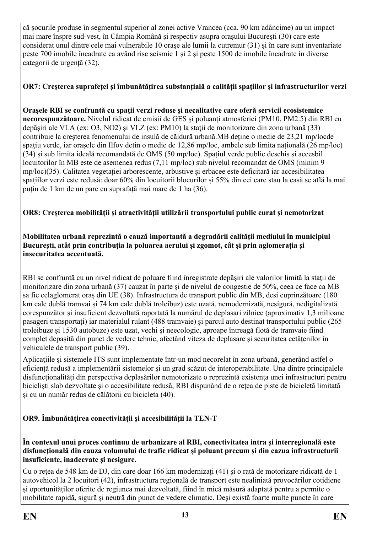că şocurile produse în segmentul superior al zonei active Vrancea (cca. 90 km adâncime) au un impact mai mare înspre sud-vest, în Câmpia Română şi respectiv asupra oraşului Bucureşti (30) care este considerat unul dintre cele mai vulnerabile 10 orașe ale lumii la cutremur (31) și în care sunt inventariate peste 700 imobile încadrate ca având risc seismic 1 și 2 și peste 1500 de imobile încadrate în diverse categorii de urgență (32).

## **OR7: Creșterea suprafeței și îmbunătățirea substanțială a calității spațiilor și infrastructurilor verzi**

**Orașele RBI se confruntă cu spații verzi reduse și necalitative care oferă servicii ecosistemice necorespunzătoare.** Nivelul ridicat de emisii de GES şi poluanți atmosferici (PM10, PM2.5) din RBI cu depăşiri ale VLA (ex: O3, NO2) și VLZ (ex: PM10) la staţii de monitorizare din zona urbană (33) contribuie la creșterea fenomenului de insulă de căldură urbană.MB deține o medie de 23,21 mp/locde spațiu verde, iar orașele din Ilfov detin o medie de 12,86 mp/loc, ambele sub limita națională (26 mp/loc) (34) și sub limita ideală recomandată de OMS (50 mp/loc). Spațiul verde public deschis și accesbil locuitorilor în MB este de asemenea redus (7,11 mp/loc) sub nivelul recomandat de OMS (minim 9 mp/loc)(35). Calitatea vegetației arborescente, arbustive și erbacee este deficitară iar accesibilitatea spațiilor verzi este redusă: doar 60% din locuitorii blocurilor și 55% din cei care stau la casă se află la mai puțin de 1 km de un parc cu suprafață mai mare de 1 ha (36).

## **OR8: Creșterea mobilității și atractivității utilizării transportului public curat și nemotorizat**

#### **Mobilitatea urbană reprezintă o cauză importantă a degradării calității mediului în municipiul București, atât prin contribuția la poluarea aerului și zgomot, cât și prin aglomerația și insecuritatea accentuată.**

RBI se confruntă cu un nivel ridicat de poluare fiind înregistrate depășiri ale valorilor limită la stații de monitorizare din zona urbană (37) cauzat în parte și de nivelul de congestie de 50%, ceea ce face ca MB sa fie celaglomerat oraș din UE (38). Infrastructura de transport public din MB, desi cuprinzătoare (180 km cale dublă tramvai și 74 km cale dublă troleibuz) este uzată, nemodernizată, nesigură, nedigitalizată corespunzător și insuficient dezvoltată raportată la numărul de deplasari zilnice (aproximativ 1,3 milioane pasageri transportați) iar materialul rulant (488 tramvaie) și parcul auto destinat transportului public (265 troleibuze și 1530 autobuze) este uzat, vechi și neecologic, aproape întreagă flotă de tramvaie fiind complet depașită din punct de vedere tehnic, afectând viteza de deplasare și securitatea cetățenilor în vehiculele de transport public (39).

Aplicațiile și sistemele ITS sunt implementate într-un mod necorelat în zona urbană, generând astfel o eficiență redusă a implementării sistemelor și un grad scăzut de interoperabilitate. Una dintre principalele disfuncționalități din perspectiva deplasărilor nemotorizate o reprezintă existența unei infrastructuri pentru biciclişti slab dezvoltate și o accesibilitate redusă, RBI dispunând de o rețea de piste de bicicletă limitată și cu un număr redus de călătorii cu bicicleta (40).

## **OR9. Îmbunătățirea conectivității și accesibilității la TEN-T**

**În contexul unui proces continuu de urbanizare al RBI, conectivitatea intra și interregională este disfuncțională din cauza volumului de trafic ridicat și poluant precum și din cazua infrastructurii insuficiente, inadecvate și nesigure.**

Cu o rețea de 548 km de DJ, din care doar 166 km modernizați (41) și o rată de motorizare ridicată de 1 autovehicol la 2 locuitori (42), infrastructura regională de transport este nealiniată provocărilor cotidiene și oportunităților oferite de regiunea mai dezvoltată, fiind în mică măsură adaptată pentru a permite o mobilitate rapidă, sigură și neutră din punct de vedere climatic. Deși există foarte multe puncte în care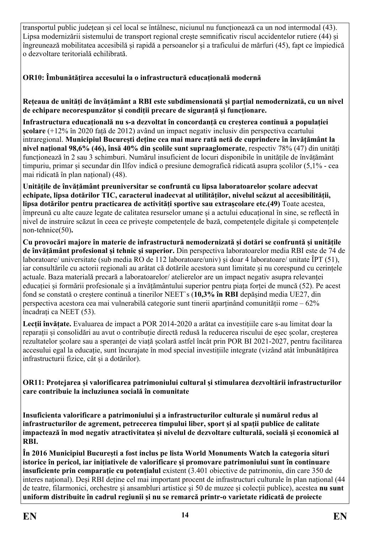transportul public județean și cel local se întâlnesc, niciunul nu funcționează ca un nod intermodal (43). Lipsa modernizării sistemului de transport regional crește semnificativ riscul accidentelor rutiere (44) și îngreunează mobilitatea accesibilă și rapidă a persoanelor și a traficului de mărfuri (45), fapt ce împiedică o dezvoltare teritorială echilibrată.

**OR10: Îmbunătățirea accesului la o infrastructură educațională modernă**

**Rețeaua de unități de învățământ a RBI este subdimensionată și parțial nemodernizată, cu un nivel de echipare necorespunzător și condiții precare de siguranță și funcționare.**

**Infrastructura educațională nu s-a dezvoltat în concordanță cu creșterea continuă a populației școlare** (+12% în 2020 față de 2012) având un impact negativ inclusiv din perspectiva ecartului intraregional. **Municipiul București deține cea mai mare rată netă de cuprindere în învăţământ la nivel național 98,6% (46), însă 40% din școlile sunt supraaglomerate**, respectiv 78% (47) din unități funcționează în 2 sau 3 schimburi. Numărul insuficient de locuri disponibile în unitățile de învățământ timpuriu, primar și secundar din Ilfov indică o presiune demografică ridicată asupra școlilor (5,1% - cea mai ridicată în plan național) (48).

**Unitățile de învățământ preuniversitar se confruntă cu lipsa laboratoarelor școlare adecvat echipate, lipsa dotărilor TIC, caracterul inadecvat al utilităților, nivelul scăzut al accesibilității, lipsa dotărilor pentru practicarea de activități sportive sau extrașcolare etc.(49)** Toate acestea, împreună cu alte cauze legate de calitatea resurselor umane și a actului educațional în sine, se reflectă în nivel de instruire scăzut în ceea ce privește competențele de bază, competențele digitale și competențele non-tehnice(50)**.** 

**Cu provocări majore în materie de infrastructură nemodernizată și dotări se confruntă și unitățile de învățământ profesional și tehnic și superior.** Din perspectiva laboratoarelor media RBI este de 74 de laboratoare/ universitate (sub media RO de 112 laboratoare/univ) și doar 4 laboratoare/ unitate ÎPT (51), iar consultările cu actorii regionali au arătat că dotările acestora sunt limitate și nu corespund cu cerințele actuale. Baza materială precară a laboratoarelor/ atelierelor are un impact negativ asupra relevanței educației și formării profesionale și a învățământului superior pentru piața forței de muncă (52). Pe acest fond se constată o creștere continuă a tinerilor NEET`s (**10,3% în RBI** depășind media UE27, din perspectiva acestora cea mai vulnerabilă categorie sunt tinerii aparținând comunității rome – 62% încadrați ca NEET (53).

**Lecții învățate.** Evaluarea de impact a POR 2014-2020 a arătat ca investițiile care s-au limitat doar la reparații și consolidări au avut o contribuție directă redusă la reducerea riscului de eșec școlar, creșterea rezultatelor școlare sau a speranței de viață școlară astfel încât prin POR BI 2021-2027, pentru facilitarea accesului egal la educație, sunt încurajate în mod special investițiile integrate (vizând atât îmbunătățirea infrastructurii fizice, cât și a dotărilor).

**OR11: Protejarea și valorificarea patrimoniului cultural și stimularea dezvoltării infrastructurilor care contribuie la incluziunea socială în comunitate** 

**Insuficienta valorificare a patrimoniului și a infrastructurilor culturale și numărul redus al infrastructurilor de agrement, petrecerea timpului liber, sport și al spații publice de calitate impactează în mod negativ atractivitatea și nivelul de dezvoltare culturală, socială și economică al RBI.**

**În 2016 Municipiul București a fost inclus pe lista World Monuments Watch la categoria situri istorice în pericol, iar inițiativele de valorificare și promovare patrimoniului sunt în continuare insuficiente prin comparație cu potențialul** existent (3.401 obiective de patrimoniu, din care 350 de interes național). Deși RBI deține cel mai important procent de infrastructuri culturale în plan național (44 de teatre, filarmonici, orchestre și ansambluri artistice și 50 de muzee și colecții publice), acestea **nu sunt uniform distribuite în cadrul regiunii și nu se remarcă printr-o varietate ridicată de proiecte**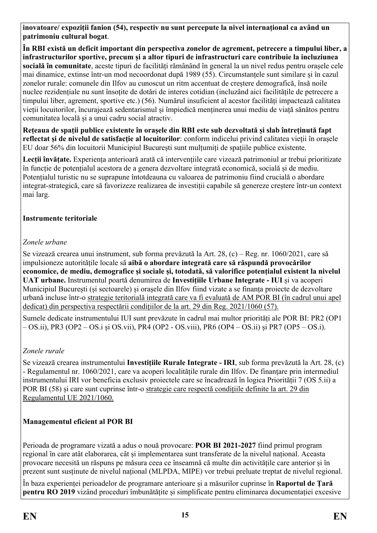**inovatoare/ expoziții fanion (54), respectiv nu sunt percepute la nivel internațional ca având un patrimoniu cultural bogat**.

**În RBI există un deficit important din perspectiva zonelor de agrement, petrecere a timpului liber, a infrastructurilor sportive, precum și a altor tipuri de infrastructuri care contribuie la incluziunea socială în comunitate**, aceste tipuri de facilități rămânând în general la un nivel redus pentru orașele cele mai dinamice, extinse într-un mod necoordonat după 1989 (55). Circumstanțele sunt similare și în cazul zonelor rurale: comunele din Ilfov au cunoscut un ritm accentuat de creștere demografică, însă noile nuclee rezidențiale nu sunt însoțite de dotări de interes cotidian (incluzând aici facilitățile de petrecere a timpului liber, agrement, sportive etc.) (56). Numărul insuficient al acestor facilități impactează calitatea vieții locuitorilor, încurajează sedentarismul și împiedică menținerea unui mediu de viață sănătos pentru comunitatea locală și a unui cadru social atractiv.

**Rețeaua de spații publice existente în orașele din RBI este sub dezvoltată și slab întreținută fapt reflectat și de nivelul de satisfacție al locuitorilor**: conform indicelui privind calitatea vieții în orașele EU doar 56% din locuitorii Municipiul București sunt mulțumiți de spațiile publice existente.

**Lecții învățate.** Experiența anterioară arată că intervențiile care vizează patrimoniul ar trebui prioritizate în funcție de potențialul acestora de a genera dezvoltare integrată economică, socială și de mediu. Potențialul turistic nu se suprapune întotdeauna cu valoarea de patrimoniu fiind crucială o abordare integrat-strategică, care să favorizeze realizarea de investiții capabile să genereze creștere într-un context mai larg.

#### **Instrumente teritoriale**

## *Zonele urbane*

Se vizează crearea unui instrument, sub forma prevăzută la Art. 28, (c) – Reg. nr. 1060/2021, care să impulsioneze autoritățile locale să **aibă o abordare integrată care să răspundă provocărilor economice, de mediu, demografice și sociale și, totodată, să valorifice potențialul existent la nivelul UAT urbane.** Instrumentul poartă denumirea de **Investițiile Urbane Integrate - IUI** și va acoperi Municipiul București (și sectoarele) și orașele din Ilfov fiind vizate a se finanța proiecte de dezvoltare urbană incluse într-o strategie teritorială integrată care va fi evaluată de AM POR BI (în cadrul unui apel dedicat) din perspectiva respectării condițiilor de la art. 29 din Reg. 2021/1060 (57).

Sumele dedicate instrumentului IUI sunt prevăzute în cadrul mai multor priorități ale POR BI: PR2 (OP1 – OS.ii), PR3 (OP2 – OS.i și OS.vii), PR4 (OP2 - OS.viii), PR6 (OP4 – OS.ii) și PR7 (OP5 – OS.i).

## *Zonele rurale*

Se vizează crearea instrumentului **Investițiile Rurale Integrate - IRI**, sub forma prevăzută la Art. 28, (c) - Regulamentul nr. 1060/2021, care va acoperi localitățile rurale din Ilfov. De finanțare prin intermediul instrumentului IRI vor beneficia exclusiv proiectele care se încadrează în logica Priorității 7 (OS 5.ii) a POR BI (58) și care sunt cuprinse într-o strategie care respectă condițiile definite la art. 29 din Regulamentul UE 2021/1060.

## **Managementul eficient al POR BI**

Perioada de programare vizată a adus o nouă provocare: **POR BI 2021-2027** fiind primul program regional în care atât elaborarea, cât și implementarea sunt transferate de la nivelul național. Aceasta provocare necesită un răspuns pe măsura ceea ce înseamnă că multe din activitățile care anterior și în prezent sunt susținute de nivelul național (MLPDA, MIPE) vor trebui preluate treptat de nivelul regional.

În baza experienței perioadelor de programare anterioare și a măsurilor cuprinse în **Raportul de Țară pentru RO 2019** vizând proceduri îmbunătățite și simplificate pentru eliminarea documentației excesive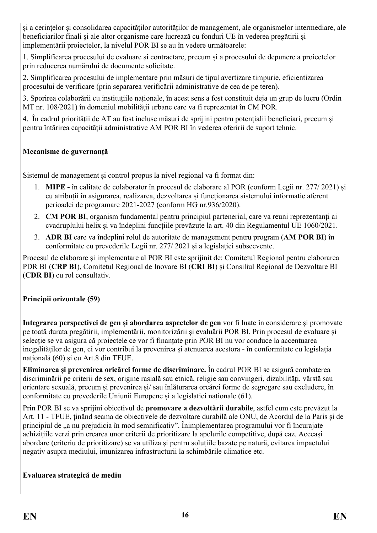și a cerințelor și consolidarea capacităților autorităților de management, ale organismelor intermediare, ale beneficiarilor finali și ale altor organisme care lucrează cu fonduri UE în vederea pregătirii și implementării proiectelor, la nivelul POR BI se au în vedere următoarele:

1. Simplificarea procesului de evaluare și contractare, precum și a procesului de depunere a proiectelor prin reducerea numărului de documente solicitate.

2. Simplificarea procesului de implementare prin măsuri de tipul avertizare timpurie, eficientizarea procesului de verificare (prin separarea verificării administrative de cea de pe teren).

3. Sporirea colaborării cu instituțiile naționale, în acest sens a fost constituit deja un grup de lucru (Ordin MT nr. 108/2021) în domeniul mobilității urbane care va fi reprezentat în CM POR.

4. În cadrul priorității de AT au fost incluse măsuri de sprijini pentru potențialii beneficiari, precum și pentru întărirea capacității administrative AM POR BI în vederea oferirii de suport tehnic.

## **Mecanisme de guvernanță**

Sistemul de management și control propus la nivel regional va fi format din:

- 1. **MIPE -** în calitate de colaborator în procesul de elaborare al POR (conform Legii nr. 277/ 2021) și cu atribuții în asigurarea, realizarea, dezvoltarea și funcționarea sistemului informatic aferent perioadei de programare 2021-2027 (conform HG nr.936/2020).
- 2. **CM POR BI**, organism fundamental pentru principiul partenerial, care va reuni reprezentanți ai cvadruplului helix și va îndeplini funcțiile prevăzute la art. 40 din Regulamentul UE 1060/2021.
- 3. **ADR BI** care va îndeplini rolul de autoritate de management pentru program (**AM POR BI**) în conformitate cu prevederile Legii nr. 277/ 2021 și a legislației subsecvente.

Procesul de elaborare și implementare al POR BI este sprijinit de: Comitetul Regional pentru elaborarea PDR BI (**CRP BI**), Comitetul Regional de Inovare BI (**CRI BI**) și Consiliul Regional de Dezvoltare BI (**CDR BI**) cu rol consultativ.

## **Principii orizontale (59)**

**Integrarea perspectivei de gen și abordarea aspectelor de gen** vor fi luate în considerare și promovate pe toată durata pregătirii, implementării, monitorizării și evaluării POR BI. Prin procesul de evaluare și selecție se va asigura că proiectele ce vor fi finanțate prin POR BI nu vor conduce la accentuarea inegalităților de gen, ci vor contribui la prevenirea și atenuarea acestora - în conformitate cu legislația națională (60) și cu Art.8 din TFUE.

**Eliminarea și prevenirea oricărei forme de discriminare.** În cadrul POR BI se asigură combaterea discriminării pe criterii de sex, origine rasială sau etnică, religie sau convingeri, dizabilități, vârstă sau orientare sexuală, precum și prevenirea și/ sau înlăturarea orcărei forme de segregare sau excludere, în conformitate cu prevederile Uniunii Europene și a legislației naționale (61).

Prin POR BI se va sprijini obiectivul de **promovare a dezvoltării durabile**, astfel cum este prevăzut la Art. 11 - TFUE, ținând seama de obiectivele de dezvoltare durabilă ale ONU, de Acordul de la Paris și de principiul de "a nu prejudicia în mod semnificativ". Înimplementarea programului vor fi încurajate achizițiile verzi prin crearea unor criterii de prioritizare la apelurile competitive, după caz. Aceeași abordare (criteriu de prioritizare) se va utiliza și pentru soluțiile bazate pe natură, evitarea impactului negativ asupra mediului, imunizarea infrastructurii la schimbările climatice etc.

#### **Evaluarea strategică de mediu**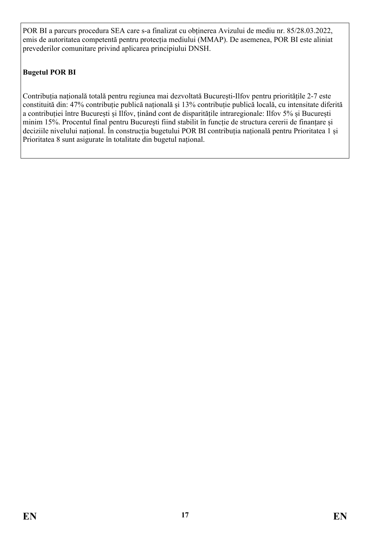POR BI a parcurs procedura SEA care s-a finalizat cu obținerea Avizului de mediu nr. 85/28.03.2022, emis de autoritatea competentă pentru protecția mediului (MMAP). De asemenea, POR BI este aliniat prevederilor comunitare privind aplicarea principiului DNSH.

## **Bugetul POR BI**

Contribuția națională totală pentru regiunea mai dezvoltată București-Ilfov pentru prioritățile 2-7 este constituită din: 47% contribuție publică națională și 13% contribuție publică locală, cu intensitate diferită a contribuției între București și Ilfov, ținând cont de disparitățile intraregionale: Ilfov 5% și București minim 15%. Procentul final pentru București fiind stabilit în funcție de structura cererii de finanțare și deciziile nivelului național. În construcția bugetului POR BI contribuția națională pentru Prioritatea 1 și Prioritatea 8 sunt asigurate în totalitate din bugetul național.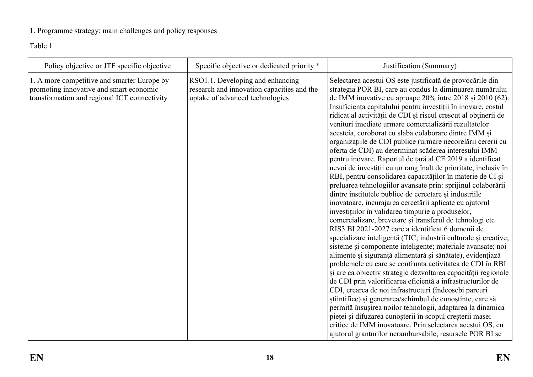## 1. Programme strategy: main challenges and policy responses

Table 1

<span id="page-17-0"></span>

| Policy objective or JTF specific objective                                                                                             | Specific objective or dedicated priority *                                                                        | Justification (Summary)                                                                                                                                                                                                                                                                                                                                                                                                                                                                                                                                                                                                                                                                                                                                                                                                                                                                                                                                                                                                                                                                                                                                                                                                                                                                                                                                                                                                                                                                                                                                                                                                                                                                                                                                                                                                                                                                       |
|----------------------------------------------------------------------------------------------------------------------------------------|-------------------------------------------------------------------------------------------------------------------|-----------------------------------------------------------------------------------------------------------------------------------------------------------------------------------------------------------------------------------------------------------------------------------------------------------------------------------------------------------------------------------------------------------------------------------------------------------------------------------------------------------------------------------------------------------------------------------------------------------------------------------------------------------------------------------------------------------------------------------------------------------------------------------------------------------------------------------------------------------------------------------------------------------------------------------------------------------------------------------------------------------------------------------------------------------------------------------------------------------------------------------------------------------------------------------------------------------------------------------------------------------------------------------------------------------------------------------------------------------------------------------------------------------------------------------------------------------------------------------------------------------------------------------------------------------------------------------------------------------------------------------------------------------------------------------------------------------------------------------------------------------------------------------------------------------------------------------------------------------------------------------------------|
| 1. A more competitive and smarter Europe by<br>promoting innovative and smart economic<br>transformation and regional ICT connectivity | RSO1.1. Developing and enhancing<br>research and innovation capacities and the<br>uptake of advanced technologies | Selectarea acestui OS este justificată de provocările din<br>strategia POR BI, care au condus la diminuarea numărului<br>de IMM inovative cu aproape 20% între 2018 și 2010 (62).<br>Insuficiența capitalului pentru investiții în inovare, costul<br>ridicat al activității de CDI și riscul crescut al obținerii de<br>venituri imediate urmare comercializării rezultatelor<br>acesteia, coroborat cu slaba colaborare dintre IMM și<br>organizațiile de CDI publice (urmare necorelării cererii cu<br>oferta de CDI) au determinat scăderea interesului IMM<br>pentru inovare. Raportul de țară al CE 2019 a identificat<br>nevoi de investiții cu un rang înalt de prioritate, inclusiv în<br>RBI, pentru consolidarea capacităților în materie de CI și<br>preluarea tehnologiilor avansate prin: sprijinul colaborării<br>dintre institutele publice de cercetare și industriile<br>inovatoare, încurajarea cercetării aplicate cu ajutorul<br>investituilor în validarea timpurie a produselor,<br>comercializare, brevetare și transferul de tehnologi etc<br>RIS3 BI 2021-2027 care a identificat 6 domenii de<br>specializare inteligentă (TIC; industrii culturale și creative;<br>sisteme și componente inteligente; materiale avansate; noi<br>alimente și siguranță alimentară și sănătate), evidențiază<br>problemele cu care se confrunta activitatea de CDI în RBI<br>și are ca obiectiv strategic dezvoltarea capacității regionale<br>de CDI prin valorificarea eficientă a infrastructurilor de<br>CDI, crearea de noi infrastructuri (îndeosebi parcuri<br>stiințifice) și generarea/schimbul de cunoștințe, care să<br>permită însușirea noilor tehnologii, adaptarea la dinamica<br>pieței și difuzarea cunoșterii în scopul creșterii masei<br>critice de IMM inovatoare. Prin selectarea acestui OS, cu<br>ajutorul granturilor nerambursabile, resursele POR BI se |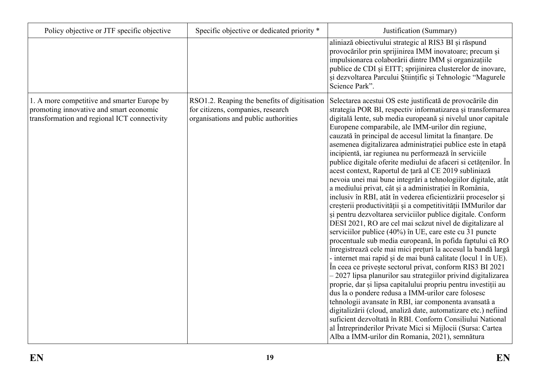| Policy objective or JTF specific objective                                                                                             | Specific objective or dedicated priority *                                                                                | Justification (Summary)                                                                                                                                                                                                                                                                                                                                                                                                                                                                                                                                                                                                                                                                                                                                                                                                                                                                                                                                                                                                                                                                                                                                                                                                                                                                                                                                                                                                                                                                                                                                                                                                                                                                                                                                                           |
|----------------------------------------------------------------------------------------------------------------------------------------|---------------------------------------------------------------------------------------------------------------------------|-----------------------------------------------------------------------------------------------------------------------------------------------------------------------------------------------------------------------------------------------------------------------------------------------------------------------------------------------------------------------------------------------------------------------------------------------------------------------------------------------------------------------------------------------------------------------------------------------------------------------------------------------------------------------------------------------------------------------------------------------------------------------------------------------------------------------------------------------------------------------------------------------------------------------------------------------------------------------------------------------------------------------------------------------------------------------------------------------------------------------------------------------------------------------------------------------------------------------------------------------------------------------------------------------------------------------------------------------------------------------------------------------------------------------------------------------------------------------------------------------------------------------------------------------------------------------------------------------------------------------------------------------------------------------------------------------------------------------------------------------------------------------------------|
|                                                                                                                                        |                                                                                                                           | aliniază obiectivului strategic al RIS3 BI și răspund<br>provocărilor prin sprijinirea IMM inovatoare; precum și<br>impulsionarea colaborării dintre IMM și organizațiile<br>publice de CDI și EITT; sprijinirea clusterelor de inovare,<br>și dezvoltarea Parcului Științific și Tehnologic "Magurele<br>Science Park".                                                                                                                                                                                                                                                                                                                                                                                                                                                                                                                                                                                                                                                                                                                                                                                                                                                                                                                                                                                                                                                                                                                                                                                                                                                                                                                                                                                                                                                          |
| 1. A more competitive and smarter Europe by<br>promoting innovative and smart economic<br>transformation and regional ICT connectivity | RSO1.2. Reaping the benefits of digitisation<br>for citizens, companies, research<br>organisations and public authorities | Selectarea acestui OS este justificată de provocările din<br>strategia POR BI, respectiv informatizarea și transformarea<br>digitală lente, sub media europeană și nivelul unor capitale<br>Europene comparabile, ale IMM-urilor din regiune,<br>cauzată în principal de accesul limitat la finanțare. De<br>asemenea digitalizarea administrației publice este în etapă<br>incipientă, iar regiunea nu performează în serviciile<br>publice digitale oferite mediului de afaceri si cetățenilor. În<br>acest context, Raportul de țară al CE 2019 subliniază<br>nevoia unei mai bune integrări a tehnologiilor digitale, atât<br>a mediului privat, cât și a administrației în România,<br>inclusiv în RBI, atât în vederea eficientizării proceselor și<br>creșterii productivității și a competitivității IMMurilor dar<br>și pentru dezvoltarea serviciilor publice digitale. Conform<br>DESI 2021, RO are cel mai scăzut nivel de digitalizare al<br>serviciilor publice (40%) în UE, care este cu 31 puncte<br>procentuale sub media europeană, în pofida faptului că RO<br>înregistrează cele mai mici prețuri la accesul la bandă largă<br>- internet mai rapid și de mai bună calitate (locul 1 în UE).<br>În ceea ce privește sectorul privat, conform RIS3 BI 2021<br>- 2027 lipsa planurilor sau strategiilor privind digitalizarea<br>proprie, dar și lipsa capitalului propriu pentru investiții au<br>dus la o pondere redusa a IMM-urilor care folosesc<br>tehnologii avansate în RBI, iar componenta avansată a<br>digitalizării (cloud, analiză date, automatizare etc.) nefiind<br>suficient dezvoltată în RBI. Conform Consiliului National<br>al Întreprinderilor Private Mici și Mijlocii (Sursa: Cartea<br>Alba a IMM-urilor din Romania, 2021), semnătura |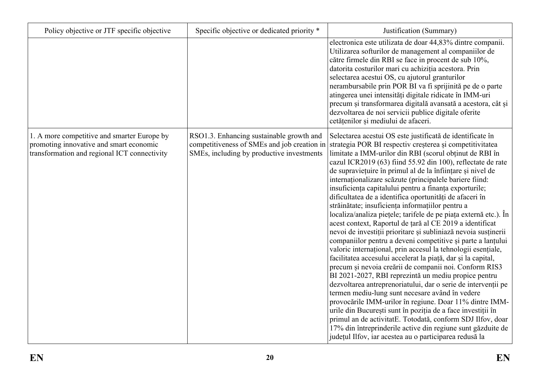| Policy objective or JTF specific objective                                                                                             | Specific objective or dedicated priority *                                                                                           | Justification (Summary)                                                                                                                                                                                                                                                                                                                                                                                                                                                                                                                                                                                                                                                                                                                                                                                                                                                                                                                                                                                                                                                                                                                                                                                                                                                                                                                                                                                                                                                                                   |
|----------------------------------------------------------------------------------------------------------------------------------------|--------------------------------------------------------------------------------------------------------------------------------------|-----------------------------------------------------------------------------------------------------------------------------------------------------------------------------------------------------------------------------------------------------------------------------------------------------------------------------------------------------------------------------------------------------------------------------------------------------------------------------------------------------------------------------------------------------------------------------------------------------------------------------------------------------------------------------------------------------------------------------------------------------------------------------------------------------------------------------------------------------------------------------------------------------------------------------------------------------------------------------------------------------------------------------------------------------------------------------------------------------------------------------------------------------------------------------------------------------------------------------------------------------------------------------------------------------------------------------------------------------------------------------------------------------------------------------------------------------------------------------------------------------------|
|                                                                                                                                        |                                                                                                                                      | electronica este utilizata de doar 44,83% dintre companii.<br>Utilizarea softurilor de management al companiilor de<br>către firmele din RBI se face in procent de sub 10%,<br>datorita costurilor mari cu achiziția acestora. Prin<br>selectarea acestui OS, cu ajutorul granturilor<br>nerambursabile prin POR BI va fi sprijinită pe de o parte<br>atingerea unei intensități digitale ridicate în IMM-uri<br>precum și transformarea digitală avansată a acestora, cât și<br>dezvoltarea de noi servicii publice digitale oferite<br>cetățenilor și mediului de afaceri.                                                                                                                                                                                                                                                                                                                                                                                                                                                                                                                                                                                                                                                                                                                                                                                                                                                                                                                              |
| 1. A more competitive and smarter Europe by<br>promoting innovative and smart economic<br>transformation and regional ICT connectivity | RSO1.3. Enhancing sustainable growth and<br>competitiveness of SMEs and job creation in<br>SMEs, including by productive investments | Selectarea acestui OS este justificată de identificate în<br>strategia POR BI respectiv creșterea și competitivitatea<br>limitate a IMM-urilor din RBI (scorul obținut de RBI în<br>cazul ICR2019 (63) fiind 55.92 din 100), reflectate de rate<br>de supraviețuire în primul al de la înființare și nivel de<br>internaționalizare scăzute (principalele bariere fiind:<br>insuficiența capitalului pentru a finanța exporturile;<br>dificultatea de a identifica oportunități de afaceri în<br>străinătate; insuficiența informațiilor pentru a<br>localiza/analiza piețele; tarifele de pe piața externă etc.). În<br>acest context, Raportul de țară al CE 2019 a identificat<br>nevoi de investiții prioritare și subliniază nevoia susținerii<br>companiilor pentru a deveni competitive și parte a lanțului<br>valoric international, prin accesul la tehnologii esențiale,<br>facilitatea accesului accelerat la piață, dar și la capital,<br>precum și nevoia creării de companii noi. Conform RIS3<br>BI 2021-2027, RBI reprezintă un mediu propice pentru<br>dezvoltarea antreprenoriatului, dar o serie de intervenții pe<br>termen mediu-lung sunt necesare având în vedere<br>provocările IMM-urilor în regiune. Doar 11% dintre IMM-<br>urile din București sunt în poziția de a face investiții în<br>primul an de activitatE. Totodată, conform SDJ Ilfov, doar<br>17% din întreprinderile active din regiune sunt găzduite de<br>județul Ilfov, iar acestea au o participarea redusă la |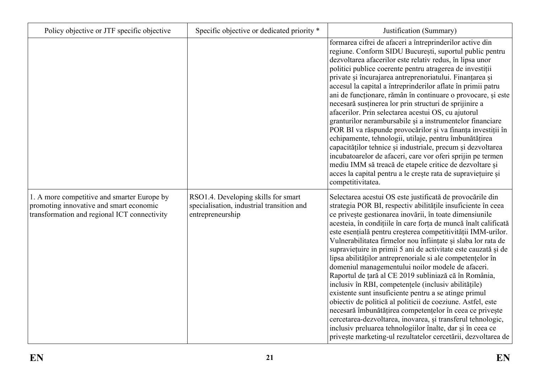| Policy objective or JTF specific objective                                                                                             | Specific objective or dedicated priority *                                                           | Justification (Summary)                                                                                                                                                                                                                                                                                                                                                                                                                                                                                                                                                                                                                                                                                                                                                                                                                                                                                                                                                                                                                                                          |
|----------------------------------------------------------------------------------------------------------------------------------------|------------------------------------------------------------------------------------------------------|----------------------------------------------------------------------------------------------------------------------------------------------------------------------------------------------------------------------------------------------------------------------------------------------------------------------------------------------------------------------------------------------------------------------------------------------------------------------------------------------------------------------------------------------------------------------------------------------------------------------------------------------------------------------------------------------------------------------------------------------------------------------------------------------------------------------------------------------------------------------------------------------------------------------------------------------------------------------------------------------------------------------------------------------------------------------------------|
|                                                                                                                                        |                                                                                                      | formarea cifrei de afaceri a întreprinderilor active din<br>regiune. Conform SIDU București, suportul public pentru<br>dezvoltarea afacerilor este relativ redus, în lipsa unor<br>politici publice coerente pentru atragerea de investiții<br>private și încurajarea antreprenoriatului. Finanțarea și<br>accesul la capital a întreprinderilor aflate în primii patru<br>ani de funcționare, rămân în continuare o provocare, și este<br>necesară susținerea lor prin structuri de sprijinire a<br>afacerilor. Prin selectarea acestui OS, cu ajutorul<br>granturilor nerambursabile și a instrumentelor financiare<br>POR BI va răspunde provocărilor și va finanța investiții în<br>echipamente, tehnologii, utilaje, pentru îmbunătățirea<br>capacităților tehnice și industriale, precum și dezvoltarea<br>incubatoarelor de afaceri, care vor oferi sprijin pe termen<br>mediu IMM să treacă de etapele critice de dezvoltare și<br>acces la capital pentru a le crește rata de supraviețuire și<br>competitivitatea.                                                     |
| 1. A more competitive and smarter Europe by<br>promoting innovative and smart economic<br>transformation and regional ICT connectivity | RSO1.4. Developing skills for smart<br>specialisation, industrial transition and<br>entrepreneurship | Selectarea acestui OS este justificată de provocările din<br>strategia POR BI, respectiv abilitățile insuficiente în ceea<br>ce privește gestionarea inovării, în toate dimensiunile<br>acesteia, în condițiile în care forța de muncă înalt calificată<br>este esențială pentru creșterea competitivității IMM-urilor.<br>Vulnerabilitatea firmelor nou înființate și slaba lor rata de<br>supraviețuire in primii 5 ani de activitate este cauzată și de<br>lipsa abilităților antreprenoriale si ale competențelor în<br>domeniul managementului noilor modele de afaceri.<br>Raportul de țară al CE 2019 subliniază că în România,<br>inclusiv în RBI, competențele (inclusiv abilitățile)<br>existente sunt insuficiente pentru a se atinge primul<br>obiectiv de politică al politicii de coeziune. Astfel, este<br>necesară îmbunătățirea competențelor în ceea ce privește<br>cercetarea-dezvoltarea, inovarea, și transferul tehnologic,<br>inclusiv preluarea tehnologiilor înalte, dar și în ceea ce<br>privește marketing-ul rezultatelor cercetării, dezvoltarea de |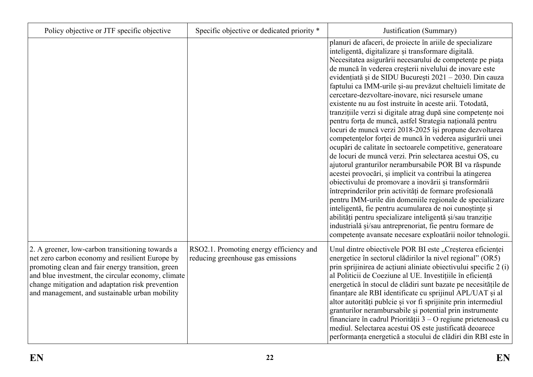| Policy objective or JTF specific objective                                                                                                                                                                                                                                                                           | Specific objective or dedicated priority *                                   | Justification (Summary)                                                                                                                                                                                                                                                                                                                                                                                                                                                                                                                                                                                                                                                                                                                                                                                                                                                                                                                                                                                                                                                                                                                                                                                                                                                                                                                                                                                                      |
|----------------------------------------------------------------------------------------------------------------------------------------------------------------------------------------------------------------------------------------------------------------------------------------------------------------------|------------------------------------------------------------------------------|------------------------------------------------------------------------------------------------------------------------------------------------------------------------------------------------------------------------------------------------------------------------------------------------------------------------------------------------------------------------------------------------------------------------------------------------------------------------------------------------------------------------------------------------------------------------------------------------------------------------------------------------------------------------------------------------------------------------------------------------------------------------------------------------------------------------------------------------------------------------------------------------------------------------------------------------------------------------------------------------------------------------------------------------------------------------------------------------------------------------------------------------------------------------------------------------------------------------------------------------------------------------------------------------------------------------------------------------------------------------------------------------------------------------------|
|                                                                                                                                                                                                                                                                                                                      |                                                                              | planuri de afaceri, de proiecte în ariile de specializare<br>inteligentă, digitalizare și transformare digitală.<br>Necesitatea asigurării necesarului de competențe pe piața<br>de muncă în vederea creșterii nivelului de inovare este<br>evidențiată și de SIDU București 2021 – 2030. Din cauza<br>faptului ca IMM-urile și-au prevăzut cheltuieli limitate de<br>cercetare-dezvoltare-inovare, nici resursele umane<br>existente nu au fost instruite în aceste arii. Totodată,<br>tranzițiile verzi si digitale atrag după sine competențe noi<br>pentru forța de muncă, astfel Strategia națională pentru<br>locuri de muncă verzi 2018-2025 își propune dezvoltarea<br>competențelor forței de muncă în vederea asigurării unei<br>ocupări de calitate în sectoarele competitive, generatoare<br>de locuri de muncă verzi. Prin selectarea acestui OS, cu<br>ajutorul granturilor nerambursabile POR BI va răspunde<br>acestei provocări, și implicit va contribui la atingerea<br>obiectivului de promovare a inovării și transformării<br>întreprinderilor prin activități de formare profesională<br>pentru IMM-urile din domeniile regionale de specializare<br>inteligentă, fie pentru acumularea de noi cunoștințe și<br>abilități pentru specializare inteligentă și/sau tranziție<br>industrială și/sau antreprenoriat, fie pentru formare de<br>competențe avansate necesare exploatării noilor tehnologii. |
| 2. A greener, low-carbon transitioning towards a<br>net zero carbon economy and resilient Europe by<br>promoting clean and fair energy transition, green<br>and blue investment, the circular economy, climate<br>change mitigation and adaptation risk prevention<br>and management, and sustainable urban mobility | RSO2.1. Promoting energy efficiency and<br>reducing greenhouse gas emissions | Unul dintre obiectivele POR BI este "Creșterea eficienței<br>energetice în sectorul clădirilor la nivel regional" (OR5)<br>prin sprijinirea de acțiuni aliniate obiectivului specific 2 (i)<br>al Politicii de Coeziune al UE. Investițiile în eficiență<br>energetică în stocul de clădiri sunt bazate pe necesitățile de<br>finanțare ale RBI identificate cu sprijinul APL/UAT și al<br>altor autorități publcie și vor fi sprijinite prin intermediul<br>granturilor nerambursabile și potential prin instrumente<br>financiare în cadrul Priorității $3 - O$ regiune prietenoasă cu<br>mediul. Selectarea acestui OS este justificată deoarece<br>performanța energetică a stocului de clădiri din RBI este în                                                                                                                                                                                                                                                                                                                                                                                                                                                                                                                                                                                                                                                                                                          |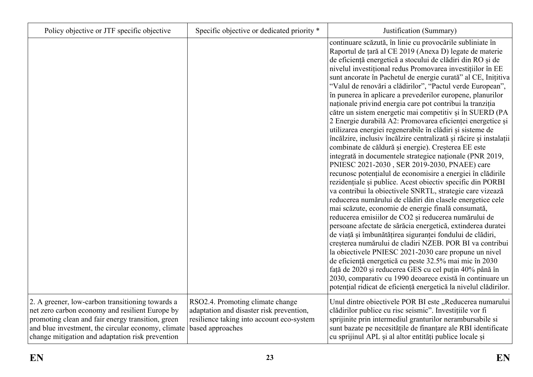| Policy objective or JTF specific objective                                                                                                                                                                                                                         | Specific objective or dedicated priority *                                                                                                    | Justification (Summary)                                                                                                                                                                                                                                                                                                                                                                                                                                                                                                                                                                                                                                                                                                                                                                                                                                                                                                                                                                                                                                                                                                                                                                                                                                                                                                                                                                                                                                                                                                                                                                                                                                                                                                                                                                                                |
|--------------------------------------------------------------------------------------------------------------------------------------------------------------------------------------------------------------------------------------------------------------------|-----------------------------------------------------------------------------------------------------------------------------------------------|------------------------------------------------------------------------------------------------------------------------------------------------------------------------------------------------------------------------------------------------------------------------------------------------------------------------------------------------------------------------------------------------------------------------------------------------------------------------------------------------------------------------------------------------------------------------------------------------------------------------------------------------------------------------------------------------------------------------------------------------------------------------------------------------------------------------------------------------------------------------------------------------------------------------------------------------------------------------------------------------------------------------------------------------------------------------------------------------------------------------------------------------------------------------------------------------------------------------------------------------------------------------------------------------------------------------------------------------------------------------------------------------------------------------------------------------------------------------------------------------------------------------------------------------------------------------------------------------------------------------------------------------------------------------------------------------------------------------------------------------------------------------------------------------------------------------|
|                                                                                                                                                                                                                                                                    |                                                                                                                                               | continuare scăzută, în linie cu provocările subliniate în<br>Raportul de țară al CE 2019 (Anexa D) legate de materie<br>de eficiență energetică a stocului de clădiri din RO și de<br>nivelul investițional redus Promovarea investițiilor în EE<br>sunt ancorate în Pachetul de energie curată" al CE, Inițitiva<br>"Valul de renovări a clădirilor", "Pactul verde European",<br>în punerea în aplicare a prevederilor europene, planurilor<br>naționale privind energia care pot contribui la tranziția<br>către un sistem energetic mai competitiv și în SUERD (PA<br>2 Energie durabilă A2: Promovarea eficienței energetice și<br>utilizarea energiei regenerabile în clădiri și sisteme de<br>încălzire, inclusiv încălzire centralizată și răcire și instalații<br>combinate de căldură și energie). Creșterea EE este<br>integrată in documentele strategice naționale (PNR 2019,<br>PNIESC 2021-2030, SER 2019-2030, PNAEE) care<br>recunosc potențialul de economisire a energiei în clădirile<br>rezidențiale și publice. Acest obiectiv specific din PORBI<br>va contribui la obiectivele SNRTL, strategie care vizează<br>reducerea numărului de clădiri din clasele energetice cele<br>mai scăzute, economie de energie finală consumată,<br>reducerea emisiilor de CO2 și reducerea numărului de<br>persoane afectate de sărăcia energetică, extinderea duratei<br>de viață și îmbunătățirea siguranței fondului de clădiri,<br>creșterea numărului de cladiri NZEB. POR BI va contribui<br>la obiectivele PNIESC 2021-2030 care propune un nivel<br>de eficiență energetică cu peste 32.5% mai mic în 2030<br>față de 2020 și reducerea GES cu cel puțin 40% până în<br>2030, comparativ cu 1990 deoarece există în continuare un<br>potențial ridicat de eficiență energetică la nivelul clădirilor. |
| 2. A greener, low-carbon transitioning towards a<br>net zero carbon economy and resilient Europe by<br>promoting clean and fair energy transition, green<br>and blue investment, the circular economy, climate<br>change mitigation and adaptation risk prevention | RSO2.4. Promoting climate change<br>adaptation and disaster risk prevention,<br>resilience taking into account eco-system<br>based approaches | Unul dintre obiectivele POR BI este "Reducerea numarului<br>clădirilor publice cu risc seismic". Investițiile vor fi<br>sprijinite prin intermediul granturilor nerambursabile si<br>sunt bazate pe necesitățile de finanțare ale RBI identificate<br>cu sprijinul APL și al altor entități publice locale și                                                                                                                                                                                                                                                                                                                                                                                                                                                                                                                                                                                                                                                                                                                                                                                                                                                                                                                                                                                                                                                                                                                                                                                                                                                                                                                                                                                                                                                                                                          |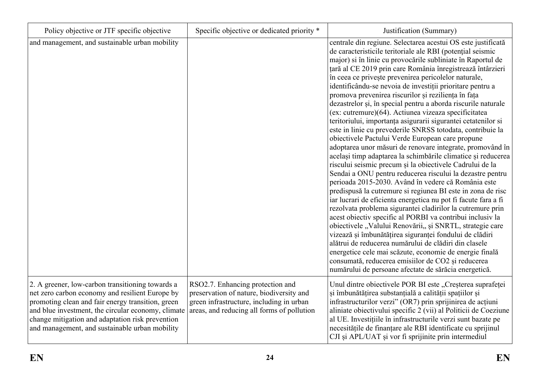| Policy objective or JTF specific objective                                                                                                                                                                                                                                                                           | Specific objective or dedicated priority *                                                                                                                             | Justification (Summary)                                                                                                                                                                                                                                                                                                                                                                                                                                                                                                                                                                                                                                                                                                                                                                                                                                                                                                                                                                                                                                                                                                                                                                                                                                                                                                                                                                                                                                                                                                                                                                                                                                                             |
|----------------------------------------------------------------------------------------------------------------------------------------------------------------------------------------------------------------------------------------------------------------------------------------------------------------------|------------------------------------------------------------------------------------------------------------------------------------------------------------------------|-------------------------------------------------------------------------------------------------------------------------------------------------------------------------------------------------------------------------------------------------------------------------------------------------------------------------------------------------------------------------------------------------------------------------------------------------------------------------------------------------------------------------------------------------------------------------------------------------------------------------------------------------------------------------------------------------------------------------------------------------------------------------------------------------------------------------------------------------------------------------------------------------------------------------------------------------------------------------------------------------------------------------------------------------------------------------------------------------------------------------------------------------------------------------------------------------------------------------------------------------------------------------------------------------------------------------------------------------------------------------------------------------------------------------------------------------------------------------------------------------------------------------------------------------------------------------------------------------------------------------------------------------------------------------------------|
| and management, and sustainable urban mobility                                                                                                                                                                                                                                                                       |                                                                                                                                                                        | centrale din regiune. Selectarea acestui OS este justificată<br>de caracteristicile teritoriale ale RBI (potențial seismic<br>major) si în linie cu provocările subliniate în Raportul de<br>țară al CE 2019 prin care România înregistrează întârzieri<br>în ceea ce privește prevenirea pericolelor naturale,<br>identificându-se nevoia de investiții prioritare pentru a<br>promova prevenirea riscurilor și reziliența în fața<br>dezastrelor și, în special pentru a aborda riscurile naturale<br>(ex: cutremure)(64). Actiunea vizeaza specificitatea<br>teritoriului, importanța asigurarii sigurantei cetatenilor si<br>este in linie cu prevederile SNRSS totodata, contribuie la<br>obiectivele Pactului Verde European care propune<br>adoptarea unor măsuri de renovare integrate, promovând în<br>același timp adaptarea la schimbările climatice și reducerea<br>riscului seismic precum și la obiectivele Cadrului de la<br>Sendai a ONU pentru reducerea riscului la dezastre pentru<br>perioada 2015-2030. Având în vedere că România este<br>predispusă la cutremure si regiunea BI este in zona de risc<br>iar lucrari de eficienta energetica nu pot fi facute fara a fi<br>rezolvata problema sigurantei cladirilor la cutremure prin<br>acest obiectiv specific al PORBI va contribui inclusiv la<br>obiectivele "Valului Renovării,, și SNRTL, strategie care<br>vizează și îmbunătățirea siguranței fondului de clădiri<br>alătrui de reducerea numărului de clădiri din clasele<br>energetice cele mai scăzute, economie de energie finală<br>consumată, reducerea emisiilor de CO2 și reducerea<br>numărului de persoane afectate de sărăcia energetică. |
| 2. A greener, low-carbon transitioning towards a<br>net zero carbon economy and resilient Europe by<br>promoting clean and fair energy transition, green<br>and blue investment, the circular economy, climate<br>change mitigation and adaptation risk prevention<br>and management, and sustainable urban mobility | RSO2.7. Enhancing protection and<br>preservation of nature, biodiversity and<br>green infrastructure, including in urban<br>areas, and reducing all forms of pollution | Unul dintre obiectivele POR BI este "Creșterea suprafeței<br>și îmbunătățirea substanțială a calității spațiilor și<br>infrastructurilor verzi" (OR7) prin sprijinirea de acțiuni<br>aliniate obiectivului specific 2 (vii) al Politicii de Coeziune<br>al UE. Investițiile în infrastructurile verzi sunt bazate pe<br>necesitățile de finanțare ale RBI identificate cu sprijinul<br>CJI și APL/UAT și vor fi sprijinite prin intermediul                                                                                                                                                                                                                                                                                                                                                                                                                                                                                                                                                                                                                                                                                                                                                                                                                                                                                                                                                                                                                                                                                                                                                                                                                                         |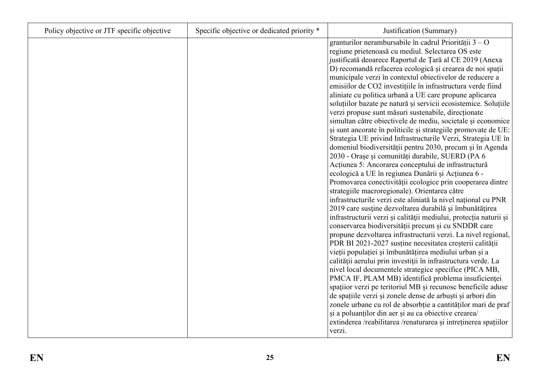| Policy objective or JTF specific objective | Specific objective or dedicated priority * | Justification (Summary)                                                                                               |
|--------------------------------------------|--------------------------------------------|-----------------------------------------------------------------------------------------------------------------------|
|                                            |                                            | granturilor nerambursabile în cadrul Priorității $3 - O$                                                              |
|                                            |                                            | regiune prietenoasă cu mediul. Selectarea OS este                                                                     |
|                                            |                                            | justificată deoarece Raportul de Țară al CE 2019 (Anexa                                                               |
|                                            |                                            | D) recomandă refacerea ecologică și crearea de noi spații                                                             |
|                                            |                                            | municipale verzi în contextul obiectivelor de reducere a                                                              |
|                                            |                                            | emisiilor de CO2 investițiile în infrastructura verde fiind                                                           |
|                                            |                                            | aliniate cu politica urbană a UE care propune aplicarea                                                               |
|                                            |                                            | soluțiilor bazate pe natură și servicii ecosistemice. Soluțiile                                                       |
|                                            |                                            | verzi propuse sunt măsuri sustenabile, direcționate                                                                   |
|                                            |                                            | simultan către obiectivele de mediu, societale și economice                                                           |
|                                            |                                            | și sunt ancorate în politicile și strategiile promovate de UE:                                                        |
|                                            |                                            | Strategia UE privind Infrastructurile Verzi, Strategia UE în                                                          |
|                                            |                                            | domeniul biodiversității pentru 2030, precum și în Agenda                                                             |
|                                            |                                            | 2030 - Orașe și comunități durabile, SUERD (PA 6                                                                      |
|                                            |                                            | Acțiunea 5: Ancorarea conceptului de infrastructură                                                                   |
|                                            |                                            | ecologică a UE în regiunea Dunării și Acțiunea 6 -                                                                    |
|                                            |                                            | Promovarea conectivității ecologice prin cooperarea dintre                                                            |
|                                            |                                            | strategiile macroregionale). Orientarea către                                                                         |
|                                            |                                            | infrastructurile verzi este aliniată la nivel național cu PNR                                                         |
|                                            |                                            | 2019 care susține dezvoltarea durabilă și îmbunătățirea                                                               |
|                                            |                                            | infrastructurii verzi și calității mediului, protecția naturii și                                                     |
|                                            |                                            | conservarea biodiversității precum și cu SNDDR care                                                                   |
|                                            |                                            | propune dezvoltarea infrastructurii verzi. La nivel regional,                                                         |
|                                            |                                            | PDR BI 2021-2027 susține necesitatea creșterii calității                                                              |
|                                            |                                            | vieții populației și îmbunătățirea mediului urban și a                                                                |
|                                            |                                            | calității aerului prin investiții în infrastructura verde. La                                                         |
|                                            |                                            | nivel local documentele strategice specifice (PICA MB,                                                                |
|                                            |                                            | PMCA IF, PLAM MB) identifică problema insuficienței                                                                   |
|                                            |                                            | spațiior verzi pe teritoriul MB și recunosc beneficile aduse                                                          |
|                                            |                                            | de spațiile verzi și zonele dense de arbuști și arbori din                                                            |
|                                            |                                            | zonele urbane cu rol de absorbție a cantităților mari de praf<br>și a poluanților din aer și au ca obiective crearea/ |
|                                            |                                            | extinderea /reabilitarea /renaturarea și intreținerea spațiilor                                                       |
|                                            |                                            | verzi.                                                                                                                |
|                                            |                                            |                                                                                                                       |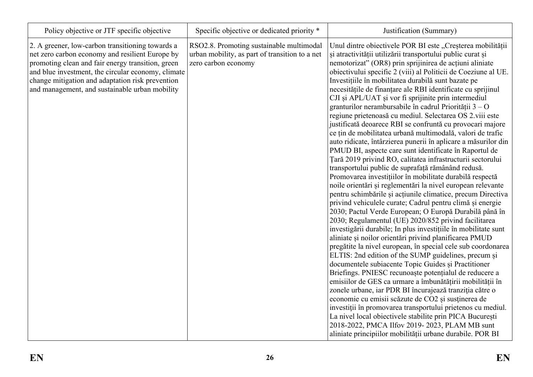| Policy objective or JTF specific objective                                                                                                                                                                                                                                                                           | Specific objective or dedicated priority *                                                                        | Justification (Summary)                                                                                                                                                                                                                                                                                                                                                                                                                                                                                                                                                                                                                                                                                                                                                                                                                                                                                                                                                                                                                                                                                                                                                                                                                                                                                                                                                                                                                                                                                                                                                                                                                                                                                                                                                                                                                                                                                                                                                                                                                                                                                     |
|----------------------------------------------------------------------------------------------------------------------------------------------------------------------------------------------------------------------------------------------------------------------------------------------------------------------|-------------------------------------------------------------------------------------------------------------------|-------------------------------------------------------------------------------------------------------------------------------------------------------------------------------------------------------------------------------------------------------------------------------------------------------------------------------------------------------------------------------------------------------------------------------------------------------------------------------------------------------------------------------------------------------------------------------------------------------------------------------------------------------------------------------------------------------------------------------------------------------------------------------------------------------------------------------------------------------------------------------------------------------------------------------------------------------------------------------------------------------------------------------------------------------------------------------------------------------------------------------------------------------------------------------------------------------------------------------------------------------------------------------------------------------------------------------------------------------------------------------------------------------------------------------------------------------------------------------------------------------------------------------------------------------------------------------------------------------------------------------------------------------------------------------------------------------------------------------------------------------------------------------------------------------------------------------------------------------------------------------------------------------------------------------------------------------------------------------------------------------------------------------------------------------------------------------------------------------------|
| 2. A greener, low-carbon transitioning towards a<br>net zero carbon economy and resilient Europe by<br>promoting clean and fair energy transition, green<br>and blue investment, the circular economy, climate<br>change mitigation and adaptation risk prevention<br>and management, and sustainable urban mobility | RSO2.8. Promoting sustainable multimodal<br>urban mobility, as part of transition to a net<br>zero carbon economy | Unul dintre obiectivele POR BI este "Creșterea mobilității<br>și atractivității utilizării transportului public curat și<br>nemotorizat" (OR8) prin sprijinirea de acțiuni aliniate<br>obiectivului specific 2 (viii) al Politicii de Coeziune al UE.<br>Investițiile în mobilitatea durabilă sunt bazate pe<br>necesitățile de finanțare ale RBI identificate cu sprijinul<br>CJI și APL/UAT și vor fi sprijinite prin intermediul<br>granturilor nerambursabile în cadrul Priorității $3 - O$<br>regiune prietenoasă cu mediul. Selectarea OS 2.viii este<br>justificată deoarece RBI se confruntă cu provocari majore<br>ce țin de mobilitatea urbană multimodală, valori de trafic<br>auto ridicate, întârzierea punerii în aplicare a măsurilor din<br>PMUD BI, aspecte care sunt identificate în Raportul de<br>Țară 2019 privind RO, calitatea infrastructurii sectorului<br>transportului public de suprafață rămânând redusă.<br>Promovarea investițiilor în mobilitate durabilă respectă<br>noile orientări și reglementări la nivel european relevante<br>pentru schimbările și acțiunile climatice, precum Directiva<br>privind vehiculele curate; Cadrul pentru climă și energie<br>2030; Pactul Verde European; O Europă Durabilă până în<br>2030; Regulamentul (UE) 2020/852 privind facilitarea<br>investigării durabile; In plus investițiile în mobilitate sunt<br>aliniate și noilor orientări privind planificarea PMUD<br>pregătite la nivel european, în special cele sub coordonarea<br>ELTIS: 2nd edition of the SUMP guidelines, precum și<br>documentele subiacente Topic Guides și Practitioner<br>Briefings. PNIESC recunoaște potențialul de reducere a<br>emisiilor de GES ca urmare a îmbunătățirii mobilității în<br>zonele urbane, iar PDR BI încurajează tranziția către o<br>economie cu emisii scăzute de CO2 și susținerea de<br>investiții în promovarea transportului prietenos cu mediul.<br>La nivel local obiectivele stabilite prin PICA București<br>2018-2022, PMCA Ilfov 2019-2023, PLAM MB sunt<br>aliniate principiilor mobilității urbane durabile. POR BI |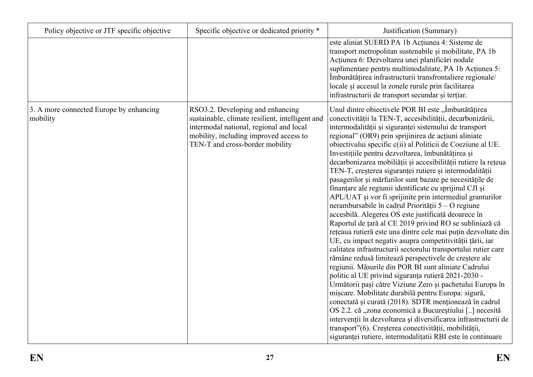| Policy objective or JTF specific objective          | Specific objective or dedicated priority *                                                                                                                                                                  | Justification (Summary)                                                                                                                                                                                                                                                                                                                                                                                                                                                                                                                                                                                                                                                                                                                                                                                                                                                                                                                                                                                                                                                                                                                                                                                                                                                                                                                                                                                                                                                                                                                                                                                                                                  |
|-----------------------------------------------------|-------------------------------------------------------------------------------------------------------------------------------------------------------------------------------------------------------------|----------------------------------------------------------------------------------------------------------------------------------------------------------------------------------------------------------------------------------------------------------------------------------------------------------------------------------------------------------------------------------------------------------------------------------------------------------------------------------------------------------------------------------------------------------------------------------------------------------------------------------------------------------------------------------------------------------------------------------------------------------------------------------------------------------------------------------------------------------------------------------------------------------------------------------------------------------------------------------------------------------------------------------------------------------------------------------------------------------------------------------------------------------------------------------------------------------------------------------------------------------------------------------------------------------------------------------------------------------------------------------------------------------------------------------------------------------------------------------------------------------------------------------------------------------------------------------------------------------------------------------------------------------|
|                                                     |                                                                                                                                                                                                             | este aliniat SUERD PA 1b Acțiunea 4: Sisteme de<br>transport metropolitan sustenabile și mobilitate, PA 1b<br>Acțiunea 6: Dezvoltarea unei planificări nodale<br>suplimentare pentru multimodalitate, PA 1b Acțiunea 5:<br>Îmbunătățirea infrastructurii transfrontaliere regionale/<br>locale și accesul la zonele rurale prin facilitarea<br>infrastructurii de transport secundar și terțiar.                                                                                                                                                                                                                                                                                                                                                                                                                                                                                                                                                                                                                                                                                                                                                                                                                                                                                                                                                                                                                                                                                                                                                                                                                                                         |
| 3. A more connected Europe by enhancing<br>mobility | RSO3.2. Developing and enhancing<br>sustainable, climate resilient, intelligent and<br>intermodal national, regional and local<br>mobility, including improved access to<br>TEN-T and cross-border mobility | Unul dintre obiectivele POR BI este "Îmbunătățirea<br>conectivității la TEN-T, accesibilității, decarbonizării,<br>intermodalității și siguranței sistemului de transport<br>regional" (OR9) prin sprijinirea de acțiuni aliniate<br>obiectivului specific c(ii) al Politicii de Coeziune al UE.<br>Investițiile pentru dezvoltarea, îmbunătățirea și<br>decarbonizarea mobiliății și accesibilității rutiere la rețeua<br>TEN-T, creșterea siguranței rutiere și intermodalității<br>pasagerilor și mărfurilor sunt bazate pe necesitățile de<br>finanțare ale regiunii identificate cu sprijinul CJI și<br>APL/UAT și vor fi sprijinite prin intermediul granturilor<br>nerambursabile în cadrul Priorității 5 – O regiune<br>accesbilă. Alegerea OS este justificată deoarece în<br>Raportul de țară al CE 2019 privind RO se subliniază că<br>rețeaua rutieră este una dintre cele mai puțin dezvoltate din<br>UE, cu impact negativ asupra competitivității țării, iar<br>calitatea infrastructurii sectorului transportului rutier care<br>rămâne redusă limitează perspectivele de creștere ale<br>regiunii. Măsurile din POR BI sunt aliniate Cadrului<br>politic al UE privind siguranța rutieră 2021-2030 -<br>Următorii pași către Viziune Zero și pachetului Europa în<br>mișcare. Mobilitate durabilă pentru Europa: sigură,<br>conectată și curată (2018). SDTR menționează în cadrul<br>OS 2.2. că "zona economică a Bucureștiului [] necesită<br>intervenții în dezvoltarea și diversificarea infrastructurii de<br>transport"(6). Creșterea conectivității, mobilității,<br>siguranței rutiere, intermodalitatii RBI este în continuare |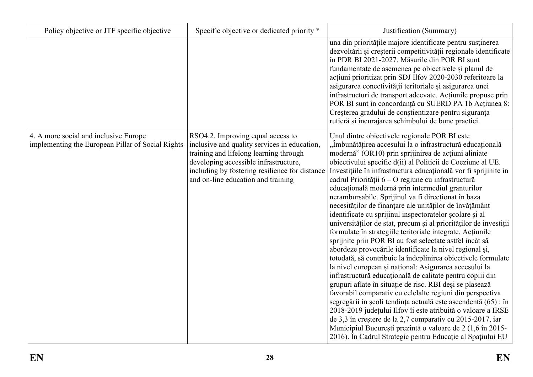| Policy objective or JTF specific objective                                                 | Specific objective or dedicated priority *                                                                                                                                                                                                                   | Justification (Summary)                                                                                                                                                                                                                                                                                                                                                                                                                                                                                                                                                                                                                                                                                                                                                                                                                                                                                                                                                                                                                                                                                                                                                                                                                                                                                                                                                                                                                                                                            |
|--------------------------------------------------------------------------------------------|--------------------------------------------------------------------------------------------------------------------------------------------------------------------------------------------------------------------------------------------------------------|----------------------------------------------------------------------------------------------------------------------------------------------------------------------------------------------------------------------------------------------------------------------------------------------------------------------------------------------------------------------------------------------------------------------------------------------------------------------------------------------------------------------------------------------------------------------------------------------------------------------------------------------------------------------------------------------------------------------------------------------------------------------------------------------------------------------------------------------------------------------------------------------------------------------------------------------------------------------------------------------------------------------------------------------------------------------------------------------------------------------------------------------------------------------------------------------------------------------------------------------------------------------------------------------------------------------------------------------------------------------------------------------------------------------------------------------------------------------------------------------------|
|                                                                                            |                                                                                                                                                                                                                                                              | una din prioritățile majore identificate pentru susținerea<br>dezvoltării și creșterii competitivității regionale identificate<br>în PDR BI 2021-2027. Măsurile din POR BI sunt<br>fundamentate de asemenea pe obiectivele și planul de<br>acțiuni prioritizat prin SDJ Ilfov 2020-2030 referitoare la<br>asigurarea conectivității teritoriale și asigurarea unei<br>infrastructuri de transport adecvate. Acțiunile propuse prin<br>POR BI sunt în concordanță cu SUERD PA 1b Acțiunea 8:<br>Creșterea gradului de conștientizare pentru siguranța<br>rutieră și încurajarea schimbului de bune practici.                                                                                                                                                                                                                                                                                                                                                                                                                                                                                                                                                                                                                                                                                                                                                                                                                                                                                        |
| 4. A more social and inclusive Europe<br>implementing the European Pillar of Social Rights | RSO4.2. Improving equal access to<br>inclusive and quality services in education,<br>training and lifelong learning through<br>developing accessible infrastructure,<br>including by fostering resilience for distance<br>and on-line education and training | Unul dintre obiectivele regionale POR BI este<br>, Îmbunătățirea accesului la o infrastructură educațională<br>modernă" (OR10) prin sprijinirea de acțiuni aliniate<br>obiectivului specific d(ii) al Politicii de Coeziune al UE.<br>Investițiile în infrastructura educațională vor fi sprijinite în<br>cadrul Priorității 6 – O regiune cu infrastructură<br>educațională modernă prin intermediul granturilor<br>nerambursabile. Sprijinul va fi direcționat în baza<br>necesităților de finanțare ale unităților de învățământ<br>identificate cu sprijinul inspectoratelor școlare și al<br>universităților de stat, precum și al priorităților de investiții<br>formulate în strategiile teritoriale integrate. Acțiunile<br>sprijnite prin POR BI au fost selectate astfel încât să<br>abordeze provocările identificate la nivel regional și,<br>totodată, să contribuie la îndeplinirea obiectivele formulate<br>la nivel european și național: Asigurarea accesului la<br>infrastructură educațională de calitate pentru copiii din<br>grupuri aflate în situație de risc. RBI deși se plasează<br>favorabil comparativ cu celelalte regiuni din perspectiva<br>segregării în școli tendința actuală este ascendentă (65) : în<br>2018-2019 județului Ilfov îi este atribuită o valoare a IRSE<br>de 3,3 în creștere de la 2,7 comparativ cu 2015-2017, iar<br>Municipiul București prezintă o valoare de 2 (1,6 în 2015-<br>2016). În Cadrul Strategic pentru Educație al Spațiului EU |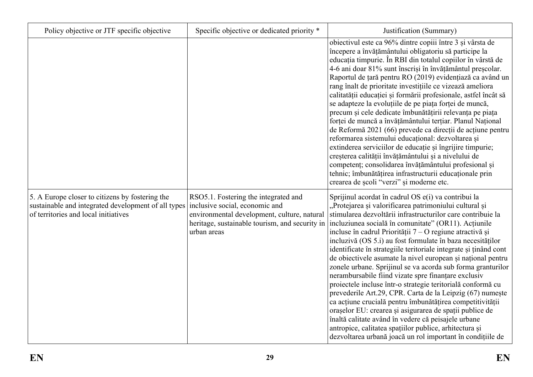| Policy objective or JTF specific objective                                                                                                     | Specific objective or dedicated priority *                                                                                                                                             | Justification (Summary)                                                                                                                                                                                                                                                                                                                                                                                                                                                                                                                                                                                                                                                                                                                                                                                                                                                                                                                                                                                                                                      |
|------------------------------------------------------------------------------------------------------------------------------------------------|----------------------------------------------------------------------------------------------------------------------------------------------------------------------------------------|--------------------------------------------------------------------------------------------------------------------------------------------------------------------------------------------------------------------------------------------------------------------------------------------------------------------------------------------------------------------------------------------------------------------------------------------------------------------------------------------------------------------------------------------------------------------------------------------------------------------------------------------------------------------------------------------------------------------------------------------------------------------------------------------------------------------------------------------------------------------------------------------------------------------------------------------------------------------------------------------------------------------------------------------------------------|
|                                                                                                                                                |                                                                                                                                                                                        | obiectivul este ca 96% dintre copiii între 3 și vârsta de<br>începere a învățământului obligatoriu să participe la<br>educația timpurie. În RBI din totalul copiilor în vârstă de<br>4-6 ani doar 81% sunt înscriși în învățământul preșcolar.<br>Raportul de țară pentru RO (2019) evidențiază ca având un<br>rang înalt de prioritate investițiile ce vizează ameliora<br>calitatății educației și formării profesionale, astfel încât să<br>se adapteze la evoluțiile de pe piața forței de muncă,<br>precum și cele dedicate îmbunătățirii relevanța pe piața<br>forței de muncă a învățământului terțiar. Planul Național<br>de Reformă 2021 (66) prevede ca direcții de acțiune pentru<br>reformarea sistemului educațional: dezvoltarea și<br>extinderea serviciilor de educație și îngrijire timpurie;<br>creșterea calității învățământului și a nivelului de<br>competenț; consolidarea învățământului profesional și<br>tehnic; îmbunătățirea infrastructurii educaționale prin<br>crearea de școli "verzi" și moderne etc.                       |
| 5. A Europe closer to citizens by fostering the<br>sustainable and integrated development of all types<br>of territories and local initiatives | RSO5.1. Fostering the integrated and<br>inclusive social, economic and<br>environmental development, culture, natural<br>heritage, sustainable tourism, and security in<br>urban areas | Sprijinul acordat în cadrul OS e(i) va contribui la<br>"Protejarea și valorificarea patrimoniului cultural și<br>stimularea dezvoltării infrastructurilor care contribuie la<br>incluziunea socială în comunitate" (OR11). Acțiunile<br>incluse în cadrul Priorității $7 - O$ regiune atractivă și<br>incluzivă (OS 5.i) au fost formulate în baza necesităților<br>identificate în strategiile teritoriale integrate și ținând cont<br>de obiectivele asumate la nivel european și național pentru<br>zonele urbane. Sprijinul se va acorda sub forma granturilor<br>nerambursabile fiind vizate spre finanțare exclusiv<br>proiectele incluse într-o strategie teritorială conformă cu<br>prevederile Art.29, CPR. Carta de la Leipzig (67) numește<br>ca acțiune crucială pentru îmbunătățirea competitivității<br>orașelor EU: crearea și asigurarea de spații publice de<br>înaltă calitate având în vedere că peisajele urbane<br>antropice, calitatea spațiilor publice, arhitectura și<br>dezvoltarea urbană joacă un rol important în condițiile de |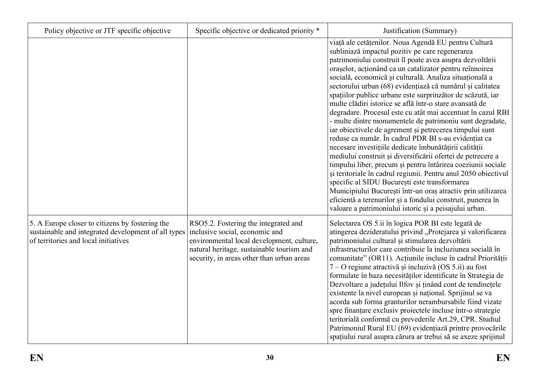| Policy objective or JTF specific objective                                                                                                     | Specific objective or dedicated priority *                                                                                                                                                                    | Justification (Summary)                                                                                                                                                                                                                                                                                                                                                                                                                                                                                                                                                                                                                                                                                                                                                                                                                                                                                                                                                                                                                                                                                                                                                                                                            |
|------------------------------------------------------------------------------------------------------------------------------------------------|---------------------------------------------------------------------------------------------------------------------------------------------------------------------------------------------------------------|------------------------------------------------------------------------------------------------------------------------------------------------------------------------------------------------------------------------------------------------------------------------------------------------------------------------------------------------------------------------------------------------------------------------------------------------------------------------------------------------------------------------------------------------------------------------------------------------------------------------------------------------------------------------------------------------------------------------------------------------------------------------------------------------------------------------------------------------------------------------------------------------------------------------------------------------------------------------------------------------------------------------------------------------------------------------------------------------------------------------------------------------------------------------------------------------------------------------------------|
|                                                                                                                                                |                                                                                                                                                                                                               | viață ale cetățenilor. Noua Agendă EU pentru Cultură<br>subliniază impactul pozitiv pe care regenerarea<br>patrimoniului construit îl poate avea asupra dezvoltării<br>orașelor, acționând ca un catalizator pentru reînnoirea<br>socială, economică și culturală. Analiza situațională a<br>sectorului urban (68) evidențiază că numărul și calitatea<br>spațiilor publice urbane este surprinzător de scăzută, iar<br>multe clădiri istorice se află într-o stare avansată de<br>degradare. Procesul este cu atât mai accentuat în cazul RBI<br>- multe dintre monumentele de patrimoniu sunt degradate,<br>iar obiectivele de agrement și petrecerea timpului sunt<br>reduse ca număr. În cadrul PDR BI s-au evidențiat ca<br>necesare investițiile dedicate îmbunătățirii calității<br>mediului construit și diversificării ofertei de petrecere a<br>timpului liber, precum și pentru întărirea coeziunii sociale<br>și teritoriale în cadrul regiunii. Pentru anul 2050 obiectivul<br>specific al SIDU București este transformarea<br>Municipiului București într-un oraș atractiv prin utilizarea<br>eficientă a terenurilor și a fondului construit, punerea în<br>valoare a patrimoniului istoric și a peisajului urban. |
| 5. A Europe closer to citizens by fostering the<br>sustainable and integrated development of all types<br>of territories and local initiatives | RSO5.2. Fostering the integrated and<br>inclusive social, economic and<br>environmental local development, culture,<br>natural heritage, sustainable tourism and<br>security, in areas other than urban areas | Selectarea OS 5.ii în logica POR BI este legată de<br>atingerea dezideratului privind "Protejarea și valorificarea<br>patrimoniului cultural și stimularea dezvoltării<br>infrastructurilor care contribuie la incluziunea socială în<br>comunitate" (OR11). Acțiunile incluse în cadrul Priorității<br>7 – O regiune atractivă și incluzivă (OS 5.ii) au fost<br>formulate în baza necesităților identificate în Strategia de<br>Dezvoltare a județului Ilfov și ținând cont de tendinețele<br>existente la nivel european și național. Sprijinul se va<br>acorda sub forma granturilor nerambursabile fiind vizate<br>spre finanțare exclusiv proiectele incluse într-o strategie<br>teritorială conformă cu prevederile Art.29, CPR. Studiul<br>Patrimoniul Rural EU (69) evidențiază printre provocările<br>spațiului rural asupra cărura ar trebui să se axeze sprijinul                                                                                                                                                                                                                                                                                                                                                      |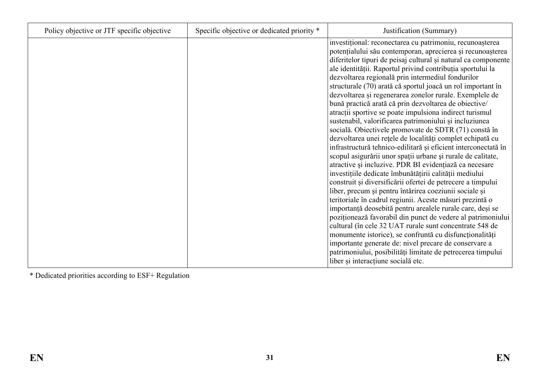| Policy objective or JTF specific objective | Specific objective or dedicated priority * | Justification (Summary)                                                                                                                                                                                                                                                                                                                                                                                                                                                                                                                                                                                                                                                                                                                                                                                                                                                                                                                                                                                                                                                                                                                                                                                                                                                                                                                                                                                                                                                                                                                                       |
|--------------------------------------------|--------------------------------------------|---------------------------------------------------------------------------------------------------------------------------------------------------------------------------------------------------------------------------------------------------------------------------------------------------------------------------------------------------------------------------------------------------------------------------------------------------------------------------------------------------------------------------------------------------------------------------------------------------------------------------------------------------------------------------------------------------------------------------------------------------------------------------------------------------------------------------------------------------------------------------------------------------------------------------------------------------------------------------------------------------------------------------------------------------------------------------------------------------------------------------------------------------------------------------------------------------------------------------------------------------------------------------------------------------------------------------------------------------------------------------------------------------------------------------------------------------------------------------------------------------------------------------------------------------------------|
|                                            |                                            | investițional: reconectarea cu patrimoniu, recunoașterea<br>potențialului său contemporan, aprecierea și recunoașterea<br>diferitelor tipuri de peisaj cultural și natural ca componente<br>ale identității. Raportul privind contribuția sportului la<br>dezvoltarea regională prin intermediul fondurilor<br>structurale (70) arată că sportul joacă un rol important în<br>dezvoltarea și regenerarea zonelor rurale. Exemplele de<br>bună practică arată că prin dezvoltarea de obiective/<br>atracții sportive se poate impulsiona indirect turismul<br>sustenabil, valorificarea patrimoniului și incluziunea<br>socială. Obiectivele promovate de SDTR (71) constă în<br>dezvoltarea unei rețele de localități complet echipată cu<br>infrastructură tehnico-edilitară și eficient interconectată în<br>scopul asigurării unor spații urbane și rurale de calitate,<br>atractive și incluzive. PDR BI evidențiază ca necesare<br>investițiile dedicate îmbunătățirii calității mediului<br>construit și diversificării ofertei de petrecere a timpului<br>liber, precum și pentru întărirea coeziunii sociale și<br>teritoriale în cadrul regiunii. Aceste măsuri prezintă o<br>importanță deosebită pentru arealele rurale care, deși se<br>poziționează favorabil din punct de vedere al patrimoniului<br>cultural (în cele 32 UAT rurale sunt concentrate 548 de<br>monumente istorice), se confruntă cu disfuncționalități<br>importante generate de: nivel precare de conservare a<br>patrimoniului, posibilități limitate de petrecerea timpului |
|                                            |                                            | liber și interacțiune socială etc.                                                                                                                                                                                                                                                                                                                                                                                                                                                                                                                                                                                                                                                                                                                                                                                                                                                                                                                                                                                                                                                                                                                                                                                                                                                                                                                                                                                                                                                                                                                            |

\* Dedicated priorities according to ESF+ Regulation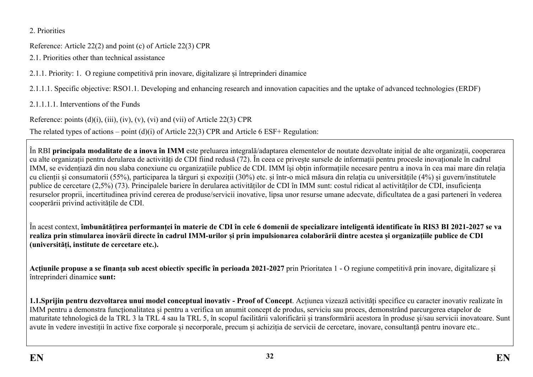2. Priorities

Reference: Article 22(2) and point (c) of Article 22(3) CPR

2.1. Priorities other than technical assistance

2.1.1. Priority: 1. O regiune competitivă prin inovare, digitalizare și întreprinderi dinamice

2.1.1.1. Specific objective: RSO1.1. Developing and enhancing research and innovation capacities and the uptake of advanced technologies (ERDF)

2.1.1.1.1. Interventions of the Funds

Reference: points  $(d)(i)$ ,  $(iii)$ ,  $(iv)$ ,  $(v)$ ,  $(vi)$  and  $(vii)$  of Article 22(3) CPR

The related types of actions – point (d)(i) of Article 22(3) CPR and Article 6 ESF+ Regulation:

<span id="page-31-0"></span>În RBI **principala modalitate de a inova în IMM** este preluarea integrală/adaptarea elementelor de noutate dezvoltate inițial de alte organizații, cooperarea cu alte organizații pentru derularea de activități de CDI fiind redusă (72). În ceea ce privește sursele de informații pentru procesle inovaționale în cadrul IMM, se evidențiază din nou slaba conexiune cu organizațiile publice de CDI. IMM își obțin informațiile necesare pentru a inova în cea mai mare din relația cu clienții și consumatorii (55%), participarea la târguri și expoziții (30%) etc. și într-o mică măsura din relația cu universitățile (4%) și guvern/institutele publice de cercetare (2,5%) (73). Principalele bariere în derularea activităților de CDI în IMM sunt: costul ridicat al activităților de CDI, insuficiența resurselor proprii, incertitudinea privind cererea de produse/servicii inovative, lipsa unor resurse umane adecvate, dificultatea de a gasi parteneri în vederea cooperării privind activitățile de CDI.

<span id="page-31-3"></span><span id="page-31-2"></span><span id="page-31-1"></span>În acest context, **îmbunătățirea performanței în materie de CDI în cele 6 domenii de specializare inteligentă identificate în RIS3 BI 2021-2027 se va realiza prin stimularea inovării directe în cadrul IMM-urilor și prin impulsionarea colaborării dintre acestea și organizațiile publice de CDI (universități, institute de cercetare etc.).** 

<span id="page-31-4"></span>**Acțiunile propuse a se finanța sub acest obiectiv specific în perioada 2021-2027** prin Prioritatea 1 - O regiune competitivă prin inovare, digitalizare și întreprinderi dinamice **sunt:**

<span id="page-31-5"></span>**1.1.Sprijin pentru dezvoltarea unui model conceptual inovativ - Proof of Concept**. Acțiunea vizează activități specifice cu caracter inovativ realizate în IMM pentru a demonstra funcționalitatea și pentru a verifica un anumit concept de produs, serviciu sau proces, demonstrând parcurgerea etapelor de maturitate tehnologică de la TRL 3 la TRL 4 sau la TRL 5, în scopul facilitării valorificării și transformării acestora în produse și/sau servicii inovatoare. Sunt avute în vedere investiții în active fixe corporale și necorporale, precum și achiziția de servicii de cercetare, inovare, consultanță pentru inovare etc..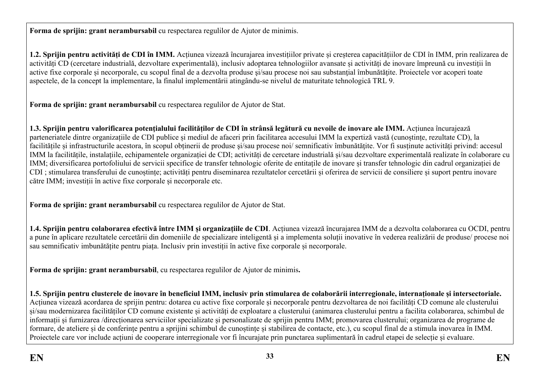**Forma de sprijin: grant nerambursabil** cu respectarea regulilor de Ajutor de minimis.

**1.2. Sprijin pentru activități de CDI în IMM.** Acțiunea vizează încurajarea investițiilor private și creșterea capacitățiilor de CDI în IMM, prin realizarea de activități CD (cercetare industrială, dezvoltare experimentală), inclusiv adoptarea tehnologiilor avansate și activități de inovare împreună cu investiții în active fixe corporale și necorporale, cu scopul final de a dezvolta produse și/sau procese noi sau substanțial îmbunătățite. Proiectele vor acoperi toate aspectele, de la concept la implementare, la finalul implementării atingându-se nivelul de maturitate tehnologică TRL 9.

**Forma de sprijin: grant nerambursabil** cu respectarea regulilor de Ajutor de Stat.

**1.3. Sprijin pentru valorificarea potenţialului facilităților de CDI în strânsă legătură cu nevoile de inovare ale IMM.** Acțiunea încurajează parteneriatele dintre organizațiile de CDI publice și mediul de afaceri prin facilitarea accesului IMM la expertiză vastă (cunoștințe, rezultate CD), la facilitățile și infrastructurile acestora, în scopul obținerii de produse și/sau procese noi/ semnificativ îmbunătățite. Vor fi susținute activități privind: accesul IMM la facilitățile, instalațiile, echipamentele organizației de CDI; activități de cercetare industrială și/sau dezvoltare experimentală realizate în colaborare cu IMM; diversificarea portofoliului de servicii specifice de transfer tehnologic oferite de entitațile de inovare și transfer tehnologic din cadrul organizației de CDI ; stimularea transferului de cunoștințe; activități pentru diseminarea rezultatelor cercetării și oferirea de servicii de consiliere și suport pentru inovare către IMM; investiții în active fixe corporale și necorporale etc.

**Forma de sprijin: grant nerambursabil** cu respectarea regulilor de Ajutor de Stat.

**1.4. Sprijin pentru colaborarea efectivă între IMM și organizațiile de CDI**. Acțiunea vizează încurajarea IMM de a dezvolta colaborarea cu OCDI, pentru a pune în aplicare rezultatele cercetării din domeniile de specializare inteligentă și a implementa soluții inovative în vederea realizării de produse/ procese noi sau semnificativ imbunătățite pentru piața. Inclusiv prin investiții în active fixe corporale și necorporale.

**Forma de sprijin: grant nerambursabil**, cu respectarea regulilor de Ajutor de minimis**.**

**1.5. Sprijin pentru clusterele de inovare în beneficiul IMM, inclusiv prin stimularea de colaborării interregionale, internaționale și intersectoriale.**  Acțiunea vizează acordarea de sprijin pentru: dotarea cu active fixe corporale și necorporale pentru dezvoltarea de noi facilități CD comune ale clusterului și/sau modernizarea facilităților CD comune existente și activități de exploatare a clusterului (animarea clusterului pentru a facilita colaborarea, schimbul de informații și furnizarea /direcționarea serviciilor specializate și personalizate de sprijin pentru IMM; promovarea clusterului; organizarea de programe de formare, de ateliere și de conferințe pentru a sprijini schimbul de cunoștințe și stabilirea de contacte, etc.), cu scopul final de a stimula inovarea în IMM. Proiectele care vor include acțiuni de cooperare interregionale vor fi încurajate prin punctarea suplimentară în cadrul etapei de selecție și evaluare.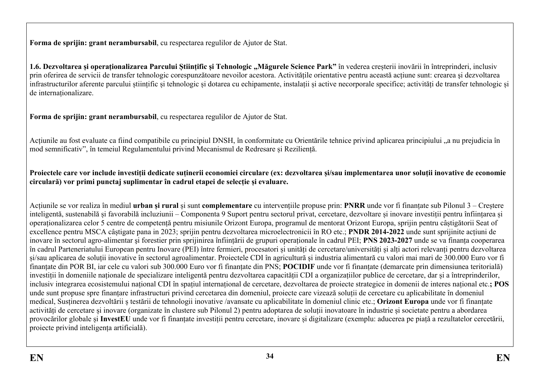**Forma de sprijin: grant nerambursabil**, cu respectarea regulilor de Ajutor de Stat.

**1.6. Dezvoltarea și operaționalizarea Parcului Științific și Tehnologic "Măgurele Science Park"** în vederea creșterii inovării în întreprinderi, inclusiv prin oferirea de servicii de transfer tehnologic corespunzătoare nevoilor acestora. Activitățile orientative pentru această acțiune sunt: crearea şi dezvoltarea infrastructurilor aferente parcului științific și tehnologic și dotarea cu echipamente, instalații și active necorporale specifice; activități de transfer tehnologic și de internaționalizare.

**Forma de sprijin: grant nerambursabil**, cu respectarea regulilor de Ajutor de Stat.

Acțiunile au fost evaluate ca fiind compatibile cu principiul DNSH, în conformitate cu Orientările tehnice privind aplicarea principiului "a nu prejudicia în mod semnificativ", în temeiul Regulamentului privind Mecanismul de Redresare și Reziliență.

**Proiectele care vor include investiții dedicate suținerii economiei circulare (ex: dezvoltarea și/sau implementarea unor soluții inovative de economie circulară) vor primi punctaj suplimentar în cadrul etapei de selecție și evaluare.**

Acțiunile se vor realiza în mediul **urban și rural** și sunt **complementare** cu intervențiile propuse prin: **PNRR** unde vor fi finanțate sub Pilonul 3 – Creștere inteligentă, sustenabilă și favorabilă incluziunii – Componenta 9 Suport pentru sectorul privat, cercetare, dezvoltare și inovare investiții pentru înființarea și operaționalizarea celor 5 centre de competență pentru misiunile Orizont Europa, programul de mentorat Orizont Europa, sprijin pentru câștigătorii Seat of excellence pentru MSCA câștigate pana in 2023; sprijin pentru dezvoltarea microelectronicii în RO etc.; **PNDR 2014-2022** unde sunt sprijinite acțiuni de inovare în sectorul agro-alimentar şi forestier prin sprijinirea înființării de grupuri operaționale în cadrul PEI; **PNS 2023-2027** unde se va finanța cooperarea în cadrul Parteneriatului European pentru Inovare (PEI) între fermieri, procesatori și unități de cercetare/universități și alți actori relevanți pentru dezvoltarea și/sau aplicarea de soluții inovative în sectorul agroalimentar. Proiectele CDI în agricultură și industria alimentară cu valori mai mari de 300.000 Euro vor fi finanțate din POR BI, iar cele cu valori sub 300.000 Euro vor fi finanțate din PNS; **POCIDIF** unde vor fi finanțate (demarcate prin dimensiunea teritorială) investiții în domeniile naționale de specializare inteligentă pentru dezvoltarea capacității CDI a organizațiilor publice de cercetare, dar și a întreprinderilor, inclusiv integrarea ecosistemului național CDI în spațiul internațional de cercetare, dezvoltarea de proiecte strategice in domenii de interes național etc.**; POS** unde sunt propuse spre finanțare infrastructuri privind cercetarea din domeniul, proiecte care vizează soluții de cercetare cu aplicabilitate în domeniul medical, Susținerea dezvoltării ș testării de tehnologii inovative /avansate cu aplicabilitate în domeniul clinic etc.; **Orizont Europa** unde vor fi finanțate activități de cercetare și inovare (organizate în clustere sub Pilonul 2) pentru adoptarea de soluții inovatoare în industrie și societate pentru a abordarea provocărilor globale și **InvestEU** unde vor fi finanțate investiții pentru cercetare, inovare și digitalizare (exemplu: aducerea pe piață a rezultatelor cercetării, proiecte privind inteligența artificială).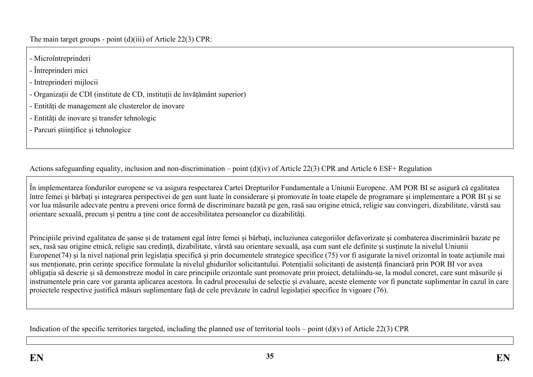The main target groups - point (d)(iii) of Article 22(3) CPR:

- Microîntreprinderi
- Întreprinderi mici
- Intreprinderi mijlocii
- Organizații de CDI (institute de CD, instituții de învățământ superior)
- Entități de management ale clusterelor de inovare
- Entități de inovare și transfer tehnologic
- Parcuri științifice și tehnologice

Actions safeguarding equality, inclusion and non-discrimination – point (d)(iv) of Article 22(3) CPR and Article 6 ESF+ Regulation

<span id="page-34-0"></span>În implementarea fondurilor europene se va asigura respectarea Cartei Drepturilor Fundamentale a Uniunii Europene. AM POR BI se asigură că egalitatea între femei și bărbați și integrarea perspectivei de gen sunt luate în considerare și promovate în toate etapele de programare și implementare a POR BI și se vor lua măsurile adecvate pentru a preveni orice formă de discriminare bazată pe gen, rasă sau origine etnică, religie sau convingeri, dizabilitate, vârstă sau orientare sexuală, precum și pentru a ține cont de accesibilitatea persoanelor cu dizabilități.

Principiile privind egalitatea de șanse și de tratament egal între femei și bărbați, incluziunea categoriilor defavorizate și combaterea discriminării bazate pe sex, rasă sau origine etnică, religie sau credință, dizabilitate, vârstă sau orientare sexuală, așa cum sunt ele definite şi susținute la nivelul Uniunii Europene(74) şi la nivel național prin legislația specifică și prin documentele strategice specifice (75) vor fi asigurate la nivel orizontal în toate acțiunile mai sus menționate, prin cerințe specifice formulate la nivelul ghidurilor solicitantului. Potențialii solicitanți de asistență financiară prin POR BI vor avea obligația să descrie și să demonstreze modul în care principiile orizontale sunt promovate prin proiect, detaliindu-se, la modul concret, care sunt măsurile și instrumentele prin care vor garanta aplicarea acestora. În cadrul procesului de selecție și evaluare, aceste elemente vor fi punctate suplimentar în cazul în care proiectele respective justifică măsuri suplimentare față de cele prevăzute în cadrul legislației specifice în vigoare (76).

<span id="page-34-2"></span><span id="page-34-1"></span>Indication of the specific territories targeted, including the planned use of territorial tools – point  $(d)(v)$  of Article 22(3) CPR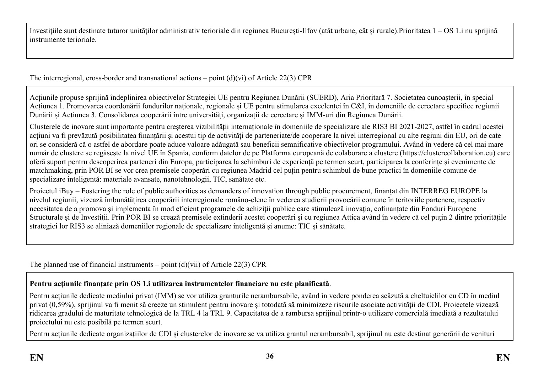Investițiile sunt destinate tuturor unităților administrativ terioriale din regiunea București-Ilfov (atât urbane, cât și rurale).Prioritatea 1 – OS 1.i nu sprijină instrumente terioriale.

The interregional, cross-border and transnational actions – point  $(d)(vi)$  of Article 22(3) CPR

Acțiunile propuse sprijină îndeplinirea obiectivelor Strategiei UE pentru Regiunea Dunării (SUERD), Aria Prioritară 7. Societatea cunoașterii, în special Acțiunea 1. Promovarea coordonării fondurilor naționale, regionale și UE pentru stimularea excelenței în C&I, în domeniile de cercetare specifice regiunii Dunării și Acțiunea 3. Consolidarea cooperării între universități, organizații de cercetare și IMM-uri din Regiunea Dunării.

Clusterele de inovare sunt importante pentru creșterea vizibilității internaționale în domeniile de specializare ale RIS3 BI 2021-2027, astfel în cadrul acestei acțiuni va fi prevăzută posibilitatea finanțării și acestui tip de activități de parteneriate/de cooperare la nivel interregional cu alte regiuni din EU, ori de cate ori se consideră că o astfel de abordare poate aduce valoare adăugată sau beneficii semnificative obiectivelor programului. Având în vedere că cel mai mare număr de clustere se regăsește la nivel UE în Spania, conform datelor de pe Platforma europeană de colaborare a clustere (https://clustercollaboration.eu) care oferă suport pentru descoperirea parteneri din Europa, participarea la schimburi de experiență pe termen scurt, participarea la conferințe și evenimente de matchmaking, prin POR BI se vor crea premisele cooperări cu regiunea Madrid cel puțin pentru schimbul de bune practici în domeniile comune de specializare inteligentă: materiale avansate, nanotehnologii, TIC, sanătate etc.

Proiectul iBuy – Fostering the role of public authorities as demanders of innovation through public procurement, finantat din INTERREG EUROPE la nivelul regiunii, vizează îmbunătățirea cooperării interregionale româno-elene în vederea studierii provocării comune în teritoriile partenere, respectiv necesitatea de a promova și implementa în mod eficient programele de achiziții publice care stimulează inovația, cofinanțate din Fonduri Europene Structurale și de Investiții. Prin POR BI se crează premisele extinderii acestei cooperări și cu regiunea Attica având în vedere că cel puțin 2 dintre prioritățile strategiei lor RIS3 se aliniază domeniilor regionale de specializare inteligentă și anume: TIC și sănătate.

<span id="page-35-0"></span>The planned use of financial instruments – point  $(d)(vi)$  of Article 22(3) CPR

#### **Pentru acțiunile finanțate prin OS 1.i utilizarea instrumentelor financiare nu este planificată**.

Pentru acțiunile dedicate mediului privat (IMM) se vor utiliza granturile nerambursabile, având în vedere ponderea scăzută a cheltuielilor cu CD în mediul privat (0,59%), sprijinul va fi menit să creeze un stimulent pentru inovare și totodată să minimizeze riscurile asociate activității de CDI. Proiectele vizează ridicarea gradului de maturitate tehnologică de la TRL 4 la TRL 9. Capacitatea de a rambursa sprijinul printr-o utilizare comercială imediată a rezultatului proiectului nu este posibilă pe termen scurt.

<span id="page-35-1"></span>Pentru acțiunile dedicate organizațiilor de CDI și clusterelor de inovare se va utiliza grantul nerambursabil, sprijinul nu este destinat generării de venituri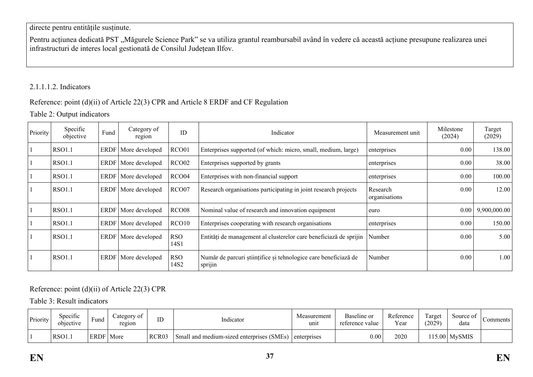## directe pentru entitățile susținute.

Pentru acțiunea dedicată PST "Măgurele Science Park" se va utiliza grantul reambursabil având în vedere că această acțiune presupune realizarea unei infrastructuri de interes local gestionată de Consilul Județean Ilfov.

### 2.1.1.1.2. Indicators

## Reference: point (d)(ii) of Article 22(3) CPR and Article 8 ERDF and CF Regulation

Table 2: Output indicators

| Priority | Specific<br>objective | Fund        | Category of<br>region | ID                 | Indicator                                                                  | Measurement unit          | Milestone<br>(2024) | Target<br>(2029) |
|----------|-----------------------|-------------|-----------------------|--------------------|----------------------------------------------------------------------------|---------------------------|---------------------|------------------|
|          | <b>RSO1.1</b>         | <b>ERDF</b> | More developed        | RCO01              | Enterprises supported (of which: micro, small, medium, large)              | enterprises               | 0.00                | 138.00           |
|          | <b>RSO1.1</b>         | ERDF        | More developed        | RCO <sub>02</sub>  | Enterprises supported by grants                                            | enterprises               | 0.00                | 38.00            |
|          | <b>RSO1.1</b>         | <b>ERDF</b> | More developed        | RCO <sub>04</sub>  | Enterprises with non-financial support                                     | enterprises               | 0.00                | 100.00           |
|          | <b>RSO1.1</b>         | ERDF        | More developed        | RCO07              | Research organisations participating in joint research projects            | Research<br>organisations | 0.00                | 12.00            |
|          | <b>RSO1.1</b>         | ERDF        | More developed        | RCO <sub>08</sub>  | Nominal value of research and innovation equipment                         | euro                      | 0.00                | 9,900,000.00     |
|          | <b>RSO1.1</b>         | ERDF        | More developed        | RCO10              | Enterprises cooperating with research organisations                        | enterprises               | 0.00                | 150.00           |
|          | <b>RSO1.1</b>         | ERDF        | More developed        | <b>RSO</b><br>14S1 | Entități de management al clusterelor care beneficiază de sprijin          | Number                    | 0.00                | 5.00             |
|          | <b>RSO1.1</b>         | ERDF        | More developed        | <b>RSO</b><br>14S2 | Număr de parcuri științifice și tehnologice care beneficiază de<br>sprijin | Number                    | 0.00                | 1.00             |

Reference: point (d)(ii) of Article 22(3) CPR

Table 3: Result indicators

| Priority | $\cdot$ $\sim$<br>Specific<br>objective | Fund        | ategory of<br>region | ID                | Indicator                                 | Measurement<br>unit | Baseline or<br>reference value | Reference<br>Year | $\sim$<br>arget<br>(2029) | Source of<br>data | Comments ! |
|----------|-----------------------------------------|-------------|----------------------|-------------------|-------------------------------------------|---------------------|--------------------------------|-------------------|---------------------------|-------------------|------------|
|          | RSO1.                                   | <b>ERDF</b> | More                 | RCR <sub>03</sub> | Small and medium-sized enterprises (SMEs) | enterprises         | 0.00                           | 2020              |                           | $115.00$ MySMIS   |            |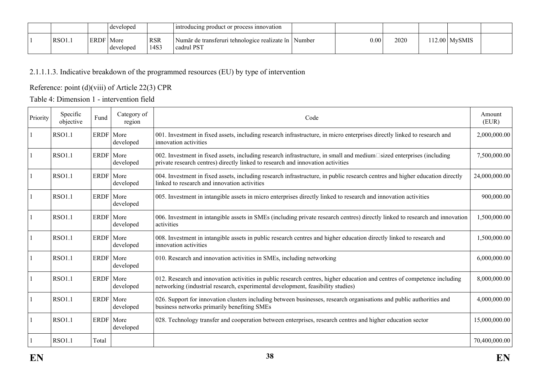|       |        | developed                          |                    | Introducing product or process innovation                                 |                   |      |                   |  |
|-------|--------|------------------------------------|--------------------|---------------------------------------------------------------------------|-------------------|------|-------------------|--|
| RSO1. | ERDF i | <sup>-</sup>   More<br>  developed | <b>RSR</b><br>14S3 | Număr de transferuri tehnologice realizate în  <br>  Number<br>cadrul PST | 0.00 <sub>1</sub> | 2020 | $112.00$   MySMIS |  |

# 2.1.1.1.3. Indicative breakdown of the programmed resources (EU) by type of intervention

## Reference: point (d)(viii) of Article 22(3) CPR

Table 4: Dimension 1 - intervention field

| Priority | Specific<br>objective | Fund        | Category of<br>region | Code                                                                                                                                                                                                        | Amount<br>(EUR) |
|----------|-----------------------|-------------|-----------------------|-------------------------------------------------------------------------------------------------------------------------------------------------------------------------------------------------------------|-----------------|
|          | <b>RSO1.1</b>         | ERDF   More | developed             | 001. Investment in fixed assets, including research infrastructure, in micro enterprises directly linked to research and<br>innovation activities                                                           | 2,000,000.00    |
|          | <b>RSO1.1</b>         | ERDF   More | developed             | 002. Investment in fixed assets, including research infrastructure, in small and medium□sized enterprises (including<br>private research centres) directly linked to research and innovation activities     | 7,500,000.00    |
|          | <b>RSO1.1</b>         | ERDF More   | developed             | 004. Investment in fixed assets, including research infrastructure, in public research centres and higher education directly<br>linked to research and innovation activities                                | 24,000,000.00   |
|          | <b>RSO1.1</b>         | ERDF   More | developed             | 005. Investment in intangible assets in micro enterprises directly linked to research and innovation activities                                                                                             | 900,000.00      |
|          | <b>RSO1.1</b>         | <b>ERDF</b> | More<br>developed     | 006. Investment in intangible assets in SMEs (including private research centres) directly linked to research and innovation<br>activities                                                                  | 1,500,000.00    |
|          | <b>RSO1.1</b>         | ERDF More   | developed             | 008. Investment in intangible assets in public research centres and higher education directly linked to research and<br>innovation activities                                                               | 1,500,000.00    |
|          | <b>RSO1.1</b>         | ERDF More   | developed             | 010. Research and innovation activities in SMEs, including networking                                                                                                                                       | 6,000,000.00    |
|          | <b>RSO1.1</b>         | ERDF More   | developed             | 012. Research and innovation activities in public research centres, higher education and centres of competence including<br>networking (industrial research, experimental development, feasibility studies) | 8,000,000.00    |
|          | <b>RSO1.1</b>         | ERDF More   | developed             | 026. Support for innovation clusters including between businesses, research organisations and public authorities and<br>business networks primarily benefiting SMEs                                         | 4,000,000.00    |
|          | <b>RSO1.1</b>         | ERDF        | More<br>developed     | 028. Technology transfer and cooperation between enterprises, research centres and higher education sector                                                                                                  | 15,000,000.00   |
|          | <b>RSO1.1</b>         | Total       |                       |                                                                                                                                                                                                             | 70,400,000.00   |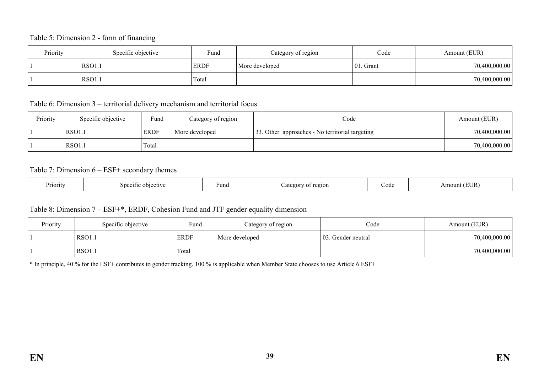#### Table 5: Dimension 2 - form of financing

| Priority | Specific objective | Fund        | Category of region | Code          | Amount (EUR)  |
|----------|--------------------|-------------|--------------------|---------------|---------------|
|          | RSO1.              | <b>ERDF</b> | More developed     | $ 01$ . Grant | 70,400,000.00 |
|          | $RSO1$ .           | Total       |                    |               | 70,400,000.00 |

Table 6: Dimension 3 – territorial delivery mechanism and territorial focus

| Priority | Specific objective | Fund        | Category of region | Code                                            | Amount (EUR)  |
|----------|--------------------|-------------|--------------------|-------------------------------------------------|---------------|
|          | RSO1.1             | <b>ERDF</b> | More developed     | 33. Other approaches - No territorial targeting | 70,400,000.00 |
|          | RSO1.              | Total       |                    |                                                 | 70,400,000.00 |

#### Table 7: Dimension 6 – ESF+ secondary themes

| Priority | snec<br>$\alpha + \alpha$<br>$\sim$ $\sim$ 1.<br>etive | Fund | 2210N<br>≏σ∩r | code | <b>EUR</b><br>Amount |
|----------|--------------------------------------------------------|------|---------------|------|----------------------|
|----------|--------------------------------------------------------|------|---------------|------|----------------------|

### Table 8: Dimension 7 – ESF+\*, ERDF, Cohesion Fund and JTF gender equality dimension

| Priority | Specific objective | Fund        | Category of region | Code                | Amount (EUR)  |
|----------|--------------------|-------------|--------------------|---------------------|---------------|
|          | RSO1.1             | <b>ERDF</b> | More developed     | 103. Gender neutral | 70,400,000.00 |
|          | RSO1.1             | Total       |                    |                     | 70,400,000.00 |

\* In principle, 40 % for the ESF+ contributes to gender tracking. 100 % is applicable when Member State chooses to use Article 6 ESF+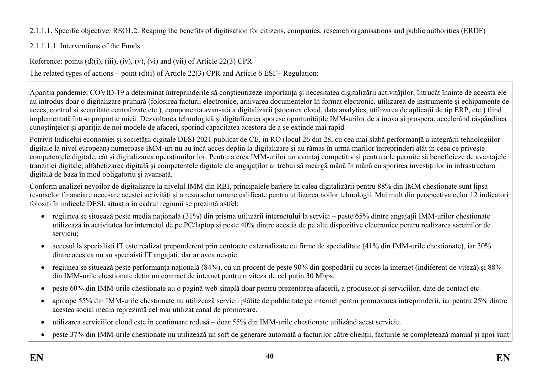2.1.1.1. Specific objective: RSO1.2. Reaping the benefits of digitisation for citizens, companies, research organisations and public authorities (ERDF)

# 2.1.1.1.1. Interventions of the Funds

Reference: points  $(d)(i)$ ,  $(iii)$ ,  $(iv)$ ,  $(v)$ ,  $(vi)$  and  $(vii)$  of Article 22(3) CPR

The related types of actions – point (d)(i) of Article 22(3) CPR and Article 6 ESF+ Regulation:

Apariția pandemiei COVID-19 a determinat întreprinderile să conștientizeze importanța și necesitatea digitalizării activităților, întrucât înainte de aceasta ele au introdus doar o digitalizare primară (folosirea facturii electronice, arhivarea documentelor în format electronic, utilizarea de instrumente și echipamente de acces, control și securitate centralizate etc.), componenta avansată a digitalizării (stocarea cloud, data analytics, utilizarea de aplicații de tip ERP, etc.) fiind implementată într-o proporție mică. Dezvoltarea tehnologică și digitalizarea sporesc oportunitățile IMM-urilor de a inova și prospera, accelerând răspândirea cunoștințelor și apariția de noi modele de afaceri, sporind capacitatea acestora de a se extinde mai rapid.

Potrivit Indicelui economiei și societății digitale DESI 2021 publicat de CE, în RO (locul 26 din 28, cu cea mai slabă performanță a integrării tehnologiilor digitale la nivel european) numeroase IMM-uri nu au încă acces deplin la digitalizare și au rămas în urma marilor întreprinderi atât în ceea ce privește competențele digitale, cât și digitalizarea operațiunilor lor. Pentru a crea IMM-urilor un avantaj competitiv și pentru a le permite să beneficieze de avantajele tranziției digitale, alfabetizarea digitală și competențele digitale ale angajaților ar trebui să meargă mână în mână cu sporirea investițiilor în infrastructura digitală de baza în mod obligatoriu și avansată.

Conform analizei nevoilor de digitalizare la nivelul IMM din RBI, principalele bariere în calea digitalizării pentru 88% din IMM chestionate sunt lipsa resurselor financiare necesare acestei activități și a resurselor umane calificate pentru utilizarea noilor tehnologii. Mai mult din perspectiva celor 12 indicatori folosiți în indicele DESI, situația în cadrul regiunii se prezintă astfel:

- regiunea se situează peste media națională (31%) din prisma utilizării internetului la servici peste 65% dintre angajații IMM-urilor chestionate utilizează în activitatea lor internetul de pe PC/laptop și peste 40% dintre acestia de pe alte dispozitive electronice pentru realizarea sarcinilor de serviciu;
- accesul la specialiști IT este realizat preponderent prin contracte externalizate cu firme de specialitate (41% din IMM-urile chestionate), iar 30% dintre acestea nu au speciaisti IT angajați, dar ar avea nevoie.
- regiunea se situează peste performanța națională (84%), cu un procent de peste 90% din gospodării cu acces la internet (indiferent de viteză) și 88% din IMM-urile chestionate dețin un contract de internet pentru o viteza de cel puțin 30 Mbps.
- peste 60% din IMM-urile chestionate au o pagină web simplă doar pentru prezentarea afacerii, a produselor și serviciilor, date de contact etc.
- aproape 55% din IMM-urile chestionate nu utilizează servicii plătite de publicitate pe internet pentru promovarea întreprinderii, iar pentru 25% dintre acestea social media reprezintă cel mai utilizat canal de promovare.
- utilizarea serviciilor cloud este în continuare redusă doar 55% din IMM-urile chestionate utilizând acest serviciu.
- peste 37% din IMM-urile chestionate nu utilizează un soft de generare automată a facturilor către clienții, facturile se completează manual și apoi sunt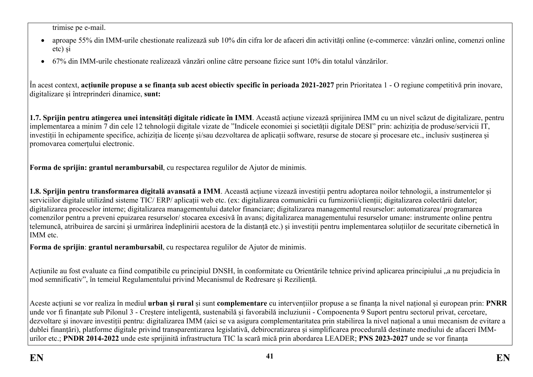trimise pe e-mail.

- aproape 55% din IMM-urile chestionate realizează sub 10% din cifra lor de afaceri din activități online (e-commerce: vânzări online, comenzi online etc) și
- 67% din IMM-urile chestionate realizează vânzări online către persoane fizice sunt 10% din totalul vânzărilor.

În acest context, **acțiunile propuse a se finanța sub acest obiectiv specific în perioada 2021-2027** prin Prioritatea 1 - O regiune competitivă prin inovare, digitalizare și întreprinderi dinamice, **sunt:**

**1.7. Sprijin pentru atingerea unei intensități digitale ridicate în IMM**. Această acțiune vizează sprijinirea IMM cu un nivel scăzut de digitalizare, pentru implementarea a minim 7 din cele 12 tehnologii digitale vizate de "Indicele economiei și societății digitale DESI" prin: achiziția de produse/servicii IT, investiții în echipamente specifice, achiziția de licențe și/sau dezvoltarea de aplicații software, resurse de stocare și procesare etc., inclusiv susținerea și promovarea comerțului electronic.

**Forma de sprijin: grantul nerambursabil**, cu respectarea regulilor de Ajutor de minimis.

**1.8. Sprijin pentru transformarea digitală avansată a IMM**. Această acțiune vizează investiții pentru adoptarea noilor tehnologii, a instrumentelor și serviciilor digitale utilizând sisteme TIC/ ERP/ aplicații web etc. (ex: digitalizarea comunicării cu furnizorii/clienții; digitalizarea colectării datelor; digitalizarea proceselor interne; digitalizarea managementului datelor financiare; digitalizarea managementul resurselor: automatizarea/ programarea comenzilor pentru a preveni epuizarea resurselor/ stocarea excesivă în avans; digitalizarea managementului resurselor umane: instrumente online pentru telemuncă, atribuirea de sarcini și urmărirea îndeplinirii acestora de la distanță etc.) și investiții pentru implementarea soluțiilor de securitate cibernetică în IMM etc.

**Forma de sprijin**: **grantul nerambursabil**, cu respectarea regulilor de Ajutor de minimis.

Acțiunile au fost evaluate ca fiind compatibile cu principiul DNSH, în conformitate cu Orientările tehnice privind aplicarea principiului "a nu prejudicia în mod semnificativ", în temeiul Regulamentului privind Mecanismul de Redresare și Reziliență.

Aceste acțiuni se vor realiza în mediul **urban și rural** și sunt **complementare** cu intervențiilor propuse a se finanța la nivel național și european prin: **PNRR**  unde vor fi finanțate sub Pilonul 3 - Creștere inteligentă, sustenabilă și favorabilă incluziunii - Compoenenta 9 Suport pentru sectorul privat, cercetare, dezvoltare și inovare investiții pentru: digitalizarea IMM (aici se va asigura complementaritatea prin stabilirea la nivel național a unui mecanism de evitare a dublei finanțări), platforme digitale privind transparentizarea legislativă, debirocratizarea și simplificarea procedurală destinate mediului de afaceri IMMurilor etc.; **PNDR 2014-2022** unde este sprijinită infrastructura TIC la scară mică prin abordarea LEADER; **PNS 2023-2027** unde se vor finanța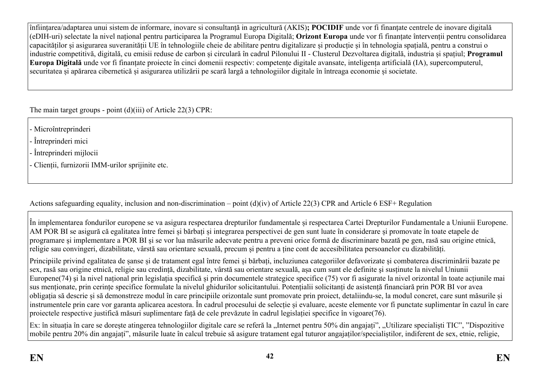înființarea/adaptarea unui sistem de informare, inovare si consultanță in agricultură (AKIS)**; POCIDIF** unde vor fi finanțate centrele de inovare digitală (eDIH-uri) selectate la nivel național pentru participarea la Programul Europa Digitală; **Orizont Europa** unde vor fi finanțate întervenții pentru consolidarea capacităților și asigurarea suveranității UE în tehnologiile cheie de abilitare pentru digitalizare și producție și în tehnologia spațială, pentru a construi o industrie competitivă, digitală, cu emisii reduse de carbon și circulară în cadrul Pilonului II - Clusterul Dezvoltarea digitală, industria și spațiul; **Programul Europa Digitală** unde vor fi finanțate proiecte în cinci domenii respectiv: competențe digitale avansate, inteligența artificială (IA), supercomputerul, securitatea și apărarea cibernetică și asigurarea utilizării pe scară largă a tehnologiilor digitale în întreaga economie și societate.

The main target groups - point (d)(iii) of Article 22(3) CPR:

- Microîntreprinderi
- Întreprinderi mici
- Întreprinderi mijlocii
- Clienții, furnizorii IMM-urilor sprijinite etc.

Actions safeguarding equality, inclusion and non-discrimination – point (d)(iv) of Article 22(3) CPR and Article 6 ESF+ Regulation

În implementarea fondurilor europene se va asigura respectarea drepturilor fundamentale și respectarea Cartei Drepturilor Fundamentale a Uniunii Europene. AM POR BI se asigură că egalitatea între femei și bărbați și integrarea perspectivei de gen sunt luate în considerare și promovate în toate etapele de programare și implementare a POR BI și se vor lua măsurile adecvate pentru a preveni orice formă de discriminare bazată pe gen, rasă sau origine etnică, religie sau convingeri, dizabilitate, vârstă sau orientare sexuală, precum și pentru a ține cont de accesibilitatea persoanelor cu dizabilități.

Principiile privind egalitatea de șanse și de tratament egal între femei și bărbați, incluziunea categoriilor defavorizate și combaterea discriminării bazate pe sex, rasă sau origine etnică, religie sau credință, dizabilitate, vârstă sau orientare sexuală, așa cum sunt ele definite şi susținute la nivelul Uniunii Europene(74) şi la nivel național prin legislația specifică și prin documentele strategice specifice (75) vor fi asigurate la nivel orizontal în toate acțiunile mai sus menționate, prin cerințe specifice formulate la nivelul ghidurilor solicitantului. Potențialii solicitanți de asistență financiară prin POR BI vor avea obligația să descrie și să demonstreze modul în care principiile orizontale sunt promovate prin proiect, detaliindu-se, la modul concret, care sunt măsurile și instrumentele prin care vor garanta aplicarea acestora. În cadrul procesului de selecție și evaluare, aceste elemente vor fi punctate suplimentar în cazul în care proiectele respective justifică măsuri suplimentare față de cele prevăzute în cadrul legislației specifice în vigoare(76).

Ex: în situația în care se dorește atingerea tehnologiilor digitale care se referă la "Internet pentru 50% din angajați", "Utilizare specialiști TIC", "Dispozitive mobile pentru 20% din angajați", măsurile luate în calcul trebuie să asigure tratament egal tuturor angajaților/specialiștilor, indiferent de sex, etnie, religie,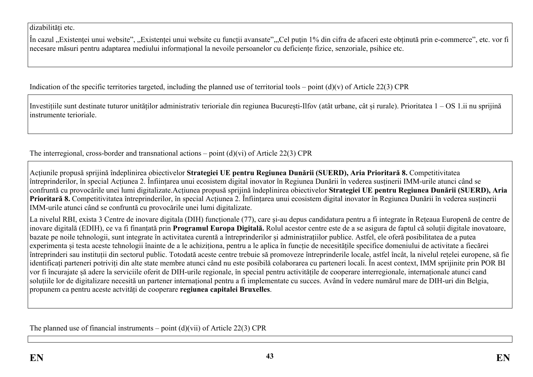dizabilități etc.

În cazul "Existenței unui website", "Existenței unui website cu funcții avansate","Cel puţin 1% din cifra de afaceri este obținută prin e-commerce", etc. vor fi necesare măsuri pentru adaptarea mediului informațional la nevoile persoanelor cu deficiențe fizice, senzoriale, psihice etc.

Indication of the specific territories targeted, including the planned use of territorial tools – point  $(d)(v)$  of Article 22(3) CPR

Investițiile sunt destinate tuturor unităților administrativ terioriale din regiunea București-Ilfov (atât urbane, cât și rurale). Prioritatea 1 – OS 1.ii nu sprijină instrumente terioriale.

The interregional, cross-border and transnational actions – point  $(d)(vi)$  of Article 22(3) CPR

Acțiunile propusă sprijină îndeplinirea obiectivelor **Strategiei UE pentru Regiunea Dunării (SUERD), Aria Prioritară 8.** Competitivitatea întreprinderilor, în special Acțiunea 2. Înființarea unui ecosistem digital inovator în Regiunea Dunării în vederea susținerii IMM-urile atunci când se confruntă cu provocările unei lumi digitalizate.Acțiunea propusă sprijină îndeplinirea obiectivelor **Strategiei UE pentru Regiunea Dunării (SUERD), Aria Prioritară 8.** Competitivitatea întreprinderilor, în special Acțiunea 2. Înființarea unui ecosistem digital inovator în Regiunea Dunării în vederea susținerii IMM-urile atunci când se confruntă cu provocările unei lumi digitalizate.

La nivelul RBI, exista 3 Centre de inovare digitala (DIH) funcționale (77), care și-au depus candidatura pentru a fi integrate în Rețeaua Europenă de centre de inovare digitală (EDIH), ce va fi finanțată prin **Programul Europa Digitală.** Rolul acestor centre este de a se asigura de faptul că soluții digitale inovatoare, bazate pe noile tehnologii, sunt integrate în activitatea curentă a întreprinderilor și administrațiilor publice. Astfel, ele oferă posibilitatea de a putea experimenta și testa aceste tehnologii înainte de a le achiziționa, pentru a le aplica în funcție de necesitățile specifice domeniului de activitate a fiecărei întreprinderi sau instituții din sectorul public. Totodată aceste centre trebuie să promoveze întreprinderile locale, astfel încât, la nivelul rețelei europene, să fie identificați parteneri potriviți din alte state membre atunci când nu este posibilă colaborarea cu parteneri locali. În acest context, IMM sprijinite prin POR BI vor fi încurajate șă adere la serviciile oferit de DIH-urile regionale, în special pentru activitățile de cooperare interregionale, internaționale atunci cand soluțiile lor de digitalizare necesită un partener internațional pentru a fi implementate cu succes. Având în vedere numărul mare de DIH-uri din Belgia, propunem ca pentru aceste actvități de cooperare **regiunea capitalei Bruxelles**.

The planned use of financial instruments – point  $(d)(vi)$  of Article 22(3) CPR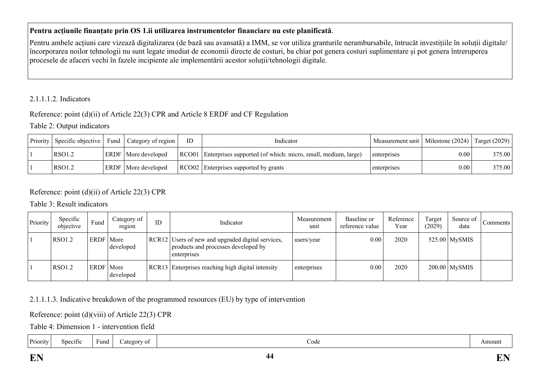### **Pentru acțiunile finanțate prin OS 1.ii utilizarea instrumentelor financiare nu este planificată**.

Pentru ambele acțiuni care vizează digitalizarea (de bază sau avansată) a IMM, se vor utiliza granturile nerambursabile, întrucât investițiile în soluții digitale/ încorporarea noilor tehnologii nu sunt legate imediat de economii directe de costuri, ba chiar pot genera costuri suplimentare și pot genera întreruperea procesele de afaceri vechi în fazele incipiente ale implementării acestor soluții/tehnologii digitale.

## 2.1.1.1.2. Indicators

# Reference: point (d)(ii) of Article 22(3) CPR and Article 8 ERDF and CF Regulation

### Table 2: Output indicators

| Priority   Specific objective | Fund | Category of region         | ID. | Indicator                                                           | Measurement unit   Milestone (2024)   Target (2029) |             |        |
|-------------------------------|------|----------------------------|-----|---------------------------------------------------------------------|-----------------------------------------------------|-------------|--------|
| RSO1.2                        |      | <b>ERDF</b> More developed |     | RCO01 Enterprises supported (of which: micro, small, medium, large) | enterprises                                         | $0.00\vert$ | 375.00 |
| RSO1.2                        |      | <b>ERDF</b> More developed |     | RCO02 Enterprises supported by grants                               | enterprises                                         | $0.00\vert$ | 375.00 |

# Reference: point (d)(ii) of Article 22(3) CPR

Table 3: Result indicators

| Priority | Specific<br>objective | Fund        | Category of<br>region | ID | Indicator                                                                                               | Measurement<br>unit | Baseline or<br>reference value | Reference<br>Year | Target<br>(2029) | Source of<br>data | Comments |
|----------|-----------------------|-------------|-----------------------|----|---------------------------------------------------------------------------------------------------------|---------------------|--------------------------------|-------------------|------------------|-------------------|----------|
|          | <b>RSO1.2</b>         | <b>ERDF</b> | More<br>developed     |    | RCR12 Users of new and upgraded digital services,<br>products and processes developed by<br>enterprises | users/year          | 0.00                           | 2020              |                  | $525.00$ MySMIS   |          |
|          | <b>RSO1.2</b>         | <b>ERDF</b> | More<br>developed     |    | RCR13 Enterprises reaching high digital intensity                                                       | enterprises         | 0.00                           | 2020              |                  | $200.00$ MySMIS   |          |

# 2.1.1.1.3. Indicative breakdown of the programmed resources (EU) by type of intervention

# Reference: point (d)(viii) of Article 22(3) CPR

Table 4: Dimension 1 - intervention field

| Priority | . .<br>Specific | r und | ategory of | Code | Amoun |
|----------|-----------------|-------|------------|------|-------|
|----------|-----------------|-------|------------|------|-------|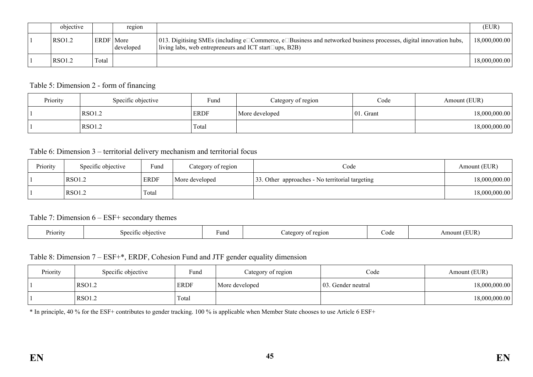| objective |             | region    |                                                                                                                                                                                                      | (EUR)         |
|-----------|-------------|-----------|------------------------------------------------------------------------------------------------------------------------------------------------------------------------------------------------------|---------------|
| RSO1.2    | ERDF   More | developed | [013. Digitising SMEs (including e $\Box$ Commerce, e $\Box$ Business and networked business processes, digital innovation hubs,<br>living labs, web entrepreneurs and ICT start $\square$ ups, B2B) | 18,000,000.00 |
| RSO1.2    | Total       |           |                                                                                                                                                                                                      | 18,000,000.00 |

#### Table 5: Dimension 2 - form of financing

| Priority | Specific objective | Fund        | Category of region | Code          | Amount (EUR)  |
|----------|--------------------|-------------|--------------------|---------------|---------------|
|          | <b>RSO1.2</b>      | <b>ERDF</b> | More developed     | $ 01$ . Grant | 18,000,000.00 |
|          | RSO1.2             | Total       |                    |               | 18,000,000.00 |

#### Table 6: Dimension 3 – territorial delivery mechanism and territorial focus

| Priority | Specific objective | Fund        | Category of region | Code                                            | Amount (EUR)  |
|----------|--------------------|-------------|--------------------|-------------------------------------------------|---------------|
|          | <b>RSO1.2</b>      | <b>ERDF</b> | More developed     | 33. Other approaches - No territorial targeting | 18,000,000.00 |
|          | RSO1.2             | Total       |                    |                                                 | 18,000,000.00 |

#### Table 7: Dimension 6 – ESF+ secondary themes

| Priority | sne<br>$\alpha + \alpha$<br>$\sim$ $\sim$ 1.<br>etive | Fund | 2210N<br>≏σ∩r | code | <b>EUR</b><br>Amount |
|----------|-------------------------------------------------------|------|---------------|------|----------------------|
|----------|-------------------------------------------------------|------|---------------|------|----------------------|

#### Table 8: Dimension 7 – ESF+\*, ERDF, Cohesion Fund and JTF gender equality dimension

| Priority | Specific objective | Fund        | Category of region | Code                | Amount (EUR)  |
|----------|--------------------|-------------|--------------------|---------------------|---------------|
|          | <b>RSO1.2</b>      | <b>ERDF</b> | More developed     | 103. Gender neutral | 18,000,000.00 |
|          | <b>RSO1.2</b>      | Total       |                    |                     | 18,000,000.00 |

\* In principle, 40 % for the ESF+ contributes to gender tracking. 100 % is applicable when Member State chooses to use Article 6 ESF+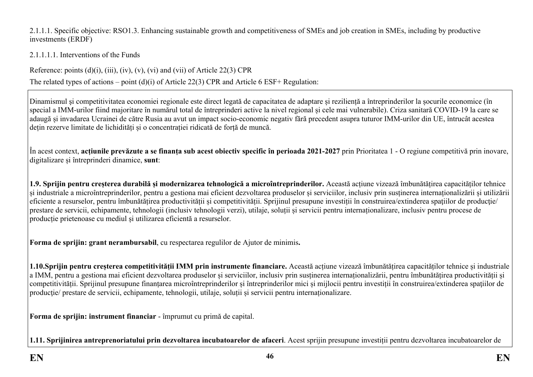2.1.1.1. Specific objective: RSO1.3. Enhancing sustainable growth and competitiveness of SMEs and job creation in SMEs, including by productive investments (ERDF)

### 2.1.1.1.1. Interventions of the Funds

Reference: points  $(d)(i)$ ,  $(iii)$ ,  $(iv)$ ,  $(v)$ ,  $(vi)$  and  $(vii)$  of Article 22(3) CPR

The related types of actions – point (d)(i) of Article 22(3) CPR and Article 6 ESF+ Regulation:

Dinamismul şi competitivitatea economiei regionale este direct legată de capacitatea de adaptare și reziliență a întreprinderilor la șocurile economice (în special a IMM-urilor fiind majoritare în numărul total de întreprinderi active la nivel regional și cele mai vulnerabile). Criza sanitară COVID-19 la care se adaugă și invadarea Ucrainei de către Rusia au avut un impact socio-economic negativ fără precedent asupra tuturor IMM-urilor din UE, întrucât acestea dețin rezerve limitate de lichidități și o concentrației ridicată de forță de muncă.

În acest context, **acțiunile prevăzute a se finanța sub acest obiectiv specific în perioada 2021-2027** prin Prioritatea 1 - O regiune competitivă prin inovare, digitalizare și întreprinderi dinamice, **sunt**:

**1.9. Sprijin pentru creșterea durabilă și modernizarea tehnologică a microîntreprinderilor.** Această acțiune vizează îmbunătățirea capacităților tehnice și industriale a microîntreprinderilor, pentru a gestiona mai eficient dezvoltarea produselor și serviciilor, inclusiv prin susținerea internaționalizării și utilizării eficiente a resurselor, pentru îmbunătățirea productivității și competitivității. Sprijinul presupune investiții în construirea/extinderea spațiilor de producție/ prestare de servicii, echipamente, tehnologii (inclusiv tehnologii verzi), utilaje, soluții și servicii pentru internaționalizare, inclusiv pentru procese de producție prietenoase cu mediul și utilizarea eficientă a resurselor.

**Forma de sprijin: grant nerambursabil**, cu respectarea regulilor de Ajutor de minimis**.** 

**1.10.Sprijin pentru creșterea competitivității IMM prin instrumente financiare.** Această acțiune vizează îmbunătățirea capacităților tehnice și industriale a IMM, pentru a gestiona mai eficient dezvoltarea produselor și serviciilor, inclusiv prin susținerea internaționalizării, pentru îmbunătățirea productivității și competitivității. Sprijinul presupune finanțarea microîntreprinderilor și întreprinderilor mici și mijlocii pentru investiții în construirea/extinderea spaţiilor de productie/ prestare de servicii, echipamente, tehnologii, utilaje, soluții și servicii pentru internaționalizare.

**Forma de sprijin: instrument financiar** - împrumut cu primă de capital.

**1.11. Sprijinirea antreprenoriatului prin dezvoltarea incubatoarelor de afaceri**. Acest sprijin presupune investiții pentru dezvoltarea incubatoarelor de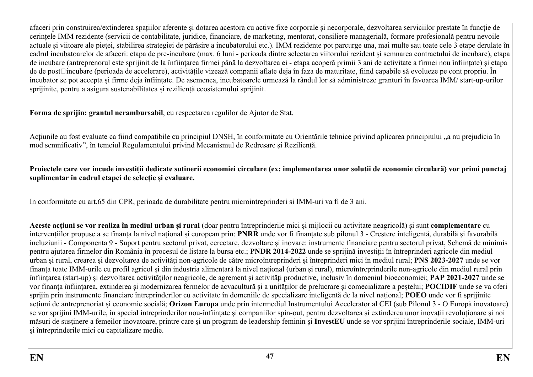afaceri prin construirea/extinderea spațiilor aferente și dotarea acestora cu active fixe corporale și necorporale, dezvoltarea serviciilor prestate în funcție de cerințele IMM rezidente (servicii de contabilitate, juridice, financiare, de marketing, mentorat, consiliere managerială, formare profesională pentru nevoile actuale și viitoare ale pieței, stabilirea strategiei de părăsire a incubatorului etc.). IMM rezidente pot parcurge una, mai multe sau toate cele 3 etape derulate în cadrul incubatoarelor de afaceri: etapa de pre-incubare (max. 6 luni - perioada dintre selectarea viitorului rezident şi semnarea contractului de incubare), etapa de incubare (antreprenorul este sprijinit de la înființarea firmei până la dezvoltarea ei - etapa acoperă primii 3 ani de activitate a firmei nou înființate) și etapa de de post□incubare (perioada de accelerare), activitățile vizează companii aflate deja în faza de maturitate, fiind capabile să evolueze pe cont propriu. În incubator se pot accepta și firme deja înființate. De asemenea, incubatoarele urmează la rândul lor să administreze granturi în favoarea IMM/ start-up-urilor sprijinite, pentru a asigura sustenabilitatea și reziliență ecosistemului sprijinit.

**Forma de sprijin: grantul nerambursabil**, cu respectarea regulilor de Ajutor de Stat.

Actiunile au fost evaluate ca fiind compatibile cu principiul DNSH, în conformitate cu Orientările tehnice privind aplicarea principiului "a nu prejudicia în mod semnificativ", în temeiul Regulamentului privind Mecanismul de Redresare și Reziliență.

**Proiectele care vor incude investiții dedicate suținerii economiei circulare (ex: implementarea unor soluții de economie circulară) vor primi punctaj suplimentar în cadrul etapei de selecție și evaluare.**

In conformitate cu art.65 din CPR, perioada de durabilitate pentru microintreprinderi si IMM-uri va fi de 3 ani.

**Aceste acțiuni se vor realiza în mediul urban și rural** (doar pentru întreprinderile mici și mijlocii cu activitate neagricolă) și sunt **complementare** cu intervențiilor propuse a se finanța la nivel național și european prin: **PNRR** unde vor fi finanțate sub pilonul 3 - Creștere inteligentă, durabilă și favorabilă incluziunii - Componenta 9 - Suport pentru sectorul privat, cercetare, dezvoltare și inovare: instrumente financiare pentru sectorul privat, Schemă de minimis pentru ajutarea firmelor din România în procesul de listare la bursa etc.; **PNDR 2014-2022** unde se sprijină investiții în întreprinderi agricole din mediul urban și rural, crearea și dezvoltarea de activități non-agricole de către microîntreprinderi și întreprinderi mici în mediul rural; **PNS 2023-2027** unde se vor finanța toate IMM-urile cu profil agricol și din industria alimentară la nivel național (urban și rural), microîntreprinderile non-agricole din mediul rural prin înființarea (start-up) și dezvoltarea activităților neagricole, de agrement și activități productive, inclusiv în domeniul bioeconomiei; **PAP 2021-2027** unde se vor finanța înființarea, extinderea și modernizarea fermelor de acvacultură și a unităților de prelucrare și comecializare a peștelui; **POCIDIF** unde se va oferi sprijin prin instrumente financiare întreprinderilor cu activitate în domeniile de specializare inteligentă de la nivel național; **POEO** unde vor fi sprijinite acțiuni de antreprenoriat și economie socială; **Orizon Europa** unde prin intermediul Instrumentului Accelerator al CEI (sub Pilonul 3 - O Europă inovatoare) se vor sprijini IMM-urile, în special întreprinderilor nou-înființate și companiilor spin-out, pentru dezvoltarea și extinderea unor inovații revoluționare și noi măsuri de susținere a femeilor inovatoare, printre care și un program de leadership feminin și **InvestEU** unde se vor sprijini întreprinderile sociale, IMM-uri și întreprinderile mici cu capitalizare medie.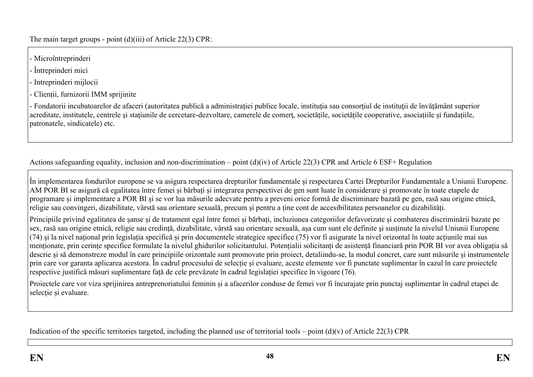The main target groups - point (d)(iii) of Article 22(3) CPR:

- Microîntreprinderi
- Întreprinderi mici
- Intreprinderi mijlocii
- Clienții, furnizorii IMM sprijinite

- Fondatorii incubatoarelor de afaceri (autoritatea publică a administrației publice locale, instituția sau consorțiul de instituții de învățământ superior acreditate, institutele, centrele și stațiunile de cercetare-dezvoltare, camerele de comert, societățile, societățile cooperative, asociațiile și fundațiile, patronatele, sindicatele) etc.

Actions safeguarding equality, inclusion and non-discrimination – point (d)(iv) of Article 22(3) CPR and Article 6 ESF+ Regulation

În implementarea fondurilor europene se va asigura respectarea drepturilor fundamentale și respectarea Cartei Drepturilor Fundamentale a Uniunii Europene. AM POR BI se asigură că egalitatea între femei și bărbați și integrarea perspectivei de gen sunt luate în considerare și promovate în toate etapele de programare și implementare a POR BI și se vor lua măsurile adecvate pentru a preveni orice formă de discriminare bazată pe gen, rasă sau origine etnică, religie sau convingeri, dizabilitate, vârstă sau orientare sexuală, precum și pentru a ține cont de accesibilitatea persoanelor cu dizabilități.

Principiile privind egalitatea de șanse și de tratament egal între femei și bărbați, incluziunea categoriilor defavorizate și combaterea discriminării bazate pe sex, rasă sau origine etnică, religie sau credință, dizabilitate, vârstă sau orientare sexuală, așa cum sunt ele definite şi susținute la nivelul Uniunii Europene  $(74)$  și la nivel național prin legislația specifică și prin documentele strategice specifice  $(75)$  vor fi asigurate la nivel orizontal în toate acțiunile mai sus menționate, prin cerințe specifice formulate la nivelul ghidurilor solicitantului. Potențialii solicitanți de asistență financiară prin POR BI vor avea obligația să descrie și să demonstreze modul în care principiile orizontale sunt promovate prin proiect, detaliindu-se, la modul concret, care sunt măsurile și instrumentele prin care vor garanta aplicarea acestora. În cadrul procesului de selecție și evaluare, aceste elemente vor fi punctate suplimentar în cazul în care proiectele respective justifică măsuri suplimentare față de cele prevăzute în cadrul legislației specifice în vigoare (76).

Proiectele care vor viza sprijinirea antreprenoriatului feminin și a afacerilor conduse de femei vor fi încurajate prin punctaj suplimentar în cadrul etapei de selecție și evaluare.

Indication of the specific territories targeted, including the planned use of territorial tools – point  $(d)(v)$  of Article 22(3) CPR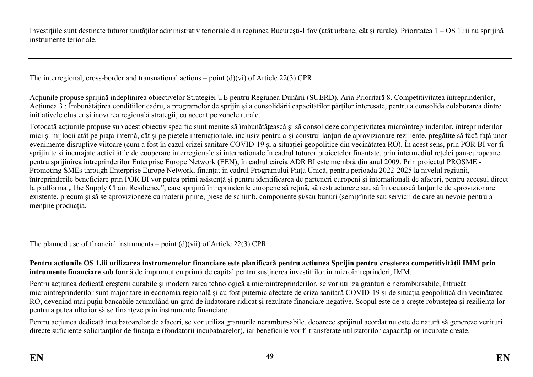Investițiile sunt destinate tuturor unităților administrativ terioriale din regiunea București-Ilfov (atât urbane, cât și rurale). Prioritatea 1 – OS 1.iii nu sprijină instrumente terioriale.

The interregional, cross-border and transnational actions – point  $(d)(vi)$  of Article 22(3) CPR

Acțiunile propuse sprijină îndeplinirea obiectivelor Strategiei UE pentru Regiunea Dunării (SUERD), Aria Prioritară 8. Competitivitatea întreprinderilor, Acțiunea 3 : Îmbunătățirea condițiilor cadru, a programelor de sprijin și a consolidării capacităților părților interesate, pentru a consolida colaborarea dintre inițiativele cluster și inovarea regională strategii, cu accent pe zonele rurale.

Totodată acțiunile propuse sub acest obiectiv specific sunt menite să îmbunătățească și să consolideze competivitatea microîntreprinderilor, întreprinderilor mici și mijlocii atât pe piața internă, cât și pe piețele internaționale, inclusiv pentru a-și construi lanțuri de aprovizionare reziliente, pregătite să facă față unor evenimente disruptive viitoare (cum a fost în cazul crizei sanitare COVID-19 și a situației geopolitice din vecinătatea RO). În acest sens, prin POR BI vor fi sprijinite și încurajate activitățile de cooperare interregionale și internaționale în cadrul tuturor proiectelor finanțate, prin intermediul rețelei pan-europeane pentru sprijinirea întreprinderilor Enterprise Europe Network (EEN), în cadrul căreia ADR BI este membră din anul 2009. Prin proiectul PROSME - Promoting SMEs through Enterprise Europe Network, finanțat în cadrul Programului Piața Unică, pentru perioada 2022-2025 la nivelul regiunii, întreprinderile beneficiare prin POR BI vor putea primi asistență și pentru identificarea de parteneri europeni și internationali de afaceri, pentru accesul direct la platforma "The Supply Chain Resilience", care sprijină întreprinderile europene să retină, să restructureze sau să înlocuiască lanturile de aprovizionare existente, precum și să se aprovizioneze cu materii prime, piese de schimb, componente și/sau bunuri (semi)finite sau servicii de care au nevoie pentru a menține producția.

The planned use of financial instruments – point (d)(vii) of Article 22(3) CPR

**Pentru acțiunile OS 1.iii utilizarea instrumentelor financiare este planificată pentru acțiunea Sprijin pentru creșterea competitivității IMM prin intrumente financiare** sub formă de împrumut cu primă de capital pentru susținerea investițiilor în microîntreprinderi, IMM.

Pentru acțiunea dedicată creșterii durabile și modernizarea tehnologică a microîntreprinderilor, se vor utiliza granturile nerambursabile, întrucât microîntreprinderilor sunt majoritare în economia regională și au fost puternic afectate de criza sanitară COVID-19 și de situația geopolitică din vecinătatea RO, devenind mai puțin bancabile acumulând un grad de îndatorare ridicat și rezultate financiare negative. Scopul este de a crește robustețea și reziliența lor pentru a putea ulterior să se finanțeze prin instrumente financiare.

Pentru acțiunea dedicată incubatoarelor de afaceri, se vor utiliza granturile nerambursabile, deoarece sprijinul acordat nu este de natură să genereze venituri directe suficiente solicitanților de finanțare (fondatorii incubatoarelor), iar beneficiile vor fi transferate utilizatorilor capacităților incubate create.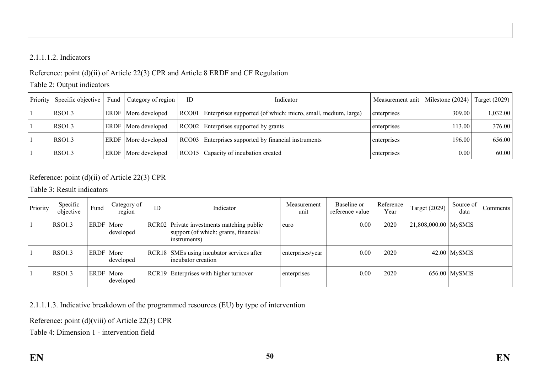### 2.1.1.1.2. Indicators

# Reference: point (d)(ii) of Article 22(3) CPR and Article 8 ERDF and CF Regulation

### Table 2: Output indicators

| Priority | Specific objective | Fund | Category of region           | ID | Indicator                                                           | Measurement unit | Milestone (2024) | Target (2029) |
|----------|--------------------|------|------------------------------|----|---------------------------------------------------------------------|------------------|------------------|---------------|
|          | RSO1.3             |      | <b>ERDF</b>   More developed |    | RCO01 Enterprises supported (of which: micro, small, medium, large) | enterprises      | 309.00           | 1,032.00      |
|          | <b>RSO1.3</b>      |      | <b>ERDF</b>   More developed |    | RCO02 Enterprises supported by grants                               | enterprises      | 113.00           | 376.00        |
|          | RSO1.3             |      | <b>ERDF</b>   More developed |    | RCO03 Enterprises supported by financial instruments                | enterprises      | 196.00           | 656.00        |
|          | RSO1.3             |      | <b>ERDF</b> More developed   |    | RCO15 Capacity of incubation created                                | enterprises      | 0.00             | 60.00         |

# Reference: point (d)(ii) of Article 22(3) CPR

## Table 3: Result indicators

| Priority | Specific<br>objective | Fund        | Category of<br>region | ID | Indicator                                                                                         | Measurement<br>unit | Baseline or<br>reference value | Reference<br>Year | Target (2029)          | Source of<br>data | Comments |
|----------|-----------------------|-------------|-----------------------|----|---------------------------------------------------------------------------------------------------|---------------------|--------------------------------|-------------------|------------------------|-------------------|----------|
|          | <b>RSO1.3</b>         | ERDF        | More<br>developed     |    | RCR02 Private investments matching public<br>support (of which: grants, financial<br>instruments) | euro                | 0.00                           | 2020              | $21,808,000.00$ MySMIS |                   |          |
|          | <b>RSO1.3</b>         | <b>ERDF</b> | More<br>developed     |    | RCR18 SMEs using incubator services after<br>incubator creation                                   | enterprises/year    | 0.00                           | 2020              |                        | $42.00$ MySMIS    |          |
|          | <b>RSO1.3</b>         | ERDF        | More<br>developed     |    | RCR19 Enterprises with higher turnover                                                            | enterprises         | 0.00                           | 2020              |                        | $656.00$ MySMIS   |          |

2.1.1.1.3. Indicative breakdown of the programmed resources (EU) by type of intervention

Reference: point (d)(viii) of Article 22(3) CPR

Table 4: Dimension 1 - intervention field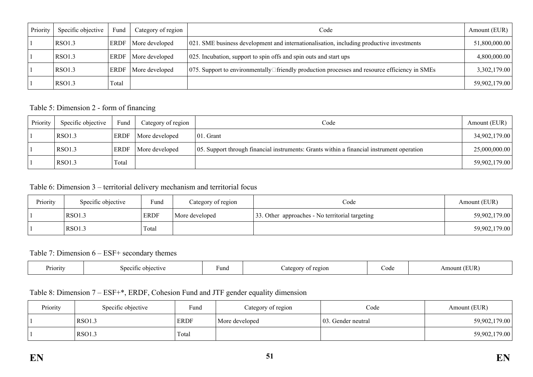| Priority | Specific objective | Fund  | Category of region | Code                                                                                                         | Amount (EUR) $\vert$ |
|----------|--------------------|-------|--------------------|--------------------------------------------------------------------------------------------------------------|----------------------|
|          | RSO1.3             | ERDF  | More developed     | 021. SME business development and internationalisation, including productive investments                     | 51,800,000.00        |
|          | RSO1.3             | ERDF  | More developed     | 025. Incubation, support to spin offs and spin outs and start ups                                            | 4,800,000.00         |
|          | RSO1.3             | ERDF  | More developed     | $\vert$ 075. Support to environmentally $\Box$ friendly production processes and resource efficiency in SMEs | 3,302,179.00         |
|          | RSO1.3             | Total |                    |                                                                                                              | 59,902,179.00        |

### Table 5: Dimension 2 - form of financing

| Priority | Specific objective | Fund        | Category of region | Code                                                                                      | Amount (EUR)  |
|----------|--------------------|-------------|--------------------|-------------------------------------------------------------------------------------------|---------------|
|          | RSO1.3             | <b>ERDF</b> | More developed     | $ 01$ . Grant                                                                             | 34,902,179.00 |
|          | <b>RSO1.3</b>      | <b>ERDF</b> | More developed     | 05. Support through financial instruments: Grants within a financial instrument operation | 25,000,000.00 |
|          | <b>RSO1.3</b>      | Total       |                    |                                                                                           | 59,902,179.00 |

Table 6: Dimension 3 – territorial delivery mechanism and territorial focus

| Priority | Specific objective | Fund        | Category of region | Code                                            | Amount (EUR)  |
|----------|--------------------|-------------|--------------------|-------------------------------------------------|---------------|
|          | <b>RSO1.3</b>      | <b>ERDF</b> | More developed     | 33. Other approaches - No territorial targeting | 59,902,179.00 |
|          | <b>RSO1.3</b>      | Total       |                    |                                                 | 59,902,179.00 |

### Table 7: Dimension 6 – ESF+ secondary themes

| Priority<br>____ | objective<br>Specific | Fund | region<br>ategor | code | EUR<br>Amount |
|------------------|-----------------------|------|------------------|------|---------------|
|------------------|-----------------------|------|------------------|------|---------------|

# Table 8: Dimension 7 – ESF+\*, ERDF, Cohesion Fund and JTF gender equality dimension

| Priority | Specific objective | Fund        | Category of region | Code                | Amount (EUR)  |
|----------|--------------------|-------------|--------------------|---------------------|---------------|
|          | <b>RSO1.3</b>      | <b>ERDF</b> | More developed     | 103. Gender neutral | 59,902,179.00 |
|          | <b>RSO1.3</b>      | Total       |                    |                     | 59,902,179.00 |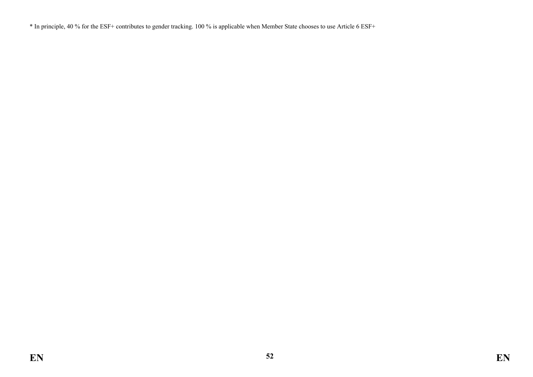\* In principle, 40 % for the ESF+ contributes to gender tracking. 100 % is applicable when Member State chooses to use Article 6 ESF+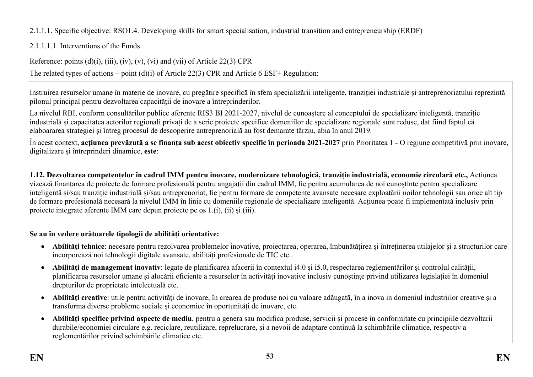# 2.1.1.1. Specific objective: RSO1.4. Developing skills for smart specialisation, industrial transition and entrepreneurship (ERDF)

# 2.1.1.1.1. Interventions of the Funds

Reference: points  $(d)(i)$ ,  $(iii)$ ,  $(iv)$ ,  $(v)$ ,  $(vi)$  and  $(vii)$  of Article 22(3) CPR

The related types of actions – point (d)(i) of Article 22(3) CPR and Article 6 ESF+ Regulation:

Instruirea resurselor umane în materie de inovare, cu pregătire specifică în sfera specializării inteligente, tranziției industriale și antreprenoriatului reprezintă pilonul principal pentru dezvoltarea capacității de inovare a întreprinderilor.

La nivelul RBI, conform consultărilor publice aferente RIS3 BI 2021-2027, nivelul de cunoaștere al conceptului de specializare inteligentă, tranziție industrială și capacitatea actorilor regionali privați de a scrie proiecte specifice domeniilor de specializare regionale sunt reduse, dat fiind faptul că elaboararea strategiei și întreg procesul de descoperire antreprenorială au fost demarate târziu, abia în anul 2019.

În acest context, **acțiunea prevăzută a se finanța sub acest obiectiv specific în perioada 2021-2027** prin Prioritatea 1 - O regiune competitivă prin inovare, digitalizare și întreprinderi dinamice, **este**:

**1.12. Dezvoltarea competențelor în cadrul IMM pentru inovare, modernizare tehnologică, tranziție industrială, economie circulară etc.,** Acțiunea vizează finanțarea de proiecte de formare profesională pentru angajații din cadrul IMM, fie pentru acumularea de noi cunoștinte pentru specializare inteligentă și/sau tranziție industrială și/sau antreprenoriat, fie pentru formare de competențe avansate necesare exploatării noilor tehnologii sau orice alt tip de formare profesională necesară la nivelul IMM în linie cu domeniile regionale de specializare inteligentă. Acțiunea poate fi implementată inclusiv prin proiecte integrate aferente IMM care depun proiecte pe os 1.(i), (ii) și (iii).

# **Se au în vedere urătoarele tipologii de abilități orientative:**

- **Abilități tehnice**: necesare pentru rezolvarea problemelor inovative, proiectarea, operarea, îmbunătățirea și întreținerea utilajelor și a structurilor care încorporează noi tehnologii digitale avansate, abilități profesionale de TIC etc..
- **Abilități de management inovativ**: legate de planificarea afacerii în contextul i4.0 și i5.0, respectarea reglementărilor și controlul calității, planificarea resurselor umane și alocării eficiente a resurselor în activități inovative inclusiv cunoștințe privind utilizarea legislației în domeniul drepturilor de proprietate intelectuală etc.
- **Abilităţi creative**: utile pentru activități de inovare, în crearea de produse noi cu valoare adăugată, în a inova in domeniul industriilor creative şi a transforma diverse probleme sociale și economice în oportunități de inovare, etc.
- **Abilități specifice privind aspecte de mediu**, pentru a genera sau modifica produse, servicii şi procese în conformitate cu principiile dezvoltarii durabile/economiei circulare e.g. reciclare, reutilizare, reprelucrare, şi a nevoii de adaptare continuă la schimbările climatice, respectiv a reglementărilor privind schimbările climatice etc.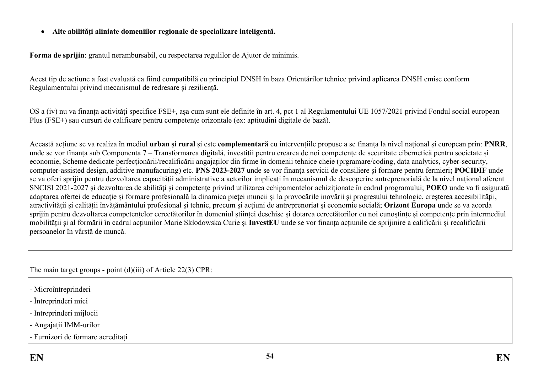### **Alte abilități aliniate domeniilor regionale de specializare inteligentă.**

**Forma de sprijin**: grantul nerambursabil, cu respectarea regulilor de Ajutor de minimis.

Acest tip de acțiune a fost evaluată ca fiind compatibilă cu principiul DNSH în baza Orientărilor tehnice privind aplicarea DNSH emise conform Regulamentului privind mecanismul de redresare și reziliență.

OS a (iv) nu va finanța activități specifice FSE+, așa cum sunt ele definite în art. 4, pct 1 al Regulamentului UE 1057/2021 privind Fondul social european Plus (FSE+) sau cursuri de calificare pentru competențe orizontale (ex: aptitudini digitale de bază).

Această acțiune se va realiza în mediul **urban și rural** și este **complementară** cu intervențiile propuse a se finanța la nivel național și european prin: **PNRR**, unde se vor finanța sub Componenta 7 – Transformarea digitală, investiții pentru crearea de noi competențe de securitate cibernetică pentru societate și economie, Scheme dedicate perfecționării/recalificării angajaților din firme în domenii tehnice cheie (prgramare/coding, data analytics, cyber-security, computer-assisted design, additive manufacuring) etc. **PNS 2023-2027** unde se vor finanța servicii de consiliere și formare pentru fermieri**; POCIDIF** unde se va oferi sprijin pentru dezvoltarea capacității administrative a actorilor implicați în mecanismul de descoperire antreprenorială de la nivel național aferent SNCISI 2021-2027 și dezvoltarea de abilități și competențe privind utilizarea echipamentelor achiziționate în cadrul programului; **POEO** unde va fi asigurată adaptarea ofertei de educație și formare profesională la dinamica pieței muncii și la provocările inovării și progresului tehnologic, creșterea accesibilității, atractivității și calității învățământului profesional și tehnic, precum și acțiuni de antreprenoriat și economie socială; **Orizont Europa** unde se va acorda sprijin pentru dezvoltarea competențelor cercetătorilor în domeniul științei deschise și dotarea cercetătorilor cu noi cunoștințe și competențe prin intermediul mobilității și al formării în cadrul acțiunilor Marie Skłodowska Curie și **InvestEU** unde se vor finanța acțiunile de sprijinire a calificării și recalificării persoanelor în vârstă de muncă.

The main target groups - point (d)(iii) of Article 22(3) CPR:

- Microîntreprinderi
- Întreprinderi mici
- Intreprinderi mijlocii
- Angajații IMM-urilor
- Furnizori de formare acreditați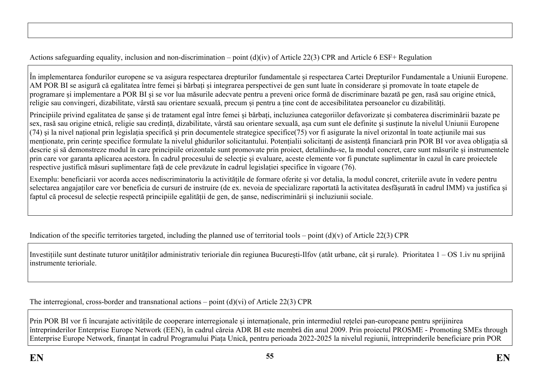Actions safeguarding equality, inclusion and non-discrimination – point (d)(iv) of Article 22(3) CPR and Article 6 ESF+ Regulation

În implementarea fondurilor europene se va asigura respectarea drepturilor fundamentale și respectarea Cartei Drepturilor Fundamentale a Uniunii Europene. AM POR BI se asigură că egalitatea între femei și bărbați și integrarea perspectivei de gen sunt luate în considerare și promovate în toate etapele de programare și implementare a POR BI și se vor lua măsurile adecvate pentru a preveni orice formă de discriminare bazată pe gen, rasă sau origine etnică, religie sau convingeri, dizabilitate, vârstă sau orientare sexuală, precum și pentru a ține cont de accesibilitatea persoanelor cu dizabilități.

Principiile privind egalitatea de șanse și de tratament egal între femei și bărbați, incluziunea categoriilor defavorizate și combaterea discriminării bazate pe sex, rasă sau origine etnică, religie sau credință, dizabilitate, vârstă sau orientare sexuală, așa cum sunt ele definite şi susținute la nivelul Uniunii Europene (74) şi la nivel național prin legislația specifică și prin documentele strategice specifice(75) vor fi asigurate la nivel orizontal în toate acțiunile mai sus menționate, prin cerințe specifice formulate la nivelul ghidurilor solicitantului. Potențialii solicitanți de asistență financiară prin POR BI vor avea obligația să descrie și să demonstreze modul în care principiile orizontale sunt promovate prin proiect, detaliindu-se, la modul concret, care sunt măsurile și instrumentele prin care vor garanta aplicarea acestora. În cadrul procesului de selecție și evaluare, aceste elemente vor fi punctate suplimentar în cazul în care proiectele respective justifică măsuri suplimentare față de cele prevăzute în cadrul legislației specifice în vigoare (76).

Exemplu: beneficiarii vor acorda acces nediscriminatoriu la activitățile de formare oferite și vor detalia, la modul concret, criteriile avute în vedere pentru selectarea angajaților care vor beneficia de cursuri de instruire (de ex. nevoia de specializare raportată la activitatea desfășurată în cadrul IMM) va justifica și faptul că procesul de selecție respectă principiile egalității de gen, de șanse, nediscriminării și incluziunii sociale.

Indication of the specific territories targeted, including the planned use of territorial tools – point  $(d)(v)$  of Article 22(3) CPR

Investițiile sunt destinate tuturor unităților administrativ terioriale din regiunea București-Ilfov (atât urbane, cât și rurale). Prioritatea 1 – OS 1.iv nu sprijină instrumente terioriale.

The interregional, cross-border and transnational actions – point (d)(vi) of Article 22(3) CPR

Prin POR BI vor fi încurajate activitățile de cooperare interregionale și internaționale, prin intermediul rețelei pan-europeane pentru sprijinirea întreprinderilor Enterprise Europe Network (EEN), în cadrul căreia ADR BI este membră din anul 2009. Prin proiectul PROSME - Promoting SMEs through Enterprise Europe Network, finanțat în cadrul Programului Piața Unică, pentru perioada 2022-2025 la nivelul regiunii, întreprinderile beneficiare prin POR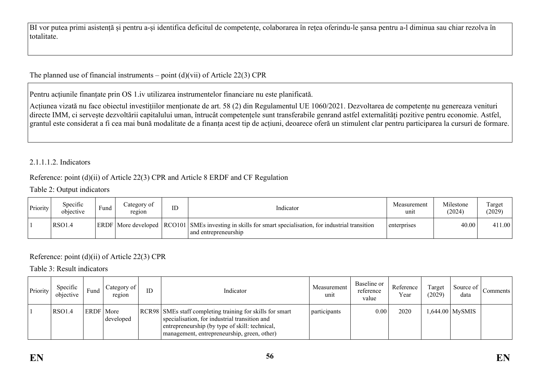BI vor putea primi asistență și pentru a-și identifica deficitul de competențe, colaborarea în rețea oferindu-le șansa pentru a-l diminua sau chiar rezolva în totalitate.

The planned use of financial instruments – point  $(d)(vii)$  of Article 22(3) CPR

Pentru acțiunile finanțate prin OS 1.iv utilizarea instrumentelor financiare nu este planificată.

Acțiunea vizată nu face obiectul investițiilor menționate de art. 58 (2) din Regulamentul UE 1060/2021. Dezvoltarea de competențe nu genereaza venituri directe IMM, ci servește dezvoltării capitalului uman, întrucât competențele sunt transferabile genrand astfel externalități pozitive pentru economie. Astfel, grantul este considerat a fi cea mai bună modalitate de a finanța acest tip de acțiuni, deoarece oferă un stimulent clar pentru participarea la cursuri de formare.

### 2.1.1.1.2. Indicators

### Reference: point (d)(ii) of Article 22(3) CPR and Article 8 ERDF and CF Regulation

#### Table 2: Output indicators

| Priority | Specific<br>objective | Fund | Category of<br>region | ID | Indicator                                                                                                                       | Measurement<br>unit | Milestone<br>(2024) | Target<br>(2029) |
|----------|-----------------------|------|-----------------------|----|---------------------------------------------------------------------------------------------------------------------------------|---------------------|---------------------|------------------|
|          | <b>RSO1.4</b>         |      |                       |    | ERDF More developed RCO101 SMEs investing in skills for smart specialisation, for industrial transition<br>and entrepreneurship | enterprises         | 40.00               | 411.00           |

# Reference: point (d)(ii) of Article 22(3) CPR

Table 3: Result indicators

| Priority | Specific<br>objective | Fund      | ategory of<br>region | ID | Indicator                                                                                                                                                                                                     | Measurement<br>unit | Baseline or<br>reference<br>value | Reference<br>Year | Target<br>(2029) | Source of<br>data | Comments |
|----------|-----------------------|-----------|----------------------|----|---------------------------------------------------------------------------------------------------------------------------------------------------------------------------------------------------------------|---------------------|-----------------------------------|-------------------|------------------|-------------------|----------|
|          | RSO1.4                | ERDF More | developed            |    | RCR98   SMEs staff completing training for skills for smart<br>specialisation, for industrial transition and<br>entrepreneurship (by type of skill: technical,<br>management, entrepreneurship, green, other) | <i>participants</i> | 0.00                              | 2020              |                  | $,644.00$ MySMIS  |          |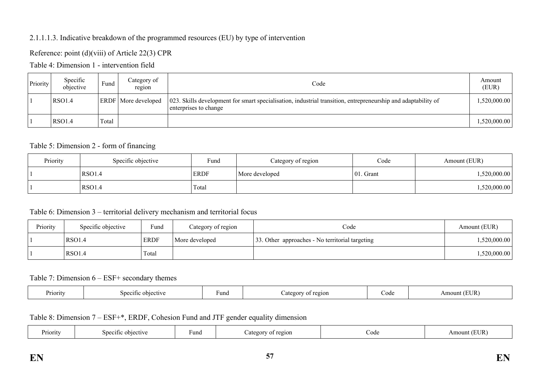### 2.1.1.1.3. Indicative breakdown of the programmed resources (EU) by type of intervention

Reference: point (d)(viii) of Article 22(3) CPR

Table 4: Dimension 1 - intervention field

| Priority | Specific<br>objective | Fund  | Category of<br>region      | Code                                                                                                                                   | Amount<br>(EUR) |
|----------|-----------------------|-------|----------------------------|----------------------------------------------------------------------------------------------------------------------------------------|-----------------|
|          | RSO1.4                |       | <b>ERDF</b> More developed | 023. Skills development for smart specialisation, industrial transition, entrepreneurship and adaptability of<br>enterprises to change | ,520,000.00     |
|          | RSO1.4                | Total |                            |                                                                                                                                        | 1,520,000.00    |

### Table 5: Dimension 2 - form of financing

| Priority | Specific objective | Fund        | Category of region | Code         | Amount (EUR) |
|----------|--------------------|-------------|--------------------|--------------|--------------|
|          | RSO <sub>1.4</sub> | <b>ERDF</b> | More developed     | $ 01.$ Grant | 1,520,000.00 |
|          | RSO <sub>1.4</sub> | Total       |                    |              | 1,520,000.00 |

### Table 6: Dimension 3 – territorial delivery mechanism and territorial focus

| Priority | Specific objective | Fund        | Category of region | Code                                            | Amount (EUR) |
|----------|--------------------|-------------|--------------------|-------------------------------------------------|--------------|
|          | RSO1.4             | <b>ERDF</b> | More developed     | 33. Other approaches - No territorial targeting | 0.520,000.00 |
|          | RSO1.4             | Total       |                    |                                                 | ,520,000.00  |

#### Table 7: Dimension 6 – ESF+ secondary themes

|  | Priority | -objective<br>۱'n<br>0111 | Fund | 2210N<br>TAQOLU - | code | $T$ in $\sim$<br>Amount |
|--|----------|---------------------------|------|-------------------|------|-------------------------|
|--|----------|---------------------------|------|-------------------|------|-------------------------|

Table 8: Dimension 7 – ESF+\*, ERDF, Cohesion Fund and JTF gender equality dimension

| 'rıorıtv | ective<br>. .<br>snec<br>:1†1C | ≀und | ---<br>region<br>Jates<br>$^{\Omega}$ | $\cup$ ode | UR |
|----------|--------------------------------|------|---------------------------------------|------------|----|
|----------|--------------------------------|------|---------------------------------------|------------|----|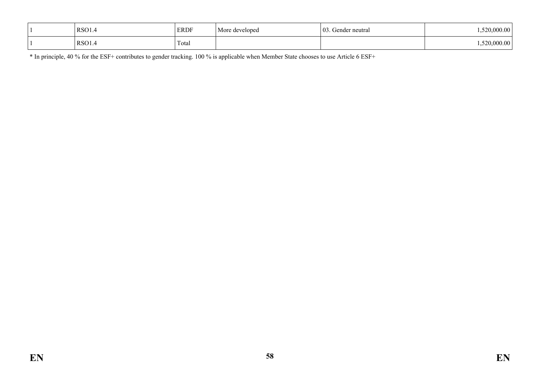| RSO1. | <b>ERDF</b> | More<br>developed | 03<br>Gender neutral | 00.00        |
|-------|-------------|-------------------|----------------------|--------------|
| RSO1. | Total       |                   |                      | 1.520,000.00 |

\* In principle, 40 % for the ESF+ contributes to gender tracking. 100 % is applicable when Member State chooses to use Article 6 ESF+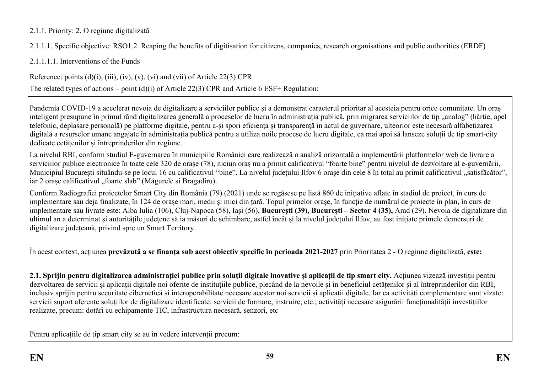## 2.1.1. Priority: 2. O regiune digitalizată

2.1.1.1. Specific objective: RSO1.2. Reaping the benefits of digitisation for citizens, companies, research organisations and public authorities (ERDF)

2.1.1.1.1. Interventions of the Funds

Reference: points  $(d)(i)$ ,  $(iii)$ ,  $(iv)$ ,  $(v)$ ,  $(vi)$  and  $(vii)$  of Article 22(3) CPR

The related types of actions – point (d)(i) of Article 22(3) CPR and Article 6 ESF+ Regulation:

Pandemia COVID-19 a accelerat nevoia de digitalizare a serviciilor publice și a demonstrat caracterul prioritar al acesteia pentru orice comunitate. Un oraș inteligent presupune în primul rănd digitalizarea generală a proceselor de lucru în administrația publică, prin migrarea serviciilor de tip "analog" (hârtie, apel telefonic, deplasare personală) pe platforme digitale, pentru a-și spori eficiența și transparență în actul de guvernare, ulteorior este necesară alfabetizarea digitală a resurselor umane angajate în administrația publică pentru a utiliza noile procese de lucru digitale, ca mai apoi să lanseze soluții de tip smart-city dedicate cetățenilor și întreprinderilor din regiune.

La nivelul RBI, conform studiul E-guvernarea în municipiile României care realizează o analiză orizontală a implementării platformelor web de livrare a serviciilor publice electronice în toate cele 320 de orașe (78), niciun oraș nu a primit calificativul "foarte bine" pentru nivelul de dezvoltare al e-guvernării, Municipiul București situându-se pe locul 16 cu calificativul "bine". La nivelul județului Ilfov 6 orașe din cele 8 în total au primit calificativul "satisfăcător", iar 2 orașe calificativul "foarte slab" (Măgurele și Bragadiru).

Conform Radiografiei proiectelor Smart City din România (79) (2021) unde se regăsesc pe listă 860 de initiative aflate în stadiul de proiect, în curs de implementare sau deja finalizate, în 124 de orașe mari, medii și mici din țară. Topul primelor orașe, în funcție de numărul de proiecte în plan, în curs de implementare sau livrate este: Alba Iulia (106), Cluj-Napoca (58), Iași (56), **București (39), București – Sector 4 (35),** Arad (29). Nevoia de digitalizare din ultimul an a determinat și autoritățile județene să ia măsuri de schimbare, astfel încât și la nivelul județului Ilfov, au fost inițiate primele demersuri de digitalizare judeteană, privind spre un Smart Territory.

În acest context, acțiunea **prevăzută a se finanța sub acest obiectiv specific în perioada 2021-2027** prin Prioritatea 2 - O regiune digitalizată, **este:**

**2.1. Sprijin pentru digitalizarea administrației publice prin soluții digitale inovative și aplicații de tip smart city.** Acțiunea vizează investiții pentru dezvoltarea de servicii și aplicații digitale noi oferite de instituțiile publice, plecând de la nevoile și în beneficiul cetățenilor și al întreprinderilor din RBI, inclusiv sprijin pentru securitate cibernetică și interoperabilitate necesare acestor noi servicii și aplicații digitale. Iar ca activități complementare sunt vizate: servicii suport aferente soluțiilor de digitalizare identificate: servicii de formare, instruire, etc.; activități necesare asigurării funcționalității investițiilor realizate, precum: dotări cu echipamente TIC, infrastructura necesară, senzori, etc

Pentru aplicațiile de tip smart city se au în vedere intervenții precum: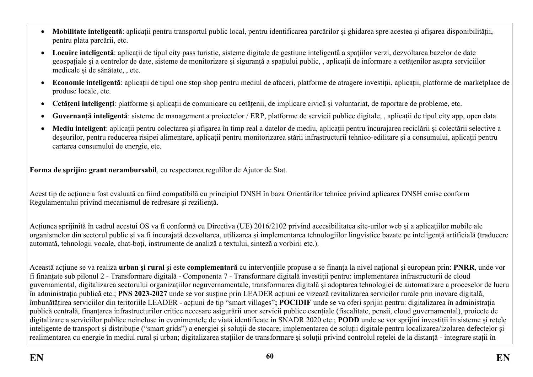- **Mobilitate inteligentă**: aplicații pentru transportul public local, pentru identificarea parcărilor și ghidarea spre acestea și afișarea disponibilității, pentru plata parcării, etc.
- **Locuire inteligentă**: aplicații de tipul city pass turistic, sisteme digitale de gestiune inteligentă a spațiilor verzi, dezvoltarea bazelor de date geospațiale și a centrelor de date, sisteme de monitorizare și siguranță a spațiului public, , aplicații de informare a cetățenilor asupra serviciilor medicale și de sănătate, , etc.
- **Economie inteligentă**: aplicații de tipul one stop shop pentru mediul de afaceri, platforme de atragere investiții, aplicații, platforme de marketplace de produse locale, etc.
- **Cetățeni inteligenți**: platforme și aplicații de comunicare cu cetățenii, de implicare civică și voluntariat, de raportare de probleme, etc.
- **Guvernanță inteligentă**: sisteme de management a proiectelor / ERP, platforme de servicii publice digitale, , aplicații de tipul city app, open data.
- **Mediu inteligent**: aplicații pentru colectarea și afișarea în timp real a datelor de mediu, aplicații pentru încurajarea reciclării și colectării selective a deșeurilor, pentru reducerea risipei alimentare, aplicații pentru monitorizarea stării infrastructurii tehnico-edilitare și a consumului, aplicații pentru cartarea consumului de energie, etc.

**Forma de sprijin: grant nerambursabil**, cu respectarea regulilor de Ajutor de Stat.

Acest tip de acțiune a fost evaluată ca fiind compatibilă cu principiul DNSH în baza Orientărilor tehnice privind aplicarea DNSH emise conform Regulamentului privind mecanismul de redresare și reziliență.

Acțiunea sprijinită în cadrul acestui OS va fi conformă cu Directiva (UE) 2016/2102 privind accesibilitatea site-urilor web și a aplicațiilor mobile ale organismelor din sectorul public și va fi incurajată dezvoltarea, utilizarea și implementarea tehnologiilor lingvistice bazate pe inteligență artificială (traducere automată, tehnologii vocale, chat-boți, instrumente de analiză a textului, sinteză a vorbirii etc.).

Această acțiune se va realiza **urban și rural** și este **complementară** cu intervențiile propuse a se finanța la nivel național și european prin: **PNRR**, unde vor fi finanțate sub pilonul 2 - Transformare digitală - Componenta 7 - Transformare digitală investiții pentru: implementarea infrastructurii de cloud guvernamental, digitalizarea sectorului organizațiilor neguvernamentale, transformarea digitală și adoptarea tehnologiei de automatizare a proceselor de lucru în administrația publică etc.; **PNS 2023-2027** unde se vor susține prin LEADER acțiuni ce vizează revitalizarea servicilor rurale prin inovare digitală, îmbunătățirea serviciilor din teritoriile LEADER - acțiuni de tip "smart villages"**; POCIDIF** unde se va oferi sprijin pentru: digitalizarea în administrația publică centrală, finanțarea infrastructurilor critice necesare asigurării unor servicii publice esențiale (fiscalitate, pensii, cloud guvernamental), proiecte de digitalizare a serviciilor publice neincluse in evenimentele de viată identificate in SNADR 2020 etc.; **PODD** unde se vor sprijini investiții în sisteme și rețele inteligente de transport și distribuție ("smart grids") a energiei și soluții de stocare; implementarea de soluții digitale pentru localizarea/izolarea defectelor și realimentarea cu energie în mediul rural și urban; digitalizarea stațiilor de transformare şi soluții privind controlul rețelei de la distanță - integrare stații în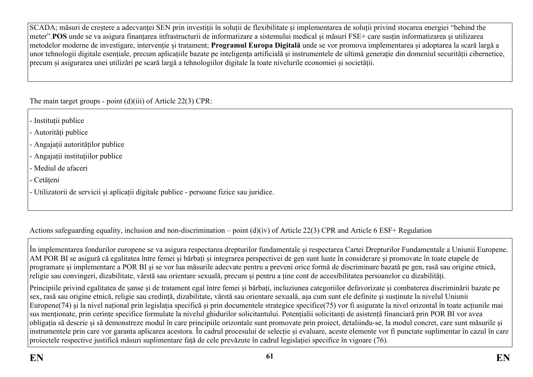SCADA; măsuri de creștere a adecvanței SEN prin investiții în soluții de flexibilitate și implementarea de soluții privind stocarea energiei "behind the meter".**POS** unde se va asigura finanțarea infrastructurii de informatizare a sistemului medical și măsuri FSE+ care susțin informatizarea și utilizarea metodelor moderne de investigare, intervenție și tratament; **Programul Europa Digitală** unde se vor promova implementarea și adoptarea la scară largă a unor tehnologii digitale esențiale, precum aplicațiile bazate pe inteligența artificială și instrumentele de ultimă generație din domeniul securității cibernetice, precum și asigurarea unei utilizări pe scară largă a tehnologiilor digitale la toate nivelurile economiei și societății.

The main target groups - point (d)(iii) of Article 22(3) CPR:

- Instituții publice

- Autorități publice
- Angajații autorităților publice
- Angajații instituțiilor publice
- Mediul de afaceri
- Cetățeni
- Utilizatorii de servicii și aplicații digitale publice persoane fizice sau juridice.

Actions safeguarding equality, inclusion and non-discrimination – point (d)(iv) of Article 22(3) CPR and Article 6 ESF+ Regulation

În implementarea fondurilor europene se va asigura respectarea drepturilor fundamentale și respectarea Cartei Drepturilor Fundamentale a Uniunii Europene. AM POR BI se asigură că egalitatea între femei și bărbați și integrarea perspectivei de gen sunt luate în considerare și promovate în toate etapele de programare și implementare a POR BI și se vor lua măsurile adecvate pentru a preveni orice formă de discriminare bazată pe gen, rasă sau origine etnică, religie sau convingeri, dizabilitate, vârstă sau orientare sexuală, precum și pentru a ține cont de accesibilitatea persoanelor cu dizabilități.

Principiile privind egalitatea de șanse și de tratament egal între femei și bărbați, incluziunea categoriilor defavorizate și combaterea discriminării bazate pe sex, rasă sau origine etnică, religie sau credință, dizabilitate, vârstă sau orientare sexuală, așa cum sunt ele definite şi susținute la nivelul Uniunii Europene(74) şi la nivel național prin legislația specifică și prin documentele strategice specifice(75) vor fi asigurate la nivel orizontal în toate acțiunile mai sus menționate, prin cerințe specifice formulate la nivelul ghidurilor solicitantului. Potențialii solicitanți de asistență financiară prin POR BI vor avea obligația să descrie și să demonstreze modul în care principiile orizontale sunt promovate prin proiect, detaliindu-se, la modul concret, care sunt măsurile și instrumentele prin care vor garanta aplicarea acestora. În cadrul procesului de selecție și evaluare, aceste elemente vor fi punctate suplimentar în cazul în care proiectele respective justifică măsuri suplimentare față de cele prevăzute în cadrul legislației specifice în vigoare (76).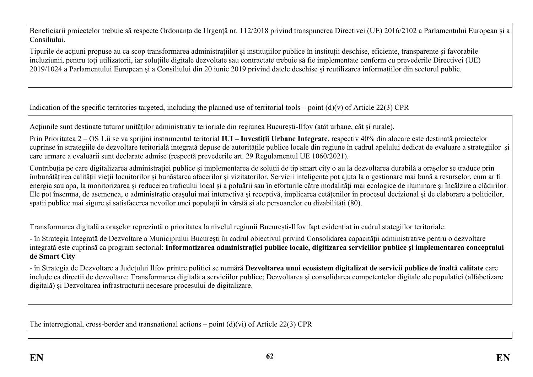Beneficiarii proiectelor trebuie să respecte Ordonanța de Urgență nr. 112/2018 privind transpunerea Directivei (UE) 2016/2102 a Parlamentului European și a Consiliului.

Tipurile de acțiuni propuse au ca scop transformarea administrațiilor și instituțiilor publice în instituții deschise, eficiente, transparente și favorabile incluziunii, pentru toți utilizatorii, iar soluțiile digitale dezvoltate sau contractate trebuie să fie implementate conform cu prevederile Directivei (UE) 2019/1024 a Parlamentului European și a Consiliului din 20 iunie 2019 privind datele deschise și reutilizarea informațiilor din sectorul public.

Indication of the specific territories targeted, including the planned use of territorial tools – point  $(d)(v)$  of Article 22(3) CPR

Acțiunile sunt destinate tuturor unităților administrativ terioriale din regiunea București-Ilfov (atât urbane, cât și rurale).

Prin Prioritatea 2 – OS 1.ii se va sprijini instrumentul teritorial **IUI – Investiții Urbane Integrate**, respectiv 40% din alocare este destinată proiectelor cuprinse în strategiile de dezvoltare teritorială integrată depuse de autoritățile publice locale din regiune în cadrul apelului dedicat de evaluare a strategiilor și care urmare a evaluării sunt declarate admise (respectă prevederile art. 29 Regulamentul UE 1060/2021).

Contribuția pe care digitalizarea administrației publice și implementarea de soluții de tip smart city o au la dezvoltarea durabilă a orașelor se traduce prin îmbunătățirea calității vieții locuitorilor și bunăstarea afacerilor și vizitatorilor. Servicii inteligente pot ajuta la o gestionare mai bună a resurselor, cum ar fi energia sau apa, la monitorizarea și reducerea traficului local și a poluării sau în eforturile către modalități mai ecologice de iluminare și încălzire a clădirilor. Ele pot însemna, de asemenea, o administrație orașului mai interactivă și receptivă, implicarea cetățenilor în procesul decizional și de elaborare a politicilor, spații publice mai sigure și satisfacerea nevoilor unei populații în vârstă și ale persoanelor cu dizabilități (80).

Transformarea digitală a orașelor reprezintă o prioritatea la nivelul regiunii București-Ilfov fapt evidențiat în cadrul stategiilor teritoriale:

- în Strategia Integrată de Dezvoltare a Municipiului București în cadrul obiectivul privind Consolidarea capacității administrative pentru o dezvoltare integrată este cuprinsă ca program sectorial: **Informatizarea administrației publice locale, digitizarea serviciilor publice și implementarea conceptului de Smart City**

- în Strategia de Dezvoltare a Județului Ilfov printre politici se numără **Dezvoltarea unui ecosistem digitalizat de servicii publice de înaltă calitate** care include ca direcții de dezvoltare: Transformarea digitală a serviciilor publice; Dezvoltarea și consolidarea competențelor digitale ale populației (alfabetizare digitală) și Dezvoltarea infrastructurii necesare procesului de digitalizare.

The interregional, cross-border and transnational actions – point  $(d)(vi)$  of Article 22(3) CPR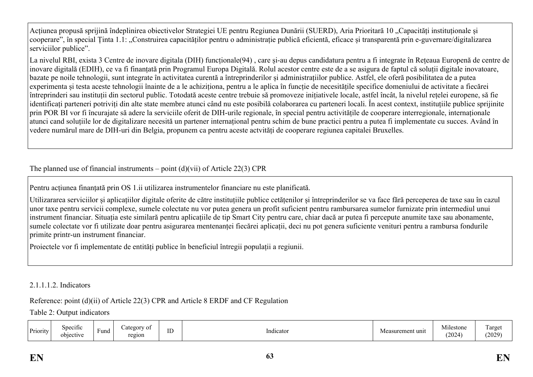Acțiunea propusă sprijină îndeplinirea obiectivelor Strategiei UE pentru Regiunea Dunării (SUERD), Aria Prioritară 10 "Capacități instituționale și cooperare", în special Tinta 1.1: "Construirea capacităților pentru o administrație publică eficientă, eficace și transparentă prin e-guvernare/digitalizarea serviciilor publice".

La nivelul RBI, exista 3 Centre de inovare digitala (DIH) funcționale(94) , care și-au depus candidatura pentru a fi integrate în Rețeaua Europenă de centre de inovare digitală (EDIH), ce va fi finanțată prin Programul Europa Digitală. Rolul acestor centre este de a se asigura de faptul că soluții digitale inovatoare, bazate pe noile tehnologii, sunt integrate în activitatea curentă a întreprinderilor și administrațiilor publice. Astfel, ele oferă posibilitatea de a putea experimenta și testa aceste tehnologii înainte de a le achiziționa, pentru a le aplica în funcție de necesitățile specifice domeniului de activitate a fiecărei întreprinderi sau instituții din sectorul public. Totodată aceste centre trebuie să promoveze inițiativele locale, astfel încât, la nivelul rețelei europene, să fie identificați parteneri potriviți din alte state membre atunci când nu este posibilă colaborarea cu parteneri locali. În acest context, instituțiile publice sprijinite prin POR BI vor fi încurajate să adere la serviciile oferit de DIH-urile regionale, în special pentru activitățile de cooperare interregionale, internaționale atunci cand soluțiile lor de digitalizare necesită un partener internațional pentru schim de bune practici pentru a putea fi implementate cu succes. Având în vedere numărul mare de DIH-uri din Belgia, propunem ca pentru aceste actvități de cooperare regiunea capitalei Bruxelles.

The planned use of financial instruments – point  $(d)(\n{\rm vii})$  of Article 22(3) CPR

Pentru acțiunea finanțată prin OS 1.ii utilizarea instrumentelor financiare nu este planificată.

Utilizararea serviciilor și aplicațiilor digitale oferite de către instituțiile publice cetățenilor și întreprinderilor se va face fără perceperea de taxe sau în cazul unor taxe pentru servicii complexe, sumele colectate nu vor putea genera un profit suficient pentru rambursarea sumelor furnizate prin intermediul unui instrument financiar. Situația este similară pentru aplicațiile de tip Smart City pentru care, chiar dacă ar putea fi percepute anumite taxe sau abonamente, sumele colectate vor fi utilizate doar pentru asigurarea mentenanței fiecărei aplicații, deci nu pot genera suficiente venituri pentru a rambursa fondurile primite printr-un instrument financiar.

Proiectele vor fi implementate de entități publice în beneficiul întregii populații a regiunii.

### 2.1.1.1.2. Indicators

### Reference: point (d)(ii) of Article 22(3) CPR and Article 8 ERDF and CF Regulation

Table 2: Output indicators

| Priority | ategory<br>Specific<br>$\overline{\phantom{0}}$<br>t und<br>region<br>objective | V 01<br>$\mathbf{r}$<br>ID | Indicator | Measurement unit | Milestone<br>(2024) | i arget<br>(2029) |
|----------|---------------------------------------------------------------------------------|----------------------------|-----------|------------------|---------------------|-------------------|
|----------|---------------------------------------------------------------------------------|----------------------------|-----------|------------------|---------------------|-------------------|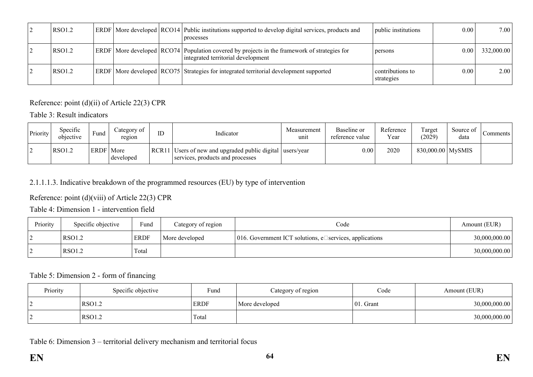| <b>RSO1.2</b> |  | ERDF   More developed   RCO14   Public institutions supported to develop digital services, products and<br>  processes                  | public institutions            | 0.00        | 7.00       |
|---------------|--|-----------------------------------------------------------------------------------------------------------------------------------------|--------------------------------|-------------|------------|
| RSO1.2        |  | ERDF   More developed   RCO74   Population covered by projects in the framework of strategies for<br>integrated territorial development | persons                        | $0.00\vert$ | 332,000.00 |
| RSO1.2        |  | ERDF   More developed   RCO75   Strategies for integrated territorial development supported                                             | contributions to<br>strategies | 0.00        | 2.00       |

Reference: point (d)(ii) of Article 22(3) CPR

Table 3: Result indicators

| Priority | Specific<br>objective | Fund        | ategory of<br>region | ID | Indicator                                                                                     | Measurement<br>unit | Baseline or<br>reference value | Reference<br>Year | Target<br>(2029)  | Source of<br>data | Comments <sup>1</sup> |
|----------|-----------------------|-------------|----------------------|----|-----------------------------------------------------------------------------------------------|---------------------|--------------------------------|-------------------|-------------------|-------------------|-----------------------|
|          | <b>RSO1.2</b>         | <b>ERDF</b> | More<br>developed    |    | RCR11 Users of new and upgraded public digital users/year<br>services, products and processes |                     | 0.00                           | 2020              | 830,000.00 MySMIS |                   |                       |

# 2.1.1.1.3. Indicative breakdown of the programmed resources (EU) by type of intervention

Reference: point (d)(viii) of Article 22(3) CPR

Table 4: Dimension 1 - intervention field

| Priority | Specific objective | Fund        | Category of region | Code                                                           | Amount (EUR)  |
|----------|--------------------|-------------|--------------------|----------------------------------------------------------------|---------------|
|          | RSO1.2             | <b>ERDF</b> | More developed     | 016. Government ICT solutions, e $\Box$ services, applications | 30,000,000.00 |
|          | RSO1.2             | Total       |                    |                                                                | 30,000,000.00 |

### Table 5: Dimension 2 - form of financing

| Priority | Specific objective | Fund        | Category of region | Code          | Amount (EUR)  |
|----------|--------------------|-------------|--------------------|---------------|---------------|
|          | <b>RSO1.2</b>      | <b>ERDF</b> | More developed     | $ 01$ . Grant | 30,000,000.00 |
|          | RSO <sub>1.2</sub> | Total       |                    |               | 30,000,000.00 |

Table 6: Dimension 3 – territorial delivery mechanism and territorial focus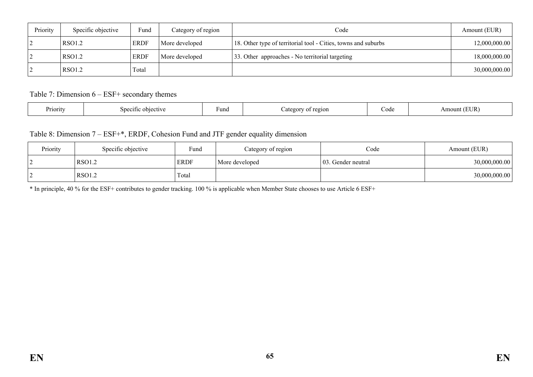| Priority | Specific objective | Fund        | Category of region | Code                                                           | Amount (EUR)  |
|----------|--------------------|-------------|--------------------|----------------------------------------------------------------|---------------|
|          | RSO1.2             | <b>ERDF</b> | More developed     | 18. Other type of territorial tool - Cities, towns and suburbs | 12,000,000.00 |
|          | RSO1.2             | <b>ERDF</b> | More developed     | 33. Other approaches - No territorial targeting                | 18,000,000.00 |
|          | RSO1.2             | Total       |                    |                                                                | 30,000,000.00 |

Table 7: Dimension 6 – ESF+ secondary themes

| $\sim$ $\sim$ $\sim$<br>$\sim$<br>Priority<br>Fund<br>objective<br>region<br>Specific<br>™∩ר<br>$\sim$ | - -<br>∪∪u | TI ID.<br>Amount<br>LEUIN |
|--------------------------------------------------------------------------------------------------------|------------|---------------------------|
|--------------------------------------------------------------------------------------------------------|------------|---------------------------|

Table 8: Dimension 7 – ESF+\*, ERDF, Cohesion Fund and JTF gender equality dimension

| Priority | Specific objective | Fund        | Category of region | Code                | Amount (EUR)  |
|----------|--------------------|-------------|--------------------|---------------------|---------------|
|          | <b>RSO1.2</b>      | <b>ERDF</b> | More developed     | 103. Gender neutral | 30,000,000.00 |
|          | <b>RSO1.2</b>      | Total       |                    |                     | 30,000,000.00 |

\* In principle, 40 % for the ESF+ contributes to gender tracking. 100 % is applicable when Member State chooses to use Article 6 ESF+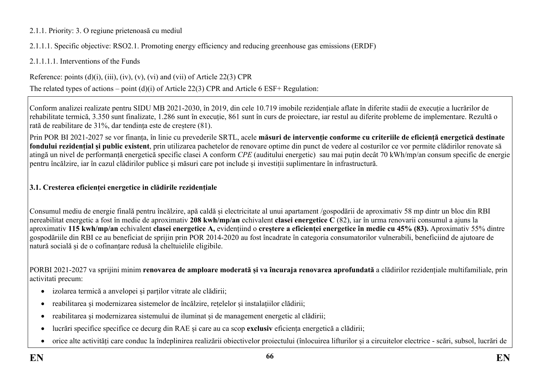### 2.1.1. Priority: 3. O regiune prietenoasă cu mediul

2.1.1.1. Specific objective: RSO2.1. Promoting energy efficiency and reducing greenhouse gas emissions (ERDF)

2.1.1.1.1. Interventions of the Funds

Reference: points  $(d)(i)$ ,  $(iii)$ ,  $(iv)$ ,  $(v)$ ,  $(vi)$  and  $(vii)$  of Article 22(3) CPR

The related types of actions – point (d)(i) of Article 22(3) CPR and Article 6 ESF+ Regulation:

Conform analizei realizate pentru SIDU MB 2021-2030, în 2019, din cele 10.719 imobile rezidențiale aflate în diferite stadii de execuție a lucrărilor de rehabilitate termică, 3.350 sunt finalizate, 1.286 sunt în execuție, 861 sunt în curs de proiectare, iar restul au diferite probleme de implementare. Rezultă o rată de reabilitare de 31%, dar tendința este de creștere (81).

Prin POR BI 2021-2027 se vor finanța, în linie cu prevederile SRTL, acele **măsuri de intervenție conforme cu criteriile de eficiență energetică destinate fondului rezidențial și public existent**, prin utilizarea pachetelor de renovare optime din punct de vedere al costurilor ce vor permite clădirilor renovate să atingă un nivel de performanță energetică specific clasei A conform *CPE* (auditului energetic) sau mai puțin decât 70 kWh/mp/an consum specific de energie pentru încălzire, iar în cazul clădirilor publice și măsuri care pot include și investiții suplimentare în infrastructură.

## **3.1. Cresterea eficienței energetice in clădirile rezidențiale**

Consumul mediu de energie finală pentru încălzire, apă caldă și electricitate al unui apartament /gospodării de aproximativ 58 mp dintr un bloc din RBI nereabilitat energetic a fost în medie de aproximativ **208 kwh/mp/an** echivalent **clasei energetice C** (82), iar în urma renovarii consumul a ajuns la aproximativ **115 kwh/mp/an** echivalent **clasei energetice A,** evidențiind o **creștere a eficienței energetice în medie cu 45% (83).** Aproximativ 55% dintre gospodăriile din RBI ce au beneficiat de sprijin prin POR 2014-2020 au fost încadrate în categoria consumatorilor vulnerabili, beneficiind de ajutoare de natură socială și de o cofinanțare redusă la cheltuielile eligibile.

PORBI 2021-2027 va sprijini minim **renovarea de amploare moderată și va încuraja renovarea aprofundată** a clădirilor rezidențiale multifamiliale, prin activitati precum:

- izolarea termică a anvelopei și parților vitrate ale clădirii;
- reabilitarea și modernizarea sistemelor de încălzire, rețelelor și instalațiilor clădirii;
- reabilitarea și modernizarea sistemului de iluminat și de management energetic al clădirii;
- lucrări specifice specifice ce decurg din RAE și care au ca scop **exclusiv** eficiența energetică a clădirii;
- orice alte activități care conduc la îndeplinirea realizării obiectivelor proiectului (înlocuirea lifturilor și a circuitelor electrice scări, subsol, lucrări de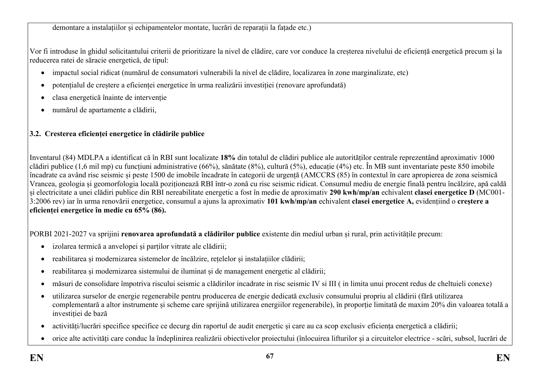demontare a instalațiilor și echipamentelor montate, lucrări de reparații la fațade etc.)

Vor fi introduse în ghidul solicitantului criterii de prioritizare la nivel de clădire, care vor conduce la creșterea nivelului de eficiență energetică precum și la reducerea ratei de săracie energetică, de tipul:

- impactul social ridicat (numărul de consumatori vulnerabili la nivel de clădire, localizarea în zone marginalizate, etc)
- potențialul de creștere a eficienței energetice în urma realizării investiției (renovare aprofundată)
- clasa energetică înainte de intervenție
- numărul de apartamente a clădirii,

# **3.2. Cresterea eficienței energetice în clădirile publice**

Inventarul (84) MDLPA a identificat că în RBI sunt localizate **18%** din totalul de clădiri publice ale autorităților centrale reprezentând aproximativ 1000 clădiri publice (1,6 mil mp) cu funcțiuni administrative (66%), sănătate (8%), cultură (5%), educație (4%) etc. În MB sunt inventariate peste 850 imobile încadrate ca având risc seismic și peste 1500 de imobile încadrate în categorii de urgență (AMCCRS (85) în contextul în care apropierea de zona seismică Vrancea, geologia și geomorfologia locală poziționează RBI într-o zonă cu risc seismic ridicat. Consumul mediu de energie finală pentru încălzire, apă caldă și electricitate a unei clădiri publice din RBI nereabilitate energetic a fost în medie de aproximativ **290 kwh/mp/an** echivalent **clasei energetice D** (MC001- 3:2006 rev) iar în urma renovării energetice, consumul a ajuns la aproximativ **101 kwh/mp/an** echivalent **clasei energetice A,** evidențiind o **creștere a eficienței energetice în medie cu 65% (86).**

PORBI 2021-2027 va sprijini **renovarea aprofundată a clădirilor publice** existente din mediul urban și rural, prin activitățile precum:

- izolarea termică a anvelopei și parților vitrate ale clădirii;
- reabilitarea și modernizarea sistemelor de încălzire, rețelelor și instalațiilor clădirii;
- reabilitarea și modernizarea sistemului de iluminat și de management energetic al clădirii;
- măsuri de consolidare împotriva riscului seismic a clădirilor incadrate in risc seismic IV si III ( in limita unui procent redus de cheltuieli conexe)
- utilizarea surselor de energie regenerabile pentru producerea de energie dedicată exclusiv consumului propriu al clădirii (fără utilizarea complementară a altor instrumente și scheme care sprijină utilizarea energiilor regenerabile), în proporție limitată de maxim 20% din valoarea totală a investiției de bază
- activități/lucrări specifice specifice ce decurg din raportul de audit energetic și care au ca scop exclusiv eficiența energetică a clădirii;
- orice alte activități care conduc la îndeplinirea realizării obiectivelor proiectului (înlocuirea lifturilor și a circuitelor electrice scări, subsol, lucrări de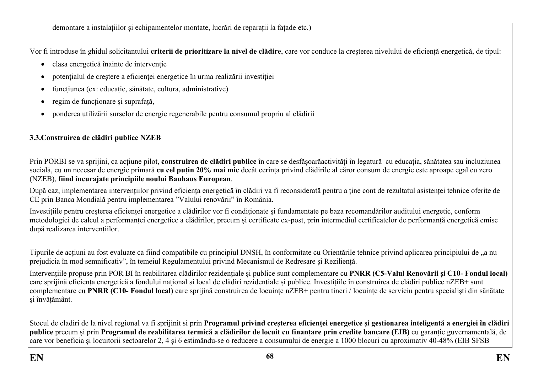demontare a instalațiilor și echipamentelor montate, lucrări de reparații la fațade etc.)

Vor fi introduse în ghidul solicitantului **criterii de prioritizare la nivel de clădire**, care vor conduce la creșterea nivelului de eficiență energetică, de tipul:

- clasa energetică înainte de intervenție
- potențialul de creștere a eficienței energetice în urma realizării investiției
- funcțiunea (ex: educație, sănătate, cultura, administrative)
- regim de funcționare și suprafață,
- ponderea utilizării surselor de energie regenerabile pentru consumul propriu al clădirii

# **3.3.Construirea de clădiri publice NZEB**

Prin PORBI se va sprijini, ca acțiune pilot, **construirea de clădiri publice** în care se desfășoarăactivități în legatură cu educația, sănătatea sau incluziunea socială, cu un necesar de energie primară **cu cel puțin 20% mai mic** decât cerința privind clădirile al căror consum de energie este aproape egal cu zero (NZEB), **fiind încurajate principiile noului Bauhaus European**.

După caz, implementarea intervențiilor privind eficiența energetică în clădiri va fi reconsiderată pentru a ține cont de rezultatul asistenței tehnice oferite de CE prin Banca Mondială pentru implementarea "Valului renovării" în România.

Investițiile pentru creșterea eficienței energetice a clădirilor vor fi condiționate și fundamentate pe baza recomandărilor auditului energetic, conform metodologiei de calcul a performanței energetice a clădirilor, precum și certificate ex-post, prin intermediul certificatelor de performanță energetică emise după realizarea intervențiilor.

Tipurile de acțiuni au fost evaluate ca fiind compatibile cu principiul DNSH, în conformitate cu Orientările tehnice privind aplicarea principiului de "a nu prejudicia în mod semnificativ", în temeiul Regulamentului privind Mecanismul de Redresare și Reziliență.

Intervențiile propuse prin POR BI în reabilitarea clădirilor rezidențiale și publice sunt complementare cu **PNRR (C5-Valul Renovării și C10- Fondul local)** care sprijină eficiența energetică a fondului național și local de clădiri rezidențiale și publice. Investițiile în construirea de clădiri publice nZEB+ sunt complementare cu **PNRR (C10- Fondul local)** care sprijină construirea de locuințe nZEB+ pentru tineri / locuințe de serviciu pentru specialiști din sănătate și învățământ.

Stocul de cladiri de la nivel regional va fi sprijinit si prin **Programul privind creșterea eficienței energetice și gestionarea inteligentă a energiei în clădiri publice** precum și prin **Programul de reabilitarea termică a clădirilor de locuit cu finanțare prin credite bancare (EIB)** cu garanție guvernamentală, de care vor beneficia și locuitorii sectoarelor 2, 4 și 6 estimându-se o reducere a consumului de energie a 1000 blocuri cu aproximativ 40-48% (EIB SFSB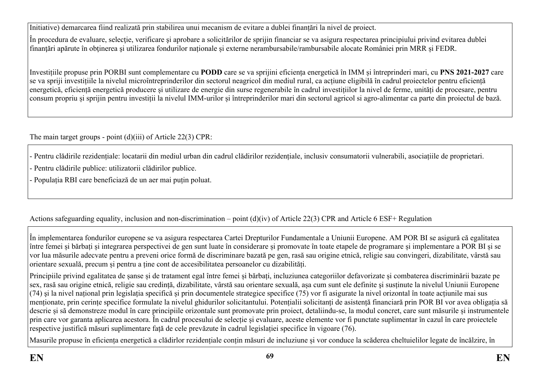Initiative) demarcarea fiind realizată prin stabilirea unui mecanism de evitare a dublei finanțări la nivel de proiect.

În procedura de evaluare, selecţie, verificare şi aprobare a solicitărilor de sprijin financiar se va asigura respectarea principiului privind evitarea dublei finanțări apărute în obținerea și utilizarea fondurilor naționale și externe nerambursabile/rambursabile alocate României prin MRR și FEDR.

Investițiile propuse prin PORBI sunt complementare cu **PODD** care se va sprijini eficiența energetică în IMM și întreprinderi mari, cu **PNS 2021-2027** care se va spriji investițiile la nivelul microîntreprinderilor din sectorul neagricol din mediul rural, ca acțiune eligibilă în cadrul proiectelor pentru eficiență energetică, eficiență energetică producere și utilizare de energie din surse regenerabile în cadrul investițiilor la nivel de ferme, unități de procesare, pentru consum propriu și sprijin pentru investiții la nivelul IMM-urilor și întreprinderilor mari din sectorul agricol si agro-alimentar ca parte din proiectul de bază.

The main target groups - point (d)(iii) of Article 22(3) CPR:

- Pentru clădirile rezidențiale: locatarii din mediul urban din cadrul clădirilor rezidențiale, inclusiv consumatorii vulnerabili, asociațiile de proprietari.

- Pentru clădirile publice: utilizatorii clădirilor publice.

- Populația RBI care beneficiază de un aer mai puțin poluat.

# Actions safeguarding equality, inclusion and non-discrimination – point (d)(iv) of Article 22(3) CPR and Article 6 ESF+ Regulation

În implementarea fondurilor europene se va asigura respectarea Cartei Drepturilor Fundamentale a Uniunii Europene. AM POR BI se asigură că egalitatea între femei și bărbați și integrarea perspectivei de gen sunt luate în considerare și promovate în toate etapele de programare și implementare a POR BI și se vor lua măsurile adecvate pentru a preveni orice formă de discriminare bazată pe gen, rasă sau origine etnică, religie sau convingeri, dizabilitate, vârstă sau orientare sexuală, precum și pentru a ține cont de accesibilitatea persoanelor cu dizabilități.

Principiile privind egalitatea de șanse și de tratament egal între femei și bărbați, incluziunea categoriilor defavorizate și combaterea discriminării bazate pe sex, rasă sau origine etnică, religie sau credință, dizabilitate, vârstă sau orientare sexuală, așa cum sunt ele definite şi susținute la nivelul Uniunii Europene (74) şi la nivel național prin legislația specifică și prin documentele strategice specifice (75) vor fi asigurate la nivel orizontal în toate acțiunile mai sus menționate, prin cerințe specifice formulate la nivelul ghidurilor solicitantului. Potențialii solicitanți de asistență financiară prin POR BI vor avea obligația să descrie și să demonstreze modul în care principiile orizontale sunt promovate prin proiect, detaliindu-se, la modul concret, care sunt măsurile și instrumentele prin care vor garanta aplicarea acestora. În cadrul procesului de selecție și evaluare, aceste elemente vor fi punctate suplimentar în cazul în care proiectele respective justifică măsuri suplimentare față de cele prevăzute în cadrul legislației specifice în vigoare (76).

Masurile propuse în eficiența energetică a clădirlor rezidențiale conțin măsuri de incluziune și vor conduce la scăderea cheltuielilor legate de încălzire, în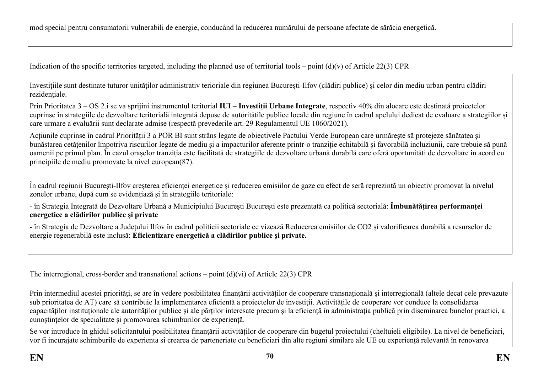mod special pentru consumatorii vulnerabili de energie, conducând la reducerea numărului de persoane afectate de sărăcia energetică.

Indication of the specific territories targeted, including the planned use of territorial tools – point  $(d)(v)$  of Article 22(3) CPR

Investițiile sunt destinate tuturor unităților administrativ terioriale din regiunea București-Ilfov (clădiri publice) și celor din mediu urban pentru clădiri rezidențiale.

Prin Prioritatea 3 – OS 2.i se va sprijini instrumentul teritorial **IUI – Investiții Urbane Integrate**, respectiv 40% din alocare este destinată proiectelor cuprinse în strategiile de dezvoltare teritorială integrată depuse de autoritățile publice locale din regiune în cadrul apelului dedicat de evaluare a strategiilor și care urmare a evaluării sunt declarate admise (respectă prevederile art. 29 Regulamentul UE 1060/2021).

Acțiunile cuprinse în cadrul Priorității 3 a POR BI sunt strâns legate de obiectivele Pactului Verde European care urmărește să protejeze sănătatea și bunăstarea cetățenilor împotriva riscurilor legate de mediu și a impacturilor aferente printr-o tranziție echitabilă și favorabilă incluziunii, care trebuie să pună oamenii pe primul plan. În cazul orașelor tranziția este facilitată de strategiile de dezvoltare urbană durabilă care oferă oportunități de dezvoltare în acord cu principiile de mediu promovate la nivel european(87).

În cadrul regiunii București-Ilfov creșterea eficienței energetice și reducerea emisiilor de gaze cu efect de seră reprezintă un obiectiv promovat la nivelul zonelor urbane, după cum se evidențiază și în strategiile teritoriale:

- în Strategia Integrată de Dezvoltare Urbană a Municipiului București București este prezentată ca politică sectorială: **Îmbunătățirea performanței energetice a clădirilor publice și private**

- în Strategia de Dezvoltare a Județului Ilfov în cadrul politicii sectoriale ce vizează Reducerea emisiilor de CO2 și valorificarea durabilă a resurselor de energie regenerabilă este inclusă: **Eficientizare energetică a clădirilor publice și private.**

The interregional, cross-border and transnational actions – point  $(d)(vi)$  of Article 22(3) CPR

Prin intermediul acestei priorități, se are în vedere posibilitatea finanțării activităților de cooperare transnațională și interregională (altele decat cele prevazute sub prioritatea de AT) care să contribuie la implementarea eficientă a proiectelor de investiții. Activitățile de cooperare vor conduce la consolidarea capacităților instituționale ale autorităților publice și ale părților interesate precum și la eficiență în administrația publică prin diseminarea bunelor practici, a cunoștințelor de specialitate și promovarea schimburilor de experiență.

Se vor introduce în ghidul solicitantului posibilitatea finanțării activităților de cooperare din bugetul proiectului (cheltuieli eligibile). La nivel de beneficiari, vor fi incurajate schimburile de experienta si crearea de parteneriate cu beneficiari din alte regiuni similare ale UE cu experiență relevantă în renovarea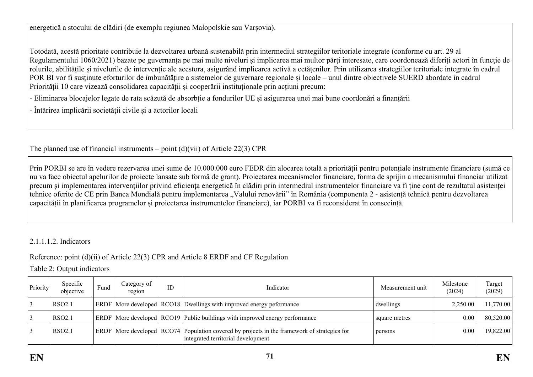energetică a stocului de clădiri (de exemplu regiunea Małopolskie sau Varșovia).

Totodată, acestă prioritate contribuie la dezvoltarea urbană sustenabilă prin intermediul strategiilor teritoriale integrate (conforme cu art. 29 al Regulamentului 1060/2021) bazate pe guvernanța pe mai multe niveluri și implicarea mai multor părți interesate, care coordonează diferiți actori în funcție de rolurile, abilitățile și nivelurile de intervenție ale acestora, asigurând implicarea activă a cetățenilor. Prin utilizarea strategiilor teritoriale integrate în cadrul POR BI vor fi susținute eforturilor de îmbunătățire a sistemelor de guvernare regionale și locale – unul dintre obiectivele SUERD abordate în cadrul Priorității 10 care vizează consolidarea capacității și cooperării instituționale prin acțiuni precum:

- Eliminarea blocajelor legate de rata scăzută de absorbție a fondurilor UE și asigurarea unei mai bune coordonări a finanțării

- Întărirea implicării societății civile și a actorilor locali

The planned use of financial instruments – point  $(d)(\n{\rm vii})$  of Article 22(3) CPR

Prin PORBI se are în vedere rezervarea unei sume de 10.000.000 euro FEDR din alocarea totală a priorității pentru potențiale instrumente financiare (sumă ce nu va face obiectul apelurilor de proiecte lansate sub formă de grant). Proiectarea mecanismelor financiare, forma de sprijin a mecanismului financiar utilizat precum și implementarea intervențiilor privind eficiența energetică în clădiri prin intermediul instrumentelor financiare va fi ține cont de rezultatul asistenței tehnice oferite de CE prin Banca Mondială pentru implementarea "Valului renovării" în România (componenta 2 - asistență tehnică pentru dezvoltarea capacității în planificarea programelor și proiectarea instrumentelor financiare), iar PORBI va fi reconsiderat în consecință.

### 2.1.1.1.2. Indicators

# Reference: point (d)(ii) of Article 22(3) CPR and Article 8 ERDF and CF Regulation

Table 2: Output indicators

| Priority | Specific<br>objective | Fund | Category of<br>region | ID | Indicator                                                                                                                               | Measurement unit | Milestone<br>(2024) | Target<br>(2029) |
|----------|-----------------------|------|-----------------------|----|-----------------------------------------------------------------------------------------------------------------------------------------|------------------|---------------------|------------------|
|          | RSO <sub>2.1</sub>    |      |                       |    | ERDF   More developed   RCO18   Dwellings with improved energy peformance                                                               | dwellings        | 2.250.00            | 11,770.00        |
|          | RSO <sub>2.1</sub>    |      |                       |    | ERDF   More developed   RCO19   Public buildings with improved energy performance                                                       | square metres    | 0.00                | 80,520.00        |
|          | RSO <sub>2.1</sub>    |      |                       |    | $ERDF$ More developed $ RCO74 $ Population covered by projects in the framework of strategies for<br>integrated territorial development | persons          | 0.00                | 19,822.00        |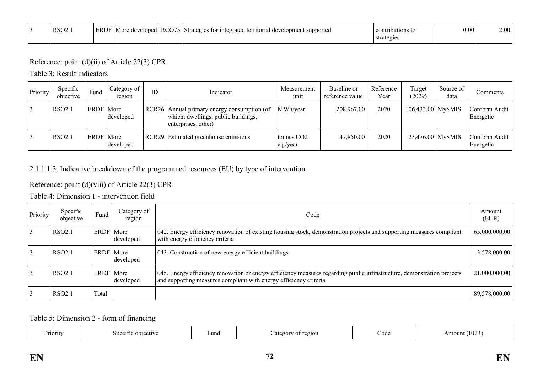| $RSO2$ . | ERDF | ിവാല്<br>More | DCO74 | d territorial development supported<br>tor integrated<br>Strategies | contributions<br>- 133 | 0.00 | $\Omega$ |
|----------|------|---------------|-------|---------------------------------------------------------------------|------------------------|------|----------|
|          |      |               |       |                                                                     | strategies             |      |          |

### Reference: point (d)(ii) of Article 22(3) CPR

Table 3: Result indicators

| Priority | Specific<br>objective | Fund        | Category of<br>region | ID | Indicator                                                                                                 | Measurement<br>unit                | Baseline or<br>reference value | Reference<br>Year | Target<br>(2029)    | Source of<br>data | Comments                     |
|----------|-----------------------|-------------|-----------------------|----|-----------------------------------------------------------------------------------------------------------|------------------------------------|--------------------------------|-------------------|---------------------|-------------------|------------------------------|
|          | <b>RSO2.1</b>         | ERDF More   | developed             |    | RCR26 Annual primary energy consumption (of<br>which: dwellings, public buildings,<br>enterprises, other) | MWh/year                           | 208,967.00                     | 2020              | $106,433.00$ MySMIS |                   | Conform Audit<br>Energetic   |
|          | <b>RSO2.1</b>         | ERDF   More | developed             |    | <b>RCR29</b> Estimated greenhouse emissions                                                               | tonnes CO <sub>2</sub><br>eq./year | 47,850.00                      | 2020              | $23,476.00$ MySMIS  |                   | Conform Audit  <br>Energetic |

## 2.1.1.1.3. Indicative breakdown of the programmed resources (EU) by type of intervention

## Reference: point (d)(viii) of Article 22(3) CPR

Table 4: Dimension 1 - intervention field

| Priority | Specific<br>objective | Fund             | Category of<br>region | Code                                                                                                                                                                                         | Amount<br>(EUR) |
|----------|-----------------------|------------------|-----------------------|----------------------------------------------------------------------------------------------------------------------------------------------------------------------------------------------|-----------------|
|          | <b>RSO2.1</b>         | <b>ERDF</b> More | developed             | 042. Energy efficiency renovation of existing housing stock, demonstration projects and supporting measures compliant<br>with energy efficiency criteria                                     | 65,000,000.00   |
|          | <b>RSO2.1</b>         | ERDF   More      | developed             | 043. Construction of new energy efficient buildings                                                                                                                                          | 3,578,000.00    |
|          | RSO2.1                | <b>ERDF</b> More | developed             | 045. Energy efficiency renovation or energy efficiency measures regarding public infrastructure, demonstration projects<br>and supporting measures compliant with energy efficiency criteria | 21,000,000.00   |
|          | RSO <sub>2.1</sub>    | Total            |                       |                                                                                                                                                                                              | 89,578,000.00   |

### Table 5: Dimension 2 - form of financing

| riority<br>$\sim$ $\sim$ 10<br>Specific<br>ective | Fund | region<br>ateoor | Code | $T$ $R_1$<br>٦H |
|---------------------------------------------------|------|------------------|------|-----------------|
|---------------------------------------------------|------|------------------|------|-----------------|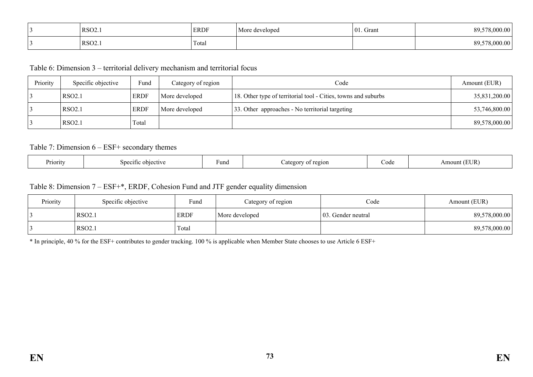| RSO <sub>2</sub>   | <b>ERDF</b>     | More developed | . Grant<br>$\Omega$ | .000.00        |
|--------------------|-----------------|----------------|---------------------|----------------|
| RSO <sub>2</sub> . | $\sim$<br>Total |                |                     | 00<br>ഹ<br>,,, |

Table 6: Dimension 3 – territorial delivery mechanism and territorial focus

| Priority | Specific objective | Fund        | Category of region | Code                                                           | Amount (EUR)  |
|----------|--------------------|-------------|--------------------|----------------------------------------------------------------|---------------|
|          | RSO <sub>2.1</sub> | <b>ERDF</b> | More developed     | 18. Other type of territorial tool - Cities, towns and suburbs | 35,831,200.00 |
|          | RSO <sub>2.1</sub> | <b>ERDF</b> | More developed     | 33. Other approaches - No territorial targeting                | 53,746,800.00 |
|          | RSO <sub>2.1</sub> | Total       |                    |                                                                | 89,578,000.00 |

#### Table 7: Dimension 6 – ESF+ secondary themes

| Priority<br>Specific<br>objective | Funa | region<br>egot<br>$\sim$ $\sim$ $\sim$ | ode. | . סז ד<br>$\overline{1}$ |
|-----------------------------------|------|----------------------------------------|------|--------------------------|
|-----------------------------------|------|----------------------------------------|------|--------------------------|

#### Table 8: Dimension 7 – ESF+\*, ERDF, Cohesion Fund and JTF gender equality dimension

| Priority | Specific objective | Fund        | Category of region | Code                | Amount (EUR)  |
|----------|--------------------|-------------|--------------------|---------------------|---------------|
|          | <b>RSO2.1</b>      | <b>ERDF</b> | More developed     | 103. Gender neutral | 89,578,000.00 |
|          | <b>RSO2.1</b>      | Total       |                    |                     | 89,578,000.00 |

\* In principle, 40 % for the ESF+ contributes to gender tracking. 100 % is applicable when Member State chooses to use Article 6 ESF+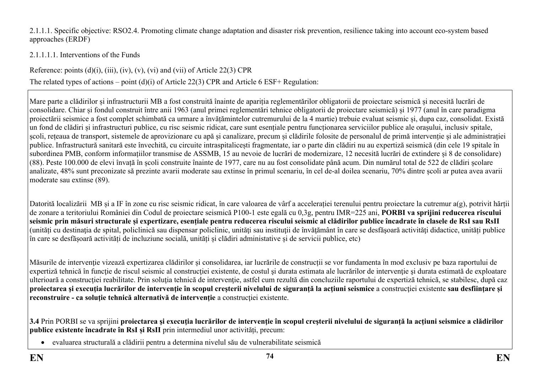#### 2.1.1.1. Specific objective: RSO2.4. Promoting climate change adaptation and disaster risk prevention, resilience taking into account eco-system based approaches (ERDF)

# 2.1.1.1.1. Interventions of the Funds

Reference: points  $(d)(i)$ ,  $(iii)$ ,  $(iv)$ ,  $(v)$ ,  $(vi)$  and  $(vii)$  of Article 22(3) CPR

The related types of actions – point (d)(i) of Article 22(3) CPR and Article 6 ESF+ Regulation:

Mare parte a clădirilor și infrastructurii MB a fost construită înainte de apariția reglementărilor obligatorii de proiectare seismică și necesită lucrări de consolidare. Chiar și fondul construit între anii 1963 (anul primei reglementări tehnice obligatorii de proiectare seismică) și 1977 (anul în care paradigma proiectării seismice a fost complet schimbată ca urmare a învățămintelor cutremurului de la 4 martie) trebuie evaluat seismic și, dupa caz, consolidat. Există un fond de clădiri și infrastructuri publice, cu risc seismic ridicat, care sunt esențiale pentru funcționarea serviciilor publice ale orașului, inclusiv spitale, școli, rețeaua de transport, sistemele de aprovizionare cu apă și canalizare, precum și clădirile folosite de personalul de primă intervenție și ale administrației publice. Infrastructură sanitară este învechită, cu circuite intraspitalicești fragmentate, iar o parte din clădiri nu au expertiză seismică (din cele 19 spitale în subordinea PMB, conform informațiilor transmise de ASSMB, 15 au nevoie de lucrări de modernizare, 12 necesită lucrări de extindere și 8 de consolidare) (88). Peste 100.000 de elevi învață în școli construite înainte de 1977, care nu au fost consolidate până acum. Din numărul total de 522 de clădiri școlare analizate, 48% sunt preconizate să prezinte avarii moderate sau extinse în primul scenariu, în cel de-al doilea scenariu, 70% dintre școli ar putea avea avarii moderate sau extinse (89).

Datorită localizării MB și a IF în zone cu risc seismic ridicat, în care valoarea de vârf a accelerației terenului pentru proiectare la cutremur a(g), potrivit hărții de zonare a teritoriului României din Codul de proiectare seismică P100-1 este egală cu 0,3g, pentru IMR=225 ani, **PORBI va sprijini reducerea riscului seismic prin măsuri structurale și expertizare, esențiale pentru reducerea riscului seismic al clădirilor publice încadrate în clasele de RsI sau RsII** (unități cu destinaţia de spital, policlinică sau dispensar policlinic, unităţi sau instituţii de învăţământ în care se desfăşoară activităţi didactice, unități publice în care se desfășoară activități de incluziune socială, unități și clădiri administative și de servicii publice, etc)

Măsurile de intervenție vizează expertizarea clădirilor și consolidarea, iar lucrările de construcții se vor fundamenta în mod exclusiv pe baza raportului de expertiză tehnică în funcție de riscul seismic al construcției existente, de costul și durata estimata ale lucrărilor de intervenție și durata estimată de exploatare ulterioară a construcției reabilitate. Prin soluția tehnică de intervenție, astfel cum rezultă din concluziile raportului de expertiză tehnică, se stabilesc, după caz proiectarea și execuția lucrărilor de intervenție în scopul creșterii nivelului de siguranță la acțiuni seismice a construcției existente sau desființare și **reconstruire - ca soluţie tehnică alternativă de intervenţie** a construcţiei existente.

3.4 Prin PORBI se va sprijini proiectarea și execuția lucrărilor de intervenție în scopul creșterii nivelului de siguranță la acțiuni seismice a clădirilor **publice existente încadrate în RsI și RsII** prin intermediul unor activități, precum:

evaluarea structurală a clădirii pentru a determina nivelul său de vulnerabilitate seismică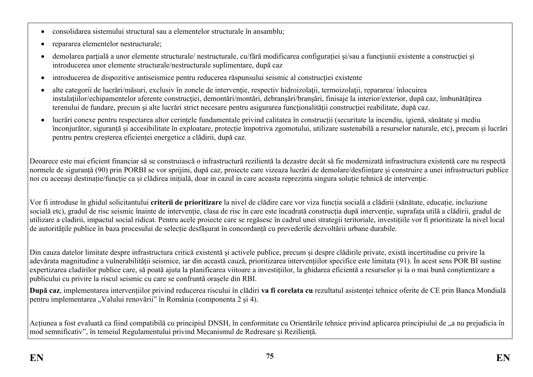- consolidarea sistemului structural sau a elementelor structurale în ansamblu;
- repararea elementelor nestructurale;
- demolarea partială a unor elemente structurale/ nestructurale, cu/fără modificarea configurației și/sau a funcțiunii existente a construcției și introducerea unor elemente structurale/nestructurale suplimentare, după caz
- introducerea de dispozitive antiseismice pentru reducerea răspunsului seismic al construcției existente
- alte categorii de lucrări/măsuri, exclusiv în zonele de intervenție, respectiv hidroizolații, termoizolații, repararea/ înlocuirea instalațiilor/echipamentelor aferente construcției, demontări/montări, debranșări/branșări, finisaje la interior/exterior, după caz, îmbunătățirea terenului de fundare, precum și alte lucrări strict necesare pentru asigurarea funcționalității construcției reabilitate, după caz.
- lucrări conexe pentru respectarea altor cerințele fundamentale privind calitatea în construcții (securitate la incendiu, igienă, sănătate și mediu înconjurător, siguranță și accesibilitate în exploatare, protecție împotriva zgomotului, utilizare sustenabilă a resurselor naturale, etc), precum și lucrări pentru pentru creșterea eficienței energetice a clădirii, după caz.

Deoarece este mai eficient financiar să se construiască o infrastructură rezilientă la dezastre decât să fie modernizată infrastructura existentă care nu respectă normele de siguranță (90) prin PORBI se vor sprijini, după caz, proiecte care vizeaza lucrări de demolare/desființare și construire a unei infrastructuri publice noi cu aceeași destinație/funcție ca și clădirea inițială, doar in cazul in care aceasta reprezinta singura soluție tehnică de intervenție.

Vor fi introduse în ghidul solicitantului **criterii de prioritizare** la nivel de clădire care vor viza funcția socială a clădirii (sănătate, educație, incluziune socială etc), gradul de risc seismic înainte de intervenție, clasa de risc în care este încadrată construcția după intervenție, suprafața utilă a clădirii, gradul de utilizare a cladirii, impactul social ridicat. Pentru acele proiecte care se regăsesc în cadrul unei strategii teritoriale, investițiile vor fi prioritizate la nivel local de autoritățile publice în baza procesului de selecție desfășurat în concordanță cu prevederile dezvoltării urbane durabile.

Din cauza datelor limitate despre infrastructura critică existentă și activele publice, precum și despre clădirile private, există incertitudine cu privire la adevărata magnitudine a vulnerabilității seismice, iar din această cauză, prioritizarea intervențiilor specifice este limitata (91). În acest sens POR BI sustine expertizarea cladirilor publice care, să poată ajuta la planificarea viitoare a investițiilor, la ghidarea eficientă a resurselor și la o mai bună conștientizare a publicului cu privire la riscul seismic cu care se confruntă orașele din RBI.

**După caz**, implementarea intervențiilor privind reducerea riscului în clădiri **va fi corelata cu** rezultatul asistenței tehnice oferite de CE prin Banca Mondială pentru implementarea "Valului renovării" în România (componenta 2 și 4).

Acțiunea a fost evaluată ca fiind compatibilă cu principiul DNSH, în conformitate cu Orientările tehnice privind aplicarea principiului de "a nu prejudicia în mod semnificativ", în temeiul Regulamentului privind Mecanismul de Redresare și Reziliență.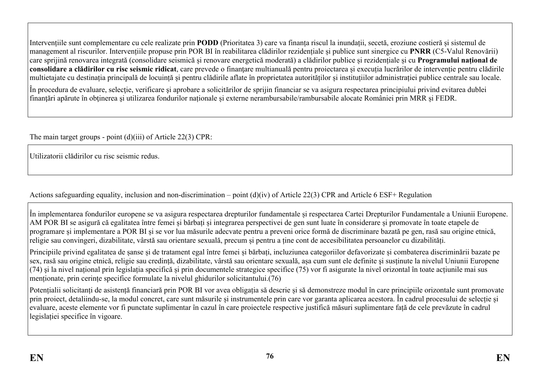Intervențiile sunt complementare cu cele realizate prin **PODD** (Prioritatea 3) care va finanța riscul la inundații, secetă, eroziune costieră și sistemul de management al riscurilor. Intervențiile propuse prin POR BI în reabilitarea clădirilor rezidențiale și publice sunt sinergice cu **PNRR** (C5-Valul Renovării) care sprijină renovarea integrată (consolidare seismică și renovare energetică moderată) a clădirilor publice și rezidențiale și cu **Programului național de consolidare a clădirilor cu risc seismic ridicat**, care prevede o finanțare multianuală pentru proiectarea și execuția lucrărilor de intervenție pentru clădirile multietajate cu destinația principală de locuință și pentru clădirile aflate în proprietatea autorităților și instituțiilor administrației publice centrale sau locale.

În procedura de evaluare, selecție, verificare și aprobare a solicitărilor de sprijin financiar se va asigura respectarea principiului privind evitarea dublei finanțări apărute în obținerea și utilizarea fondurilor naționale și externe nerambursabile/rambursabile alocate României prin MRR și FEDR.

The main target groups - point (d)(iii) of Article 22(3) CPR:

Utilizatorii clădirilor cu risc seismic redus.

Actions safeguarding equality, inclusion and non-discrimination – point (d)(iv) of Article 22(3) CPR and Article 6 ESF+ Regulation

În implementarea fondurilor europene se va asigura respectarea drepturilor fundamentale și respectarea Cartei Drepturilor Fundamentale a Uniunii Europene. AM POR BI se asigură că egalitatea între femei și bărbați și integrarea perspectivei de gen sunt luate în considerare și promovate în toate etapele de programare și implementare a POR BI și se vor lua măsurile adecvate pentru a preveni orice formă de discriminare bazată pe gen, rasă sau origine etnică, religie sau convingeri, dizabilitate, vârstă sau orientare sexuală, precum și pentru a ține cont de accesibilitatea persoanelor cu dizabilități.

Principiile privind egalitatea de șanse și de tratament egal între femei și bărbați, incluziunea categoriilor defavorizate și combaterea discriminării bazate pe sex, rasă sau origine etnică, religie sau credință, dizabilitate, vârstă sau orientare sexuală, așa cum sunt ele definite şi susținute la nivelul Uniunii Europene  $(74)$  si la nivel național prin legislația specifică și prin documentele strategice specifice  $(75)$  vor fi asigurate la nivel orizontal în toate acțiunile mai sus menționate, prin cerințe specifice formulate la nivelul ghidurilor solicitantului.(76)

Potențialii solicitanți de asistență financiară prin POR BI vor avea obligația să descrie și să demonstreze modul în care principiile orizontale sunt promovate prin proiect, detaliindu-se, la modul concret, care sunt măsurile și instrumentele prin care vor garanta aplicarea acestora. În cadrul procesului de selecție și evaluare, aceste elemente vor fi punctate suplimentar în cazul în care proiectele respective justifică măsuri suplimentare față de cele prevăzute în cadrul legislației specifice în vigoare.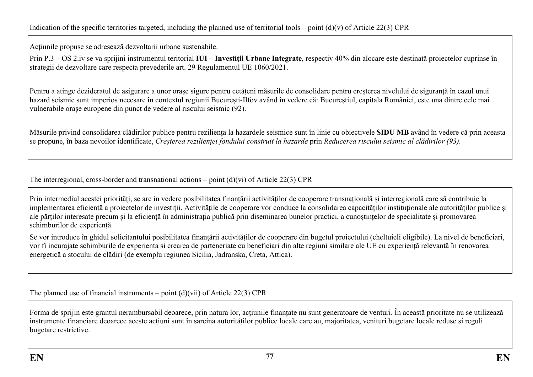Acțiunile propuse se adresează dezvoltarii urbane sustenabile.

Prin P.3 – OS 2.iv se va sprijini instrumentul teritorial **IUI – Investiții Urbane Integrate**, respectiv 40% din alocare este destinată proiectelor cuprinse în strategii de dezvoltare care respecta prevederile art. 29 Regulamentul UE 1060/2021.

Pentru a atinge dezideratul de asigurare a unor orașe sigure pentru cetățeni măsurile de consolidare pentru creșterea nivelului de siguranță în cazul unui hazard seismic sunt imperios necesare în contextul regiunii București-Ilfov având în vedere că: Bucureștiul, capitala României, este una dintre cele mai vulnerabile orașe europene din punct de vedere al riscului seismic (92).

Măsurile privind consolidarea clădirilor publice pentru reziliența la hazardele seismice sunt în linie cu obiectivele **SIDU MB** având în vedere că prin aceasta se propune, în baza nevoilor identificate, *Creșterea rezilienței fondului construit la hazarde* prin *Reducerea riscului seismic al clădirilor (93).*

The interregional, cross-border and transnational actions – point  $(d)(vi)$  of Article 22(3) CPR

Prin intermediul acestei priorități, se are în vedere posibilitatea finanțării activităților de cooperare transnațională și interregională care să contribuie la implementarea eficientă a proiectelor de investiții. Activitățile de cooperare vor conduce la consolidarea capacităților instituționale ale autorităților publice și ale părților interesate precum și la eficiență în administrația publică prin diseminarea bunelor practici, a cunoștințelor de specialitate și promovarea schimburilor de experiență.

Se vor introduce în ghidul solicitantului posibilitatea finanțării activităților de cooperare din bugetul proiectului (cheltuieli eligibile). La nivel de beneficiari, vor fi incurajate schimburile de experienta si crearea de parteneriate cu beneficiari din alte regiuni similare ale UE cu experiență relevantă în renovarea energetică a stocului de clădiri (de exemplu regiunea Sicilia, Jadranska, Creta, Attica).

The planned use of financial instruments – point  $(d)(\n{\rm vii})$  of Article 22(3) CPR

Forma de sprijin este grantul nerambursabil deoarece, prin natura lor, acțiunile finanțate nu sunt generatoare de venturi. În această prioritate nu se utilizează instrumente financiare deoarece aceste acțiuni sunt în sarcina autorităților publice locale care au, majoritatea, venituri bugetare locale reduse și reguli bugetare restrictive.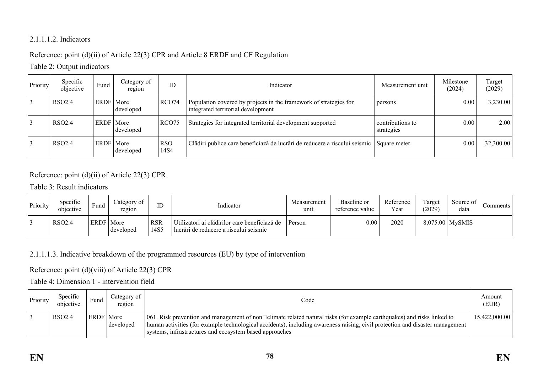### 2.1.1.1.2. Indicators

# Reference: point (d)(ii) of Article 22(3) CPR and Article 8 ERDF and CF Regulation

# Table 2: Output indicators

| Priority | Specific<br>objective | Fund        | Category of<br>region | ID                 | Indicator                                                                                               | Measurement unit               | Milestone<br>(2024) | Target<br>(2029) |
|----------|-----------------------|-------------|-----------------------|--------------------|---------------------------------------------------------------------------------------------------------|--------------------------------|---------------------|------------------|
|          | <b>RSO2.4</b>         | ERDF   More | developed             | RCO74              | Population covered by projects in the framework of strategies for<br>integrated territorial development | persons                        | 0.00                | 3,230.00         |
|          | RSO2.4                | ERDF   More | developed             | RCO <sub>75</sub>  | Strategies for integrated territorial development supported                                             | contributions to<br>strategies | 0.00                | 2.00             |
|          | RSO2.4                | <b>ERDF</b> | More<br>developed     | <b>RSO</b><br>14S4 | Clădiri publice care beneficiază de lucrări de reducere a riscului seismic                              | Square meter                   | 0.00                | 32,300.00        |

# Reference: point (d)(ii) of Article 22(3) CPR

### Table 3: Result indicators

| Priority | Specific<br>objective | Fund        | ategory of<br>region | ID                 | Indicator                                                                                | Measurement<br>unit | Baseline or<br>reference value | Reference<br>Year | Target<br>(2029) | Source of<br>data | Comments |
|----------|-----------------------|-------------|----------------------|--------------------|------------------------------------------------------------------------------------------|---------------------|--------------------------------|-------------------|------------------|-------------------|----------|
|          | <b>RSO2.4</b>         | <b>ERDF</b> | More<br>developed    | <b>RSR</b><br>14S5 | Utilizatori ai clădirilor care beneficiază de<br>Ilucrări de reducere a riscului seismic | Person              | $0.00\,$                       | 2020              |                  | $8,075.00$ MySMIS |          |

### 2.1.1.1.3. Indicative breakdown of the programmed resources (EU) by type of intervention

# Reference: point (d)(viii) of Article 22(3) CPR

# Table 4: Dimension 1 - intervention field

| Priority | Specific<br>objective | Fund        | Category of<br>region | Code                                                                                                                                                                                                                                                                                                                      | Amount<br>(EUR) |
|----------|-----------------------|-------------|-----------------------|---------------------------------------------------------------------------------------------------------------------------------------------------------------------------------------------------------------------------------------------------------------------------------------------------------------------------|-----------------|
|          | RSO2.4                | <b>ERDF</b> | More<br>developed     | 061. Risk prevention and management of non $\Box$ climate related natural risks (for example earthquakes) and risks linked to<br>human activities (for example technological accidents), including awareness raising, civil protection and disaster management<br>systems, infrastructures and ecosystem based approaches | 15,422,000.00   |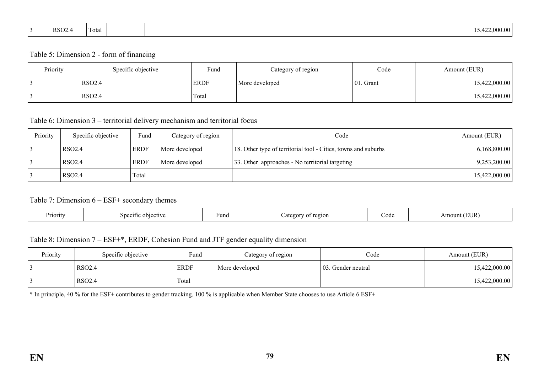| RSO <sub>2</sub> .<br><b><i><u>ALCO</u></i></b><br>Total<br>$   -$ | $\sim$<br>.000.00<br>⊣ |
|--------------------------------------------------------------------|------------------------|
|--------------------------------------------------------------------|------------------------|

#### Table 5: Dimension 2 - form of financing

| Priority | Specific objective | Fund        | Category of region | Code         | Amount (EUR)  |
|----------|--------------------|-------------|--------------------|--------------|---------------|
|          | <b>RSO2.4</b>      | <b>ERDF</b> | More developed     | $ 01.$ Grant | 15,422,000.00 |
|          | <b>RSO2.4</b>      | Total       |                    |              | 15,422,000.00 |

#### Table 6: Dimension 3 – territorial delivery mechanism and territorial focus

| Priority | Specific objective | Fund        | Category of region | Code                                                           | Amount (EUR)  |
|----------|--------------------|-------------|--------------------|----------------------------------------------------------------|---------------|
|          | RSO <sub>2.4</sub> | <b>ERDF</b> | More developed     | 18. Other type of territorial tool - Cities, towns and suburbs | 6,168,800.00  |
|          | RSO <sub>2.4</sub> | <b>ERDF</b> | More developed     | 33. Other approaches - No territorial targeting                | 9,253,200.00  |
|          | RSO <sub>2.4</sub> | Total       |                    |                                                                | 15,422,000.00 |

#### Table 7: Dimension 6 – ESF+ secondary themes

| Priority | snecit<br>objec | Fund | 2210N | $\Delta$ $\Delta$<br>ww | ΙR |
|----------|-----------------|------|-------|-------------------------|----|
|----------|-----------------|------|-------|-------------------------|----|

# Table 8: Dimension 7 – ESF+\*, ERDF, Cohesion Fund and JTF gender equality dimension

| Priority | Specific objective | Fund        | Category of region | Code                | Amount (EUR)  |
|----------|--------------------|-------------|--------------------|---------------------|---------------|
|          | <b>RSO2.4</b>      | <b>ERDF</b> | More developed     | 103. Gender neutral | 15,422,000.00 |
|          | <b>RSO2.4</b>      | Total       |                    |                     | 15,422,000.00 |

\* In principle, 40 % for the ESF+ contributes to gender tracking. 100 % is applicable when Member State chooses to use Article 6 ESF+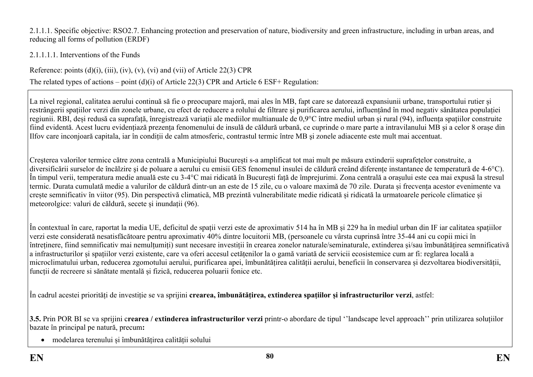2.1.1.1. Specific objective: RSO2.7. Enhancing protection and preservation of nature, biodiversity and green infrastructure, including in urban areas, and reducing all forms of pollution (ERDF)

2.1.1.1.1. Interventions of the Funds

Reference: points  $(d)(i)$ ,  $(iii)$ ,  $(iv)$ ,  $(v)$ ,  $(vi)$  and  $(vii)$  of Article 22(3) CPR

The related types of actions – point (d)(i) of Article 22(3) CPR and Article 6 ESF+ Regulation:

La nivel regional, calitatea aerului continuă să fie o preocupare majoră, mai ales în MB, fapt care se datorează expansiunii urbane, transportului rutier și restrângerii spațiilor verzi din zonele urbane, cu efect de reducere a rolului de filtrare și purificarea aerului, influențând în mod negativ sănătatea populației regiunii. RBI, deși redusă ca suprafață, înregistrează variații ale mediilor multianuale de 0,9°C între mediul urban și rural (94), influența spațiilor construite fiind evidentă. Acest lucru evidențiază prezența fenomenului de insulă de căldură urbană, ce cuprinde o mare parte a intravilanului MB și a celor 8 orașe din Ilfov care inconjoară capitala, iar în condiții de calm atmosferic, contrastul termic între MB şi zonele adiacente este mult mai accentuat.

Creşterea valorilor termice către zona centrală a Municipiului București s-a amplificat tot mai mult pe măsura extinderii suprafețelor construite, a diversificării surselor de încălzire şi de poluare a aerului cu emisii GES fenomenul insulei de căldură creând diferențe instantanee de temperatură de 4-6°C). În timpul verii, temperatura medie anuală este cu 3-4°C mai ridicată în București față de împrejurimi. Zona centrală a orașului este cea mai expusă la stresul termic. Durata cumulată medie a valurilor de căldură dintr-un an este de 15 zile, cu o valoare maximă de 70 zile. Durata și frecvența acestor evenimente va crește semnificativ în viitor (95). Din perspectivă climatică, MB prezintă vulnerabilitate medie ridicată și ridicată la urmatoarele pericole climatice și meteorolgice: valuri de căldură, secete și inundații (96).

În contextual în care, raportat la media UE, deficitul de spații verzi este de aproximativ 514 ha în MB și 229 ha în mediul urban din IF iar calitatea spațiilor verzi este considerată nesatisfăcătoare pentru aproximativ 40% dintre locuitorii MB, (persoanele cu vârsta cuprinsă între 35-44 ani cu copii mici în întreținere, fiind semnificativ mai nemulțumiți) sunt necesare investiții în crearea zonelor naturale/seminaturale, extinderea și/sau îmbunătățirea semnificativă a infrastructurilor și spațiilor verzi existente, care va oferi accesul cetățenilor la o gamă variată de servicii ecosistemice cum ar fi: reglarea locală a microclimatului urban, reducerea zgomotului aerului, purificarea apei, îmbunătățirea calității aerului, beneficii în conservarea și dezvoltarea biodiversității, funcții de recreere si sănătate mentală și fizică, reducerea poluarii fonice etc.

În cadrul acestei priorități de investiție se va sprijini **crearea, îmbunătățirea, extinderea spațiilor și infrastructurilor verzi**, astfel:

**3.5.** Prin POR BI se va sprijini c**rearea / extinderea infrastructurilor verzi** printr-o abordare de tipul ''landscape level approach'' prin utilizarea soluțiilor bazate în principal pe natură, precum**:**

modelarea terenului și îmbunătățirea calității solului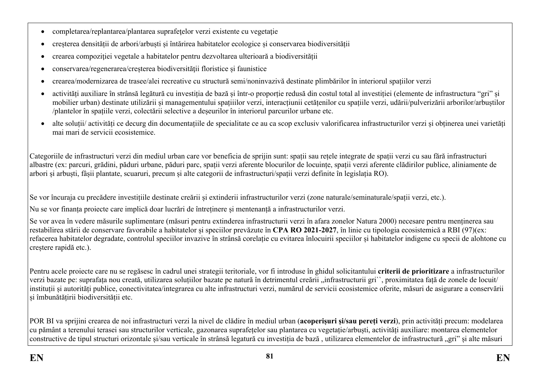- completarea/replantarea/plantarea suprafetelor verzi existente cu vegetatie
- creșterea densității de arbori/arbuști și întărirea habitatelor ecologice și conservarea biodiversității
- crearea compoziției vegetale a habitatelor pentru dezvoltarea ulterioară a biodiversității
- conservarea/regenerarea/creșterea biodiversității floristice și faunistice
- crearea/modernizarea de trasee/alei recreative cu structură semi/noninvazivă destinate plimbărilor în interiorul spațiilor verzi
- activități auxiliare în strânsă legătură cu investiția de bază și într-o proporție redusă din costul total al investiției (elemente de infrastructura "gri" și mobilier urban) destinate utilizării și managementului spațiiilor verzi, interacțiunii cetățenilor cu spațiile verzi, udării/pulverizării arborilor/arbuștilor /plantelor în spațiile verzi, colectării selective a deșeurilor în interiorul parcurilor urbane etc.
- alte soluții/ activități ce decurg din documentațiile de specialitate ce au ca scop exclusiv valorificarea infrastructurilor verzi și obținerea unei varietăți mai mari de servicii ecosistemice.

Categoriile de infrastructuri verzi din mediul urban care vor beneficia de sprijin sunt: spații sau rețele integrate de spații verzi cu sau fără infrastructuri albastre (ex: parcuri, grădini, păduri urbane, păduri parc, spații verzi aferente blocurilor de locuințe, spații verzi aferente clădirilor publice, aliniamente de arbori și arbuști, fâșii plantate, scuaruri, precum și alte categorii de infrastructuri/spații verzi definite în legislația RO).

Se vor încuraja cu precădere investițiile destinate creării și extinderii infrastructurilor verzi (zone naturale/seminaturale/spații verzi, etc.).

Nu se vor finanța proiecte care implică doar lucrări de întreținere și mentenanță a infrastructurilor verzi.

Se vor avea în vedere măsurile suplimentare (măsuri pentru extinderea infrastructurii verzi în afara zonelor Natura 2000) necesare pentru menținerea sau restabilirea stării de conservare favorabile a habitatelor și speciilor prevăzute în **CPA RO 2021-2027**, în linie cu tipologia ecosistemică a RBI (97)(ex: refacerea habitatelor degradate, controlul speciilor invazive în strânsă corelație cu evitarea înlocuirii speciilor și habitatelor indigene cu specii de alohtone cu creștere rapidă etc.).

Pentru acele proiecte care nu se regăsesc în cadrul unei strategii teritoriale, vor fi introduse în ghidul solicitantului **criterii de prioritizare** a infrastructurilor verzi bazate pe: suprafața nou creată, utilizarea soluțiilor bazate pe natură în detrimentul creării "infrastructurii gri", proximitatea față de zonele de locuit/ instituții și autorități publice, conectivitatea/integrarea cu alte infrastructuri verzi, numărul de servicii ecosistemice oferite, măsuri de asigurare a conservării și îmbunătățirii biodiversității etc.

POR BI va sprijini crearea de noi infrastructuri verzi la nivel de clădire în mediul urban (**acoperișuri și/sau pereți verzi**), prin activități precum: modelarea cu pământ a terenului terasei sau structurilor verticale, gazonarea suprafețelor sau plantarea cu vegetație/arbuști, activități auxiliare: montarea elementelor constructive de tipul structuri orizontale și/sau verticale în strânsă legatură cu investitia de bază, utilizarea elementelor de infrastructură "gri" și alte măsuri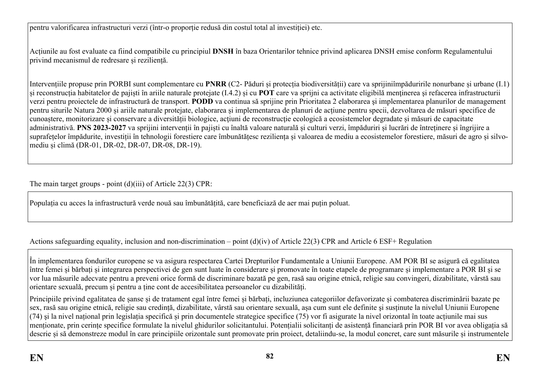pentru valorificarea infrastructuri verzi (într-o proporție redusă din costul total al investiției) etc.

Acțiunile au fost evaluate ca fiind compatibile cu principiul **DNSH** în baza Orientarilor tehnice privind aplicarea DNSH emise conform Regulamentului privind mecanismul de redresare și reziliență.

Intervențiile propuse prin PORBI sunt complementare cu **PNRR** (C2- Păduri și protecția biodiversității) care va sprijiniîmpăduririle nonurbane și urbane (I.1) și reconstrucția habitatelor de pajiști în ariile naturale protejate (I.4.2) și cu **POT** care va sprijni ca activitate eligibilă menţinerea şi refacerea infrastructurii verzi pentru proiectele de infrastructură de transport. **PODD** va continua să sprijine prin Prioritatea 2 elaborarea şi implementarea planurilor de management pentru siturile Natura 2000 și ariile naturale protejate, elaborarea și implementarea de planuri de acțiune pentru specii, dezvoltarea de măsuri specifice de cunoaștere, monitorizare și conservare a diversității biologice, acțiuni de reconstrucție ecologică a ecosistemelor degradate și măsuri de capacitate administrativă. **PNS 2023-2027** va sprijini intervenții în pajiști cu înaltă valoare naturală și culturi verzi, împăduriri și lucrări de întreținere și îngrijire a suprafețelor împădurite, investiții în tehnologii forestiere care îmbunătătesc reziliența și valoarea de mediu a ecosistemelor forestiere, măsuri de agro și silvomediu și climă (DR-01, DR-02, DR-07, DR-08, DR-19).

The main target groups - point (d)(iii) of Article 22(3) CPR:

Populația cu acces la infrastructură verde nouă sau îmbunătățită, care beneficiază de aer mai puțin poluat.

Actions safeguarding equality, inclusion and non-discrimination – point (d)(iv) of Article 22(3) CPR and Article 6 ESF+ Regulation

În implementarea fondurilor europene se va asigura respectarea Cartei Drepturilor Fundamentale a Uniunii Europene. AM POR BI se asigură că egalitatea între femei și bărbați și integrarea perspectivei de gen sunt luate în considerare și promovate în toate etapele de programare și implementare a POR BI și se vor lua măsurile adecvate pentru a preveni orice formă de discriminare bazată pe gen, rasă sau origine etnică, religie sau convingeri, dizabilitate, vârstă sau orientare sexuală, precum și pentru a ține cont de accesibilitatea persoanelor cu dizabilități.

Principiile privind egalitatea de șanse și de tratament egal între femei și bărbați, incluziunea categoriilor defavorizate și combaterea discriminării bazate pe sex, rasă sau origine etnică, religie sau credință, dizabilitate, vârstă sau orientare sexuală, așa cum sunt ele definite şi susținute la nivelul Uniunii Europene (74) şi la nivel național prin legislația specifică și prin documentele strategice specifice (75) vor fi asigurate la nivel orizontal în toate acțiunile mai sus menționate, prin cerințe specifice formulate la nivelul ghidurilor solicitantului. Potențialii solicitanți de asistență financiară prin POR BI vor avea obligația să descrie și să demonstreze modul în care principiile orizontale sunt promovate prin proiect, detaliindu-se, la modul concret, care sunt măsurile și instrumentele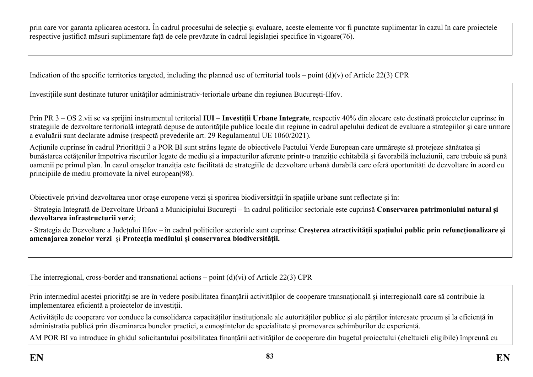prin care vor garanta aplicarea acestora. În cadrul procesului de selecție și evaluare, aceste elemente vor fi punctate suplimentar în cazul în care proiectele respective justifică măsuri suplimentare față de cele prevăzute în cadrul legislației specifice în vigoare(76).

Indication of the specific territories targeted, including the planned use of territorial tools – point (d)(v) of Article 22(3) CPR

Investițiile sunt destinate tuturor unităților administrativ-terioriale urbane din regiunea București-Ilfov.

Prin PR 3 – OS 2.vii se va sprijini instrumentul teritorial **IUI – Investiții Urbane Integrate**, respectiv 40% din alocare este destinată proiectelor cuprinse în strategiile de dezvoltare teritorială integrată depuse de autoritățile publice locale din regiune în cadrul apelului dedicat de evaluare a strategiilor și care urmare a evaluării sunt declarate admise (respectă prevederile art. 29 Regulamentul UE 1060/2021).

Acțiunile cuprinse în cadrul Priorității 3 a POR BI sunt strâns legate de obiectivele Pactului Verde European care urmărește să protejeze sănătatea și bunăstarea cetățenilor împotriva riscurilor legate de mediu și a impacturilor aferente printr-o tranziție echitabilă și favorabilă incluziunii, care trebuie să pună oamenii pe primul plan. În cazul orașelor tranziția este facilitată de strategiile de dezvoltare urbană durabilă care oferă oportunități de dezvoltare în acord cu principiile de mediu promovate la nivel european(98).

Obiectivele privind dezvoltarea unor orașe europene verzi și sporirea biodiversității în spațiile urbane sunt reflectate și în:

- Strategia Integrată de Dezvoltare Urbană a Municipiului București – în cadrul politicilor sectoriale este cuprinsă **Conservarea patrimoniului natural și dezvoltarea infrastructurii verzi**;

- Strategia de Dezvoltare a Județului Ilfov – în cadrul politicilor sectoriale sunt cuprinse **Creșterea atractivității spațiului public prin refuncționalizare și amenajarea zonelor verzi** și **Protecția mediului și conservarea biodiversității.**

The interregional, cross-border and transnational actions – point (d)(vi) of Article 22(3) CPR

Prin intermediul acestei priorități se are în vedere posibilitatea finanțării activităților de cooperare transnațională și interregională care să contribuie la implementarea eficientă a proiectelor de investiții.

Activitățile de cooperare vor conduce la consolidarea capacităților instituționale ale autorităților publice și ale părților interesate precum și la eficiență în administrația publică prin diseminarea bunelor practici, a cunoștințelor de specialitate și promovarea schimburilor de experiență.

AM POR BI va introduce în ghidul solicitantului posibilitatea finanțării activităților de cooperare din bugetul proiectului (cheltuieli eligibile) împreună cu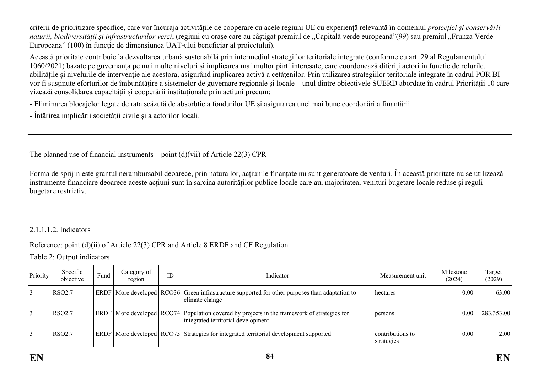criterii de prioritizare specifice, care vor încuraja activitățile de cooperare cu acele regiuni UE cu experiență relevantă în domeniul *protecției și conservării naturii, biodiversității și infrastructurilor verzi*, (regiuni cu orașe care au câștigat premiul de "Capitală verde europeană"(99) sau premiul "Frunza Verde Europeana" (100) în funcție de dimensiunea UAT-ului beneficiar al proiectului).

Această prioritate contribuie la dezvoltarea urbană sustenabilă prin intermediul strategiilor teritoriale integrate (conforme cu art. 29 al Regulamentului 1060/2021) bazate pe guvernanța pe mai multe niveluri și implicarea mai multor părți interesate, care coordonează diferiți actori în funcție de rolurile, abilitățile și nivelurile de intervenție ale acestora, asigurând implicarea activă a cetățenilor. Prin utilizarea strategiilor teritoriale integrate în cadrul POR BI vor fi susținute eforturilor de îmbunătățire a sistemelor de guvernare regionale și locale – unul dintre obiectivele SUERD abordate în cadrul Priorității 10 care vizează consolidarea capacității și cooperării instituționale prin acțiuni precum:

- Eliminarea blocajelor legate de rata scăzută de absorbție a fondurilor UE și asigurarea unei mai bune coordonări a finanțării

- Întărirea implicării societății civile și a actorilor locali.

The planned use of financial instruments – point  $(d)(vi)$  of Article 22(3) CPR

Forma de sprijin este grantul nerambursabil deoarece, prin natura lor, acțiunile finanțate nu sunt generatoare de venturi. În această prioritate nu se utilizează instrumente financiare deoarece aceste acțiuni sunt în sarcina autorităților publice locale care au, majoritatea, venituri bugetare locale reduse și reguli bugetare restrictiv.

# 2.1.1.1.2. Indicators

# Reference: point (d)(ii) of Article 22(3) CPR and Article 8 ERDF and CF Regulation

Table 2: Output indicators

| Priority | Specific<br>objective | Fund | Category of<br>region | ID | Indicator<br>Measurement unit                                                                                                           |                                | Milestone<br>(2024) | Target<br>(2029) |
|----------|-----------------------|------|-----------------------|----|-----------------------------------------------------------------------------------------------------------------------------------------|--------------------------------|---------------------|------------------|
|          | RSO <sub>2.7</sub>    |      |                       |    | $ E$ RDF   More developed   RCO36   Green infrastructure supported for other purposes than adaptation to<br>climate change              | hectares                       | 0.00                | 63.00            |
|          | <b>RSO2.7</b>         |      |                       |    | $ERDF$ More developed $ RCO74 $ Population covered by projects in the framework of strategies for<br>integrated territorial development | persons                        | 0.00                | 283,353.00       |
|          | RSO <sub>2.7</sub>    |      |                       |    | ERDF   More developed   RCO75   Strategies for integrated territorial development supported                                             | contributions to<br>strategies | 0.00                | 2.00             |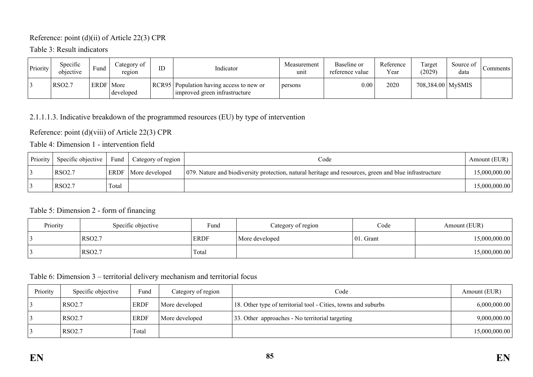### Reference: point (d)(ii) of Article 22(3) CPR

Table 3: Result indicators

| Priority | Specific<br>objective | $\mathbf{r}$<br>Fund | Category of<br>region | ID | Indicator                                                                   | Measurement<br>unit | Baseline or<br>reference value | Reference<br>Year | Target<br>(2029)    | Source of<br>data | Comments |
|----------|-----------------------|----------------------|-----------------------|----|-----------------------------------------------------------------------------|---------------------|--------------------------------|-------------------|---------------------|-------------------|----------|
|          | <b>RSO2.7</b>         | <b>ERDF</b>          | More<br>developed     |    | RCR95   Population having access to new or<br>Improved green infrastructure | persons             | 0.00                           | 2020              | 708,384.00   MySMIS |                   |          |

# 2.1.1.1.3. Indicative breakdown of the programmed resources (EU) by type of intervention

Reference: point (d)(viii) of Article 22(3) CPR

Table 4: Dimension 1 - intervention field

| Priority | Specific objective | Fund  | Category of region         | Code                                                                                                   | Amount (EUR)  |
|----------|--------------------|-------|----------------------------|--------------------------------------------------------------------------------------------------------|---------------|
|          | RSO <sub>2.7</sub> |       | <b>ERDF</b> More developed | 079. Nature and biodiversity protection, natural heritage and resources, green and blue infrastructure | 15,000,000.00 |
|          | RSO <sub>2.7</sub> | Total |                            |                                                                                                        | 15,000,000.00 |

### Table 5: Dimension 2 - form of financing

| Priority | Specific objective | Fund        | Category of region | Code          | Amount (EUR)  |
|----------|--------------------|-------------|--------------------|---------------|---------------|
|          | RSO <sub>2.7</sub> | <b>ERDF</b> | More developed     | 01<br>. Grant | 15,000,000.00 |
|          | RSO <sub>2.7</sub> | Total       |                    |               | 15,000,000.00 |

#### Table 6: Dimension 3 – territorial delivery mechanism and territorial focus

| Priority | Specific objective | Fund        | Category of region | Code                                                           | Amount (EUR)  |
|----------|--------------------|-------------|--------------------|----------------------------------------------------------------|---------------|
|          | RSO <sub>2.7</sub> | <b>ERDF</b> | More developed     | 18. Other type of territorial tool - Cities, towns and suburbs | 6,000,000.00  |
|          | RSO <sub>2.7</sub> | <b>ERDF</b> | More developed     | 33. Other approaches - No territorial targeting                | 9,000,000.00  |
|          | RSO <sub>2.7</sub> | Total       |                    |                                                                | 15,000,000.00 |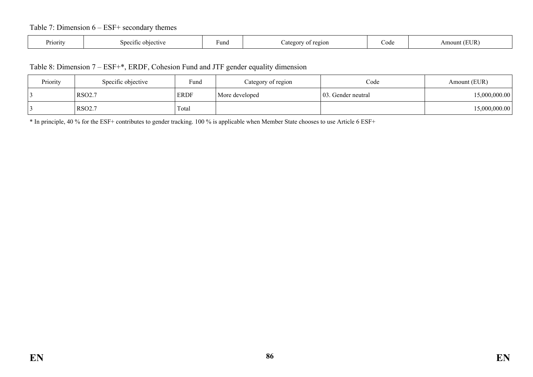### Table 7: Dimension 6 – ESF+ secondary themes

| Priority | objective<br><u> የር1116</u><br>٠'n | Fund | $e^{q}$<br>ates<br>ΩŤ | ∠ode | <b>EUR</b><br>$\sim$ |
|----------|------------------------------------|------|-----------------------|------|----------------------|
|----------|------------------------------------|------|-----------------------|------|----------------------|

#### Table 8: Dimension 7 – ESF+\*, ERDF, Cohesion Fund and JTF gender equality dimension

| Priority | Specific objective | Fund        | Category of region | Code                | Amount (EUR)  |
|----------|--------------------|-------------|--------------------|---------------------|---------------|
|          | <b>RSO2.7</b>      | <b>ERDF</b> | More developed     | 103. Gender neutral | 15,000,000.00 |
|          | <b>RSO2.7</b>      | Total       |                    |                     | 15,000,000.00 |

\* In principle, 40 % for the ESF+ contributes to gender tracking. 100 % is applicable when Member State chooses to use Article 6 ESF+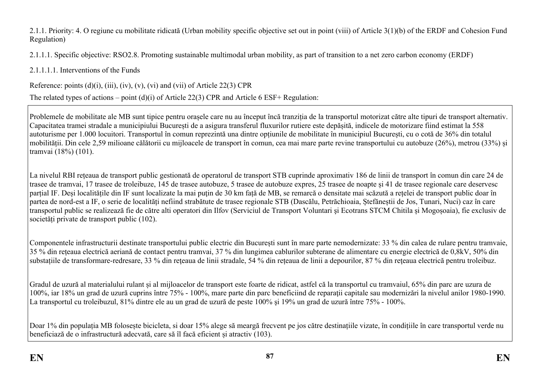2.1.1. Priority: 4. O regiune cu mobilitate ridicată (Urban mobility specific objective set out in point (viii) of Article 3(1)(b) of the ERDF and Cohesion Fund Regulation)

2.1.1.1. Specific objective: RSO2.8. Promoting sustainable multimodal urban mobility, as part of transition to a net zero carbon economy (ERDF)

2.1.1.1.1. Interventions of the Funds

Reference: points  $(d)(i)$ ,  $(iii)$ ,  $(iv)$ ,  $(v)$ ,  $(vi)$  and  $(vii)$  of Article 22(3) CPR

The related types of actions – point (d)(i) of Article 22(3) CPR and Article 6 ESF+ Regulation:

Problemele de mobilitate ale MB sunt tipice pentru orașele care nu au început încă tranziția de la transportul motorizat către alte tipuri de transport alternativ. Capacitatea tramei stradale a municipiului București de a asigura transferul fluxurilor rutiere este depășită, indicele de motorizare fiind estimat la 558 autoturisme per 1.000 locuitori. Transportul în comun reprezintă una dintre opțiunile de mobilitate în municipiul București, cu o cotă de 36% din totalul mobilității. Din cele 2,59 milioane călătorii cu mijloacele de transport în comun, cea mai mare parte revine transportului cu autobuze (26%), metrou (33%) și tramvai (18%) (101).

La nivelul RBI rețeaua de transport public gestionată de operatorul de transport STB cuprinde aproximativ 186 de linii de transport în comun din care 24 de trasee de tramvai, 17 trasee de troleibuze, 145 de trasee autobuze, 5 trasee de autobuze expres, 25 trasee de noapte și 41 de trasee regionale care deservesc parțial IF. Deși localitățile din IF sunt localizate la mai puțin de 30 km față de MB, se remarcă o densitate mai scăzută a rețelei de transport public doar în partea de nord-est a IF, o serie de localități nefiind strabătute de trasee regionale STB (Dascălu, Petrăchioaia, Ștefăneștii de Jos, Tunari, Nuci) caz în care transportul public se realizează fie de către alti operatori din Ilfov (Serviciul de Transport Voluntari şi Ecotrans STCM Chitila și Mogoșoaia), fie exclusiv de societăți private de transport public (102).

Componentele infrastructurii destinate transportului public electric din București sunt în mare parte nemodernizate: 33 % din calea de rulare pentru tramvaie, 35 % din rețeaua electrică aeriană de contact pentru tramvai, 37 % din lungimea cablurilor subterane de alimentare cu energie electrică de 0,8kV, 50% din substațiile de transformare-redresare, 33 % din rețeaua de linii stradale, 54 % din rețeaua de linii a depourilor, 87 % din rețeaua electrică pentru troleibuz.

Gradul de uzură al materialului rulant și al mijloacelor de transport este foarte de ridicat, astfel că la transportul cu tramvaiul, 65% din parc are uzura de 100%, iar 18% un grad de uzură cuprins între 75% - 100%, mare parte din parc beneficiind de reparaţii capitale sau modernizări la nivelul anilor 1980-1990. La transportul cu troleibuzul, 81% dintre ele au un grad de uzură de peste 100% şi 19% un grad de uzură între 75% - 100%.

Doar 1% din populația MB folosește bicicleta, si doar 15% alege să meargă frecvent pe jos către destinațiile vizate, în condițiile în care transportul verde nu beneficiază de o infrastructură adecvată, care să îl facă eficient și atractiv (103).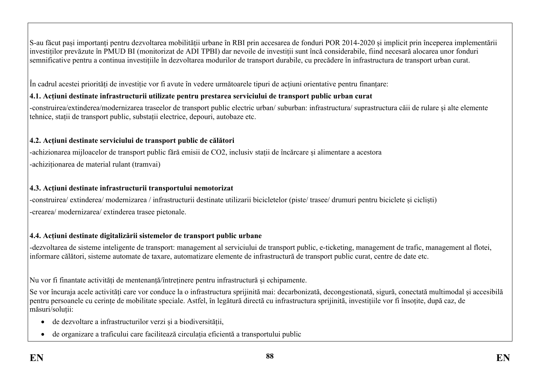S-au făcut pași importanți pentru dezvoltarea mobilității urbane în RBI prin accesarea de fonduri POR 2014-2020 și implicit prin începerea implementării investiților prevăzute în PMUD BI (monitorizat de ADI TPBI) dar nevoile de investiții sunt încă considerabile, fiind necesară alocarea unor fonduri semnificative pentru a continua investițiile în dezvoltarea modurilor de transport durabile, cu precădere în infrastructura de transport urban curat.

În cadrul acestei priorități de investiție vor fi avute în vedere următoarele tipuri de acțiuni orientative pentru finanțare:

# **4.1. Acțiuni destinate infrastructurii utilizate pentru prestarea serviciului de transport public urban curat**

-construirea/extinderea/modernizarea traseelor de transport public electric urban/ suburban: infrastructura/ suprastructura căii de rulare și alte elemente tehnice, stații de transport public, substații electrice, depouri, autobaze etc.

# **4.2. Acțiuni destinate serviciului de transport public de călători**

-achizionarea mijloacelor de transport public fără emisii de CO2, inclusiv stații de încărcare și alimentare a acestora -achiziționarea de material rulant (tramvai)

# **4.3. Acțiuni destinate infrastructurii transportului nemotorizat**

-construirea/ extinderea/ modernizarea / infrastructurii destinate utilizarii bicicletelor (piste/ trasee/ drumuri pentru biciclete și cicliști) -crearea/ modernizarea/ extinderea trasee pietonale.

# **4.4. Acțiuni destinate digitalizării sistemelor de transport public urbane**

-dezvoltarea de sisteme inteligente de transport: management al serviciului de transport public, e-ticketing, management de trafic, management al flotei, informare călători, sisteme automate de taxare, automatizare elemente de infrastructură de transport public curat, centre de date etc.

Nu vor fi finantate activități de mentenanță/întreținere pentru infrastructură și echipamente.

Se vor încuraja acele activități care vor conduce la o infrastructura sprijinită mai: decarbonizată, decongestionată, sigură, conectată multimodal și accesibilă pentru persoanele cu cerințe de mobilitate speciale. Astfel, în legătură directă cu infrastructura sprijinită, investițiile vor fi însoțite, după caz, de măsuri/soluții:

- de dezvoltare a infrastructurilor verzi și a biodiversității,
- de organizare a traficului care facilitează circulația eficientă a transportului public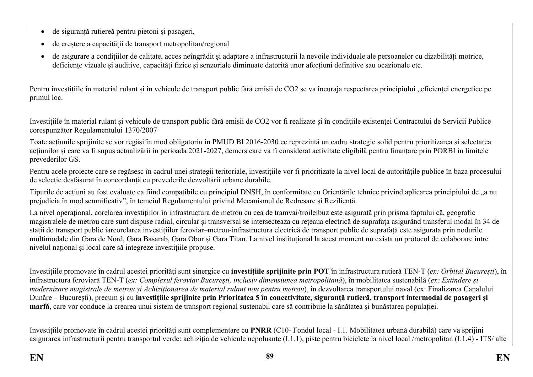- de siguranță rutiereă pentru pietoni și pasageri,
- de creștere a capacității de transport metropolitan/regional
- de asigurare a condițiilor de calitate, acces neîngrădit și adaptare a infrastructurii la nevoile individuale ale persoanelor cu dizabilități motrice, deficiente vizuale și auditive, capacități fizice și senzoriale diminuate datorită unor afecțiuni definitive sau ocazionale etc.

Pentru investițiile în material rulant și în vehicule de transport public fără emisii de CO2 se va încuraja respectarea principiului "eficienței energetice pe primul loc.

Investițiile în material rulant și vehicule de transport public fără emisii de CO2 vor fi realizate și în condițiile existenței Contractului de Servicii Publice corespunzător Regulamentului 1370/2007

Toate acțiunile sprijinite se vor regăsi în mod obligatoriu în PMUD BI 2016-2030 ce reprezintă un cadru strategic solid pentru prioritizarea și selectarea acțiunilor și care va fi supus actualizării în perioada 2021-2027, demers care va fi considerat activitate eligibilă pentru finanțare prin PORBI în limitele prevederilor GS.

Pentru acele proiecte care se regăsesc în cadrul unei strategii teritoriale, investițiile vor fi prioritizate la nivel local de autoritățile publice în baza procesului de selecție desfășurat în concordanță cu prevederile dezvoltării urbane durabile.

Tipurile de actiuni au fost evaluate ca fiind compatibile cu principiul DNSH, în conformitate cu Orientările tehnice privind aplicarea principiului de "a nu prejudicia în mod semnificativ", în temeiul Regulamentului privind Mecanismul de Redresare și Reziliență.

La nivel operațional, corelarea investițiilor în infrastructura de metrou cu cea de tramvai/troileibuz este asigurată prin prisma faptului că, geografic magistralele de metrou care sunt dispuse radial, circular și transversal se intersecteaza cu rețeaua electrică de suprafața asigurând transferul modal în 34 de stații de transport public iarcorelarea investițiilor feroviar–metrou-infrastructura electrică de transport public de suprafață este asigurata prin nodurile multimodale din Gara de Nord, Gara Basarab, Gara Obor și Gara Titan. La nivel instituțional la acest moment nu exista un protocol de colaborare între nivelul național și local care să integreze investițiile propuse.

Investițiile promovate în cadrul acestei priorități sunt sinergice cu **investițiile sprijinite prin POT** în infrastructura rutieră TEN-T (*ex: Orbital București*), în infrastructura feroviară TEN-T (*ex: Complexul feroviar București, inclusiv dimensiunea metropolitană*), în mobilitatea sustenabilă (*ex: Extindere și modernizare magistrale de metrou și Achiziționarea de material rulant nou pentru metrou*), în dezvoltarea transportului naval (ex: Finalizarea Canalului Dunăre – București), precum și cu **investițiile sprijinite prin Prioritatea 5 în conectivitate, siguranță rutieră, transport intermodal de pasageri și marfă**, care vor conduce la crearea unui sistem de transport regional sustenabil care să contribuie la sănătatea și bunăstarea populației.

Investițiile promovate în cadrul acestei priorități sunt complementare cu **PNRR** (C10- Fondul local - I.1. Mobilitatea urbană durabilă) care va sprijini asigurarea infrastructurii pentru transportul verde: achiziția de vehicule nepoluante (I.1.1), piste pentru biciclete la nivel local /metropolitan (I.1.4) - ITS/ alte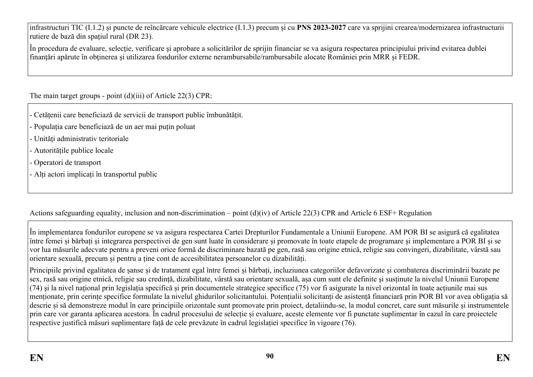infrastructuri TIC (I.1.2) și puncte de reîncărcare vehicule electrice (I.1.3) precum și cu **PNS 2023-2027** care va sprijini crearea/modernizarea infrastructurii rutiere de bază din spațiul rural (DR 23).

În procedura de evaluare, selecţie, verificare şi aprobare a solicitărilor de sprijin financiar se va asigura respectarea principiului privind evitarea dublei finanțări apărute în obținerea și utilizarea fondurilor externe nerambursabile/rambursabile alocate României prin MRR și FEDR.

The main target groups - point (d)(iii) of Article 22(3) CPR:

- Cetățenii care beneficiază de servicii de transport public îmbunătățit.
- Populația care beneficiază de un aer mai puțin poluat
- Unități administrativ teritoriale
- Autoritățile publice locale
- Operatori de transport
- Alți actori implicați în transportul public

Actions safeguarding equality, inclusion and non-discrimination – point (d)(iv) of Article 22(3) CPR and Article 6 ESF+ Regulation

În implementarea fondurilor europene se va asigura respectarea Cartei Drepturilor Fundamentale a Uniunii Europene. AM POR BI se asigură că egalitatea între femei și bărbați și integrarea perspectivei de gen sunt luate în considerare și promovate în toate etapele de programare și implementare a POR BI și se vor lua măsurile adecvate pentru a preveni orice formă de discriminare bazată pe gen, rasă sau origine etnică, religie sau convingeri, dizabilitate, vârstă sau orientare sexuală, precum și pentru a ține cont de accesibilitatea persoanelor cu dizabilități.

Principiile privind egalitatea de șanse și de tratament egal între femei și bărbați, incluziunea categoriilor defavorizate și combaterea discriminării bazate pe sex, rasă sau origine etnică, religie sau credință, dizabilitate, vârstă sau orientare sexuală, așa cum sunt ele definite şi susținute la nivelul Uniunii Europene (74) şi la nivel național prin legislația specifică și prin documentele strategice specifice (75) vor fi asigurate la nivel orizontal în toate acțiunile mai sus menționate, prin cerințe specifice formulate la nivelul ghidurilor solicitantului. Potențialii solicitanți de asistență financiară prin POR BI vor avea obligația să descrie și să demonstreze modul în care principiile orizontale sunt promovate prin proiect, detaliindu-se, la modul concret, care sunt măsurile și instrumentele prin care vor garanta aplicarea acestora. În cadrul procesului de selecție și evaluare, aceste elemente vor fi punctate suplimentar în cazul în care proiectele respective justifică măsuri suplimentare față de cele prevăzute în cadrul legislației specifice în vigoare (76).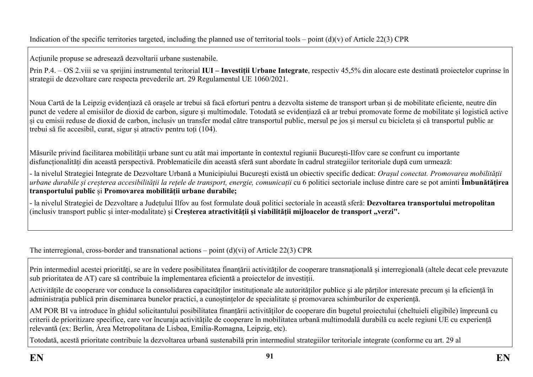Indication of the specific territories targeted, including the planned use of territorial tools – point  $(d)(v)$  of Article 22(3) CPR

Acțiunile propuse se adresează dezvoltarii urbane sustenabile.

Prin P.4. – OS 2.viii se va sprijini instrumentul teritorial **IUI – Investiții Urbane Integrate**, respectiv 45,5% din alocare este destinată proiectelor cuprinse în strategii de dezvoltare care respecta prevederile art. 29 Regulamentul UE 1060/2021.

Noua Cartă de la Leipzig evidențiază că orașele ar trebui să facă eforturi pentru a dezvolta sisteme de transport urban și de mobilitate eficiente, neutre din punct de vedere al emisiilor de dioxid de carbon, sigure și multimodale. Totodată se evidențiază că ar trebui promovate forme de mobilitate și logistică active și cu emisii reduse de dioxid de carbon, inclusiv un transfer modal către transportul public, mersul pe jos și mersul cu bicicleta și că transportul public ar trebui să fie accesibil, curat, sigur și atractiv pentru toți (104).

Măsurile privind facilitarea mobilității urbane sunt cu atât mai importante în contextul regiunii București-Ilfov care se confrunt cu importante disfuncționalități din această perspectivă. Problematicile din această sferă sunt abordate în cadrul strategiilor teritoriale după cum urmează:

- la nivelul Strategiei Integrate de Dezvoltare Urbană a Municipiului București există un obiectiv specific dedicat: *Orașul conectat. Promovarea mobilității* urbane durabile și creșterea accesibilității la rețele de transport, energie, comunicații cu 6 politici sectoriale incluse dintre care se pot aminti **Îmbunătățirea transportului public** și **Promovarea mobilității urbane durabile;**

- la nivelul Strategiei de Dezvoltare a Județului Ilfov au fost formulate două politici sectoriale în această sferă: **Dezvoltarea transportului metropolitan** (inclusiv transport public și inter-modalitate) și **Creșterea atractivității și viabilității mijloacelor de transport "verzi".**

The interregional, cross-border and transnational actions – point  $(d)(vi)$  of Article 22(3) CPR

Prin intermediul acestei priorități, se are în vedere posibilitatea finanțării activităților de cooperare transnațională și interregională (altele decat cele prevazute sub prioritatea de AT) care să contribuie la implementarea eficientă a proiectelor de investiții.

Activitățile de cooperare vor conduce la consolidarea capacităților instituționale ale autorităților publice și ale părților interesate precum și la eficiență în administrația publică prin diseminarea bunelor practici, a cunoștințelor de specialitate și promovarea schimburilor de experiență.

AM POR BI va introduce în ghidul solicitantului posibilitatea finanțării activităților de cooperare din bugetul proiectului (cheltuieli eligibile) împreună cu criterii de prioritizare specifice, care vor încuraja activitățile de cooperare în mobilitatea urbană multimodală durabilă cu acele regiuni UE cu experiență relevantă (ex: Berlin, Área Metropolitana de Lisboa, Emilia-Romagna, Leipzig, etc).

Totodată, acestă prioritate contribuie la dezvoltarea urbană sustenabilă prin intermediul strategiilor teritoriale integrate (conforme cu art. 29 al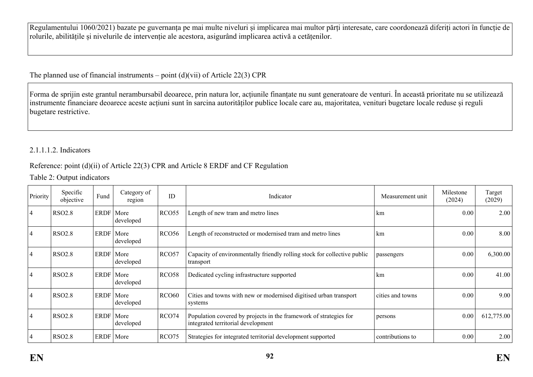Regulamentului 1060/2021) bazate pe guvernanța pe mai multe niveluri și implicarea mai multor părți interesate, care coordonează diferiți actori în funcție de rolurile, abilitățile și nivelurile de intervenție ale acestora, asigurând implicarea activă a cetățenilor.

The planned use of financial instruments – point  $(d)(vi)$  of Article 22(3) CPR

Forma de sprijin este grantul nerambursabil deoarece, prin natura lor, acțiunile finanțate nu sunt generatoare de venturi. În această prioritate nu se utilizează instrumente financiare deoarece aceste acțiuni sunt în sarcina autorităților publice locale care au, majoritatea, venituri bugetare locale reduse și reguli bugetare restrictive.

## 2.1.1.1.2. Indicators

### Reference: point (d)(ii) of Article 22(3) CPR and Article 8 ERDF and CF Regulation

Table 2: Output indicators

| Priority       | Specific<br>objective | Fund        | Category of<br>region | ID                | Indicator<br>Measurement unit<br>km                                                                     |                  | Milestone<br>(2024) | Target<br>(2029) |
|----------------|-----------------------|-------------|-----------------------|-------------------|---------------------------------------------------------------------------------------------------------|------------------|---------------------|------------------|
| $\overline{4}$ | <b>RSO2.8</b>         | ERDF More   | developed             | RCO <sub>55</sub> | Length of new tram and metro lines                                                                      | 0.00             | 2.00                |                  |
| $\overline{4}$ | <b>RSO2.8</b>         | ERDF   More | developed             | <b>RCO56</b>      | Length of reconstructed or modernised tram and metro lines                                              | km               | 0.00                | 8.00             |
| $\overline{4}$ | <b>RSO2.8</b>         | ERDF   More | developed             | RCO57             | Capacity of environmentally friendly rolling stock for collective public<br>transport                   | passengers       | 0.00                | 6,300.00         |
| $\overline{4}$ | <b>RSO2.8</b>         | ERDF   More | developed             | RCO <sub>58</sub> | Dedicated cycling infrastructure supported                                                              | km               | 0.00                | 41.00            |
| 4              | <b>RSO2.8</b>         | ERDF   More | developed             | <b>RCO60</b>      | Cities and towns with new or modernised digitised urban transport<br>systems                            | cities and towns | 0.00                | 9.00             |
| $\overline{4}$ | <b>RSO2.8</b>         | ERDF   More | developed             | RCO74             | Population covered by projects in the framework of strategies for<br>integrated territorial development | persons          | 0.00                | 612,775.00       |
| $\overline{4}$ | <b>RSO2.8</b>         | ERDF   More |                       | RCO <sub>75</sub> | Strategies for integrated territorial development supported                                             | contributions to | 0.00                | 2.00             |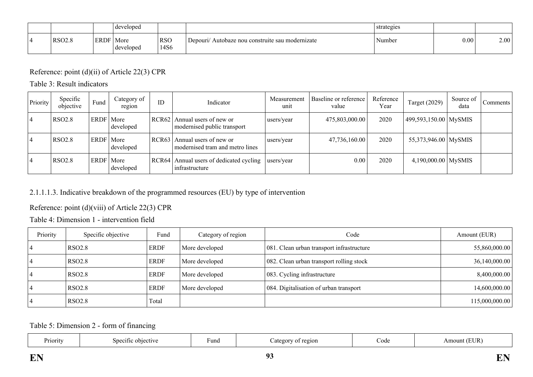|               |               | developed         |                    |                                                     | strategies |      |      |
|---------------|---------------|-------------------|--------------------|-----------------------------------------------------|------------|------|------|
| <b>RSO2.8</b> | ERDE<br>LIVD. | More<br>developed | <b>RSO</b><br>14S6 | Autobaze nou construite sau modernizate<br>Depouri/ | Number     | 0.00 | 2.00 |

# Reference: point (d)(ii) of Article 22(3) CPR

Table 3: Result indicators

| Priority | Specific<br>objective | Fund        | Category of<br>region | ID    | Indicator                                                       | Measurement<br>unit | Baseline or reference<br>value | Reference<br>Year | <b>Target (2029)</b>    | Source of<br>data | Comments |
|----------|-----------------------|-------------|-----------------------|-------|-----------------------------------------------------------------|---------------------|--------------------------------|-------------------|-------------------------|-------------------|----------|
| 14       | <b>RSO2.8</b>         | <b>ERDF</b> | More<br>developed     |       | $RCR62$   Annual users of new or<br>modernised public transport | users/year          | 475,803,000.00                 | 2020              | 499,593,150.00   MySMIS |                   |          |
| 14       | <b>RSO2.8</b>         | ERDF        | More<br>developed     | RCR63 | Annual users of new or<br>modernised tram and metro lines       | users/year          | 47,736,160.00                  | 2020              | 55,373,946.00 MySMIS    |                   |          |
| 4        | <b>RSO2.8</b>         | <b>ERDF</b> | More<br>developed     | RCR64 | Annual users of dedicated cycling<br>infrastructure             | users/year          | 0.00                           | 2020              | $4,190,000.00$ MySMIS   |                   |          |

## 2.1.1.1.3. Indicative breakdown of the programmed resources (EU) by type of intervention

# Reference: point (d)(viii) of Article 22(3) CPR

Table 4: Dimension 1 - intervention field

| Priority | Specific objective | Fund        | Category of region | Code                                      | Amount (EUR)   |
|----------|--------------------|-------------|--------------------|-------------------------------------------|----------------|
|          | RSO <sub>2.8</sub> | <b>ERDF</b> | More developed     | 081. Clean urban transport infrastructure | 55,860,000.00  |
|          | <b>RSO2.8</b>      | <b>ERDF</b> | More developed     | 082. Clean urban transport rolling stock  | 36,140,000.00  |
|          | RSO <sub>2.8</sub> | <b>ERDF</b> | More developed     | 083. Cycling infrastructure               | 8,400,000.00   |
|          | <b>RSO2.8</b>      | <b>ERDF</b> | More developed     | 084. Digitalisation of urban transport    | 14,600,000.00  |
|          | <b>RSO2.8</b>      | Total       |                    |                                           | 115,000,000.00 |

Table 5: Dimension 2 - form of financing

| $\sim$ $\sim$<br>Priority | ective | Fund | region<br>ategor | Code | (EUR<br>Amount ( |
|---------------------------|--------|------|------------------|------|------------------|
|                           |        |      |                  |      |                  |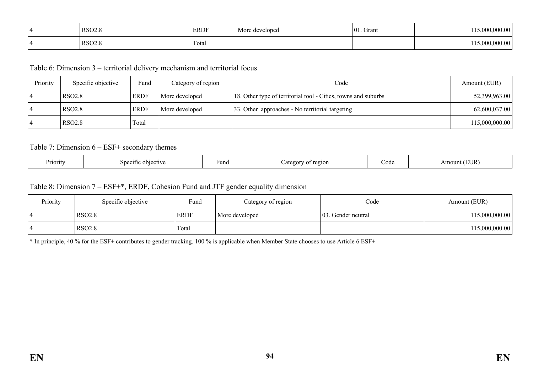| RSO2.8             | ERDF  | More developed | 01<br>$\overline{\phantom{0}}$<br>. Grant | 000 00  |
|--------------------|-------|----------------|-------------------------------------------|---------|
| RSO <sub>2.8</sub> | Total |                |                                           | .000.00 |

Table 6: Dimension 3 – territorial delivery mechanism and territorial focus

| Priority | Specific objective | Fund        | Category of region | Code                                                           | Amount (EUR)   |
|----------|--------------------|-------------|--------------------|----------------------------------------------------------------|----------------|
|          | RSO <sub>2.8</sub> | <b>ERDF</b> | More developed     | 18. Other type of territorial tool - Cities, towns and suburbs | 52,399,963.00  |
|          | <b>RSO2.8</b>      | <b>ERDF</b> | More developed     | 33. Other approaches - No territorial targeting                | 62,600,037.00  |
|          | <b>RSO2.8</b>      | Total       |                    |                                                                | 115,000,000.00 |

#### Table 7: Dimension 6 – ESF+ secondary themes

| Priority<br>`obiective_<br>Specific | <b>Tuna</b> | region<br>. . | $\cup$ ode | UR<br>าบาา<br>11 |
|-------------------------------------|-------------|---------------|------------|------------------|
|-------------------------------------|-------------|---------------|------------|------------------|

#### Table 8: Dimension 7 – ESF+\*, ERDF, Cohesion Fund and JTF gender equality dimension

| Priority | Specific objective | $\sim$<br>Fund | Category of region | Code                | Amount (EUR)   |
|----------|--------------------|----------------|--------------------|---------------------|----------------|
|          | <b>RSO2.8</b>      | <b>ERDF</b>    | More developed     | 103. Gender neutral | 115,000,000.00 |
|          | <b>RSO2.8</b>      | Total          |                    |                     | 115,000,000.00 |

\* In principle, 40 % for the ESF+ contributes to gender tracking. 100 % is applicable when Member State chooses to use Article 6 ESF+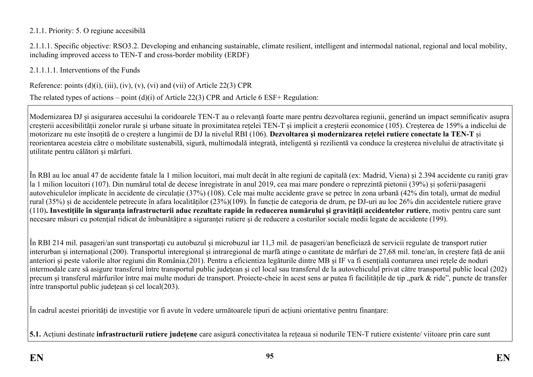### 2.1.1. Priority: 5. O regiune accesibilă

2.1.1.1. Specific objective: RSO3.2. Developing and enhancing sustainable, climate resilient, intelligent and intermodal national, regional and local mobility, including improved access to TEN-T and cross-border mobility (ERDF)

2.1.1.1.1. Interventions of the Funds

Reference: points  $(d)(i)$ ,  $(iii)$ ,  $(iv)$ ,  $(v)$ ,  $(vi)$  and  $(vii)$  of Article 22(3) CPR

The related types of actions – point (d)(i) of Article 22(3) CPR and Article 6 ESF+ Regulation:

Modernizarea DJ și asigurarea accesului la coridoarele TEN-T au o relevanță foarte mare pentru dezvoltarea regiunii, generând un impact semnificativ asupra creșterii accesibilității zonelor rurale și urbane situate în proximitatea rețelei TEN-T și implicit a creșterii economice (105). Creșterea de 159% a indicelui de motorizare nu este însoțită de o creștere a lungimii de DJ la nivelul RBI (106). **Dezvoltarea și modernizarea rețelei rutiere conectate la TEN-T** și reorientarea acesteia către o mobilitate sustenabilă, sigură, multimodală integrată, inteligentă și rezilientă va conduce la creșterea nivelului de atractivitate și utilitate pentru călători și mărfuri.

În RBI au loc anual 47 de accidente fatale la 1 milion locuitori, mai mult decât în alte regiuni de capitală (ex: Madrid, Viena) și 2.394 accidente cu raniți grav la 1 milion locuitori (107). Din numărul total de decese înregistrate în anul 2019, cea mai mare pondere o reprezintă pietonii (39%) și șoferii/pasagerii autovehiculelor implicate în accidente de circulație (37%) (108). Cele mai multe accidente grave se petrec în zona urbană (42% din total), urmat de mediul rural (35%) și de accidentele petrecute în afara localităților (23%)(109). În funcție de categoria de drum, pe DJ-uri au loc 26% din accidentele rutiere grave (110)**. Investițiile în siguranța infrastructurii aduc rezultate rapide în reducerea numărului şi gravității accidentelor rutiere**, motiv pentru care sunt necesare măsuri cu potențial ridicat de îmbunătățire a siguranței rutiere și de reducere a costurilor sociale medii legate de accidente (199).

În RBI 214 mil. pasageri/an sunt transportați cu autobuzul și microbuzul iar 11,3 mil. de pasageri/an beneficiază de servicii regulate de transport rutier interurban și internațional (200). Transportul interegional și intraregional de marfă atinge o cantitate de mărfuri de 27,68 mil. tone/an, în creștere față de anii anteriori și peste valorile altor regiuni din România.(201). Pentru a eficientiza legăturile dintre MB și IF va fi esențială conturarea unei rețele de noduri intermodale care să asigure transferul între transportul public județean și cel local sau transferul de la autovehiculul privat către transportul public local (202) precum și transferul mărfurilor între mai multe moduri de transport. Proiecte-cheie în acest sens ar putea fi facilitățile de tip "park & ride", puncte de transfer între transportul public județean și cel local(203).

În cadrul acestei priorități de investiție vor fi avute în vedere următoarele tipuri de acțiuni orientative pentru finanțare:

**5.1.** Acțiuni destinate **infrastructurii rutiere județene** care asigură conectivitatea la rețeaua si nodurile TEN-T rutiere existente/ viitoare prin care sunt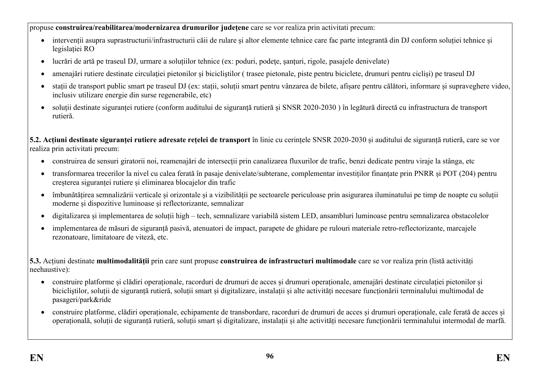propuse **construirea/reabilitarea/modernizarea drumurilor județene** care se vor realiza prin activitati precum:

- intervenții asupra suprastructurii/infrastructurii căii de rulare și altor elemente tehnice care fac parte integrantă din DJ conform soluției tehnice și legislației RO
- lucrări de artă pe traseul DJ, urmare a soluțiilor tehnice (ex: poduri, podețe, santuri, rigole, pasajele denivelate)
- amenajări rutiere destinate circulației pietonilor și bicicliștilor (trasee pietonale, piste pentru biciclete, drumuri pentru cicliși) pe traseul DJ
- stații de transport public smart pe traseul DJ (ex: stații, soluții smart pentru vânzarea de bilete, afișare pentru călători, informare și supraveghere video, inclusiv utilizare energie din surse regenerabile, etc)
- soluții destinate siguranței rutiere (conform auditului de siguranță rutieră și SNSR 2020-2030 ) în legătură directă cu infrastructura de transport rutieră.

**5.2. Acțiuni destinate siguranței rutiere adresate rețelei de transport** în linie cu cerințele SNSR 2020-2030 și auditului de siguranță rutieră, care se vor realiza prin activitati precum:

- construirea de sensuri giratorii noi, reamenajări de intersecții prin canalizarea fluxurilor de trafic, benzi dedicate pentru viraje la stânga, etc
- transformarea trecerilor la nivel cu calea ferată în pasaje denivelate/subterane, complementar investiților finanțate prin PNRR și POT (204) pentru creșterea siguranței rutiere și eliminarea blocajelor din trafic
- îmbunătățirea semnalizării verticale și orizontale și a vizibilității pe sectoarele periculoase prin asigurarea iluminatului pe timp de noapte cu soluții moderne și dispozitive luminoase și reflectorizante, semnalizar
- digitalizarea și implementarea de soluții high tech, semnalizare variabilă sistem LED, ansambluri luminoase pentru semnalizarea obstacolelor
- implementarea de măsuri de siguranță pasivă, atenuatori de impact, parapete de ghidare pe rulouri materiale retro-reflectorizante, marcajele rezonatoare, limitatoare de viteză, etc.

**5.3.** Acțiuni destinate **multimodalității** prin care sunt propuse **construirea de infrastructuri multimodale** care se vor realiza prin (listă activități neehaustive):

- construire platforme și clădiri operaționale, racorduri de drumuri de acces și drumuri operaționale, amenajări destinate circulaţiei pietonilor și bicicliştilor, soluții de siguranță rutieră, soluții smart și digitalizare, instalații și alte activități necesare funcționării terminalului multimodal de pasageri/park&ride
- construire platforme, clădiri operaționale, echipamente de transbordare, racorduri de drumuri de acces și drumuri operaționale, cale ferată de acces și operațională, soluții de siguranță rutieră, soluții smart și digitalizare, instalații și alte activități necesare funcționării terminalului intermodal de marfă.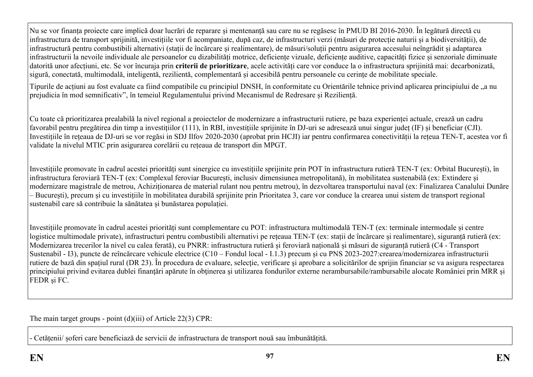Nu se vor finanța proiecte care implică doar lucrări de reparare și mentenanță sau care nu se regăsesc în PMUD BI 2016-2030. În legătură directă cu infrastructura de transport sprijinită, investițiile vor fi acompaniate, după caz, de infrastructuri verzi (măsuri de protecție naturii și a biodiversității), de infrastructură pentru combustibili alternativi (stații de încărcare și realimentare), de măsuri/soluții pentru asigurarea accesului neîngrădit și adaptarea infrastructurii la nevoile individuale ale persoanelor cu dizabilități motrice, deficiențe vizuale, deficiențe auditive, capacități fizice și senzoriale diminuate datorită unor afecțiuni, etc. Se vor încuraja prin **criterii de prioritizare**, acele activități care vor conduce la o infrastructura sprijinită mai: decarbonizată, sigură, conectată, multimodală, inteligentă, rezilientă, complementară și accesibilă pentru persoanele cu cerințe de mobilitate speciale.

Tipurile de acțiuni au fost evaluate ca fiind compatibile cu principiul DNSH, în conformitate cu Orientările tehnice privind aplicarea principiului de "a nu prejudicia în mod semnificativ", în temeiul Regulamentului privind Mecanismul de Redresare și Reziliență.

Cu toate că prioritizarea prealabilă la nivel regional a proiectelor de modernizare a infrastructurii rutiere, pe baza experienței actuale, crează un cadru favorabil pentru pregătirea din timp a investițiilor (111), în RBI, investițiile sprijinite în DJ-uri se adresează unui singur județ (IF) și beneficiar (CJI). Investițiile în rețeaua de DJ-uri se vor regăsi in SDJ Ilfov 2020-2030 (aprobat prin HCJI) iar pentru confirmarea conectivității la rețeua TEN-T, acestea vor fi validate la nivelul MTIC prin asigurarea corelării cu rețeaua de transport din MPGT.

Investițiile promovate în cadrul acestei priorități sunt sinergice cu investițiile sprijinite prin POT în infrastructura rutieră TEN-T (ex: Orbital București), în infrastructura feroviară TEN-T (ex: Complexul feroviar București, inclusiv dimensiunea metropolitană), în mobilitatea sustenabilă (ex: Extindere și modernizare magistrale de metrou, Achiziționarea de material rulant nou pentru metrou), în dezvoltarea transportului naval (ex: Finalizarea Canalului Dunăre – București), precum și cu investițiile în mobilitatea durabilă sprijinite prin Prioritatea 3, care vor conduce la crearea unui sistem de transport regional sustenabil care să contribuie la sănătatea și bunăstarea populației.

Investițiile promovate în cadrul acestei priorități sunt complementare cu POT: infrastructura multimodală TEN-T (ex: terminale intermodale și centre logistice multimodale private), infrastructuri pentru combustibili alternativi pe rețeaua TEN-T (ex: stații de încărcare și realimentare), siguranță ruțieră (ex: Modernizarea trecerilor la nivel cu calea ferată), cu PNRR: infrastructura rutieră și feroviară națională și măsuri de siguranță rutieră (C4 - Transport Sustenabil - I3), puncte de reîncărcare vehicule electrice (C10 – Fondul local - I.1.3) precum și cu PNS 2023-2027:crearea/modernizarea infrastructurii rutiere de bază din spațiul rural (DR 23). În procedura de evaluare, selecție, verificare și aprobare a solicitărilor de sprijin financiar se va asigura respectarea principiului privind evitarea dublei finanțări apărute în obținerea și utilizarea fondurilor externe nerambursabile/rambursabile alocate României prin MRR și FEDR și FC.

The main target groups - point (d)(iii) of Article 22(3) CPR:

- Cetățenii/ șoferi care beneficiază de servicii de infrastructura de transport nouă sau îmbunătățită.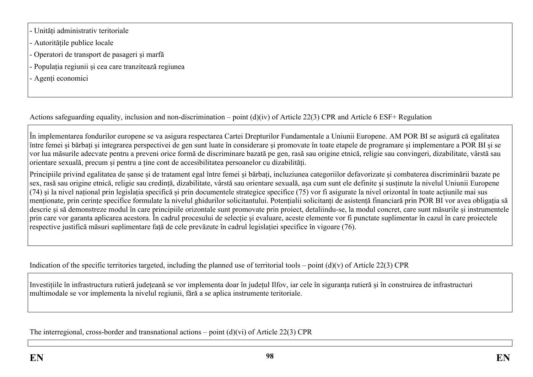- Unități administrativ teritoriale
- Autoritățile publice locale
- Operatori de transport de pasageri și marfă
- Populația regiunii și cea care tranzitează regiunea
- Agenți economici

Actions safeguarding equality, inclusion and non-discrimination – point (d)(iv) of Article 22(3) CPR and Article 6 ESF+ Regulation

În implementarea fondurilor europene se va asigura respectarea Cartei Drepturilor Fundamentale a Uniunii Europene. AM POR BI se asigură că egalitatea între femei și bărbați și integrarea perspectivei de gen sunt luate în considerare și promovate în toate etapele de programare și implementare a POR BI și se vor lua măsurile adecvate pentru a preveni orice formă de discriminare bazată pe gen, rasă sau origine etnică, religie sau convingeri, dizabilitate, vârstă sau orientare sexuală, precum și pentru a ține cont de accesibilitatea persoanelor cu dizabilități.

Principiile privind egalitatea de șanse și de tratament egal între femei și bărbați, incluziunea categoriilor defavorizate și combaterea discriminării bazate pe sex, rasă sau origine etnică, religie sau credință, dizabilitate, vârstă sau orientare sexuală, așa cum sunt ele definite şi susținute la nivelul Uniunii Europene (74) şi la nivel național prin legislația specifică și prin documentele strategice specifice (75) vor fi asigurate la nivel orizontal în toate acțiunile mai sus menționate, prin cerințe specifice formulate la nivelul ghidurilor solicitantului. Potențialii solicitanți de asistență financiară prin POR BI vor avea obligația să descrie și să demonstreze modul în care principiile orizontale sunt promovate prin proiect, detaliindu-se, la modul concret, care sunt măsurile și instrumentele prin care vor garanta aplicarea acestora. În cadrul procesului de selecție și evaluare, aceste elemente vor fi punctate suplimentar în cazul în care proiectele respective justifică măsuri suplimentare față de cele prevăzute în cadrul legislației specifice în vigoare (76).

Indication of the specific territories targeted, including the planned use of territorial tools – point  $(d)(v)$  of Article 22(3) CPR

Investițiile în infrastructura rutieră județeană se vor implementa doar în județul Ilfov, iar cele în siguranța rutieră și în construirea de infrastructuri multimodale se vor implementa la nivelul regiunii, fără a se aplica instrumente teritoriale.

The interregional, cross-border and transnational actions – point  $(d)(vi)$  of Article 22(3) CPR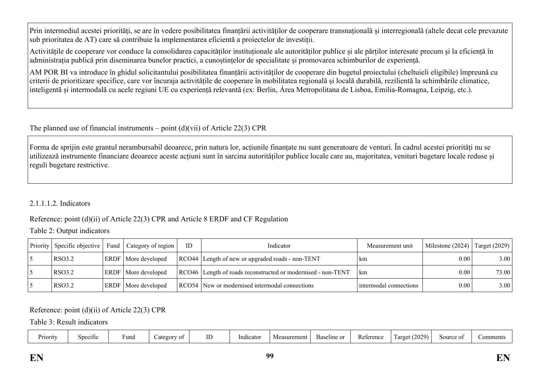Prin intermediul acestei priorități, se are în vedere posibilitatea finanțării activităților de cooperare transnațională și interregională (altele decat cele prevazute sub prioritatea de AT) care să contribuie la implementarea eficientă a proiectelor de investiții.

Activitățile de cooperare vor conduce la consolidarea capacităților instituționale ale autorităților publice și ale părților interesate precum și la eficiență în administrația publică prin diseminarea bunelor practici, a cunoștințelor de specialitate și promovarea schimburilor de experiență.

AM POR BI va introduce în ghidul solicitantului posibilitatea finanțării activităților de cooperare din bugetul proiectului (cheltuieli eligibile) împreună cu criterii de prioritizare specifice, care vor încuraja activitățile de cooperare în mobilitatea regională și locală durabilă, rezilientă la schimbările climatice, inteligentă și intermodală cu acele regiuni UE cu experiență relevantă (ex: Berlin, Área Metropolitana de Lisboa, Emilia-Romagna, Leipzig, etc.).

The planned use of financial instruments – point  $(d)(vi)$  of Article 22(3) CPR

Forma de sprijin este grantul nerambursabil deoarece, prin natura lor, acțiunile finanțate nu sunt generatoare de venturi. În cadrul acestei priorități nu se utilizează instrumente financiare deoarece aceste acțiuni sunt în sarcina autorităților publice locale care au, majoritatea, venituri bugetare locale reduse și reguli bugetare restrictive*.*

2.1.1.1.2. Indicators

Reference: point (d)(ii) of Article 22(3) CPR and Article 8 ERDF and CF Regulation

Table 2: Output indicators

|        | Priority Specific objective   Fund   Category of region | ID | Indicator                                                    | Measurement unit       | Milestone (2024) | Target $(2029)$ |
|--------|---------------------------------------------------------|----|--------------------------------------------------------------|------------------------|------------------|-----------------|
| RSO3.2 | <b>ERDF</b> More developed                              |    | RCO44 Length of new or upgraded roads - non-TENT             | km.                    | 0.00             | 3.00            |
| RSO3.2 | ERDF   More developed                                   |    | RCO46 Length of roads reconstructed or modernised - non-TENT | km                     | 0.00             | 73.00           |
| RSO3.2 | ERDF   More developed                                   |    | RCO54 New or modernised intermodal connections               | intermodal connections | 0.00             | 3.00            |

# Reference: point (d)(ii) of Article 22(3) CPR

Table 3: Result indicators

| Priority | Specific | ∙una | .00001<br>-01 |  | .<br>icato<br>. | asurement<br>IVI U | Baseline or | Reference | (2029)<br>arget | Source | $\sim$ $\sim$ $\sim$<br>ent<br>. |
|----------|----------|------|---------------|--|-----------------|--------------------|-------------|-----------|-----------------|--------|----------------------------------|
|----------|----------|------|---------------|--|-----------------|--------------------|-------------|-----------|-----------------|--------|----------------------------------|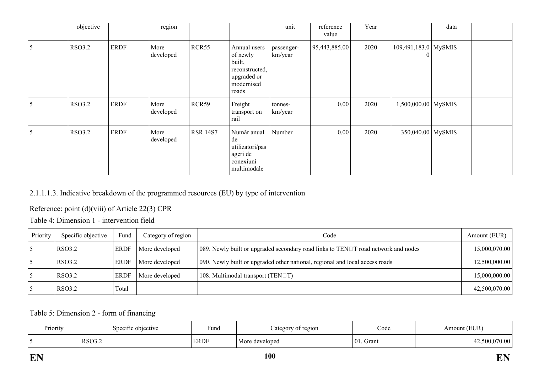|   | objective     |             | region            |                 |                                                                                            | unit                  | reference<br>value | Year |                                    | data |  |
|---|---------------|-------------|-------------------|-----------------|--------------------------------------------------------------------------------------------|-----------------------|--------------------|------|------------------------------------|------|--|
| 5 | <b>RSO3.2</b> | <b>ERDF</b> | More<br>developed | RCR55           | Annual users<br>of newly<br>built,<br>reconstructed,<br>upgraded or<br>modernised<br>roads | passenger-<br>km/year | 95,443,885.00      | 2020 | $109,491,183.0$ MySMIS<br>$\theta$ |      |  |
| 5 | <b>RSO3.2</b> | <b>ERDF</b> | More<br>developed | RCR59           | Freight<br>transport on<br>rail                                                            | tonnes-<br>km/year    | $0.00\,$           | 2020 | $1,500,000.00$ MySMIS              |      |  |
| 5 | <b>RSO3.2</b> | <b>ERDF</b> | More<br>developed | <b>RSR 14S7</b> | Număr anual<br>de<br>utilizatori/pas<br>ageri de<br>conexiuni<br>multimodale               | Number                | $0.00\,$           | 2020 | 350,040.00 MySMIS                  |      |  |

## 2.1.1.1.3. Indicative breakdown of the programmed resources (EU) by type of intervention

# Reference: point (d)(viii) of Article 22(3) CPR

Table 4: Dimension 1 - intervention field

| Priority | Specific objective | Fund        | Category of region | Code                                                                                     | Amount (EUR)  |
|----------|--------------------|-------------|--------------------|------------------------------------------------------------------------------------------|---------------|
|          | RSO3.2             | <b>ERDF</b> | More developed     | 089. Newly built or upgraded secondary road links to TEN $\Box$ T road network and nodes | 15,000,070.00 |
|          | <b>RSO3.2</b>      | <b>ERDF</b> | More developed     | 090. Newly built or upgraded other national, regional and local access roads             | 12,500,000.00 |
|          | <b>RSO3.2</b>      | <b>ERDF</b> | More developed     | 108. Multimodal transport (TEN $\Box$ T)                                                 | 15,000,000.00 |
|          | RSO3.2             | Total       |                    |                                                                                          | 42,500,070.00 |

Table 5: Dimension 2 - form of financing

| Priority | Specific objective | Fund        | of region<br>ategory | Code          | (EUR)<br>\mount |
|----------|--------------------|-------------|----------------------|---------------|-----------------|
|          | RSO3.2             | <b>ERDF</b> | More developed       | 101.<br>Grant | 70.00           |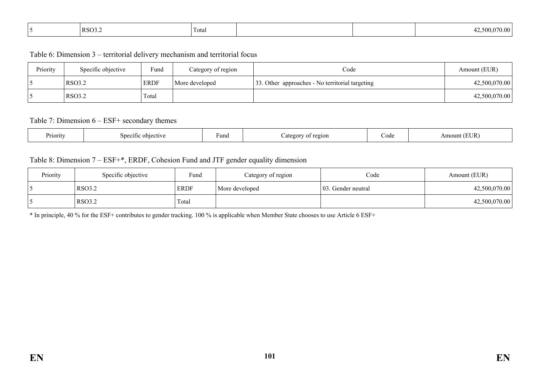| RSO3.2 | Total |  |  | 12,500,070.00<br>$\sqrt{1}$ |
|--------|-------|--|--|-----------------------------|
|--------|-------|--|--|-----------------------------|

Table 6: Dimension 3 – territorial delivery mechanism and territorial focus

| Priority | Specific objective | Fund        | Category of region | Code                                            | Amount (EUR)  |
|----------|--------------------|-------------|--------------------|-------------------------------------------------|---------------|
|          | RSO3.2             | <b>ERDF</b> | More developed     | 33. Other approaches - No territorial targeting | 42,500,070.00 |
|          | RSO3.2             | Total       |                    |                                                 | 42,500,070.00 |

#### Table 7: Dimension 6 – ESF+ secondary themes

| Priority | Specific<br>objective | Fund | ~egion | ode<br>$    -$ | 'UR.<br>าบทเ<br>11 |
|----------|-----------------------|------|--------|----------------|--------------------|
|----------|-----------------------|------|--------|----------------|--------------------|

#### Table 8: Dimension 7 – ESF+\*, ERDF, Cohesion Fund and JTF gender equality dimension

| Priority | Specific objective | Fund        | Category of region | Code                | Amount (EUR)  |
|----------|--------------------|-------------|--------------------|---------------------|---------------|
|          | <b>RSO3.2</b>      | <b>ERDF</b> | More developed     | 103. Gender neutral | 42,500,070.00 |
|          | <b>RSO3.2</b>      | Total       |                    |                     | 42,500,070.00 |

\* In principle, 40 % for the ESF+ contributes to gender tracking. 100 % is applicable when Member State chooses to use Article 6 ESF+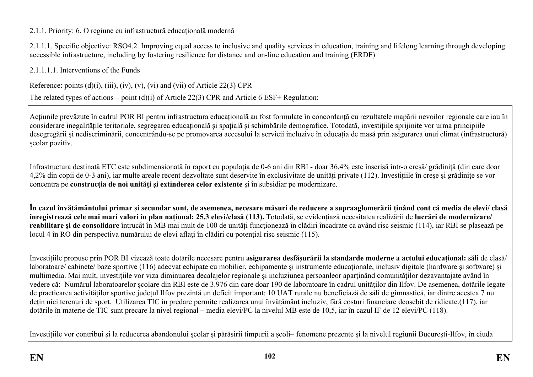## 2.1.1. Priority: 6. O regiune cu infrastructură educațională modernă

2.1.1.1. Specific objective: RSO4.2. Improving equal access to inclusive and quality services in education, training and lifelong learning through developing accessible infrastructure, including by fostering resilience for distance and on-line education and training (ERDF)

2.1.1.1.1. Interventions of the Funds

Reference: points  $(d)(i)$ ,  $(iii)$ ,  $(iv)$ ,  $(v)$ ,  $(vi)$  and  $(vii)$  of Article 22(3) CPR

The related types of actions – point (d)(i) of Article 22(3) CPR and Article 6 ESF+ Regulation:

Acțiunile prevăzute în cadrul POR BI pentru infrastructura educațională au fost formulate în concordanță cu rezultatele mapării nevoilor regionale care iau în considerare inegalitățile teritoriale, segregarea educațională și spațială și schimbările demografice. Totodată, investițiile sprijinite vor urma principiile desegregării și nediscriminării, concentrându-se pe promovarea accesului la servicii incluzive în educația de masă prin asigurarea unui climat (infrastructură) școlar pozitiv.

Infrastructura destinată ETC este subdimensionată în raport cu populația de 0-6 ani din RBI - doar 36,4% este înscrisă într-o creșă/ grădiniță (din care doar 4,2% din copii de 0-3 ani), iar multe areale recent dezvoltate sunt deservite în exclusivitate de unități private (112). Investițiile în creșe și grădinițe se vor concentra pe **construcția de noi unități și extinderea celor existente** și în subsidiar pe modernizare.

În cazul învățământului primar și secundar sunt, de asemenea, necesare măsuri de reducere a supraaglomerării ținând cont că media de elevi/ clasă **înregistrează cele mai mari valori în plan național: 25,3 elevi/clasă (113).** Totodată, se evidențiază necesitatea realizării de **lucrări de modernizare/ reabilitare și de consolidare** întrucât în MB mai mult de 100 de unități funcționează în clădiri încadrate ca având risc seismic (114), iar RBI se plasează pe locul 4 în RO din perspectiva numărului de elevi aflați în clădiri cu potențial risc seismic (115).

Investițiile propuse prin POR BI vizează toate dotările necesare pentru **asigurarea desfășurării la standarde moderne a actului educațional:** săli de clasă/ laboratoare/ cabinete/ baze sportive (116) adecvat echipate cu mobilier, echipamente și instrumente educaționale, inclusiv digitale (hardware și software) și multimedia. Mai mult, investițiile vor viza diminuarea decalajelor regionale și incluziunea persoanleor aparținând comunităților dezavantajate având în vedere că: Numărul laboratoarelor școlare din RBI este de 3.976 din care doar 190 de laboratoare în cadrul unităților din Ilfov. De asemenea, dotările legate de practicarea activităților sportive județul Ilfov prezintă un deficit important: 10 UAT rurale nu beneficiază de săli de gimnastică, iar dintre acestea 7 nu dețin nici terenuri de sport. Utilizarea TIC în predare permite realizarea unui învățământ incluziv, fără costuri financiare deosebit de ridicate.(117), iar dotările în materie de TIC sunt precare la nivel regional – media elevi/PC la nivelul MB este de 10,5, iar în cazul IF de 12 elevi/PC (118).

Investițiile vor contribui și la reducerea abandonului școlar și părăsirii timpurii a școli– fenomene prezente și la nivelul regiunii București-Ilfov, în ciuda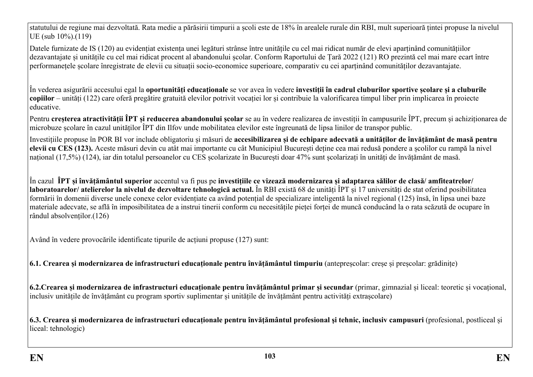statutului de regiune mai dezvoltată. Rata medie a părăsirii timpurii a școli este de 18% în arealele rurale din RBI, mult superioară țintei propuse la nivelul UE (sub 10%).(119)

Datele furnizate de IS (120) au evidențiat existența unei legături strânse între unitățile cu cel mai ridicat număr de elevi aparținând comunitățiilor dezavantajate și unitățile cu cel mai ridicat procent al abandonului școlar. Conform Raportului de Țară 2022 (121) RO prezintă cel mai mare ecart între performanețele școlare înregistrate de elevii cu situații socio-economice superioare, comparativ cu cei aparținând comunităților dezavantajate.

În vederea asigurării accesului egal la **oportunități educaționale** se vor avea în vedere **investiții în cadrul cluburilor sportive școlare și a cluburile copiilor** – unități (122) care oferă pregătire gratuită elevilor potrivit vocației lor și contribuie la valorificarea timpul liber prin implicarea în proiecte educative.

Pentru **creșterea atractivității ÎPT și reducerea abandonului școlar** se au în vedere realizarea de investiții în campusurile ÎPT, precum și achiziționarea de microbuze școlare în cazul unităților ÎPT din Ilfov unde mobilitatea elevilor este îngreunată de lipsa linilor de transpor public.

Investițiile propuse în POR BI vor include obligatoriu și măsuri de accesibilizarea și de echipare adecvată a unităților de învățământ de masă pentru **elevii cu CES (123).** Aceste măsuri devin cu atât mai importante cu cât Municipiul București deține cea mai redusă pondere a școlilor cu rampă la nivel național (17,5%) (124), iar din totalul persoanelor cu CES școlarizate în București doar 47% sunt școlarizați în unități de învățământ de masă.

În cazul ÎPT si învătământul superior accentul va fi pus pe investițiile ce vizează modernizarea și adaptarea sălilor de clasă/amfiteatrelor/ **laboratoarelor/ atelierelor la nivelul de dezvoltare tehnologică actual.** În RBI există 68 de unități ÎPT și 17 universități de stat oferind posibilitatea formării în domenii diverse unele conexe celor evidențiate ca având potențial de specializare inteligentă la nivel regional (125) însă, în lipsa unei baze materiale adecvate, se află în imposibilitatea de a instrui tinerii conform cu necesitățile pieței forței de muncă conducând la o rata scăzută de ocupare în rândul absolvenților.(126)

Având în vedere provocările identificate tipurile de acțiuni propuse (127) sunt:

**6.1. Crearea și modernizarea de infrastructuri educaționale pentru învățământul timpuriu** (antepreșcolar: creșe și preșcolar: grădinițe)

**6.2.Crearea și modernizarea de infrastructuri educaționale pentru învățământul primar și secundar** (primar, gimnazial și liceal: teoretic și vocațional, inclusiv unitățile de învățământ cu program sportiv suplimentar și unitățile de învățământ pentru activități extrașcolare)

**6.3. Crearea și modernizarea de infrastructuri educaționale pentru învăţământul profesional şi tehnic, inclusiv campusuri** (profesional, postliceal și liceal: tehnologic)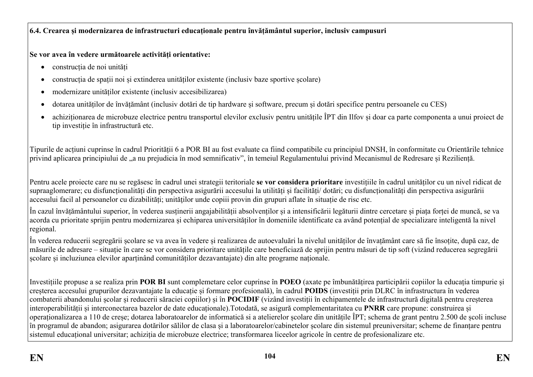# **6.4. Crearea și modernizarea de infrastructuri educaționale pentru învățământul superior, inclusiv campusuri**

# **Se vor avea în vedere următoarele activități orientative:**

- construcția de noi unități
- construcția de spații noi și extinderea unităților existente (inclusiv baze sportive scolare)
- modernizare unităților existente (inclusiv accesibilizarea)
- dotarea unităților de învățământ (inclusiv dotări de tip hardware și software, precum și dotări specifice pentru persoanele cu CES)
- achiziționarea de microbuze electrice pentru transportul elevilor exclusiv pentru unitățile ÎPT din Ilfov și doar ca parte componenta a unui proiect de tip investiție în infrastructură etc.

Tipurile de acțiuni cuprinse în cadrul Priorității 6 a POR BI au fost evaluate ca fiind compatibile cu principiul DNSH, în conformitate cu Orientările tehnice privind aplicarea principiului de "a nu prejudicia în mod semnificativ", în temeiul Regulamentului privind Mecanismul de Redresare și Reziliență.

Pentru acele proiecte care nu se regăsesc în cadrul unei strategii teritoriale **se vor considera prioritare** investițiile în cadrul unităților cu un nivel ridicat de supraaglomerare; cu disfuncționalități din perspectiva asigurării accesului la utilități și facilități/ dotări; cu disfuncționalități din perspectiva asigurării accesului facil al persoanelor cu dizabilități; unităților unde copiii provin din grupuri aflate în situație de risc etc.

În cazul învățământului superior, în vederea susținerii angajabilității absolvenților și a intensificării legăturii dintre cercetare și piața forței de muncă, se va acorda cu prioritate sprijin pentru modernizarea și echiparea universităților în domeniile identificate ca având potențial de specializare inteligentă la nivel regional.

În vederea reducerii segregării școlare se va avea în vedere și realizarea de autoevaluări la nivelul unităților de învațământ care să fie însoțite, după caz, de măsurile de adresare – situație în care se vor considera prioritare unitățile care beneficiază de sprijin pentru măsuri de tip soft (vizând reducerea segregării școlare și incluziunea elevilor aparținând comunităților dezavantajate) din alte programe naționale.

Investițiile propuse a se realiza prin **POR BI** sunt complemetare celor cuprinse în **POEO** (axate pe îmbunătățirea participării copiilor la educația timpurie și creșterea accesului grupurilor dezavantajate la educație și formare profesională), în cadrul **POIDS** (investiții prin DLRC în infrastructura în vederea combaterii abandonului școlar și reducerii săraciei copiilor) și în **POCIDIF** (vizând investiții în echipamentele de infrastructură digitală pentru creșterea interoperabilității și interconectarea bazelor de date educaționale).Totodată, se asigură complementaritatea cu **PNRR** care propune: construirea și operaționalizarea a 110 de creșe; dotarea laboratoarelor de informatică si a atelierelor școlare din unitățile ÎPT; schema de grant pentru 2.500 de școli incluse în programul de abandon; asigurarea dotărilor sălilor de clasa și a laboratoarelor/cabinetelor școlare din sistemul preuniversitar; scheme de finanțare pentru sistemul educațional universitar; achiziția de microbuze electrice; transformarea liceelor agricole în centre de profesionalizare etc.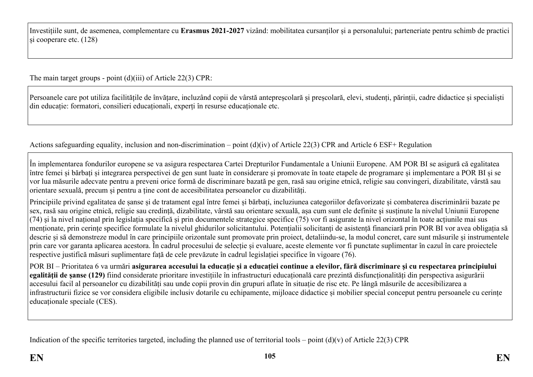Investițiile sunt, de asemenea, complementare cu **Erasmus 2021-2027** vizând: mobilitatea cursanților și a personalului; parteneriate pentru schimb de practici și cooperare etc. (128)

The main target groups - point (d)(iii) of Article 22(3) CPR:

Persoanele care pot utiliza facilitățile de învățare, incluzând copii de vârstă antepreșcolară și preșcolară, elevi, studenți, părinții, cadre didactice și specialiști din educație: formatori, consilieri educaționali, experți în resurse educaționale etc.

Actions safeguarding equality, inclusion and non-discrimination – point (d)(iv) of Article 22(3) CPR and Article 6 ESF+ Regulation

În implementarea fondurilor europene se va asigura respectarea Cartei Drepturilor Fundamentale a Uniunii Europene. AM POR BI se asigură că egalitatea între femei și bărbați și integrarea perspectivei de gen sunt luate în considerare și promovate în toate etapele de programare și implementare a POR BI și se vor lua măsurile adecvate pentru a preveni orice formă de discriminare bazată pe gen, rasă sau origine etnică, religie sau convingeri, dizabilitate, vârstă sau orientare sexuală, precum și pentru a ține cont de accesibilitatea persoanelor cu dizabilități.

Principiile privind egalitatea de șanse și de tratament egal între femei și bărbați, incluziunea categoriilor defavorizate și combaterea discriminării bazate pe sex, rasă sau origine etnică, religie sau credință, dizabilitate, vârstă sau orientare sexuală, așa cum sunt ele definite şi susținute la nivelul Uniunii Europene  $(74)$  si la nivel național prin legislația specifică și prin documentele strategice specifice  $(75)$  vor fi asigurate la nivel orizontal în toate acțiunile mai sus menționate, prin cerințe specifice formulate la nivelul ghidurilor solicitantului. Potențialii solicitanți de asistență financiară prin POR BI vor avea obligația să descrie și să demonstreze modul în care principiile orizontale sunt promovate prin proiect, detaliindu-se, la modul concret, care sunt măsurile și instrumentele prin care vor garanta aplicarea acestora. În cadrul procesului de selecție și evaluare, aceste elemente vor fi punctate suplimentar în cazul în care proiectele respective justifică măsuri suplimentare față de cele prevăzute în cadrul legislației specifice în vigoare (76).

POR BI – Prioritatea 6 va urmări **asigurarea accesului la educație și a educației continue a elevilor, fără discriminare şi cu respectarea principiului egalităţii de şanse (129)** fiind considerate prioritare investițiile în infrastructuri educațională care prezintă disfuncționalități din perspectiva asigurării accesului facil al persoanelor cu dizabilități sau unde copii provin din grupuri aflate în situație de risc etc. Pe lângă măsurile de accesibilizarea a infrastructurii fizice se vor considera eligibile inclusiv dotarile cu echipamente, mijloace didactice și mobilier special conceput pentru persoanele cu cerințe educaționale speciale (CES).

Indication of the specific territories targeted, including the planned use of territorial tools – point  $(d)(v)$  of Article 22(3) CPR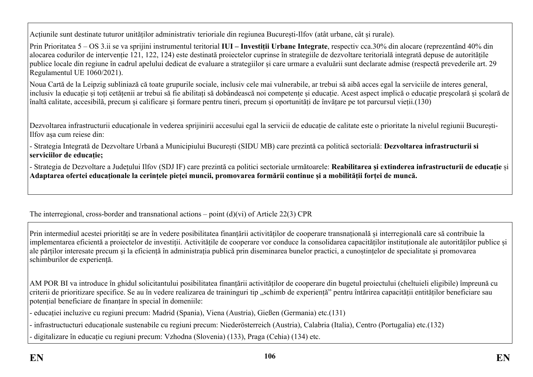Acțiunile sunt destinate tuturor unităților administrativ terioriale din regiunea București-Ilfov (atât urbane, cât și rurale).

Prin Prioritatea 5 – OS 3.ii se va sprijini instrumentul teritorial **IUI – Investiții Urbane Integrate**, respectiv cca.30% din alocare (reprezentând 40% din alocarea codurilor de intervenție 121, 122, 124) este destinată proiectelor cuprinse în strategiile de dezvoltare teritorială integrată depuse de autoritățile publice locale din regiune în cadrul apelului dedicat de evaluare a strategiilor și care urmare a evaluării sunt declarate admise (respectă prevederile art. 29 Regulamentul UE 1060/2021).

Noua Cartă de la Leipzig subliniază că toate grupurile sociale, inclusiv cele mai vulnerabile, ar trebui să aibă acces egal la serviciile de interes general, inclusiv la educație și toți cetățenii ar trebui să fie abilitați să dobândească noi competențe și educație. Acest aspect implică o educație preșcolară și școlară de înaltă calitate, accesibilă, precum și calificare și formare pentru tineri, precum și oportunități de învățare pe tot parcursul vieții.(130)

Dezvoltarea infrastructurii educationale în vederea sprijinirii accesului egal la servicii de educație de calitate este o prioritate la nivelul regiunii București-Ilfov așa cum reiese din:

- Strategia Integrată de Dezvoltare Urbană a Municipiului București (SIDU MB) care prezintă ca politică sectorială: **Dezvoltarea infrastructurii si serviciilor de educație;**

- Strategia de Dezvoltare a Județului Ilfov (SDJ IF) care prezintă ca politici sectoriale următoarele: **Reabilitarea și extinderea infrastructurii de educație** și **Adaptarea ofertei educaționale la cerințele pieței muncii, promovarea formării continue și a mobilității forței de muncă.**

The interregional, cross-border and transnational actions – point  $(d)(vi)$  of Article 22(3) CPR

Prin intermediul acestei priorități se are în vedere posibilitatea finanțării activităților de cooperare transnațională și interregională care să contribuie la implementarea eficientă a proiectelor de investiții. Activitățile de cooperare vor conduce la consolidarea capacităților instituționale ale autorităților publice și ale părților interesate precum și la eficiență în administrația publică prin diseminarea bunelor practici, a cunoștințelor de specialitate și promovarea schimburilor de experiență.

AM POR BI va introduce în ghidul solicitantului posibilitatea finanțării activităților de cooperare din bugetul proiectului (cheltuieli eligibile) împreună cu criterii de prioritizare specifice. Se au în vedere realizarea de traininguri tip "schimb de experiență" pentru întărirea capacității entităților beneficiare sau potențial beneficiare de finanțare în special în domeniile:

- educației incluzive cu regiuni precum: Madrid (Spania), Viena (Austria), Gießen (Germania) etc.(131)

- infrastructucturi educaționale sustenabile cu regiuni precum: Niederösterreich (Austria), Calabria (Italia), Centro (Portugalia) etc.(132)

- digitalizare în educație cu regiuni precum: Vzhodna (Slovenia) (133), Praga (Cehia) (134) etc.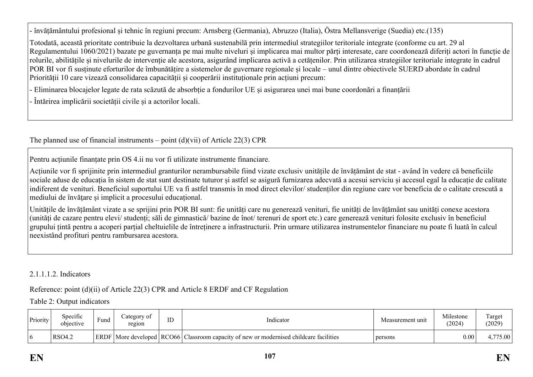- învățământului profesional și tehnic în regiuni precum: Arnsberg (Germania), Abruzzo (Italia), Östra Mellansverige (Suedia) etc.(135)

Totodată, această prioritate contribuie la dezvoltarea urbană sustenabilă prin intermediul strategiilor teritoriale integrate (conforme cu art. 29 al Regulamentului 1060/2021) bazate pe guvernanța pe mai multe niveluri și implicarea mai multor părți interesate, care coordonează diferiți actori în funcție de rolurile, abilitățile și nivelurile de intervenție ale acestora, asigurând implicarea activă a cetățenilor. Prin utilizarea strategiilor teritoriale integrate în cadrul POR BI vor fi susținute eforturilor de îmbunătățire a sistemelor de guvernare regionale și locale – unul dintre obiectivele SUERD abordate în cadrul Priorității 10 care vizează consolidarea capacității și cooperării instituționale prin acțiuni precum:

- Eliminarea blocajelor legate de rata scăzută de absorbție a fondurilor UE și asigurarea unei mai bune coordonări a finanțării

- Întărirea implicării societății civile și a actorilor locali.

The planned use of financial instruments – point  $(d)(vi)$  of Article 22(3) CPR

Pentru acțiunile finanțate prin OS 4.ii nu vor fi utilizate instrumente financiare.

Acțiunile vor fi sprijinite prin intermediul granturilor nerambursabile fiind vizate exclusiv unitățile de învățământ de stat - având în vedere că beneficiile sociale aduse de educația în sistem de stat sunt destinate tuturor și astfel se asigură furnizarea adecvată a acesui serviciu și accesul egal la educație de calitate indiferent de venituri. Beneficiul suportului UE va fi astfel transmis în mod direct elevilor/ studenților din regiune care vor beneficia de o calitate crescută a mediului de învătare și implicit a procesului educațional.

Unitățile de învățământ vizate a se sprijini prin POR BI sunt: fie unități care nu generează venituri, fie unități de învățământ sau unități conexe acestora (unități de cazare pentru elevi/ studenți; săli de gimnastică/ bazine de înot/ terenuri de sport etc.) care generează venituri folosite exclusiv în beneficiul grupului țintă pentru a acoperi parțial cheltuielile de întreținere a infrastructurii. Prin urmare utilizarea instrumentelor financiare nu poate fi luată în calcul neexistând profituri pentru rambursarea acestora.

### 2.1.1.1.2. Indicators

Reference: point (d)(ii) of Article 22(3) CPR and Article 8 ERDF and CF Regulation

Table 2: Output indicators

| Priority    | Specific<br>objective | $\sim$<br>Fund | Category of<br>region | ΙD<br>ப | Indicator                                                                                     | Measurement unit | Milestone<br>(2024) | Target<br>(2029) |
|-------------|-----------------------|----------------|-----------------------|---------|-----------------------------------------------------------------------------------------------|------------------|---------------------|------------------|
| $\mathbf b$ | <b>RSO4.2</b>         |                |                       |         | <b>ERDF</b> More developed RCO66 Classroom capacity of new or modernised childcare facilities | persons          | $0.00\,$            | ,775.00          |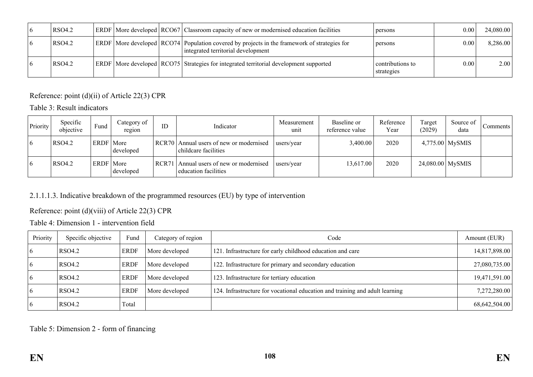| <b>RSO4.2</b> |  | <b>ERDF</b> More developed <b>RCO67</b> Classroom capacity of new or modernised education facilities                                    | persons                        | 0.00 | 24,080.00 |
|---------------|--|-----------------------------------------------------------------------------------------------------------------------------------------|--------------------------------|------|-----------|
| <b>RSO4.2</b> |  | ERDF   More developed   RCO74   Population covered by projects in the framework of strategies for<br>integrated territorial development | persons                        | 0.00 | 8,286.00  |
| <b>RSO4.2</b> |  | <b>ERDF</b> More developed <b>RCO75</b> Strategies for integrated territorial development supported                                     | contributions to<br>strategies | 0.00 | 2.00      |

Reference: point (d)(ii) of Article 22(3) CPR

Table 3: Result indicators

| Priority | Specific<br>objective | Fund             | Category of<br>region | ID               | Indicator                                                       | Measurement<br>unit | Baseline or<br>reference value | Reference<br>Year | Target<br>(2029)   | Source of<br>data | Comments |
|----------|-----------------------|------------------|-----------------------|------------------|-----------------------------------------------------------------|---------------------|--------------------------------|-------------------|--------------------|-------------------|----------|
| 16       | <b>RSO4.2</b>         | <b>ERDF</b> More | developed             |                  | RCR70 Annual users of new or modernised<br>childcare facilities | users/year          | 3,400.00                       | 2020              |                    | $4,775.00$ MySMIS |          |
| l 6      | <b>RSO4.2</b>         | ERDF   More      | developed             | RCR <sub>7</sub> | Annual users of new or modernised<br>education facilities       | users/year          | 13,617.00                      | 2020              | $24,080.00$ MySMIS |                   |          |

# 2.1.1.1.3. Indicative breakdown of the programmed resources (EU) by type of intervention

Reference: point (d)(viii) of Article 22(3) CPR

Table 4: Dimension 1 - intervention field

| Priority | Specific objective | Fund        | Category of region | Code                                                                         | Amount (EUR)  |
|----------|--------------------|-------------|--------------------|------------------------------------------------------------------------------|---------------|
|          | RSO4.2             | <b>ERDF</b> | More developed     | 121. Infrastructure for early childhood education and care                   | 14,817,898.00 |
|          | <b>RSO4.2</b>      | <b>ERDF</b> | More developed     | 122. Infrastructure for primary and secondary education                      | 27,080,735.00 |
|          | RSO4.2             | <b>ERDF</b> | More developed     | 123. Infrastructure for tertiary education                                   | 19,471,591.00 |
|          | RSO4.2             | <b>ERDF</b> | More developed     | 124. Infrastructure for vocational education and training and adult learning | 7,272,280.00  |
|          | <b>RSO4.2</b>      | Total       |                    |                                                                              | 68,642,504.00 |

Table 5: Dimension 2 - form of financing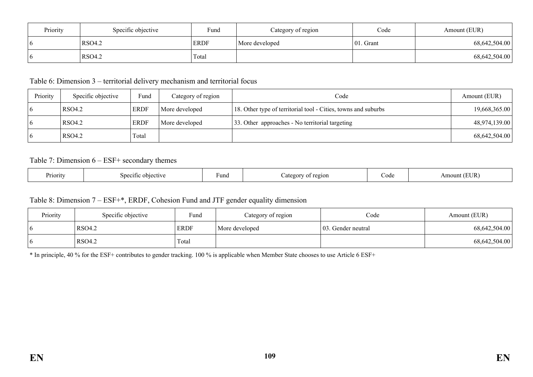| Priority | Specific objective | Fund        | Category of region | Code          | Amount (EUR)  |
|----------|--------------------|-------------|--------------------|---------------|---------------|
| - 0      | <b>RSO4.2</b>      | <b>ERDF</b> | More developed     | $ 01$ . Grant | 68,642,504.00 |
|          | RSO4.2             | Total       |                    |               | 68,642,504.00 |

Table 6: Dimension 3 – territorial delivery mechanism and territorial focus

| Priority | Specific objective | Fund        | Category of region | Code                                                           | Amount (EUR)  |
|----------|--------------------|-------------|--------------------|----------------------------------------------------------------|---------------|
|          | RSO4.2             | <b>ERDF</b> | More developed     | 18. Other type of territorial tool - Cities, towns and suburbs | 19,668,365.00 |
|          | RSO4.2             | <b>ERDF</b> | More developed     | 33. Other approaches - No territorial targeting                | 48,974,139.00 |
|          | RSO4.2             | Total       |                    |                                                                | 68,642,504.00 |

Table 7: Dimension 6 – ESF+ secondary themes

| Priority | objective<br>ነቦ1†1ቦ<br>$\sim$ | Funa | 5210N<br>Άσ∩τ<br>. | .od | JJR) |
|----------|-------------------------------|------|--------------------|-----|------|
|----------|-------------------------------|------|--------------------|-----|------|

### Table 8: Dimension 7 – ESF+\*, ERDF, Cohesion Fund and JTF gender equality dimension

| Priority | Specific objective | Fund        | Category of region | Code                | Amount (EUR)  |
|----------|--------------------|-------------|--------------------|---------------------|---------------|
|          | <b>RSO4.2</b>      | <b>ERDF</b> | More developed     | 103. Gender neutral | 68,642,504.00 |
|          | <b>RSO4.2</b>      | Total       |                    |                     | 68,642,504.00 |

\* In principle, 40 % for the ESF+ contributes to gender tracking. 100 % is applicable when Member State chooses to use Article 6 ESF+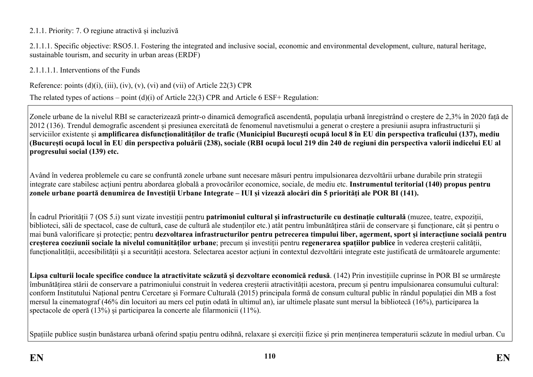### 2.1.1. Priority: 7. O regiune atractivă și incluzivă

2.1.1.1. Specific objective: RSO5.1. Fostering the integrated and inclusive social, economic and environmental development, culture, natural heritage, sustainable tourism, and security in urban areas (ERDF)

2.1.1.1.1. Interventions of the Funds

Reference: points  $(d)(i)$ ,  $(iii)$ ,  $(iv)$ ,  $(v)$ ,  $(vi)$  and  $(vii)$  of Article 22(3) CPR

The related types of actions – point (d)(i) of Article 22(3) CPR and Article 6 ESF+ Regulation:

Zonele urbane de la nivelul RBI se caracterizează printr-o dinamică demografică ascendentă, populația urbană înregistrând o creștere de 2,3% în 2020 față de 2012 (136). Trendul demografic ascendent și presiunea exercitată de fenomenul navetismului a generat o creștere a presiunii asupra infrastructurii și serviciilor existente și **amplificarea disfuncționalităților de trafic (Municipiul București ocupă locul 8 în EU din perspectiva traficului (137), mediu (București ocupă locul în EU din perspectiva poluării (238), sociale (RBI ocupă locul 219 din 240 de regiuni din perspectiva valorii indicelui EU al progresului social (139) etc.** 

Având în vederea problemele cu care se confruntă zonele urbane sunt necesare măsuri pentru impulsionarea dezvoltării urbane durabile prin strategii integrate care stabilesc acțiuni pentru abordarea globală a provocărilor economice, sociale, de mediu etc. **Instrumentul teritorial (140) propus pentru zonele urbane poartă denumirea de Investiții Urbane Integrate – IUI și vizează alocări din 5 priorități ale POR BI (141).**

În cadrul Priorității 7 (OS 5.i) sunt vizate investiții pentru **patrimoniul cultural și infrastructurile cu destinație culturală** (muzee, teatre, expoziții, biblioteci, săli de spectacol, case de cultură, case de cultură ale studenților etc.) atât pentru îmbunătățirea stării de conservare și funcționare, cât și pentru o mai bună valorificare și protecție; pentru **dezvoltarea infrastructurilor pentru petrecerea timpului liber, agerment, sport și interacțiune socială pentru creșterea coeziunii sociale la nivelul comunităților urbane**; precum și investiții pentru **regenerarea spațiilor publice** în vederea creșterii calității, funcționalității, accesibilității și a securității acestora. Selectarea acestor acțiuni în contextul dezvoltării integrate este justificată de următoarele argumente:

**Lipsa culturii locale specifice conduce la atractivitate scăzută și dezvoltare economică redusă**. (142) Prin investițiile cuprinse în POR BI se urmărește îmbunătățirea stării de conservare a patrimoniului construit în vederea creșterii atractivității acestora, precum și pentru impulsionarea consumului cultural: conform Institutului Național pentru Cercetare și Formare Culturală (2015) principala formă de consum cultural public în rândul populației din MB a fost mersul la cinematograf (46% din locuitori au mers cel puțin odată în ultimul an), iar ultimele plasate sunt mersul la bibliotecă (16%), participarea la spectacole de operă (13%) și participarea la concerte ale filarmonicii (11%).

Spațiile publice susțin bunăstarea urbană oferind spațiu pentru odihnă, relaxare și exerciții fizice și prin menținerea temperaturii scăzute în mediul urban. Cu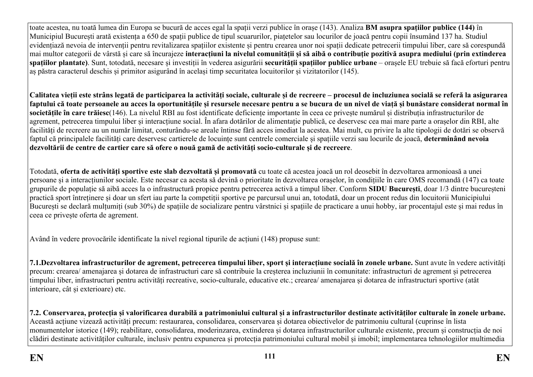toate acestea, nu toată lumea din Europa se bucură de acces egal la spații verzi publice în orașe (143). Analiza **BM asupra spațiilor publice (144)** în Municipiul București arată existența a 650 de spații publice de tipul scuarurilor, piațetelor sau locurilor de joacă pentru copii însumând 137 ha. Studiul evidențiază nevoia de intervenții pentru revitalizarea spațiilor existente și pentru crearea unor noi spații dedicate petrecerii timpului liber, care să corespundă mai multor categorii de vârstă și care să încurajeze interactiuni la nivelul comunitătii și să aibă o contributie pozitivă asupra mediului (prin extinderea **spațiilor plantate)**. Sunt, totodată, necesare și investiții în vederea asigurării **securității spațiilor publice urbane** – orașele EU trebuie să facă eforturi pentru aș păstra caracterul deschis și primitor asigurând în același timp securitatea locuitorilor și vizitatorilor (145).

Calitatea vietii este strâns legată de participarea la activităti sociale, culturale și de recreere – procesul de incluziunea socială se referă la asigurarea **faptului că toate persoanele au acces la oportunitățile și resursele necesare pentru a se bucura de un nivel de viață și bunăstare considerat normal în societățile în care trăiesc**(146). La nivelul RBI au fost identificate deficiențe importante în ceea ce privește numărul și distribuția infrastructurilor de agrement, petrecerea timpului liber și interacțiune social. În afara dotărilor de alimentație publică, ce deservesc cea mai mare parte a orașelor din RBI, alte facilități de recreere au un număr limitat, conturându-se areale întinse fără acces imediat la acestea. Mai mult, cu privire la alte tipologii de dotări se observă faptul că principalele facilități care deservesc cartierele de locuințe sunt centrele comerciale și spațiile verzi sau locurile de joacă, **determinând nevoia dezvoltării de centre de cartier care să ofere o nouă gamă de activități socio-culturale și de recreere**.

Totodată, **oferta de activități sportive este slab dezvoltată și promovată** cu toate că acestea joacă un rol deosebit în dezvoltarea armonioasă a unei persoane și a interacțiunilor sociale. Este necesar ca acesta să devină o prioritate în dezvoltarea orașelor, în condițiile în care OMS recomandă (147) ca toate grupurile de populație să aibă acces la o infrastructură propice pentru petrecerea activă a timpul liber. Conform **SIDU București**, doar 1/3 dintre bucureșteni practică sport întreținere și doar un sfert iau parte la competiții sportive pe parcursul unui an, totodată, doar un procent redus din locuitorii Municipiului București se declară multumiți (sub 30%) de spațiile de socializare pentru vârstnici și spațiile de practicare a unui hobby, iar procentajul este și mai redus în ceea ce privește oferta de agrement.

Având în vedere provocările identificate la nivel regional tipurile de acțiuni (148) propuse sunt:

**7.1.Dezvoltarea infrastructurilor de agrement, petrecerea timpului liber, sport și interacțiune socială în zonele urbane.** Sunt avute în vedere activități precum: crearea/ amenajarea și dotarea de infrastructuri care să contribuie la creșterea incluziunii în comunitate: infrastructuri de agrement și petrecerea timpului liber, infrastructuri pentru activități recreative, socio-culturale, educative etc.; crearea/ amenajarea și dotarea de infrastructuri sportive (atât interioare, cât și exterioare) etc.

**7.2. Conservarea, protecția și valorificarea durabilă a patrimoniului cultural și a infrastructurilor destinate activităților culturale în zonele urbane.**  Această acțiune vizează activități precum: restaurarea, consolidarea, conservarea și dotarea obiectivelor de patrimoniu cultural (cuprinse în lista monumentelor istorice (149); reabilitare, consolidarea, moderinzarea, extinderea și dotarea infrastructurilor culturale existente, precum și construcția de noi clădiri destinate activităților culturale, inclusiv pentru expunerea și protecția patrimoniului cultural mobil și imobil; implementarea tehnologiilor multimedia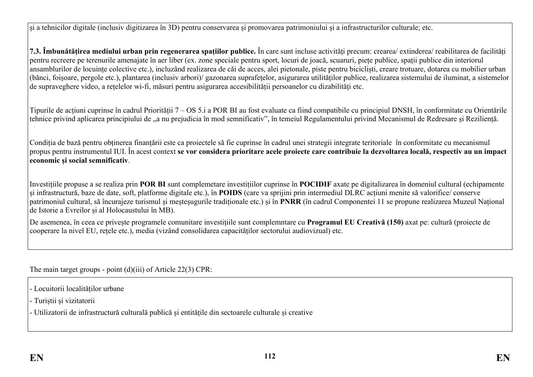și a tehnicilor digitale (inclusiv digitizarea în 3D) pentru conservarea și promovarea patrimoniului și a infrastructurilor culturale; etc.

**7.3. Îmbunătățirea mediului urban prin regenerarea spațiilor publice.** În care sunt incluse activități precum: crearea/ extinderea/ reabilitarea de facilități pentru recreere pe terenurile amenajate în aer liber (ex. zone speciale pentru sport, locuri de joacă, scuaruri, piețe publice, spații publice din interiorul ansamblurilor de locuințe colective etc.), incluzând realizarea de căi de acces, alei pietonale, piste pentru bicicliști, creare trotuare, dotarea cu mobilier urban (bănci, foișoare, pergole etc.), plantarea (inclusiv arbori)/ gazonarea suprafețelor, asigurarea utilităților publice, realizarea sistemului de iluminat, a sistemelor de supraveghere video, a rețelelor wi-fi, măsuri pentru asigurarea accesibilității persoanelor cu dizabilități etc.

Tipurile de acțiuni cuprinse în cadrul Priorității 7 – OS 5.i a POR BI au fost evaluate ca fiind compatibile cu principiul DNSH, în conformitate cu Orientările tehnice privind aplicarea principiului de "a nu prejudicia în mod semnificativ", în temeiul Regulamentului privind Mecanismul de Redresare și Reziliență.

Condiția de bază pentru obținerea finanțării este ca proiectele să fie cuprinse în cadrul unei strategii integrate teritoriale în conformitate cu mecanismul propus pentru instrumentul IUI. În acest context **se vor considera prioritare acele proiecte care contribuie la dezvoltarea locală, respectiv au un impact economic și social semnificativ**.

Investițiile propuse a se realiza prin **POR BI** sunt complemetare investițiilor cuprinse în **POCIDIF** axate pe digitalizarea în domeniul cultural (echipamente și infrastructură, baze de date, soft, platforme digitale etc.), în **POIDS** (care va sprijini prin intermediul DLRC acțiuni menite să valorifice/ conserve patrimoniul cultural, să încurajeze turismul și meșteșugurile tradiționale etc.) și în **PNRR** (în cadrul Componentei 11 se propune realizarea Muzeul Național de Istorie a Evreilor și al Holocaustului în MB).

De asemenea, în ceea ce privește programele comunitare investițiile sunt complemntare cu **Programul EU Creativă (150)** axat pe: cultură (proiecte de cooperare la nivel EU, rețele etc.), media (vizând consolidarea capacităților sectorului audiovizual) etc.

The main target groups - point (d)(iii) of Article 22(3) CPR:

- Locuitorii localităților urbane

- Turiștii și vizitatorii

- Utilizatorii de infrastructură culturală publică și entitățile din sectoarele culturale și creative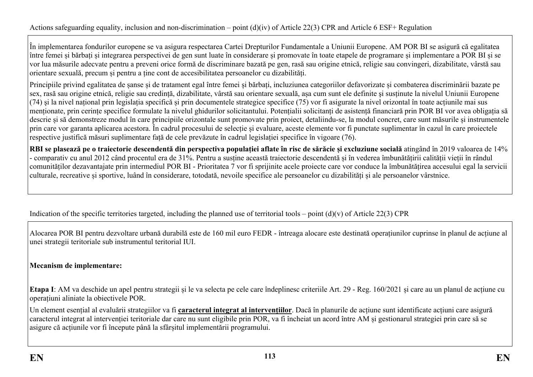În implementarea fondurilor europene se va asigura respectarea Cartei Drepturilor Fundamentale a Uniunii Europene. AM POR BI se asigură că egalitatea între femei și bărbați și integrarea perspectivei de gen sunt luate în considerare și promovate în toate etapele de programare și implementare a POR BI și se vor lua măsurile adecvate pentru a preveni orice formă de discriminare bazată pe gen, rasă sau origine etnică, religie sau convingeri, dizabilitate, vârstă sau orientare sexuală, precum și pentru a ține cont de accesibilitatea persoanelor cu dizabilități.

Principiile privind egalitatea de șanse și de tratament egal între femei și bărbați, incluziunea categoriilor defavorizate și combaterea discriminării bazate pe sex, rasă sau origine etnică, religie sau credință, dizabilitate, vârstă sau orientare sexuală, așa cum sunt ele definite şi susținute la nivelul Uniunii Europene (74) şi la nivel național prin legislația specifică și prin documentele strategice specifice (75) vor fi asigurate la nivel orizontal în toate acțiunile mai sus menționate, prin cerințe specifice formulate la nivelul ghidurilor solicitantului. Potențialii solicitanți de asistență financiară prin POR BI vor avea obligația să descrie și să demonstreze modul în care principiile orizontale sunt promovate prin proiect, detaliindu-se, la modul concret, care sunt măsurile și instrumentele prin care vor garanta aplicarea acestora. În cadrul procesului de selecție și evaluare, aceste elemente vor fi punctate suplimentar în cazul în care proiectele respective justifică măsuri suplimentare față de cele prevăzute în cadrul legislației specifice în vigoare (76).

RBI se plasează pe o traiectorie descendentă din perspectiva populatiei aflate în risc de sărăcie și excluziune socială atingând în 2019 valoarea de 14% - comparativ cu anul 2012 când procentul era de 31%. Pentru a susține această traiectorie descendentă și în vederea îmbunătățirii calității vieții în rândul comunităților dezavantajate prin intermediul POR BI - Prioritatea 7 vor fi sprijinite acele proiecte care vor conduce la îmbunătățirea accesului egal la servicii culturale, recreative și sportive, luând în considerare, totodată, nevoile specifice ale persoanelor cu dizabilități și ale persoanelor vârstnice.

Indication of the specific territories targeted, including the planned use of territorial tools – point  $(d)(v)$  of Article 22(3) CPR

Alocarea POR BI pentru dezvoltare urbană durabilă este de 160 mil euro FEDR - întreaga alocare este destinată operațiunilor cuprinse în planul de acțiune al unei strategii teritoriale sub instrumentul teritorial IUI.

### **Mecanism de implementare:**

**Etapa I**: AM va deschide un apel pentru strategii și le va selecta pe cele care îndeplinesc criteriile Art. 29 - Reg. 160/2021 și care au un planul de acțiune cu operațiuni aliniate la obiectivele POR.

Un element esențial al evaluării strategiilor va fi **caracterul integrat al intervențiilor**. Dacă în planurile de acțiune sunt identificate acțiuni care asigură caracterul integrat al intervenției teritoriale dar care nu sunt eligibile prin POR, va fi încheiat un acord între AM și gestionarul strategiei prin care să se asigure că acțiunile vor fi începute până la sfârșitul implementării programului.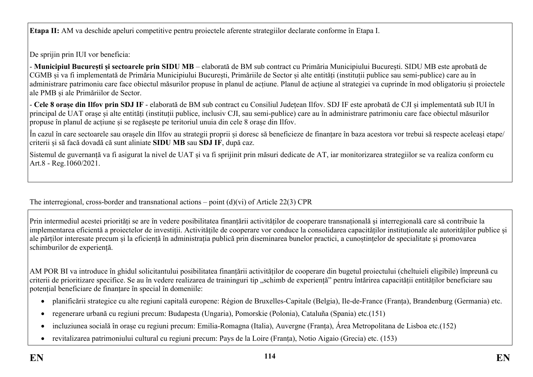**Etapa II:** AM va deschide apeluri competitive pentru proiectele aferente strategiilor declarate conforme în Etapa I.

De sprijin prin IUI vor beneficia:

- **Municipiul București și sectoarele prin SIDU MB** – elaborată de BM sub contract cu Primăria Municipiului București. SIDU MB este aprobată de CGMB și va fi implementată de Primăria Municipiului București, Primăriile de Sector și alte entități (instituții publice sau semi-publice) care au în administrare patrimoniu care face obiectul măsurilor propuse în planul de acțiune. Planul de acțiune al strategiei va cuprinde în mod obligatoriu și proiectele ale PMB și ale Primăriilor de Sector.

- **Cele 8 orașe din Ilfov prin SDJ IF** - elaborată de BM sub contract cu Consiliul Județean Ilfov. SDJ IF este aprobată de CJI și implementată sub IUI în principal de UAT orașe și alte entități (instituții publice, inclusiv CJI, sau semi-publice) care au în administrare patrimoniu care face obiectul măsurilor propuse în planul de acțiune și se regăsește pe teritoriul unuia din cele 8 orașe din Ilfov.

În cazul în care sectoarele sau orașele din Ilfov au strategii proprii și doresc să beneficieze de finanțare în baza acestora vor trebui să respecte aceleași etape/ criterii și să facă dovadă că sunt aliniate **SIDU MB** sau **SDJ IF**, după caz.

Sistemul de guvernanță va fi asigurat la nivel de UAT și va fi sprijinit prin măsuri dedicate de AT, iar monitorizarea strategiilor se va realiza conform cu Art.8 - Reg.1060/2021.

The interregional, cross-border and transnational actions – point (d)(vi) of Article 22(3) CPR

Prin intermediul acestei priorități se are în vedere posibilitatea finanțării activităților de cooperare transnațională și interregională care să contribuie la implementarea eficientă a proiectelor de investiții. Activitățile de cooperare vor conduce la consolidarea capacităților instituționale ale autorităților publice și ale părților interesate precum și la eficiență în administrația publică prin diseminarea bunelor practici, a cunoștințelor de specialitate și promovarea schimburilor de experiență.

AM POR BI va introduce în ghidul solicitantului posibilitatea finanțării activităților de cooperare din bugetul proiectului (cheltuieli eligibile) împreună cu criterii de prioritizare specifice. Se au în vedere realizarea de traininguri tip "schimb de experiență" pentru întărirea capacității entităților beneficiare sau potențial beneficiare de finanțare în special în domeniile:

- planificării strategice cu alte regiuni capitală europene: Région de Bruxelles-Capitale (Belgia), Ile-de-France (Franța), Brandenburg (Germania) etc.
- regenerare urbană cu regiuni precum: Budapesta (Ungaria), Pomorskie (Polonia), Cataluña (Spania) etc.(151)
- incluziunea socială în orașe cu regiuni precum: Emilia-Romagna (Italia), Auvergne (Franța), Área Metropolitana de Lisboa etc.(152)
- revitalizarea patrimoniului cultural cu regiuni precum: Pays de la Loire (Franța), Notio Aigaio (Grecia) etc. (153)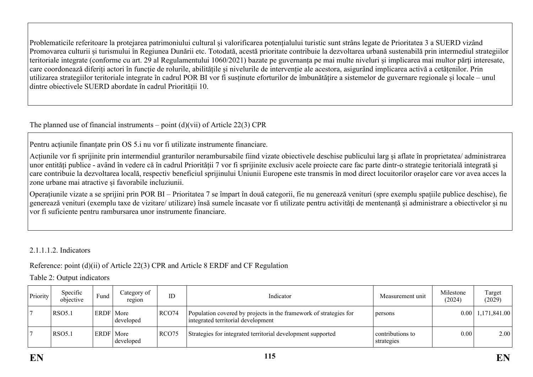Problematicile referitoare la protejarea patrimoniului cultural și valorificarea potențialului turistic sunt strâns legate de Prioritatea 3 a SUERD vizând Promovarea culturii și turismului în Regiunea Dunării etc. Totodată, acestă prioritate contribuie la dezvoltarea urbană sustenabilă prin intermediul strategiilor teritoriale integrate (conforme cu art. 29 al Regulamentului 1060/2021) bazate pe guvernanța pe mai multe niveluri și implicarea mai multor părți interesate, care coordonează diferiți actori în funcție de rolurile, abilitățile și nivelurile de intervenție ale acestora, asigurând implicarea activă a cetățenilor. Prin utilizarea strategiilor teritoriale integrate în cadrul POR BI vor fi susținute eforturilor de îmbunătățire a sistemelor de guvernare regionale și locale – unul dintre obiectivele SUERD abordate în cadrul Priorității 10.

The planned use of financial instruments – point  $(d)(\n{\rm vii})$  of Article 22(3) CPR

Pentru acțiunile finanțate prin OS 5.i nu vor fi utilizate instrumente financiare.

Acțiunile vor fi sprijinite prin intermendiul granturilor nerambursabile fiind vizate obiectivele deschise publicului larg și aflate în proprietatea/ administrarea unor entități publice - având în vedere că în cadrul Priorității 7 vor fi sprijinite exclusiv acele proiecte care fac parte dintr-o strategie teritorială integrată și care contribuie la dezvoltarea locală, respectiv beneficiul sprijinului Uniunii Europene este transmis în mod direct locuitorilor orașelor care vor avea acces la zone urbane mai atractive și favorabile incluziunii.

Operațiunile vizate a se sprijini prin POR BI – Prioritatea 7 se împart în două categorii, fie nu generează venituri (spre exemplu spațiile publice deschise), fie generează venituri (exemplu taxe de vizitare/ utilizare) însă sumele încasate vor fi utilizate pentru activități de mentenanță și administrare a obiectivelor și nu vor fi suficiente pentru rambursarea unor instrumente financiare.

2.1.1.1.2. Indicators

Reference: point (d)(ii) of Article 22(3) CPR and Article 8 ERDF and CF Regulation

Table 2: Output indicators

| Priority | Specific<br>objective | Fund        | Category of<br>region | ID    | Indicator                                                                                               | Measurement unit               | Milestone<br>(2024) | Target<br>(2029)      |
|----------|-----------------------|-------------|-----------------------|-------|---------------------------------------------------------------------------------------------------------|--------------------------------|---------------------|-----------------------|
|          | <b>RSO5.1</b>         | ERDF   More | developed             | RCO74 | Population covered by projects in the framework of strategies for<br>integrated territorial development | persons                        |                     | $0.00$   1,171,841.00 |
|          | <b>RSO5.1</b>         | ERDF   More | developed             | RCO75 | Strategies for integrated territorial development supported                                             | contributions to<br>strategies | 0.00                | 2.00                  |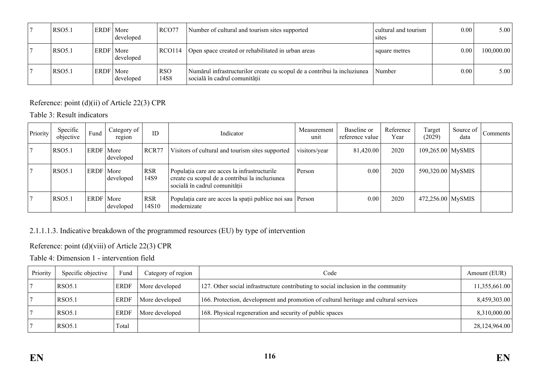| <b>RSO5.1</b> | ERDF   More | developed | RCO77                          | Number of cultural and tourism sites supported                                                            | cultural and tourism<br>sites | 0.00     | 5.00       |
|---------------|-------------|-----------|--------------------------------|-----------------------------------------------------------------------------------------------------------|-------------------------------|----------|------------|
| <b>RSO5.1</b> | ERDF   More | developed | RCO114                         | Open space created or rehabilitated in urban areas                                                        | square metres                 | 0.00     | 100,000.00 |
| <b>RSO5.1</b> | ERDF   More | developed | <b>RSO</b><br>14S <sub>8</sub> | Numărul infrastructurilor create cu scopul de a contribui la incluziunea<br>socială în cadrul comunității | Number                        | $0.00\,$ | 5.00       |

Reference: point (d)(ii) of Article 22(3) CPR

Table 3: Result indicators

| Priority | Specific<br>objective | Fund        | Category of<br>region | ID                  | Indicator                                                                                                                       | Measurement<br>unit | Baseline or<br>reference value | Reference<br>Year | Target<br>(2029)    | Source of<br>data | Comments |
|----------|-----------------------|-------------|-----------------------|---------------------|---------------------------------------------------------------------------------------------------------------------------------|---------------------|--------------------------------|-------------------|---------------------|-------------------|----------|
|          | <b>RSO5.1</b>         | ERDF   More | developed             | RCR77               | Visitors of cultural and tourism sites supported                                                                                | visitors/year       | 81,420.00                      | 2020              | $109,265.00$ MySMIS |                   |          |
|          | <b>RSO5.1</b>         | ERDF   More | developed             | <b>RSR</b><br>14S9  | Populația care are acces la infrastructurile<br>create cu scopul de a contribui la incluziunea<br>socială în cadrul comunității | Person              | 0.00                           | 2020              | 590,320.00 MySMIS   |                   |          |
|          | <b>RSO5.1</b>         | ERDF   More | developed             | <b>RSR</b><br>14S10 | Populația care are acces la spații publice noi sau Person<br>modernizate                                                        |                     | 0.00                           | 2020              | 472,256.00 MySMIS   |                   |          |

## 2.1.1.1.3. Indicative breakdown of the programmed resources (EU) by type of intervention

## Reference: point (d)(viii) of Article 22(3) CPR

Table 4: Dimension 1 - intervention field

| Priority | Specific objective | Fund        | Category of region | Code                                                                                  | Amount (EUR) $\vert$ |
|----------|--------------------|-------------|--------------------|---------------------------------------------------------------------------------------|----------------------|
|          | <b>RSO5.1</b>      | <b>ERDF</b> | More developed     | 127. Other social infrastructure contributing to social inclusion in the community    | 11,355,661.00        |
|          | <b>RSO5.1</b>      | <b>ERDF</b> | More developed     | 166. Protection, development and promotion of cultural heritage and cultural services | 8,459,303.00         |
|          | <b>RSO5.1</b>      | <b>ERDF</b> | More developed     | 168. Physical regeneration and security of public spaces                              | 8,310,000.00         |
|          | <b>RSO5.1</b>      | Total       |                    |                                                                                       | 28,124,964.00        |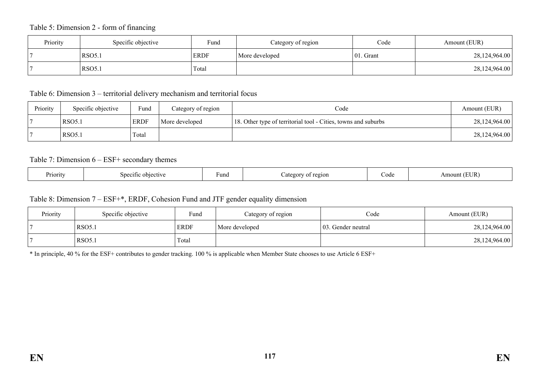### Table 5: Dimension 2 - form of financing

| Priority | Specific objective | Fund        | Category of region | Code          | Amount (EUR)  |
|----------|--------------------|-------------|--------------------|---------------|---------------|
|          | RSO5.1             | <b>ERDF</b> | More developed     | $ 01$ . Grant | 28,124,964.00 |
|          | RSO5.1             | Total       |                    |               | 28,124,964.00 |

### Table 6: Dimension 3 – territorial delivery mechanism and territorial focus

| Priority | Specific objective | Fund        | Category of region | Code                                                           | Amount (EUR)  |
|----------|--------------------|-------------|--------------------|----------------------------------------------------------------|---------------|
|          | <b>RSO5.1</b>      | <b>ERDF</b> | More developed     | 18. Other type of territorial tool - Cities, towns and suburbs | 28,124,964.00 |
|          | RSO5.1             | Total       |                    |                                                                | 28,124,964.00 |

#### Table 7: Dimension 6 – ESF+ secondary themes

| Priority<br>∗und<br>objective<br>Specific | 2210N<br>ateg<br>ΩŤ | EUR<br>∠ode<br>$\sim$<br>ouni |
|-------------------------------------------|---------------------|-------------------------------|
|-------------------------------------------|---------------------|-------------------------------|

#### Table 8: Dimension 7 – ESF+\*, ERDF, Cohesion Fund and JTF gender equality dimension

| Priority | Specific objective | Fund        | Category of region | Code                | Amount (EUR)  |
|----------|--------------------|-------------|--------------------|---------------------|---------------|
|          | RSO <sub>5.1</sub> | <b>ERDF</b> | More developed     | 103. Gender neutral | 28,124,964.00 |
|          | <b>RSO5.1</b>      | Total       |                    |                     | 28,124,964.00 |

\* In principle, 40 % for the ESF+ contributes to gender tracking. 100 % is applicable when Member State chooses to use Article 6 ESF+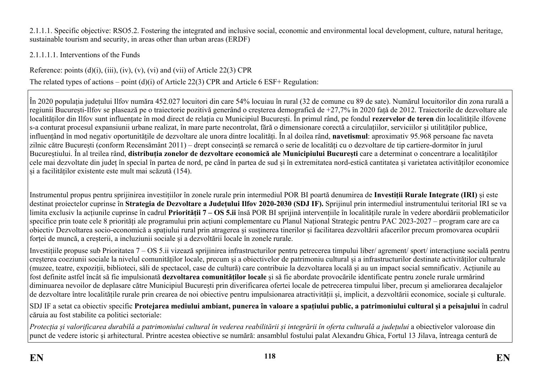2.1.1.1. Specific objective: RSO5.2. Fostering the integrated and inclusive social, economic and environmental local development, culture, natural heritage, sustainable tourism and security, in areas other than urban areas (ERDF)

2.1.1.1.1. Interventions of the Funds

Reference: points  $(d)(i)$ ,  $(iii)$ ,  $(iv)$ ,  $(v)$ ,  $(vi)$  and  $(vii)$  of Article 22(3) CPR The related types of actions – point (d)(i) of Article 22(3) CPR and Article 6 ESF+ Regulation:

În 2020 populația județului Ilfov număra 452.027 locuitori din care 54% locuiau în rural (32 de comune cu 89 de sate). Numărul locuitorilor din zona rurală a regiunii București-Ilfov se plasează pe o traiectorie pozitivă generând o creșterea demografică de +27,7% în 2020 față de 2012. Traiectorile de dezvoltare ale localităților din Ilfov sunt influențate în mod direct de relația cu Municipiul București. În primul rând, pe fondul **rezervelor de teren** din localitățile ilfovene s-a conturat procesul expansiunii urbane realizat, în mare parte necontrolat, fără o dimensionare corectă a circulațiilor, serviciilor și utilităților publice, influențând în mod negativ oportunitățile de dezvoltare ale unora dintre localități. În al doilea rând, **navetismul**: aproximativ 95.968 persoane fac naveta zilnic către București (conform Recensământ 2011) – drept consecință se remarcă o serie de localități cu o dezvoltare de tip cartiere-dormitor în jurul Bucureștiului. În al treilea rând, **distribuția zonelor de dezvoltare economică ale Municipiului București** care a determinat o concentrare a localităților cele mai dezvoltate din județ în special în partea de nord, pe când în partea de sud și în extremitatea nord-estică cantitatea și varietatea activităților economice și a facilităților existente este mult mai scăzută (154).

Instrumentul propus pentru sprijinirea investițiilor în zonele rurale prin intermediul POR BI poartă denumirea de **Investiții Rurale Integrate (IRI)** și este destinat proiectelor cuprinse în **Strategia de Dezvoltare a Județului Ilfov 2020-2030 (SDJ IF).** Sprijinul prin intermediul instrumentului teritorial IRI se va limita exclusiv la acțiunile cuprinse în cadrul **Priorității 7 – OS 5.ii** însă POR BI sprijină intervențiile în localitățile rurale în vedere abordării problematicilor specifice prin toate cele 8 priorități ale programului prin acțiuni complementare cu Planul Național Strategic pentru PAC 2023-2027 – program care are ca obiectiv Dezvoltarea socio-economică a spațiului rural prin atragerea și susținerea tinerilor și facilitarea dezvoltării afacerilor precum promovarea ocupării forței de muncă, a creșterii, a incluziunii sociale și a dezvoltării locale în zonele rurale.

Investițiile propuse sub Prioritatea 7 – OS 5.ii vizează sprijinirea infrastructurilor pentru petrecerea timpului liber/ agrement/ sport/ interacțiune socială pentru creșterea coeziunii sociale la nivelul comunităților locale, precum și a obiectivelor de patrimoniu cultural și a infrastructurilor destinate activităților culturale (muzee, teatre, expoziții, biblioteci, săli de spectacol, case de cultură) care contribuie la dezvoltarea locală și au un impact social semnificativ. Acțiunile au fost definite astfel încât să fie impulsionată **dezvoltarea comunităților locale** și să fie abordate provocările identificate pentru zonele rurale urmărind diminuarea nevoilor de deplasare către Municipiul București prin diverificarea ofertei locale de petrecerea timpului liber, precum și ameliorarea decalajelor de dezvoltare între localitățile rurale prin crearea de noi obiective pentru impulsionarea atractivității și, implicit, a dezvoltării economice, sociale și culturale.

SDJ IF a setat ca obiectiv specific **Protejarea mediului ambiant, punerea în valoare a spațiului public, a patrimoniului cultural și a peisajului** în cadrul căruia au fost stabilite ca politici sectoriale:

Protecția și valorificarea durabilă a patrimoniului cultural în vederea reabilitării și integrării în oferta culturală a județului a obiectivelor valoroase din punct de vedere istoric și arhitectural. Printre acestea obiective se numără: ansamblul fostului palat Alexandru Ghica, Fortul 13 Jilava, întreaga centură de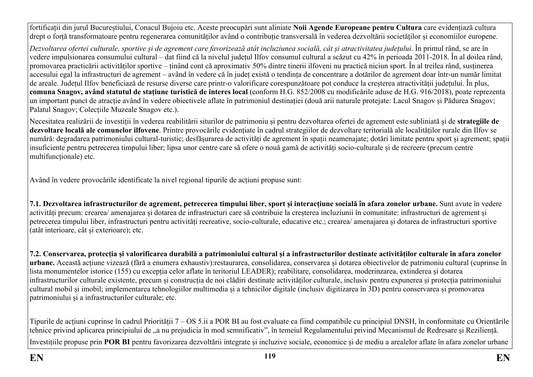fortificații din jurul Bucureștiului, Conacul Bujoiu etc. Aceste preocupări sunt aliniate **Noii Agende Europeane pentru Cultura** care evidențiază cultura drept o forță transformatoare pentru regenerarea comunităților având o contribuție transversală în vederea dezvoltării societăților și economiilor europene.

Dezvoltarea ofertei culturale, sportive si de agrement care favorizează atât incluziunea socială, cât și atractivitatea judetului. În primul rând, se are în vedere impulsionarea consumului cultural – dat fiind că la nivelul județul Ilfov consumul cultural a scăzut cu 42% în perioada 2011-2018. În al doilea rând, promovarea practicării activităților sportive – ținând cont că aproximativ 50% dintre tinerii ilfoveni nu practică niciun sport. În al treilea rând, susținerea accesului egal la infrastructuri de agrement – având în vedere că în județ există o tendința de concentrare a dotărilor de agrement doar într-un număr limitat de areale. Județul Ilfov beneficiază de resurse diverse care printr-o valorificare corespunzătoare pot conduce la creșterea atractivității județului. În plus, **comuna Snagov, având statutul de stațiune turistică de interes local** (conform H.G. 852/2008 cu modificările aduse de H.G. 916/2018), poate reprezenta un important punct de atracție având în vedere obiectivele aflate în patrimoniul destinației (două arii naturale protejate: Lacul Snagov și Pădurea Snagov; Palatul Snagov; Colecțiile Muzeale Snagov etc.).

Necesitatea realizării de investiții în vederea reabilitării siturilor de patrimoniu și pentru dezvoltarea ofertei de agrement este subliniată și de **strategiile de dezvoltare locală ale comunelor ilfovene**. Printre provocările evidențiate în cadrul strategiilor de dezvoltare teritorială ale localităților rurale din Ilfov se numără: degradarea patrimoniului cultural-turistic; desfășurarea de activități de agrement în spații neamenajate; dotări limitate pentru sport și agrement; spații insuficiente pentru petrecerea timpului liber; lipsa unor centre care să ofere o nouă gamă de activități socio-culturale și de recreere (precum centre multifuncționale) etc.

Având în vedere provocările identificate la nivel regional tipurile de acțiuni propuse sunt:

**7.1. Dezvoltarea infrastructurilor de agrement, petrecerea timpului liber, sport și interacțiune socială în afara zonelor urbane.** Sunt avute în vedere activități precum: crearea/ amenajarea și dotarea de infrastructuri care să contribuie la creșterea incluziunii în comunitate: infrastructuri de agrement și petrecerea timpului liber, infrastructuri pentru activități recreative, socio-culturale, educative etc.; crearea/ amenajarea și dotarea de infrastructuri sportive (atât interioare, cât și exterioare); etc.

**7.2. Conservarea, protecția și valorificarea durabilă a patrimoniului cultural și a infrastructurilor destinate activităților culturale în afara zonelor urbane.** Această acțiune vizează (fără a enumera exhaustiv):restaurarea, consolidarea, conservarea și dotarea obiectivelor de patrimoniu cultural (cuprinse în lista monumentelor istorice (155) cu excepția celor aflate în teritoriul LEADER); reabilitare, consolidarea, moderinzarea, extinderea și dotarea infrastructurilor culturale existente, precum și construcția de noi clădiri destinate activităților culturale, inclusiv pentru expunerea și protecția patrimoniului cultural mobil și imobil; implementarea tehnologiilor multimedia și a tehnicilor digitale (inclusiv digitizarea în 3D) pentru conservarea și promovarea patrimoniului și a infrastructurilor culturale; etc.

Tipurile de acțiuni cuprinse în cadrul Priorității 7 – OS 5.ii a POR BI au fost evaluate ca fiind compatibile cu principiul DNSH, în conformitate cu Orientările tehnice privind aplicarea principiului de "a nu prejudicia în mod semnificativ", în temeiul Regulamentului privind Mecanismul de Redresare și Reziliență. Investițiile propuse prin **POR BI** pentru favorizarea dezvoltării integrate și incluzive sociale, economice și de mediu a arealelor aflate în afara zonelor urbane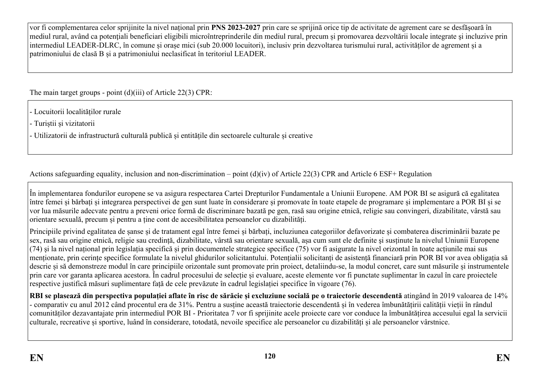vor fi complementarea celor sprijinite la nivel național prin **PNS 2023-2027** prin care se sprijină orice tip de activitate de agrement care se desfășoară în mediul rural, având ca potențiali beneficiari eligibili microîntreprinderile din mediul rural, precum și promovarea dezvoltării locale integrate și incluzive prin intermediul LEADER-DLRC, în comune și orașe mici (sub 20.000 locuitori), inclusiv prin dezvoltarea turismului rural, activităților de agrement și a patrimoniului de clasă B și a patrimoniului neclasificat în teritoriul LEADER.

The main target groups - point (d)(iii) of Article 22(3) CPR:

- Locuitorii localităților rurale

- Turiștii și vizitatorii

- Utilizatorii de infrastructură culturală publică și entitățile din sectoarele culturale și creative

Actions safeguarding equality, inclusion and non-discrimination – point (d)(iv) of Article 22(3) CPR and Article 6 ESF+ Regulation

În implementarea fondurilor europene se va asigura respectarea Cartei Drepturilor Fundamentale a Uniunii Europene. AM POR BI se asigură că egalitatea între femei și bărbați și integrarea perspectivei de gen sunt luate în considerare și promovate în toate etapele de programare și implementare a POR BI și se vor lua măsurile adecvate pentru a preveni orice formă de discriminare bazată pe gen, rasă sau origine etnică, religie sau convingeri, dizabilitate, vârstă sau orientare sexuală, precum și pentru a ține cont de accesibilitatea persoanelor cu dizabilități.

Principiile privind egalitatea de șanse și de tratament egal între femei și bărbați, incluziunea categoriilor defavorizate și combaterea discriminării bazate pe sex, rasă sau origine etnică, religie sau credință, dizabilitate, vârstă sau orientare sexuală, așa cum sunt ele definite şi susținute la nivelul Uniunii Europene  $(74)$  si la nivel național prin legislația specifică și prin documentele strategice specifice  $(75)$  vor fi asigurate la nivel orizontal în toate acțiunile mai sus menționate, prin cerințe specifice formulate la nivelul ghidurilor solicitantului. Potențialii solicitanți de asistență financiară prin POR BI vor avea obligația să descrie și să demonstreze modul în care principiile orizontale sunt promovate prin proiect, detaliindu-se, la modul concret, care sunt măsurile și instrumentele prin care vor garanta aplicarea acestora. În cadrul procesului de selecție și evaluare, aceste elemente vor fi punctate suplimentar în cazul în care proiectele respective justifică măsuri suplimentare față de cele prevăzute în cadrul legislației specifice în vigoare (76).

RBI se plasează din perspectiva populatiei aflate în risc de sărăcie si excluziune socială pe o traiectorie descendentă atingând în 2019 valoarea de 14% - comparativ cu anul 2012 când procentul era de 31%. Pentru a susține această traiectorie descendentă și în vederea îmbunătățirii calității vieții în rândul comunităților dezavantajate prin intermediul POR BI - Prioritatea 7 vor fi sprijinite acele proiecte care vor conduce la îmbunătățirea accesului egal la servicii culturale, recreative și sportive, luând în considerare, totodată, nevoile specifice ale persoanelor cu dizabilități și ale persoanelor vârstnice.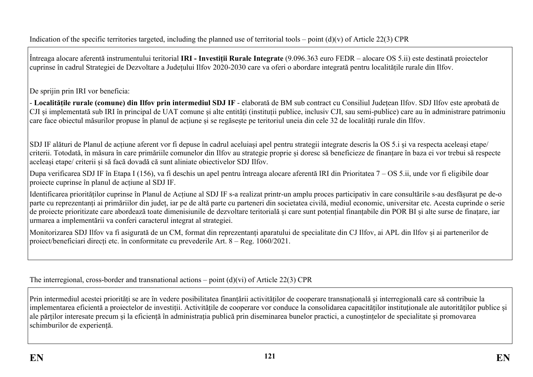Întreaga alocare aferentă instrumentului teritorial **IRI - Investiții Rurale Integrate** (9.096.363 euro FEDR – alocare OS 5.ii) este destinată proiectelor cuprinse în cadrul Strategiei de Dezvoltare a Județului Ilfov 2020-2030 care va oferi o abordare integrată pentru localitățile rurale din Ilfov.

De sprijin prin IRI vor beneficia:

- **Localitățile rurale (comune) din Ilfov prin intermediul SDJ IF** - elaborată de BM sub contract cu Consiliul Județean Ilfov. SDJ Ilfov este aprobată de CJI și implementată sub IRI în principal de UAT comune și alte entități (instituții publice, inclusiv CJI, sau semi-publice) care au în administrare patrimoniu care face obiectul măsurilor propuse în planul de acțiune și se regăsește pe teritoriul uneia din cele 32 de localități rurale din Ilfov.

SDJ IF alături de Planul de acțiune aferent vor fi depuse în cadrul aceluiași apel pentru strategii integrate descris la OS 5.i și va respecta aceleași etape/ criterii. Totodată, în măsura în care primăriile comunelor din Ilfov au strategie proprie și doresc să beneficieze de finanțare în baza ei vor trebui să respecte aceleași etape/ criterii și să facă dovadă că sunt aliniate obiectivelor SDJ Ilfov.

Dupa verificarea SDJ IF în Etapa I (156), va fi deschis un apel pentru întreaga alocare aferentă IRI din Prioritatea 7 – OS 5.ii, unde vor fi eligibile doar proiecte cuprinse în planul de acțiune al SDJ IF.

Identificarea priorităților cuprinse în Planul de Acțiune al SDJ IF s-a realizat printr-un amplu proces participativ în care consultările s-au desfășurat pe de-o parte cu reprezentanți ai primăriilor din județ, iar pe de altă parte cu parteneri din societatea civilă, mediul economic, universitar etc. Acesta cuprinde o serie de proiecte prioritizate care abordează toate dimenisiunile de dezvoltare teritorială și care sunt potențial finanțabile din POR BI și alte surse de finațare, iar urmarea a implementării va conferi caracterul integrat al strategiei.

Monitorizarea SDJ Ilfov va fi asigurată de un CM, format din reprezentanți aparatului de specialitate din CJ Ilfov, ai APL din Ilfov și ai partenerilor de proiect/beneficiari direcți etc. în conformitate cu prevederile Art. 8 – Reg. 1060/2021.

The interregional, cross-border and transnational actions – point  $(d)(vi)$  of Article 22(3) CPR

Prin intermediul acestei priorități se are în vedere posibilitatea finanțării activităților de cooperare transnațională și interregională care să contribuie la implementarea eficientă a proiectelor de investiții. Activitățile de cooperare vor conduce la consolidarea capacităților instituționale ale autorităților publice și ale părților interesate precum și la eficiență în administrația publică prin diseminarea bunelor practici, a cunoștințelor de specialitate și promovarea schimburilor de experiență.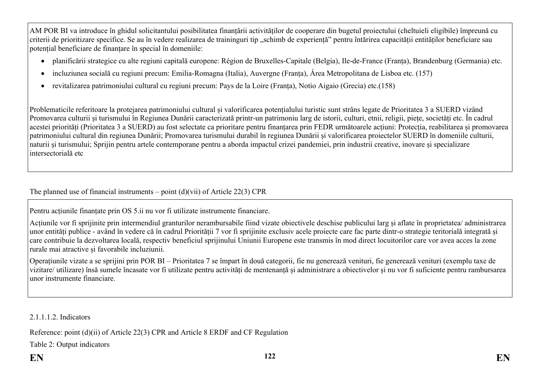AM POR BI va introduce în ghidul solicitantului posibilitatea finanțării activităților de cooperare din bugetul proiectului (cheltuieli eligibile) împreună cu criterii de prioritizare specifice. Se au în vedere realizarea de traininguri tip "schimb de experiență" pentru întărirea capacității entităților beneficiare sau potențial beneficiare de finanțare în special în domeniile:

- planificării strategice cu alte regiuni capitală europene: Région de Bruxelles-Capitale (Belgia), Ile-de-France (Franța), Brandenburg (Germania) etc.
- incluziunea socială cu regiuni precum: Emilia-Romagna (Italia), Auvergne (Franța), Área Metropolitana de Lisboa etc. (157)
- revitalizarea patrimoniului cultural cu regiuni precum: Pays de la Loire (Franța), Notio Aigaio (Grecia) etc.(158)

Problematicile referitoare la protejarea patrimoniului cultural și valorificarea potențialului turistic sunt strâns legate de Prioritatea 3 a SUERD vizând Promovarea culturii și turismului în Regiunea Dunării caracterizată printr-un patrimoniu larg de istorii, culturi, etnii, religii, piețe, societăți etc. În cadrul acestei priorități (Prioritatea 3 a SUERD) au fost selectate ca prioritare pentru finanțarea prin FEDR următoarele acțiuni: Protecția, reabilitarea și promovarea patrimoniului cultural din regiunea Dunării; Promovarea turismului durabil în regiunea Dunării și valorificarea proiectelor SUERD în domeniile culturii, naturii și turismului; Sprijin pentru artele contemporane pentru a aborda impactul crizei pandemiei, prin industrii creative, inovare și specializare intersectorială etc

The planned use of financial instruments – point  $(d)(\n{\rm vii})$  of Article 22(3) CPR

Pentru acțiunile finanțate prin OS 5.ii nu vor fi utilizate instrumente financiare.

Acțiunile vor fi sprijinite prin intermendiul granturilor nerambursabile fiind vizate obiectivele deschise publicului larg și aflate în proprietatea/ administrarea unor entități publice - având în vedere că în cadrul Priorității 7 vor fi sprijinite exclusiv acele proiecte care fac parte dintr-o strategie teritorială integrată și care contribuie la dezvoltarea locală, respectiv beneficiul sprijinului Uniunii Europene este transmis în mod direct locuitorilor care vor avea acces la zone rurale mai atractive și favorabile incluziunii.

Operațiunile vizate a se sprijini prin POR BI – Prioritatea 7 se împart în două categorii, fie nu generează venituri, fie generează venituri (exemplu taxe de vizitare/ utilizare) însă sumele încasate vor fi utilizate pentru activități de mentenanță și administrare a obiectivelor și nu vor fi suficiente pentru rambursarea unor instrumente financiare.

2.1.1.1.2. Indicators

Reference: point (d)(ii) of Article 22(3) CPR and Article 8 ERDF and CF Regulation

Table 2: Output indicators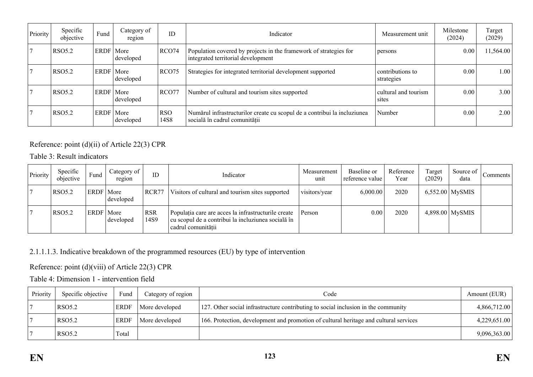| Priority | Specific<br>objective | Fund        | Category of<br>region | ID                 | Indicator                                                                                                 | Measurement unit               | Milestone<br>(2024) | Target<br>(2029) |
|----------|-----------------------|-------------|-----------------------|--------------------|-----------------------------------------------------------------------------------------------------------|--------------------------------|---------------------|------------------|
|          | <b>RSO5.2</b>         | ERDF   More | developed             | RCO74              | Population covered by projects in the framework of strategies for<br>integrated territorial development   | persons                        | 0.00                | 11,564.00        |
|          | <b>RSO5.2</b>         | ERDF   More | developed             | RCO <sub>75</sub>  | Strategies for integrated territorial development supported                                               | contributions to<br>strategies | 0.00                | 1.00             |
|          | <b>RSO5.2</b>         | ERDF   More | developed             | RCO77              | Number of cultural and tourism sites supported                                                            | cultural and tourism<br>sites  | 0.00                | 3.00             |
|          | <b>RSO5.2</b>         | ERDF   More | developed             | <b>RSO</b><br>14S8 | Numărul infrastructurilor create cu scopul de a contribui la incluziunea<br>socială în cadrul comunității | Number                         | 0.00                | 2.00             |

### Reference: point (d)(ii) of Article 22(3) CPR

Table 3: Result indicators

| Priority | Specific<br>objective | Fund        | Category of<br>region | ID                 | Indicator                                                                                                                       | Measurement<br>unit | Baseline or<br>reference value | Reference<br>Year | Target<br>(2029) | Source of<br>data | Comments <sup>1</sup> |
|----------|-----------------------|-------------|-----------------------|--------------------|---------------------------------------------------------------------------------------------------------------------------------|---------------------|--------------------------------|-------------------|------------------|-------------------|-----------------------|
|          | <b>RSO5.2</b>         | ERDF   More | developed             | RCR77              | Visitors of cultural and tourism sites supported                                                                                | visitors/year       | 6,000.00                       | 2020              |                  | $6,552.00$ MySMIS |                       |
|          | <b>RSO5.2</b>         | ERDF   More | developed             | <b>RSR</b><br>14S9 | Populația care are acces la infrastructurile create<br>cu scopul de a contribui la incluziunea socială în<br>cadrul comunității | Person              | 0.00                           | 2020              |                  | $4,898.00$ MySMIS |                       |

### 2.1.1.1.3. Indicative breakdown of the programmed resources (EU) by type of intervention

Reference: point (d)(viii) of Article 22(3) CPR

Table 4: Dimension 1 - intervention field

| Priority | Specific objective | Fund        | Category of region | Code                                                                                  | Amount (EUR) |
|----------|--------------------|-------------|--------------------|---------------------------------------------------------------------------------------|--------------|
|          | RSO5.2             | <b>ERDF</b> | More developed     | 127. Other social infrastructure contributing to social inclusion in the community    | 4,866,712.00 |
|          | RSO5.2             | <b>ERDF</b> | More developed     | 166. Protection, development and promotion of cultural heritage and cultural services | 4,229,651.00 |
|          | <b>RSO5.2</b>      | Total       |                    |                                                                                       | 9,096,363.00 |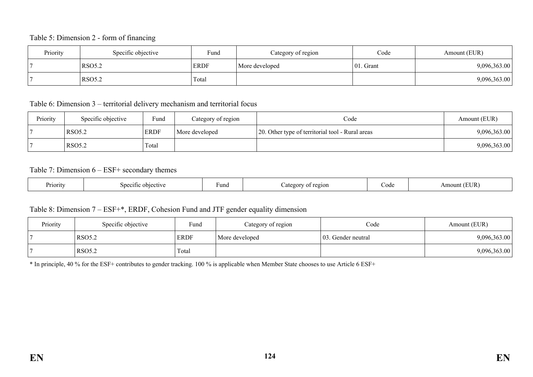#### Table 5: Dimension 2 - form of financing

| Priority | Specific objective | Fund        | Category of region | Code          | Amount (EUR) |
|----------|--------------------|-------------|--------------------|---------------|--------------|
|          | RSO5.2             | <b>ERDF</b> | More developed     | $ 01$ . Grant | 9,096,363.00 |
|          | <b>RSO5.2</b>      | Total       |                    |               | 9,096,363.00 |

Table 6: Dimension 3 – territorial delivery mechanism and territorial focus

| Priority | Specific objective | Fund        | Category of region | Code                                             | Amount (EUR) |
|----------|--------------------|-------------|--------------------|--------------------------------------------------|--------------|
|          | <b>RSO5.2</b>      | <b>ERDF</b> | More developed     | 20. Other type of territorial tool - Rural areas | 9,096,363.00 |
|          | <b>RSO5.2</b>      | Total       |                    |                                                  | 9,096,363.00 |

#### Table 7: Dimension 6 – ESF+ secondary themes

| $\mathbf{r}$<br><b>Priority</b><br>ectivi<br>sner<br>`11C . | Fund | `210L<br>oor<br>. . | code | EHD<br>mount، |
|-------------------------------------------------------------|------|---------------------|------|---------------|
|-------------------------------------------------------------|------|---------------------|------|---------------|

### Table 8: Dimension 7 – ESF+\*, ERDF, Cohesion Fund and JTF gender equality dimension

| Priority | Specific objective | Fund        | Category of region | Code               | Amount (EUR) |
|----------|--------------------|-------------|--------------------|--------------------|--------------|
|          | <b>RSO5.2</b>      | <b>ERDF</b> | More developed     | 03. Gender neutral | 9,096,363.00 |
|          | <b>RSO5.2</b>      | Total       |                    |                    | 9,096,363.00 |

\* In principle, 40 % for the ESF+ contributes to gender tracking. 100 % is applicable when Member State chooses to use Article 6 ESF+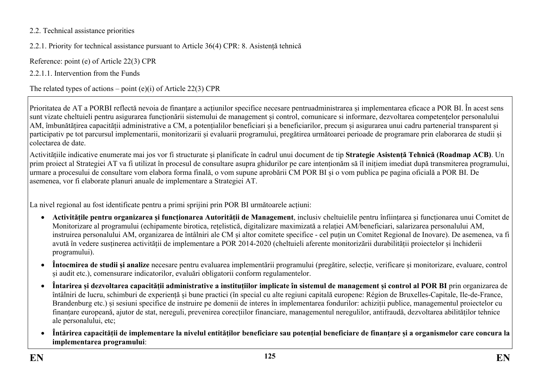### 2.2. Technical assistance priorities

2.2.1. Priority for technical assistance pursuant to Article 36(4) CPR: 8. Asistență tehnică

Reference: point (e) of Article 22(3) CPR

2.2.1.1. Intervention from the Funds

The related types of actions – point  $(e)(i)$  of Article 22(3) CPR

Prioritatea de AT a PORBI reflectă nevoia de finanțare a acțiunilor specifice necesare pentruadministrarea și implementarea eficace a POR BI. În acest sens sunt vizate cheltuieli pentru asigurarea funcționării sistemului de management și control, comunicare si informare, dezvoltarea competențelor personalului AM, îmbunătățirea capacității administrative a CM, a potențialilor beneficiari și a beneficiarilor, precum și asigurarea unui cadru partenerial transparent și participativ pe tot parcursul implementarii, monitorizarii și evaluarii programului, pregătirea următoarei perioade de programare prin elaborarea de studii și colectarea de date.

Activitățiile indicative enumerate mai jos vor fi structurate și planificate în cadrul unui document de tip **Strategie Asistență Tehnică (Roadmap ACB)**. Un prim proiect al Strategiei AT va fi utilizat în procesul de consultare asupra ghidurilor pe care intenționăm să îl inițiem imediat după transmiterea programului, urmare a procesului de consultare vom elabora forma finală, o vom supune aprobării CM POR BI și o vom publica pe pagina oficială a POR BI. De asemenea, vor fi elaborate planuri anuale de implementare a Strategiei AT.

La nivel regional au fost identificate pentru a primi sprijini prin POR BI următoarele acțiuni:

- **Activitățile pentru organizarea și funcționarea Autorității de Management**, inclusiv cheltuielile pentru înființarea și funcționarea unui Comitet de Monitorizare al programului (echipamente birotica, rețelistică, digitalizare maximizată a relației AM/beneficiari, salarizarea personalului AM, instruirea personalului AM, organizarea de întâlniri ale CM și altor comitete specifice - cel puțin un Comitet Regional de Inovare). De asemenea, va fi avută în vedere susținerea activității de implementare a POR 2014-2020 (cheltuieli aferente monitorizării durabilității proiectelor și închiderii programului).
- **Întocmirea de studii și analize** necesare pentru evaluarea implementării programului (pregătire, selecție, verificare și monitorizare, evaluare, control și audit etc.), comensurare indicatorilor, evaluări obligatorii conform regulamentelor.
- **Întarirea și dezvoltarea capacității administrative a instituțiilor implicate în sistemul de management și control al POR BI** prin organizarea de întâlniri de lucru, schimburi de experiență și bune practici (în special cu alte regiuni capitală europene: Région de Bruxelles-Capitale, Ile-de-France, Brandenburg etc.) și sesiuni specifice de instruire pe domenii de interes în implementarea fondurilor: achiziții publice, managementul proiectelor cu finanțare europeană, ajutor de stat, nereguli, prevenirea corecțiilor financiare, managementul neregulilor, antifraudă, dezvoltarea abilităților tehnice ale personalului, etc;
- **Întărirea capacității de implementare la nivelul entităților beneficiare sau potențial beneficiare de finanțare și a organismelor care concura la implementarea programului**: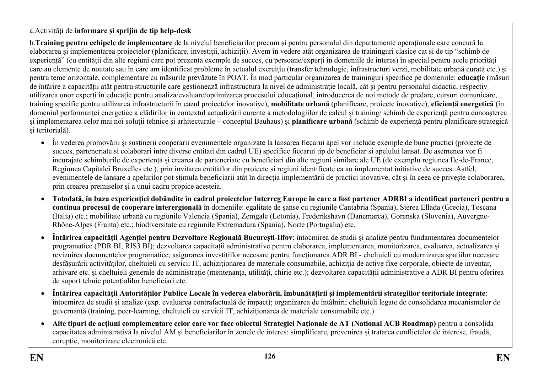## a.Activități de **informare și sprijin de tip help-desk**

b.**Training pentru echipele de implementare** de la nivelul beneficiarilor precum și pentru personalul din departamente operaționale care concură la elaborarea și implementarea proiectelor (planificare, investiții, achiziții). Avem în vedere atât organizarea de traininguri clasice cat si de tip "schimb de experiență" (cu entității din alte regiuni care pot prezenta exemple de succes, cu persoane/experți în domeniile de interes) în special pentru acele priorități care au elemente de noutate sau în care am identificat probleme în actualul exercițiu (transfer tehnologic, infrastructuri verzi, mobilitate urbană curată etc.) și pentru teme orizontale, complementare cu măsurile prevăzute în POAT. În mod particular organizarea de traininguri specifice pe domeniile: **educație** (măsuri de întărire a capacității atât pentru structurile care gestionează infrastructura la nivel de administrație locală, cât și pentru personalul didactic, respectiv utilizarea unor experți în educație pentru analiza/evaluare/optimizarea procesului educațional, introducerea de noi metode de predare, cursuri comunicare, training specific pentru utilizarea infrastructurii în cazul proiectelor inovative), **mobilitate urbană** (planificare, proiecte inovative), **eficiență energetică** (în domeniul performanței energetice a clădirilor în contextul actualizării curente a metodologiilor de calcul și training/ schimb de experiență pentru cunoașterea și implementarea celor mai noi soluții tehnice și arhitecturale – conceptul Bauhaus) și **planificare urbană** (schimb de experiență pentru planificare strategică și teritorială).

- În vederea promovării și sustinerii cooperarii evenimentele organizate la lansarea fiecarui apel vor include exemple de bune practici (proiecte de succes, parteneriate si colaborari intre diverse entitati din cadrul UE) specifice fiecarui tip de beneficiar si apelului lansat. De asemenea vor fi incurajate schimburile de experiență și crearea de parteneriate cu beneficiari din alte regiuni similare ale UE (de exemplu regiunea Ile-de-France, Regiunea Capitalei Bruxelles etc.), prin invitarea entitățlor din proiecte și regiuni identificate ca au implementat initiative de succes. Astfel, evenimentele de lansare a apelurilor pot stimula beneficiarii atât în direcția implementării de practici inovative, cât și în ceea ce privește colaborarea, prin crearea premiselor și a unui cadru propice acesteia.
- **Totodată, în baza experienției dobândite în cadrul proiectelor Interreg Europe în care a fost partener ADRBI a identificat parteneri pentru a continua procesul de cooperare interergională** în domeniile: egalitate de șanse cu regiunile Cantabria (Spania), Sterea Ellada (Grecia), Toscana (Italia) etc.; mobilitate urbană cu regiunile Valencia (Spania), Zemgale (Letonia), Frederikshavn (Danemarca), Gorenska (Slovenia), Auvergne-Rhône-Alpes (Franta) etc.; biodiversitate cu regiunile Extremadura (Spania), Norte (Portugalia) etc.
- **Întărirea capacității Agenției pentru Dezvoltare Regională București-Ilfov**: întocmirea de studii și analize pentru fundamentarea documentelor programatice (PDR BI, RIS3 BI); dezvoltarea capacitații administrative pentru elaborarea, implementarea, monitorizarea, evaluarea, actualizarea și revizuirea documentelor programatice; asigurarea investițiilor necesare pentru funcționarea ADR BI - cheltuieli cu modernizarea spatiilor necesare desfășurării activităților, cheltuieli cu servicii IT, achiziționarea de materiale consumabile, achiziția de active fixe corporale, obiecte de inventar, arhivare etc. și cheltuieli generale de administrație (mentenanța, utilități, chirie etc.); dezvoltarea capacității administrative a ADR BI pentru oferirea de suport tehnic potențialilor beneficiari etc.
- **Întărirea capacității Autorităților Publice Locale în vederea elaborării, îmbunătățirii și implementării strategiilor teritoriale integrate**: întocmirea de studii și analize (exp. evaluarea contrafactuală de impact); organizarea de întâlniri; cheltuieli legate de consolidarea mecanismelor de guvernanță (training, peer-learning, cheltuieli cu servicii IT, achiziționarea de materiale consumabile etc.)
- **Alte tipuri de acțiuni complementare celor care vor face obiectul Strategiei Naționale de AT (National ACB Roadmap)** pentru a consolida capacitatea administrativă la nivelul AM și beneficiarilor în zonele de interes: simplificare, prevenirea și tratarea conflictelor de interese, fraudă, corupție, monitorizare electronică etc.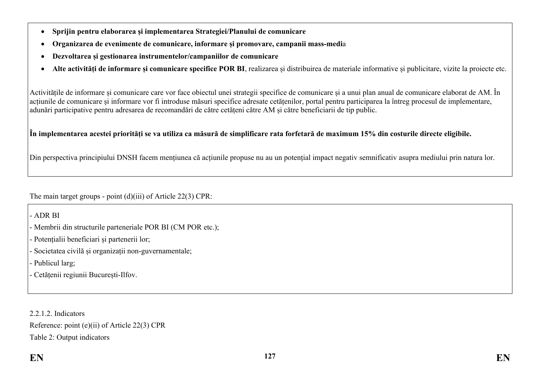- **Sprijin pentru elaborarea și implementarea Strategiei/Planului de comunicare**
- **Organizarea de evenimente de comunicare, informare și promovare, campanii mass-medi**a
- **Dezvoltarea și gestionarea instrumentelor/campaniilor de comunicare**
- **Alte activități de informare și comunicare specifice POR BI**, realizarea și distribuirea de materiale informative și publicitare, vizite la proiecte etc.

Activitățile de informare și comunicare care vor face obiectul unei strategii specifice de comunicare și a unui plan anual de comunicare elaborat de AM. În acțiunile de comunicare și informare vor fi introduse măsuri specifice adresate cetățenilor, portal pentru participarea la întreg procesul de implementare, adunări participative pentru adresarea de recomandări de către cetățeni către AM și către beneficiarii de tip public.

### **În implementarea acestei priorități se va utiliza ca măsură de simplificare rata forfetară de maximum 15% din costurile directe eligibile.**

Din perspectiva principiului DNSH facem mențiunea că acțiunile propuse nu au un potențial impact negativ semnificativ asupra mediului prin natura lor.

The main target groups - point (d)(iii) of Article 22(3) CPR:

- ADR BI

- Membrii din structurile parteneriale POR BI (CM POR etc.);
- Potentialii beneficiari și partenerii lor;
- Societatea civilă și organizații non-guvernamentale;
- Publicul larg;
- Cetățenii regiunii București-Ilfov.

2.2.1.2. Indicators Reference: point (e)(ii) of Article 22(3) CPR Table 2: Output indicators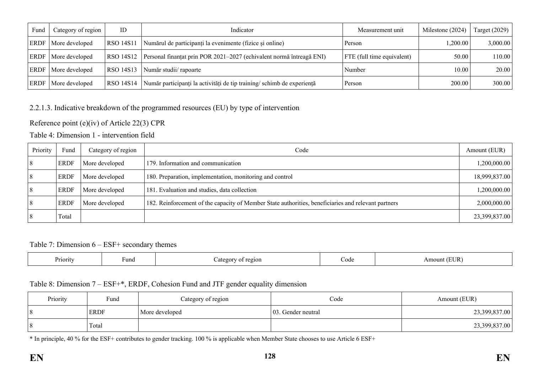| Fund | Category of region | ID        | Indicator                                                             | Measurement unit           | Milestone (2024) | Target $(2029)$ |
|------|--------------------|-----------|-----------------------------------------------------------------------|----------------------------|------------------|-----------------|
| ERDF | More developed     | RSO 14S11 | Numărul de participanți la evenimente (fizice și online)              | Person                     | 1,200.00         | 3,000.00        |
| ERDF | More developed     | RSO 14S12 | Personal finanțat prin POR 2021–2027 (echivalent normă întreagă ENI)  | FTE (full time equivalent) | 50.00            | 110.00          |
| ERDF | More developed     | RSO 14S13 | Număr studii/ rapoarte                                                | Number                     | 10.00            | 20.00           |
| ERDF | More developed     | RSO 14S14 | Număr participanți la activități de tip training/schimb de experiență | Person                     | 200.00           | 300.00          |

### 2.2.1.3. Indicative breakdown of the programmed resources (EU) by type of intervention

### Reference point (e)(iv) of Article 22(3) CPR

### Table 4: Dimension 1 - intervention field

| Priority | Fund        | Category of region | Code                                                                                                | Amount (EUR)  |
|----------|-------------|--------------------|-----------------------------------------------------------------------------------------------------|---------------|
| 8        | <b>ERDF</b> | More developed     | 179. Information and communication                                                                  | 1,200,000.00  |
| 8        | <b>ERDF</b> | More developed     | 180. Preparation, implementation, monitoring and control                                            | 18,999,837.00 |
| 8        | <b>ERDF</b> | More developed     | 181. Evaluation and studies, data collection                                                        | 1,200,000.00  |
| 8        | <b>ERDF</b> | More developed     | 182. Reinforcement of the capacity of Member State authorities, beneficiaries and relevant partners | 2,000,000.00  |
| 8        | Total       |                    |                                                                                                     | 23,399,837.00 |

#### Table 7: Dimension 6 – ESF+ secondary themes

| Priority | Fund | region<br>0.011<br>்வ†ല<br>- OT<br>∕aw | Code | EUR<br>Amount ' |
|----------|------|----------------------------------------|------|-----------------|
|----------|------|----------------------------------------|------|-----------------|

### Table 8: Dimension 7 – ESF+\*, ERDF, Cohesion Fund and JTF gender equality dimension

| Priority | Fund        | Category of region | Code                | Amount (EUR)  |
|----------|-------------|--------------------|---------------------|---------------|
| 8        | <b>ERDF</b> | More developed     | 103. Gender neutral | 23,399,837.00 |
|          | Total       |                    |                     | 23,399,837.00 |

\* In principle, 40 % for the ESF+ contributes to gender tracking. 100 % is applicable when Member State chooses to use Article 6 ESF+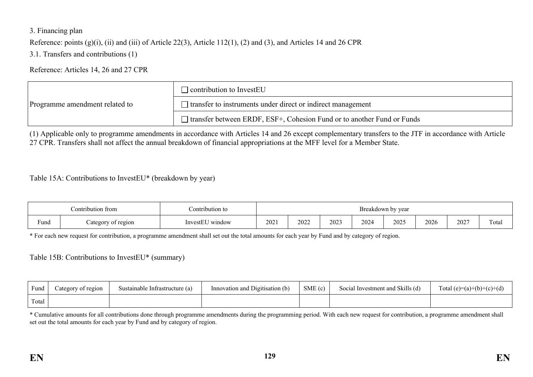### 3. Financing plan

Reference: points (g)(i), (ii) and (iii) of Article 22(3), Article 112(1), (2) and (3), and Articles 14 and 26 CPR

3.1. Transfers and contributions (1)

Reference: Articles 14, 26 and 27 CPR

|                                | $\Box$ contribution to InvestEU                                               |
|--------------------------------|-------------------------------------------------------------------------------|
| Programme amendment related to | $\Box$ transfer to instruments under direct or indirect management            |
|                                | $\Box$ transfer between ERDF, ESF+, Cohesion Fund or to another Fund or Funds |

(1) Applicable only to programme amendments in accordance with Articles 14 and 26 except complementary transfers to the JTF in accordance with Article 27 CPR. Transfers shall not affect the annual breakdown of financial appropriations at the MFF level for a Member State.

Table 15A: Contributions to InvestEU\* (breakdown by year)

|                | Contribution from    | `ontribution to                    | by year<br>eakdown |      |      |      |      |      |               |       |  |  |
|----------------|----------------------|------------------------------------|--------------------|------|------|------|------|------|---------------|-------|--|--|
| $\sim$<br>Fund | of region<br>ategory | $-1$<br>∪ window<br><b>InvestE</b> | 2021               | 2022 | 2023 | 2024 | 2025 | 2026 | 0.027<br>2027 | Total |  |  |

\* For each new request for contribution, a programme amendment shall set out the total amounts for each year by Fund and by category of region.

Table 15B: Contributions to InvestEU\* (summary)

| Fund  | Category of region | Sustainable Infrastructure (a) | Innovation and Digitisation (b) | SME(c) | Social Investment and Skills (d) | Total (e)=(a)+(b)+(c)+(d) |
|-------|--------------------|--------------------------------|---------------------------------|--------|----------------------------------|---------------------------|
| Total |                    |                                |                                 |        |                                  |                           |

\* Cumulative amounts for all contributions done through programme amendments during the programming period. With each new request for contribution, a programme amendment shall set out the total amounts for each year by Fund and by category of region.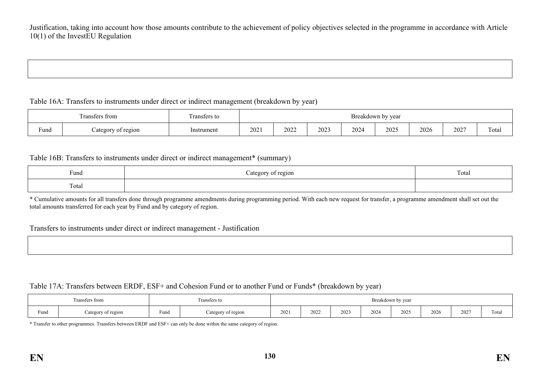Justification, taking into account how those amounts contribute to the achievement of policy objectives selected in the programme in accordance with Article 10(1) of the InvestEU Regulation

#### Table 16A: Transfers to instruments under direct or indirect management (breakdown by year)

|      | $\sim$<br>I ransters trom | $\sim$<br>Fransfers to | Breakdown t<br>by year |      |      |      |      |      |      |       |
|------|---------------------------|------------------------|------------------------|------|------|------|------|------|------|-------|
| Fund | of region<br>Lategory     | Instrument             | 2021                   | 2022 | 2023 | 2024 | 2025 | 2026 | 2027 | Total |

#### Table 16B: Transfers to instruments under direct or indirect management\* (summary)

| $\sim$<br>Fund  | t region<br>$int \alpha r \wedge r$ | <b>CONTINUES</b><br>Total |
|-----------------|-------------------------------------|---------------------------|
| $\sim$<br>rotal |                                     |                           |

\* Cumulative amounts for all transfers done through programme amendments during programming period. With each new request for transfer, a programme amendment shall set out the total amounts transferred for each year by Fund and by category of region.

#### Transfers to instruments under direct or indirect management - Justification

#### Table 17A: Transfers between ERDF, ESF+ and Cohesion Fund or to another Fund or Funds\* (breakdown by year)

|      | <b>CONTRACTOR</b><br>Fransfers from |      | ransfers to        | Breakdown by year |      |      |      |      |      |      |                 |  |
|------|-------------------------------------|------|--------------------|-------------------|------|------|------|------|------|------|-----------------|--|
| Fund | Category of region                  | Fund | Category of region |                   | 2022 | 2023 | 2024 | 2025 | 2026 | 2027 | $\sim$<br>Total |  |

\* Transfer to other programmes. Transfers between ERDF and ESF+ can only be done within the same category of region.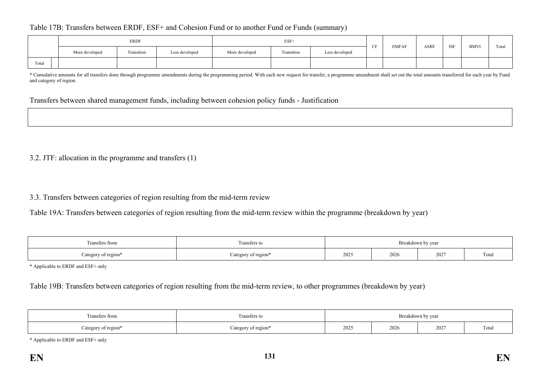#### Table 17B: Transfers between ERDF, ESF+ and Cohesion Fund or to another Fund or Funds (summary)

|       |                | ERDF       |                | $ESF+$         |            |                |  |              | AMIF |            | <b>BMVI</b> | Total |
|-------|----------------|------------|----------------|----------------|------------|----------------|--|--------------|------|------------|-------------|-------|
|       | More developed | Transition | Less developed | More developed | Transition | Less developed |  | <b>EMFAF</b> |      | <b>ISF</b> |             |       |
| Total |                |            |                |                |            |                |  |              |      |            |             |       |

\* Cumulative amounts for all transfers done through programme amendments during the programming period. With each new request for transfer, a programme amendment shall set out the total amounts transferred for each year by and category of region.

Transfers between shared management funds, including between cohesion policy funds - Justification

3.2. JTF: allocation in the programme and transfers (1)

3.3. Transfers between categories of region resulting from the mid-term review

Table 19A: Transfers between categories of region resulting from the mid-term review within the programme (breakdown by year)

| Transfers from                 | ransfers to        | Breakdown by year |      |      |                            |  |  |  |
|--------------------------------|--------------------|-------------------|------|------|----------------------------|--|--|--|
| $\triangle$ ategory of region* | ategory of region* | 2025              | 2026 | 2027 | <b>CONTRACTOR</b><br>Total |  |  |  |

\* Applicable to ERDF and ESF+ only

Table 19B: Transfers between categories of region resulting from the mid-term review, to other programmes (breakdown by year)

| Transfers from      | l ransfers to                   | Breakdown by year |      |      |                 |  |  |  |
|---------------------|---------------------------------|-------------------|------|------|-----------------|--|--|--|
| Category of region* | $\therefore$ ategory of region* | 2025              | 2026 | 2027 | $\sim$<br>Total |  |  |  |

\* Applicable to ERDF and ESF+ only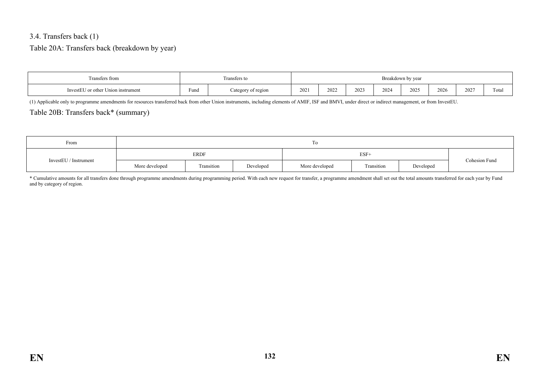#### 3.4. Transfers back (1)

### Table 20A: Transfers back (breakdown by year)

| Fransfers from                     |                | <b>CONTINUES</b><br>Fransfers to | Breakdown by year |      |      |      |      |      |      |       |  |
|------------------------------------|----------------|----------------------------------|-------------------|------|------|------|------|------|------|-------|--|
| InvestEU or other Union instrument | $\sim$<br>Fund | Category of region               | 202               | 2022 | 2023 | 2024 | 2025 | 2026 | 2027 | Total |  |

(1) Applicable only to programme amendments for resources transferred back from other Union instruments, including elements of AMIF, ISF and BMVI, under direct or indirect management, or from InvestEU.

### Table 20B: Transfers back\* (summary)

| From                  |                | To          |           |                |               |           |  |  |  |  |  |  |
|-----------------------|----------------|-------------|-----------|----------------|---------------|-----------|--|--|--|--|--|--|
| InvestEU / Instrument |                | <b>ERDF</b> |           |                | Cohesion Fund |           |  |  |  |  |  |  |
|                       | More developed | Transition  | Developed | More developed | Transition    | Developed |  |  |  |  |  |  |

\* Cumulative amounts for all transfers done through programme amendments during programming period. With each new request for transfer, a programme amendment shall set out the total amounts transferred for each year by Fund and by category of region.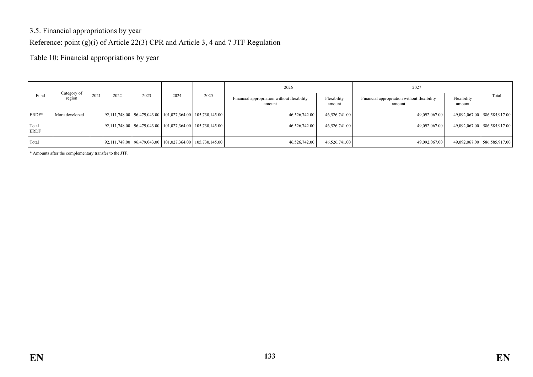## 3.5. Financial appropriations by year

Reference: point (g)(i) of Article 22(3) CPR and Article 3, 4 and 7 JTF Regulation

Table 10: Financial appropriations by year

|                      |                       |                              |  |  |                                                                        |                                                       | 2026                  |                                                       | 2027                  |       |                                |
|----------------------|-----------------------|------------------------------|--|--|------------------------------------------------------------------------|-------------------------------------------------------|-----------------------|-------------------------------------------------------|-----------------------|-------|--------------------------------|
| Fund                 | Category of<br>region | 2021<br>2022<br>2023<br>2024 |  |  | 2025                                                                   | Financial appropriation without flexibility<br>amount | Flexibility<br>amount | Financial appropriation without flexibility<br>amount | Flexibility<br>amount | Total |                                |
| ERDF*                | More developed        |                              |  |  | $\mid$ 92,111,748.00   96,479,043.00   101,027,364.00   105,730,145.00 |                                                       | 46.526.742.00         | 46,526,741.00                                         | 49,092,067.00         |       | 49,092,067.00   586,585,917.00 |
| Total<br><b>ERDF</b> |                       |                              |  |  | $\mid$ 92,111,748.00   96,479,043.00   101,027,364.00   105,730,145.00 |                                                       | 46,526,742.00         | 46,526,741.00                                         | 49,092,067.00         |       | 49,092,067.00   586,585,917.00 |
| Total                |                       |                              |  |  | $\mid$ 92,111,748.00   96,479,043.00   101,027,364.00   105,730,145.00 |                                                       | 46,526,742.00         | 46,526,741.00                                         | 49,092,067.00         |       | 49,092,067.00   586,585,917.00 |

\* Amounts after the complementary transfer to the JTF.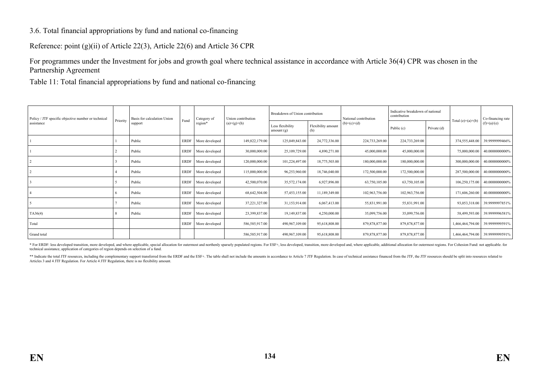#### 3.6. Total financial appropriations by fund and national co-financing

Reference: point (g)(ii) of Article 22(3), Article 22(6) and Article 36 CPR

For programmes under the Investment for jobs and growth goal where technical assistance in accordance with Article 36(4) CPR was chosen in the Partnership Agreement

Table 11: Total financial appropriations by fund and national co-financing

| Policy / JTF specific objective number or technical |          | Basis for calculation Union | Fund        | Category of    | Union contribution | Breakdown of Union contribution  |                           | National contribution | Indicative breakdown of national<br>contribution |             |                     | Co-financing rate |
|-----------------------------------------------------|----------|-----------------------------|-------------|----------------|--------------------|----------------------------------|---------------------------|-----------------------|--------------------------------------------------|-------------|---------------------|-------------------|
| assistance                                          | Priority | support                     |             | region*        | $(a)=(g)+(h)$      | Less flexibility<br>amount $(g)$ | Flexibility amount<br>(h) | $(b)=(c)+(d)$         | Public (c)                                       | Private (d) | Total $(e)=(a)+(b)$ | $(f)=(a)/(e)$     |
|                                                     |          | Public                      | <b>ERDF</b> | More developed | 149,822,179.00     | 125,049,843.00                   | 24,772,336.00             | 224,733,269.00        | 224,733,269.00                                   |             | 374,555,448.00      | 39.9999999466%    |
|                                                     |          | Public                      | <b>ERDF</b> | More developed | 30,000,000.00      | 25,109,729.00                    | 4,890,271.00              | 45,000,000.00         | 45,000,000.00                                    |             | 75,000,000.00       | 40.0000000000%    |
|                                                     |          | Public                      | <b>ERDF</b> | More developed | 120,000,000.00     | 101,224,497.00                   | 18,775,503.00             | 180,000,000.00        | 180,000,000.00                                   |             | 300,000,000.00      | 40.0000000000%    |
|                                                     |          | Public                      | <b>ERDF</b> | More developed | 115,000,000.00     | 96,253,960.00                    | 18,746,040.00             | 172,500,000.00        | 172,500,000.00                                   |             | 287,500,000.00      | 40.0000000000%    |
|                                                     |          | Public                      | <b>ERDF</b> | More developed | 42,500,070.00      | 35,572,174.00                    | 6,927,896.00              | 63,750,105.00         | 63,750,105.00                                    |             | 106,250,175.00      | 40.0000000000%    |
|                                                     |          | Public                      | <b>ERDF</b> | More developed | 68,642,504.00      | 57,453,155.00                    | 11,189,349.00             | 102,963,756.00        | 102,963,756.00                                   |             | 171,606,260.00      | 40.0000000000%    |
|                                                     |          | Public                      | ERDF        | More developed | 37,221,327.00      | 31,153,914.00                    | 6,067,413.00              | 55,831,991.00         | 55,831,991.00                                    |             | 93,053,318.00       | 39.9999997851%    |
| TA36(4)                                             |          | Public                      | <b>ERDF</b> | More developed | 23,399,837.00      | 19,149,837.00                    | 4,250,000.00              | 35,099,756.00         | 35,099,756.00                                    |             | 58,499,593.00       | 39.9999996581%    |
| Total                                               |          |                             | <b>ERDF</b> | More developed | 586,585,917.00     | 490,967,109.00                   | 95,618,808.00             | 879, 878, 877.00      | 879, 878, 877.00                                 |             | 1,466,464,794.00    | 39.9999999591%    |
| Grand total                                         |          |                             |             |                | 586,585,917.00     | 490,967,109.00                   | 95,618,808.00             | 879, 878, 877.00      | 879, 878, 877.00                                 |             | 1,466,464,794.00    | 39.9999999591%    |

\* For ERDF: less developed transition, more developed, and where applicable, special allocation for outermost and morthenly sparsely populated regions. For ESF+, less developed, transition, more developed and, where applic technical assistance, application of categories of region depends on selection of a fund.

\*\* Indicate the total JTF resources, including the complementary support transferred from the ERDF and the ESF+. The table shall not include the amounts in accordance to Article 7 JTF Regulation. In case of technical assis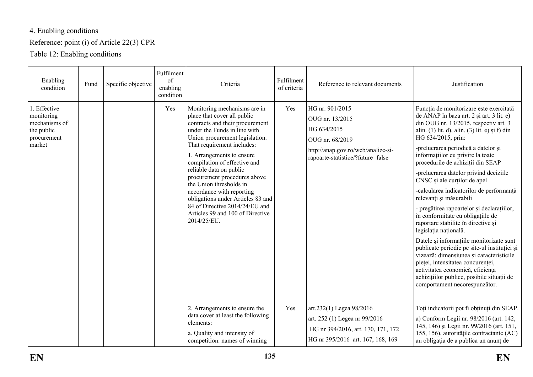# 4. Enabling conditions

## Reference: point (i) of Article 22(3) CPR

Table 12: Enabling conditions

| Enabling<br>condition                                                              | Fund | Specific objective | Fulfilment<br>of<br>enabling<br>condition | Criteria                                                                                                                                                                                                                                                                                                                                                                                                                                                                                                 | Fulfilment<br>of criteria | Reference to relevant documents                                                                                                                 | Justification                                                                                                                                                                                                                                                                                                                                                                                                                                                                                                                                                                                                                                                                                                                                                                                                                                                                                                             |
|------------------------------------------------------------------------------------|------|--------------------|-------------------------------------------|----------------------------------------------------------------------------------------------------------------------------------------------------------------------------------------------------------------------------------------------------------------------------------------------------------------------------------------------------------------------------------------------------------------------------------------------------------------------------------------------------------|---------------------------|-------------------------------------------------------------------------------------------------------------------------------------------------|---------------------------------------------------------------------------------------------------------------------------------------------------------------------------------------------------------------------------------------------------------------------------------------------------------------------------------------------------------------------------------------------------------------------------------------------------------------------------------------------------------------------------------------------------------------------------------------------------------------------------------------------------------------------------------------------------------------------------------------------------------------------------------------------------------------------------------------------------------------------------------------------------------------------------|
| 1. Effective<br>monitoring<br>mechanisms of<br>the public<br>procurement<br>market |      |                    | Yes                                       | Monitoring mechanisms are in<br>place that cover all public<br>contracts and their procurement<br>under the Funds in line with<br>Union procurement legislation.<br>That requirement includes:<br>1. Arrangements to ensure<br>compilation of effective and<br>reliable data on public<br>procurement procedures above<br>the Union thresholds in<br>accordance with reporting<br>obligations under Articles 83 and<br>84 of Directive 2014/24/EU and<br>Articles 99 and 100 of Directive<br>2014/25/EU. | Yes                       | HG nr. 901/2015<br>OUG nr. 13/2015<br>HG 634/2015<br>OUG nr. 68/2019<br>http://anap.gov.ro/web/analize-si-<br>rapoarte-statistice/?future=false | Funcția de monitorizare este exercitată<br>de ANAP în baza art. 2 și art. 3 lit. e)<br>din OUG nr. 13/2015, respectiv art. 3<br>alin. (1) lit. d), alin. (3) lit. e) și f) din<br>HG 634/2015, prin:<br>-prelucrarea periodică a datelor și<br>informațiilor cu privire la toate<br>procedurile de achiziții din SEAP<br>-prelucrarea datelor privind deciziile<br>CNSC și ale curților de apel<br>-calcularea indicatorilor de performanță<br>relevanți și măsurabili<br>- pregătirea rapoartelor și declarațiilor,<br>în conformitate cu obligațiile de<br>raportare stabilite în directive și<br>legislația națională.<br>Datele și informațiile monitorizate sunt<br>publicate periodic pe site-ul instituției și<br>vizează: dimensiunea și caracteristicile<br>pieței, intensitatea concurenței,<br>activitatea economică, eficiența<br>achizițiilor publice, posibile situații de<br>comportament necorespunzător. |
|                                                                                    |      |                    |                                           | 2. Arrangements to ensure the<br>data cover at least the following<br>elements:<br>a. Quality and intensity of<br>competition: names of winning                                                                                                                                                                                                                                                                                                                                                          | Yes                       | art.232(1) Legea 98/2016<br>art. 252 (1) Legea nr 99/2016<br>HG nr 394/2016, art. 170, 171, 172<br>HG nr 395/2016 art. 167, 168, 169            | Toți indicatorii pot fi obținuți din SEAP.<br>a) Conform Legii nr. 98/2016 (art. 142,<br>145, 146) și Legii nr. 99/2016 (art. 151,<br>155, 156), autoritățile contractante (AC)<br>au obligația de a publica un anunț de                                                                                                                                                                                                                                                                                                                                                                                                                                                                                                                                                                                                                                                                                                  |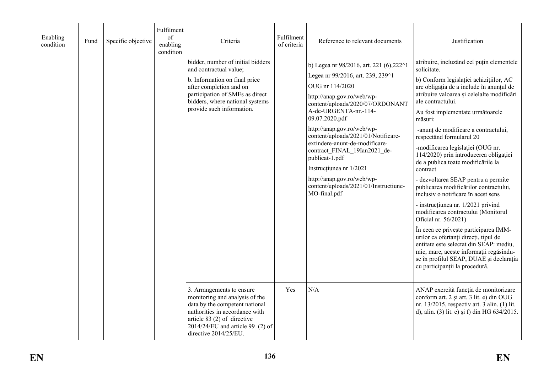| Enabling<br>condition | Fund | Specific objective | Fulfilment<br>of<br>enabling<br>condition | Criteria                                                                                                                                                                                                                       | Fulfilment<br>of criteria | Reference to relevant documents                                                                                                                                                                                                                                                                                                                                                                                                                                                          | Justification                                                                                                                                                                                                                                                                                                                                                                                                                                                                                                                                                                                                                                                                                                                                                                                                                                                                                                                                            |
|-----------------------|------|--------------------|-------------------------------------------|--------------------------------------------------------------------------------------------------------------------------------------------------------------------------------------------------------------------------------|---------------------------|------------------------------------------------------------------------------------------------------------------------------------------------------------------------------------------------------------------------------------------------------------------------------------------------------------------------------------------------------------------------------------------------------------------------------------------------------------------------------------------|----------------------------------------------------------------------------------------------------------------------------------------------------------------------------------------------------------------------------------------------------------------------------------------------------------------------------------------------------------------------------------------------------------------------------------------------------------------------------------------------------------------------------------------------------------------------------------------------------------------------------------------------------------------------------------------------------------------------------------------------------------------------------------------------------------------------------------------------------------------------------------------------------------------------------------------------------------|
|                       |      |                    |                                           | bidder, number of initial bidders<br>and contractual value;<br>b. Information on final price<br>after completion and on<br>participation of SMEs as direct<br>bidders, where national systems<br>provide such information.     |                           | b) Legea nr 98/2016, art. 221 (6), 222^1<br>Legea nr 99/2016, art. 239, 239^1<br>OUG nr 114/2020<br>http://anap.gov.ro/web/wp-<br>content/uploads/2020/07/ORDONANT<br>A-de-URGENTA-nr.-114-<br>09.07.2020.pdf<br>http://anap.gov.ro/web/wp-<br>content/uploads/2021/01/Notificare-<br>extindere-anunt-de-modificare-<br>contract_FINAL_19Ian2021_de-<br>publicat-1.pdf<br>Instructiunea nr 1/2021<br>http://anap.gov.ro/web/wp-<br>content/uploads/2021/01/Instructiune-<br>MO-final.pdf | atribuire, incluzând cel puțin elementele<br>solicitate.<br>b) Conform legislației achizițiilor, AC<br>are obligația de a include în anunțul de<br>atribuire valoarea și celelalte modificări<br>ale contractului.<br>Au fost implementate următoarele<br>măsuri:<br>-anunț de modificare a contractului,<br>respectând formularul 20<br>-modificarea legislației (OUG nr.<br>114/2020) prin introducerea obligației<br>de a publica toate modificările la<br>contract<br>- dezvoltarea SEAP pentru a permite<br>publicarea modificărilor contractului,<br>inclusiv o notificare în acest sens<br>- instrucțiunea nr. 1/2021 privind<br>modificarea contractului (Monitorul<br>Oficial nr. 56/2021)<br>În ceea ce privește participarea IMM-<br>urilor ca ofertanți direcți, tipul de<br>entitate este selectat din SEAP: mediu,<br>mic, mare, aceste informații regăsindu-<br>se în profilul SEAP, DUAE și declarația<br>cu participanții la procedură. |
|                       |      |                    |                                           | 3. Arrangements to ensure<br>monitoring and analysis of the<br>data by the competent national<br>authorities in accordance with<br>article $83(2)$ of directive<br>$2014/24/EU$ and article 99 (2) of<br>directive 2014/25/EU. | Yes                       | N/A                                                                                                                                                                                                                                                                                                                                                                                                                                                                                      | ANAP exercită funcția de monitorizare<br>conform art. 2 și art. 3 lit. e) din OUG<br>nr. 13/2015, respectiv art. 3 alin. (1) lit.<br>d), alin. (3) lit. e) și f) din HG 634/2015.                                                                                                                                                                                                                                                                                                                                                                                                                                                                                                                                                                                                                                                                                                                                                                        |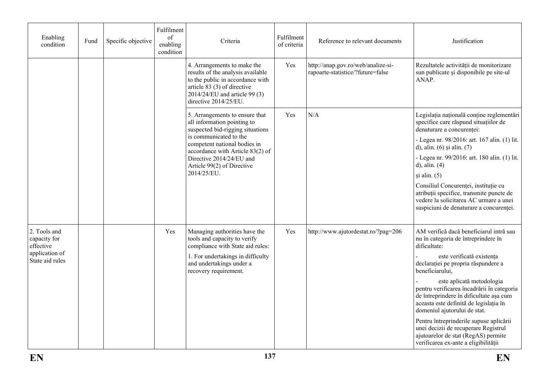| Enabling<br>condition                     | Fund | Specific objective | Fulfilment<br>of<br>enabling<br>condition | Criteria                                                                                                                                                                                      | Fulfilment<br>of criteria | Reference to relevant documents                                                                                                           | Justification                                                                                                                                                                                |  |
|-------------------------------------------|------|--------------------|-------------------------------------------|-----------------------------------------------------------------------------------------------------------------------------------------------------------------------------------------------|---------------------------|-------------------------------------------------------------------------------------------------------------------------------------------|----------------------------------------------------------------------------------------------------------------------------------------------------------------------------------------------|--|
|                                           |      |                    |                                           | 4. Arrangements to make the<br>results of the analysis available<br>to the public in accordance with<br>article 83 (3) of directive<br>2014/24/EU and article 99 (3)<br>directive 2014/25/EU. | Yes                       | http://anap.gov.ro/web/analize-si-<br>rapoarte-statistice/?future=false                                                                   | Rezultatele activității de monitorizare<br>sun publicate și disponibile pe site-ul<br>ANAP.                                                                                                  |  |
|                                           |      |                    |                                           | 5. Arrangements to ensure that<br>all information pointing to<br>suspected bid-rigging situations<br>is communicated to the                                                                   | Yes                       | N/A                                                                                                                                       | Legislația națională conține reglementări<br>specifice care răspund situațiilor de<br>denaturare a concurenței:<br>- Legea nr. 98/2016: art. 167 alin. (1) lit.                              |  |
|                                           |      |                    |                                           |                                                                                                                                                                                               |                           | competent national bodies in<br>accordance with Article 83(2) of<br>Directive 2014/24/EU and<br>Article 99(2) of Directive<br>2014/25/EU. |                                                                                                                                                                                              |  |
|                                           |      |                    |                                           |                                                                                                                                                                                               |                           |                                                                                                                                           | vedere la solicitarea AC urmare a unei<br>suspiciuni de denaturare a concurenței.                                                                                                            |  |
| 2. Tools and<br>capacity for<br>effective |      |                    | Yes                                       | Managing authorities have the<br>tools and capacity to verify<br>compliance with State aid rules:                                                                                             | Yes                       | http://www.ajutordestat.ro/?pag=206                                                                                                       | AM verifică dacă beneficiarul intră sau<br>nu în categoria de întreprindere în<br>dificultate:                                                                                               |  |
| application of<br>State aid rules         |      |                    |                                           | 1. For undertakings in difficulty<br>and undertakings under a<br>recovery requirement.                                                                                                        |                           |                                                                                                                                           | este verificată existența<br>declarației pe propria răspundere a<br>beneficiarului,                                                                                                          |  |
|                                           |      |                    |                                           |                                                                                                                                                                                               |                           |                                                                                                                                           | este aplicată metodologia<br>pentru verificarea încadrării în categoria<br>de întreprindere în dificultate așa cum<br>aceasta este definită de legislația în<br>domeniul ajutorului de stat. |  |
|                                           |      |                    |                                           |                                                                                                                                                                                               |                           |                                                                                                                                           | Pentru întreprinderile supuse aplicării<br>unei decizii de recuperare Registrul<br>ajutoarelor de stat (RegAS) permite<br>verificarea ex-ante a eligibilității                               |  |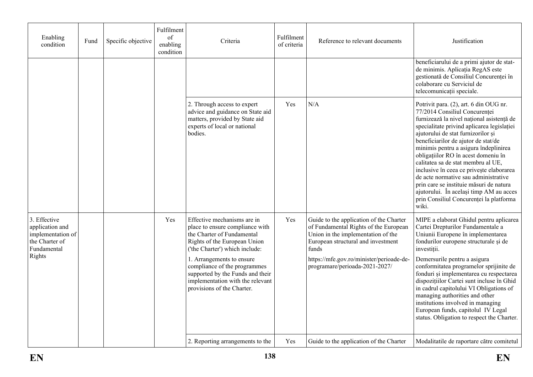| Enabling<br>condition                                                                           | Fund | Specific objective | Fulfilment<br>of<br>enabling<br>condition | Criteria                                                                                                                                                                                                                                                                                                                          | Fulfilment<br>of criteria | Reference to relevant documents                                                                                                                                                                                                                     | Justification                                                                                                                                                                                                                                                                                                                                                                                                                                                                                                                                                                                       |
|-------------------------------------------------------------------------------------------------|------|--------------------|-------------------------------------------|-----------------------------------------------------------------------------------------------------------------------------------------------------------------------------------------------------------------------------------------------------------------------------------------------------------------------------------|---------------------------|-----------------------------------------------------------------------------------------------------------------------------------------------------------------------------------------------------------------------------------------------------|-----------------------------------------------------------------------------------------------------------------------------------------------------------------------------------------------------------------------------------------------------------------------------------------------------------------------------------------------------------------------------------------------------------------------------------------------------------------------------------------------------------------------------------------------------------------------------------------------------|
|                                                                                                 |      |                    |                                           |                                                                                                                                                                                                                                                                                                                                   |                           |                                                                                                                                                                                                                                                     | beneficiarului de a primi ajutor de stat-<br>de minimis. Aplicația RegAS este<br>gestionată de Consiliul Concurenței în<br>colaborare cu Serviciul de<br>telecomunicații speciale.                                                                                                                                                                                                                                                                                                                                                                                                                  |
|                                                                                                 |      |                    |                                           | 2. Through access to expert<br>advice and guidance on State aid<br>matters, provided by State aid<br>experts of local or national<br>bodies.                                                                                                                                                                                      | Yes                       | N/A                                                                                                                                                                                                                                                 | Potrivit para. (2), art. 6 din OUG nr.<br>77/2014 Consiliul Concurentei<br>furnizează la nivel național asistență de<br>specialitate privind aplicarea legislației<br>ajutorului de stat furnizorilor și<br>beneficiarilor de ajutor de stat/de<br>minimis pentru a asigura îndeplinirea<br>obligațiilor RO în acest domeniu în<br>calitatea sa de stat membru al UE,<br>inclusive în ceea ce privește elaborarea<br>de acte normative sau administrative<br>prin care se instituie măsuri de natura<br>ajutorului. În același timp AM au acces<br>prin Consiliul Concurenței la platforma<br>wiki. |
| 3. Effective<br>application and<br>implementation of<br>the Charter of<br>Fundamental<br>Rights |      |                    | Yes                                       | Effective mechanisms are in<br>place to ensure compliance with<br>the Charter of Fundamental<br>Rights of the European Union<br>('the Charter') which include:<br>1. Arrangements to ensure<br>compliance of the programmes<br>supported by the Funds and their<br>implementation with the relevant<br>provisions of the Charter. | Yes                       | Guide to the application of the Charter<br>of Fundamental Rights of the European<br>Union in the implementation of the<br>European structural and investment<br>funds<br>https://mfe.gov.ro/minister/perioade-de-<br>programare/perioada-2021-2027/ | MIPE a elaborat Ghidul pentru aplicarea<br>Cartei Drepturilor Fundamentale a<br>Uniunii Europene în implementarea<br>fondurilor europene structurale și de<br>investiții.<br>Demersurile pentru a asigura<br>conformitatea programelor sprijinite de<br>fonduri și implementarea cu respectarea<br>dispozițiilor Cartei sunt incluse în Ghid<br>in cadrul capitolului VI Obligations of<br>managing authorities and other<br>institutions involved in managing<br>European funds, capitolul IV Legal<br>status. Obligation to respect the Charter.                                                  |
|                                                                                                 |      |                    |                                           | 2. Reporting arrangements to the                                                                                                                                                                                                                                                                                                  | Yes                       | Guide to the application of the Charter                                                                                                                                                                                                             | Modalitatile de raportare către comitetul                                                                                                                                                                                                                                                                                                                                                                                                                                                                                                                                                           |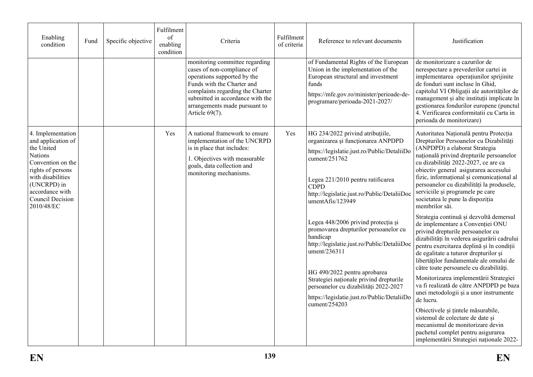| Enabling<br>condition                                                                                                                                                                                      | Fund | Specific objective | Fulfilment<br>of<br>enabling<br>condition | Criteria                                                                                                                                                                                                                                             | Fulfilment<br>of criteria | Reference to relevant documents                                                                                                                                                                                                                                                                                                                                                                                                                                                                                                                                                                              | Justification                                                                                                                                                                                                                                                                                                                                                                                                                                                                                                                                                                                                                                                                                                                                                                                                                                                                                                                                                                                                                                                                                                                  |
|------------------------------------------------------------------------------------------------------------------------------------------------------------------------------------------------------------|------|--------------------|-------------------------------------------|------------------------------------------------------------------------------------------------------------------------------------------------------------------------------------------------------------------------------------------------------|---------------------------|--------------------------------------------------------------------------------------------------------------------------------------------------------------------------------------------------------------------------------------------------------------------------------------------------------------------------------------------------------------------------------------------------------------------------------------------------------------------------------------------------------------------------------------------------------------------------------------------------------------|--------------------------------------------------------------------------------------------------------------------------------------------------------------------------------------------------------------------------------------------------------------------------------------------------------------------------------------------------------------------------------------------------------------------------------------------------------------------------------------------------------------------------------------------------------------------------------------------------------------------------------------------------------------------------------------------------------------------------------------------------------------------------------------------------------------------------------------------------------------------------------------------------------------------------------------------------------------------------------------------------------------------------------------------------------------------------------------------------------------------------------|
|                                                                                                                                                                                                            |      |                    |                                           | monitoring committee regarding<br>cases of non-compliance of<br>operations supported by the<br>Funds with the Charter and<br>complaints regarding the Charter<br>submitted in accordance with the<br>arrangements made pursuant to<br>Article 69(7). |                           | of Fundamental Rights of the European<br>Union in the implementation of the<br>European structural and investment<br>funds<br>https://mfe.gov.ro/minister/perioade-de-<br>programare/perioada-2021-2027/                                                                                                                                                                                                                                                                                                                                                                                                     | de monitorizare a cazurilor de<br>nerespectare a prevederilor cartei in<br>implementarea operațiunilor sprijinite<br>de fonduri sunt incluse în Ghid,<br>capitolul VI Obligații ale autorităților de<br>management și alte instituții implicate în<br>gestionarea fondurilor europene (punctul<br>4. Verificarea conformitatii cu Carta in<br>perioada de monitorizare)                                                                                                                                                                                                                                                                                                                                                                                                                                                                                                                                                                                                                                                                                                                                                        |
| 4. Implementation<br>and application of<br>the United<br><b>Nations</b><br>Convention on the<br>rights of persons<br>with disabilities<br>(UNCRPD) in<br>accordance with<br>Council Decision<br>2010/48/EC |      |                    | Yes                                       | A national framework to ensure<br>implementation of the UNCRPD<br>is in place that includes:<br>1. Objectives with measurable<br>goals, data collection and<br>monitoring mechanisms.                                                                | Yes                       | HG 234/2022 privind atribuțiile,<br>organizarea și funcționarea ANPDPD<br>https://legislatie.just.ro/Public/DetaliiDo<br>cument/251762<br>Legea 221/2010 pentru ratificarea<br><b>CDPD</b><br>http://legislatie.just.ro/Public/DetaliiDoc<br>umentAfis/123949<br>Legea 448/2006 privind protecția și<br>promovarea drepturilor persoanelor cu<br>handicap<br>http://legislatie.just.ro/Public/DetaliiDoc<br>ument/236311<br>HG 490/2022 pentru aprobarea<br>Strategiei naționale privind drepturile<br>persoanelor cu dizabilități 2022-2027<br>https://legislatie.just.ro/Public/DetaliiDo<br>cument/254203 | Autoritatea Națională pentru Protecția<br>Drepturilor Persoanelor cu Dizabilități<br>(ANPDPD) a elaborat Strategia<br>națională privind drepturile persoanelor<br>cu dizabilități 2022-2027, ce are ca<br>obiectiv general asigurarea accesului<br>fizic, informational și comunicațional al<br>persoanelor cu dizabilități la produsele,<br>serviciile și programele pe care<br>societatea le pune la dispoziția<br>membrilor săi.<br>Strategia continuă și dezvoltă demersul<br>de implementare a Convenției ONU<br>privind drepturile persoanelor cu<br>dizabilități în vederea asigurării cadrului<br>pentru exercitarea deplină și în condiții<br>de egalitate a tuturor drepturilor și<br>libertăților fundamentale ale omului de<br>către toate persoanele cu dizabilități.<br>Monitorizarea implementării Strategiei<br>va fi realizată de către ANPDPD pe baza<br>unei metodologii și a unor instrumente<br>de lucru.<br>Obiectivele și țintele măsurabile,<br>sistemul de colectare de date si<br>mecanismul de monitorizare devin<br>pachetul complet pentru asigurarea<br>implementării Strategiei naționale 2022- |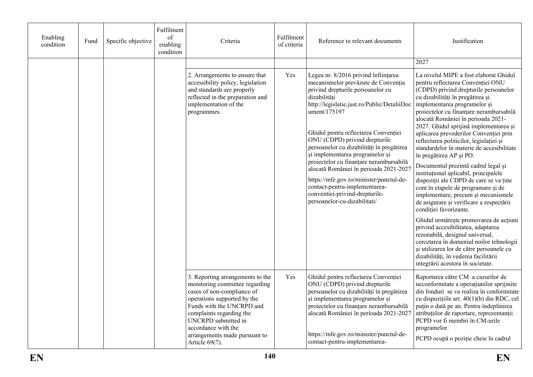| Enabling<br>condition | Fund | Specific objective | Fulfilment<br>of<br>enabling<br>condition                                                                                                                                     | Criteria                                                                                                                                                                                                                                                                                            | Fulfilment<br>of criteria                                                                                                                                                                                                                                                                                                                                                                                                                                                                                                                                                                   | Reference to relevant documents                                                                                                                                                                                                                                                                                                                                                                                                                                                                                                                                                                                                                                                                                                                                                                                                                | Justification                                                                                                                                                                                                                                                                                                                                                |
|-----------------------|------|--------------------|-------------------------------------------------------------------------------------------------------------------------------------------------------------------------------|-----------------------------------------------------------------------------------------------------------------------------------------------------------------------------------------------------------------------------------------------------------------------------------------------------|---------------------------------------------------------------------------------------------------------------------------------------------------------------------------------------------------------------------------------------------------------------------------------------------------------------------------------------------------------------------------------------------------------------------------------------------------------------------------------------------------------------------------------------------------------------------------------------------|------------------------------------------------------------------------------------------------------------------------------------------------------------------------------------------------------------------------------------------------------------------------------------------------------------------------------------------------------------------------------------------------------------------------------------------------------------------------------------------------------------------------------------------------------------------------------------------------------------------------------------------------------------------------------------------------------------------------------------------------------------------------------------------------------------------------------------------------|--------------------------------------------------------------------------------------------------------------------------------------------------------------------------------------------------------------------------------------------------------------------------------------------------------------------------------------------------------------|
|                       |      |                    |                                                                                                                                                                               |                                                                                                                                                                                                                                                                                                     |                                                                                                                                                                                                                                                                                                                                                                                                                                                                                                                                                                                             |                                                                                                                                                                                                                                                                                                                                                                                                                                                                                                                                                                                                                                                                                                                                                                                                                                                | 2027                                                                                                                                                                                                                                                                                                                                                         |
|                       |      |                    | 2. Arrangements to ensure that<br>accessibility policy, legislation<br>and standards are properly<br>reflected in the preparation and<br>implementation of the<br>programmes. | Yes                                                                                                                                                                                                                                                                                                 | Legea nr. 8/2016 privind înființarea<br>mecanismelor prevăzute de Convenția<br>privind drepturile persoanelor cu<br>dizabilități<br>http://legislatie.just.ro/Public/DetaliiDoc<br>ument/175197<br>Ghidul pentru reflectarea Convenției<br>ONU (CDPD) privind drepturile<br>persoanelor cu dizabilități în pregătirea<br>și implementarea programelor și<br>proiectelor cu finanțare nerambursabilă<br>alocată României în perioada 2021-2027<br>https://mfe.gov.ro/minister/punctul-de-<br>contact-pentru-implementarea-<br>conventiei-privind-drepturile-<br>persoanelor-cu-dizabilitati/ | La nivelul MIPE a fost elaborat Ghidul<br>pentru reflectarea Conventiei ONU<br>(CDPD) privind drepturile persoanelor<br>cu dizabilități în pregătirea și<br>implementarea programelor și<br>proiectelor cu finanțare nerambursabilă<br>alocată României în perioada 2021-<br>2027. Ghidul sprijină implementarea și<br>aplicarea prevederilor Convenției prin<br>reflectarea politicilor, legislației și<br>standardelor în materie de accesibilitate<br>în pregătirea AP și PO.<br>Documentul prezintă cadrul legal și<br>institutional aplicabil, principalele<br>dispoziții ale CDPD de care se va ține<br>cont în etapele de programare și de<br>implementare, precum și mecanismele<br>de asigurare și verificare a respectării<br>condiției favorizante.<br>Ghidul urmărește promovarea de acțiuni<br>privind accesibilitatea, adaptarea |                                                                                                                                                                                                                                                                                                                                                              |
|                       |      |                    |                                                                                                                                                                               |                                                                                                                                                                                                                                                                                                     |                                                                                                                                                                                                                                                                                                                                                                                                                                                                                                                                                                                             | rezonabilă, designul universal,<br>cercetarea în domeniul noilor tehnologii<br>și utilizarea lor de către persoanele cu<br>dizabilități, în vederea facilitării<br>integrării acestora în societate.                                                                                                                                                                                                                                                                                                                                                                                                                                                                                                                                                                                                                                           |                                                                                                                                                                                                                                                                                                                                                              |
|                       |      |                    |                                                                                                                                                                               | 3. Reporting arrangements to the<br>monitoring committee regarding<br>cases of non-compliance of<br>operations supported by the<br>Funds with the UNCRPD and<br>complaints regarding the<br><b>UNCRPD</b> submitted in<br>accordance with the<br>arrangements made pursuant to<br>Article $69(7)$ . | Yes                                                                                                                                                                                                                                                                                                                                                                                                                                                                                                                                                                                         | Ghidul pentru reflectarea Convenției<br>ONU (CDPD) privind drepturile<br>persoanelor cu dizabilități în pregătirea<br>și implementarea programelor și<br>proiectelor cu finanțare nerambursabilă<br>alocată României în perioada 2021-2027<br>https://mfe.gov.ro/minister/punctul-de-<br>contact-pentru-implementarea-                                                                                                                                                                                                                                                                                                                                                                                                                                                                                                                         | Raportarea către CM a cazurilor de<br>neconformitate a operatiunilor sprijinite<br>din fonduri se va realiza în conformitate<br>cu dispozițiile art. 40(1)(h) din RDC, cel<br>puțin o dată pe an. Pentru îndeplinirea<br>atribuțiilor de raportare, reprezentanții<br>PCPD vor fi membri în CM-urile<br>programelor.<br>PCPD ocupă o poziție cheie în cadrul |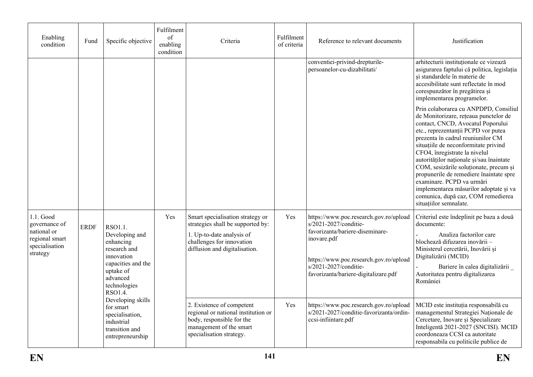|                                                                                                          |      |                                                                                                                                                | Fulfilment                  |                                                                                                                                                                  |                           |                                                                                                                                                                                                                              |                                                                                                                                                                                                                                                                                                                                                                                                                                                                                                                                                  |
|----------------------------------------------------------------------------------------------------------|------|------------------------------------------------------------------------------------------------------------------------------------------------|-----------------------------|------------------------------------------------------------------------------------------------------------------------------------------------------------------|---------------------------|------------------------------------------------------------------------------------------------------------------------------------------------------------------------------------------------------------------------------|--------------------------------------------------------------------------------------------------------------------------------------------------------------------------------------------------------------------------------------------------------------------------------------------------------------------------------------------------------------------------------------------------------------------------------------------------------------------------------------------------------------------------------------------------|
| Enabling<br>condition                                                                                    | Fund | Specific objective                                                                                                                             | of<br>enabling<br>condition | Criteria                                                                                                                                                         | Fulfilment<br>of criteria | Reference to relevant documents                                                                                                                                                                                              | Justification                                                                                                                                                                                                                                                                                                                                                                                                                                                                                                                                    |
|                                                                                                          |      |                                                                                                                                                |                             |                                                                                                                                                                  |                           | conventiei-privind-drepturile-<br>persoanelor-cu-dizabilitati/                                                                                                                                                               | arhitecturii instituționale ce vizează<br>asigurarea faptului că politica, legislația<br>și standardele în materie de<br>accesibilitate sunt reflectate în mod<br>corespunzător în pregătirea și<br>implementarea programelor.                                                                                                                                                                                                                                                                                                                   |
|                                                                                                          |      |                                                                                                                                                |                             |                                                                                                                                                                  |                           |                                                                                                                                                                                                                              | Prin colaborarea cu ANPDPD, Consiliul<br>de Monitorizare, rețeaua punctelor de<br>contact, CNCD, Avocatul Poporului<br>etc., reprezentanții PCPD vor putea<br>prezenta în cadrul reuniunilor CM<br>situațiile de neconformitate privind<br>CFO4, înregistrate la nivelul<br>autorităților naționale și/sau înaintate<br>COM, sesizările soluționate, precum și<br>propunerile de remediere înaintate spre<br>examinare. PCPD va urmări<br>implementarea măsurilor adoptate și va<br>comunica, după caz, COM remedierea<br>situațiilor semnalate. |
| 1.1. Good<br>governance of<br><b>ERDF</b><br>national or<br>regional smart<br>specialisation<br>strategy |      | RSO1.1.<br>Developing and<br>enhancing<br>research and<br>innovation<br>capacities and the<br>uptake of<br>advanced<br>technologies<br>RSO1.4. | Yes                         | Smart specialisation strategy or<br>strategies shall be supported by:<br>1. Up-to-date analysis of<br>challenges for innovation<br>diffusion and digitalisation. | Yes                       | https://www.poc.research.gov.ro/upload<br>s/2021-2027/conditie-<br>favorizanta/bariere-diseminare-<br>inovare.pdf<br>https://www.poc.research.gov.ro/upload<br>s/2021-2027/conditie-<br>favorizanta/bariere-digitalizare.pdf | Criteriul este îndeplinit pe baza a două<br>documente:<br>Analiza factorilor care<br>blochează difuzarea inovării -<br>Ministerul cercetării, Inovării și<br>Digitalizării (MCID)<br>Bariere în calea digitalizării<br>Autoritatea pentru digitalizarea<br>României                                                                                                                                                                                                                                                                              |
|                                                                                                          |      | Developing skills<br>for smart<br>specialisation,<br>industrial<br>transition and<br>entrepreneurship                                          |                             | 2. Existence of competent<br>regional or national institution or<br>body, responsible for the<br>management of the smart<br>specialisation strategy.             | Yes                       | https://www.poc.research.gov.ro/upload<br>s/2021-2027/conditie-favorizanta/ordin-<br>ccsi-infiintare.pdf                                                                                                                     | MCID este instituția responsabilă cu<br>managementul Strategiei Naționale de<br>Cercetare, Inovare și Specializare<br>Inteligentă 2021-2027 (SNCISI). MCID<br>coordoneaza CCSI ca autoritate<br>responsabila cu politicile publice de                                                                                                                                                                                                                                                                                                            |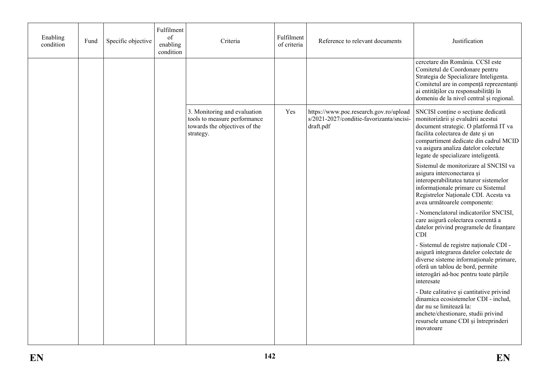| Enabling<br>condition | Fund | Specific objective | Fulfilment<br>of<br>enabling<br>condition | Criteria                                                                                                   | Fulfilment<br>of criteria | Reference to relevant documents                                                                 | Justification                                                                                                                                                                                                                                                                  |
|-----------------------|------|--------------------|-------------------------------------------|------------------------------------------------------------------------------------------------------------|---------------------------|-------------------------------------------------------------------------------------------------|--------------------------------------------------------------------------------------------------------------------------------------------------------------------------------------------------------------------------------------------------------------------------------|
|                       |      |                    |                                           |                                                                                                            |                           |                                                                                                 | cercetare din România. CCSI este<br>Comitetul de Coordonare pentru<br>Strategia de Specializare Inteligenta.<br>Comitetul are in compență reprezentanți<br>ai entităților cu responsabilități în<br>domeniu de la nivel central și regional.                                   |
|                       |      |                    |                                           | 3. Monitoring and evaluation<br>tools to measure performance<br>towards the objectives of the<br>strategy. | Yes                       | https://www.poc.research.gov.ro/upload<br>s/2021-2027/conditie-favorizanta/sncisi-<br>draft.pdf | SNCISI conține o secțiune dedicată<br>monitorizării și evaluării acestui<br>document strategic. O platformă IT va<br>facilita colectarea de date și un<br>compartiment dedicate din cadrul MCID<br>va asigura analiza datelor colectate<br>legate de specializare inteligentă. |
|                       |      |                    |                                           |                                                                                                            |                           |                                                                                                 | Sistemul de monitorizare al SNCISI va<br>asigura interconectarea și<br>interoperabilitatea tuturor sistemelor<br>informationale primare cu Sistemul<br>Registrelor Naționale CDI. Acesta va<br>avea următoarele componente:                                                    |
|                       |      |                    |                                           |                                                                                                            |                           |                                                                                                 | - Nomenclatorul indicatorilor SNCISI,<br>care asigură colectarea coerentă a<br>datelor privind programele de finanțare<br><b>CDI</b>                                                                                                                                           |
|                       |      |                    |                                           |                                                                                                            |                           |                                                                                                 | - Sistemul de registre naționale CDI -<br>asigură integrarea datelor colectate de<br>diverse sisteme informationale primare,<br>oferă un tablou de bord, permite<br>interogări ad-hoc pentru toate părțile<br>interesate                                                       |
|                       |      |                    |                                           |                                                                                                            |                           |                                                                                                 | - Date calitative și cantitative privind<br>dinamica ecosistemelor CDI - includ,<br>dar nu se limitează la:<br>anchete/chestionare, studii privind<br>resursele umane CDI și întreprinderi<br>inovatoare                                                                       |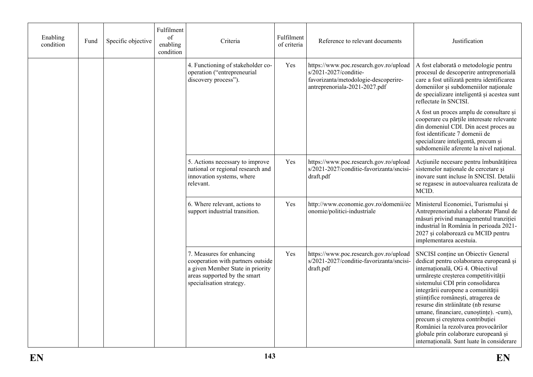| Enabling<br>condition | Fund | Specific objective | Fulfilment<br>of<br>enabling<br>condition | Criteria                                                                                                                                                       | Fulfilment<br>of criteria | Reference to relevant documents                                                                                                          | Justification                                                                                                                                                                                                                                                                                                                                                                                                                                                                                                              |
|-----------------------|------|--------------------|-------------------------------------------|----------------------------------------------------------------------------------------------------------------------------------------------------------------|---------------------------|------------------------------------------------------------------------------------------------------------------------------------------|----------------------------------------------------------------------------------------------------------------------------------------------------------------------------------------------------------------------------------------------------------------------------------------------------------------------------------------------------------------------------------------------------------------------------------------------------------------------------------------------------------------------------|
|                       |      |                    |                                           | 4. Functioning of stakeholder co-<br>operation ("entrepreneurial<br>discovery process").                                                                       | Yes                       | https://www.poc.research.gov.ro/upload<br>s/2021-2027/conditie-<br>favorizanta/metodologie-descoperire-<br>antreprenoriala-2021-2027.pdf | A fost elaborată o metodologie pentru<br>procesul de descoperire antreprenorială<br>care a fost utilizată pentru identificarea<br>domeniilor și subdomeniilor naționale<br>de specializare inteligentă și acestea sunt<br>reflectate în SNCISI.<br>A fost un proces amplu de consultare și<br>cooperare cu părțile interesate relevante<br>din domeniul CDI. Din acest proces au<br>fost identificate 7 domenii de<br>specializare inteligentă, precum și<br>subdomeniile aferente la nivel național.                      |
|                       |      |                    |                                           | 5. Actions necessary to improve<br>national or regional research and<br>innovation systems, where<br>relevant.                                                 | Yes                       | https://www.poc.research.gov.ro/upload<br>s/2021-2027/conditie-favorizanta/sncisi-<br>draft.pdf                                          | Acțiunile necesare pentru îmbunătățirea<br>sistemelor naționale de cercetare și<br>inovare sunt incluse în SNCISI. Detalii<br>se regasesc in autoevaluarea realizata de<br>MCID.                                                                                                                                                                                                                                                                                                                                           |
|                       |      |                    |                                           | 6. Where relevant, actions to<br>support industrial transition.                                                                                                | Yes                       | http://www.economie.gov.ro/domenii/ec<br>onomie/politici-industriale                                                                     | Ministerul Economiei, Turismului și<br>Antreprenoriatului a elaborate Planul de<br>măsuri privind managementul tranziției<br>industrial în România în perioada 2021-<br>2027 și colaborează cu MCID pentru<br>implementarea acestuia.                                                                                                                                                                                                                                                                                      |
|                       |      |                    |                                           | 7. Measures for enhancing<br>cooperation with partners outside<br>a given Member State in priority<br>areas supported by the smart<br>specialisation strategy. | Yes                       | https://www.poc.research.gov.ro/upload<br>s/2021-2027/conditie-favorizanta/sncisi-<br>draft.pdf                                          | SNCISI conține un Obiectiv General<br>dedicat pentru colaborarea europeană și<br>internațională, OG 4. Obiectivul<br>urmărește creșterea competitivității<br>sistemului CDI prin consolidarea<br>integrării europene a comunității<br>științifice românești, atragerea de<br>resurse din străinătate (nb resurse<br>umane, financiare, cunoștințe). -cum),<br>precum și creșterea contribuției<br>României la rezolvarea provocărilor<br>globale prin colaborare europeană și<br>internațională. Sunt luate în considerare |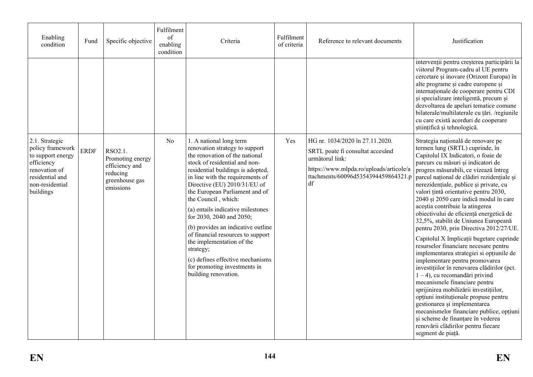| Enabling<br>condition                                                                                                                     | Fund        | Specific objective                                                                       | Fulfilment<br>of<br>enabling<br>condition | Criteria                                                                                                                                                                                                                                                                                                                                                                                                                                                                                                                                                                         | Fulfilment<br>of criteria | Reference to relevant documents                                                                                                                                                | Justification                                                                                                                                                                                                                                                                                                                                                                                                                                                                                                                                                                                                                                                                                                                                                                                                                                                                                                                                                                                                                                                                                   |
|-------------------------------------------------------------------------------------------------------------------------------------------|-------------|------------------------------------------------------------------------------------------|-------------------------------------------|----------------------------------------------------------------------------------------------------------------------------------------------------------------------------------------------------------------------------------------------------------------------------------------------------------------------------------------------------------------------------------------------------------------------------------------------------------------------------------------------------------------------------------------------------------------------------------|---------------------------|--------------------------------------------------------------------------------------------------------------------------------------------------------------------------------|-------------------------------------------------------------------------------------------------------------------------------------------------------------------------------------------------------------------------------------------------------------------------------------------------------------------------------------------------------------------------------------------------------------------------------------------------------------------------------------------------------------------------------------------------------------------------------------------------------------------------------------------------------------------------------------------------------------------------------------------------------------------------------------------------------------------------------------------------------------------------------------------------------------------------------------------------------------------------------------------------------------------------------------------------------------------------------------------------|
|                                                                                                                                           |             |                                                                                          |                                           |                                                                                                                                                                                                                                                                                                                                                                                                                                                                                                                                                                                  |                           |                                                                                                                                                                                | intervenții pentru creșterea participării la<br>viitorul Program-cadru al UE pentru<br>cercetare și inovare (Orizont Europa) în<br>alte programe și cadre europene și<br>internaționale de cooperare pentru CDI<br>și specializare inteligentă, precum și<br>dezvoltarea de apeluri tematice comune<br>bilaterale/multilaterale cu țări. /regiunile<br>cu care există acorduri de cooperare<br>științifică și tehnologică.                                                                                                                                                                                                                                                                                                                                                                                                                                                                                                                                                                                                                                                                      |
| 2.1. Strategic<br>policy framework<br>to support energy<br>efficiency<br>renovation of<br>residential and<br>non-residential<br>buildings | <b>ERDF</b> | RSO2.1.<br>Promoting energy<br>efficiency and<br>reducing<br>greenhouse gas<br>emissions | No                                        | 1. A national long term<br>renovation strategy to support<br>the renovation of the national<br>stock of residential and non-<br>residential buildings is adopted,<br>in line with the requirements of<br>Directive (EU) 2010/31/EU of<br>the European Parliament and of<br>the Council, which:<br>(a) entails indicative milestones<br>for 2030, 2040 and 2050;<br>(b) provides an indicative outline<br>of financial resources to support<br>the implementation of the<br>strategy;<br>(c) defines effective mechanisms<br>for promoting investments in<br>building renovation. | Yes                       | HG nr. 1034/2020 în 27.11.2020.<br>SRTL poate fi consultat accesând<br>următorul link:<br>https://www.mlpda.ro/uploads/articole/a<br>ttachments/60096d5354394459864321.p<br>df | Strategia națională de renovare pe<br>termen lung (SRTL) cuprinde, în<br>Capitolul IX Indicatori, o foaie de<br>parcurs cu măsuri și indicatori de<br>progres măsurabili, ce vizează întreg<br>parcul național de clădiri rezidențiale și<br>nerezidențiale, publice și private, cu<br>valori țintă orientative pentru 2030,<br>2040 și 2050 care indică modul în care<br>aceștia contribuie la atingerea<br>obiectivului de eficiență energetică de<br>32,5%, stabilit de Uniunea Europeană<br>pentru 2030, prin Directiva 2012/27/UE.<br>Capitolul X Implicații bugetare cuprinde<br>resurselor financiare necesare pentru<br>implementarea strategiei si opțiunile de<br>implementare pentru promovarea<br>investițiilor în renovarea clădirilor (pct.<br>$1 - 4$ ), cu recomandări privind<br>mecanismele financiare pentru<br>sprijinirea mobilizării investițiilor,<br>opțiuni instituționale propuse pentru<br>gestionarea și implementarea<br>mecanismelor financiare publice, opțiuni<br>și scheme de finanțare în vederea<br>renovării clădirilor pentru fiecare<br>segment de piață. |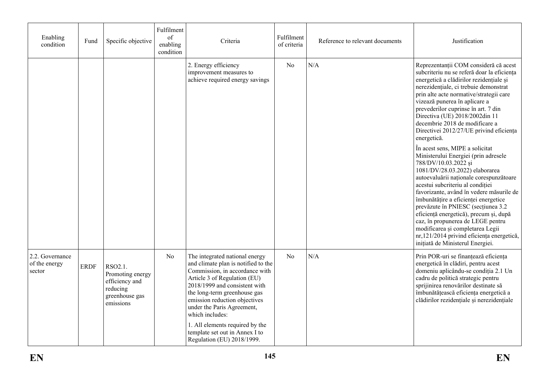| Enabling<br>condition                      | Fund        | Specific objective                                                                       | Fulfilment<br>of<br>enabling<br>condition | Criteria                                                                                                                                                                                                                                                                                                                                                                                      | Fulfilment<br>of criteria | Reference to relevant documents | Justification                                                                                                                                                                                                                                                                                                                                                                                                                                                                                                                                  |  |
|--------------------------------------------|-------------|------------------------------------------------------------------------------------------|-------------------------------------------|-----------------------------------------------------------------------------------------------------------------------------------------------------------------------------------------------------------------------------------------------------------------------------------------------------------------------------------------------------------------------------------------------|---------------------------|---------------------------------|------------------------------------------------------------------------------------------------------------------------------------------------------------------------------------------------------------------------------------------------------------------------------------------------------------------------------------------------------------------------------------------------------------------------------------------------------------------------------------------------------------------------------------------------|--|
|                                            |             |                                                                                          |                                           | 2. Energy efficiency<br>improvement measures to<br>achieve required energy savings                                                                                                                                                                                                                                                                                                            | No                        | N/A                             | Reprezentanții COM consideră că acest<br>subcriteriu nu se referă doar la eficiența<br>energetică a clădirilor rezidențiale și<br>nerezidențiale, ci trebuie demonstrat<br>prin alte acte normative/strategii care<br>vizează punerea în aplicare a<br>prevederilor cuprinse în art. 7 din<br>Directiva (UE) 2018/2002din 11<br>decembrie 2018 de modificare a<br>Directivei 2012/27/UE privind eficiența<br>energetică.                                                                                                                       |  |
|                                            |             |                                                                                          |                                           |                                                                                                                                                                                                                                                                                                                                                                                               |                           |                                 | În acest sens, MIPE a solicitat<br>Ministerului Energiei (prin adresele<br>788/DV/10.03.2022 si<br>1081/DV/28.03.2022) elaborarea<br>autoevaluării naționale corespunzătoare<br>acestui subcriteriu al condiției<br>favorizante, având în vedere măsurile de<br>îmbunătățire a eficienței energetice<br>prevăzute în PNIESC (secțiunea 3.2<br>eficiență energetică), precum și, după<br>caz, în propunerea de LEGE pentru<br>modificarea și completarea Legii<br>nr,121/2014 privind eficiența energetică,<br>inițiată de Ministerul Energiei. |  |
| 2.2. Governance<br>of the energy<br>sector | <b>ERDF</b> | RSO2.1.<br>Promoting energy<br>efficiency and<br>reducing<br>greenhouse gas<br>emissions | No                                        | The integrated national energy<br>and climate plan is notified to the<br>Commission, in accordance with<br>Article 3 of Regulation (EU)<br>2018/1999 and consistent with<br>the long-term greenhouse gas<br>emission reduction objectives<br>under the Paris Agreement,<br>which includes:<br>1. All elements required by the<br>template set out in Annex I to<br>Regulation (EU) 2018/1999. | N <sub>o</sub>            | N/A                             | Prin POR-uri se finanțează eficiența<br>energetică în clădiri, pentru acest<br>domeniu aplicându-se condiția 2.1 Un<br>cadru de politică strategic pentru<br>sprijinirea renovărilor destinate să<br>îmbunătățească eficiența energetică a<br>clădirilor rezidențiale și nerezidențiale                                                                                                                                                                                                                                                        |  |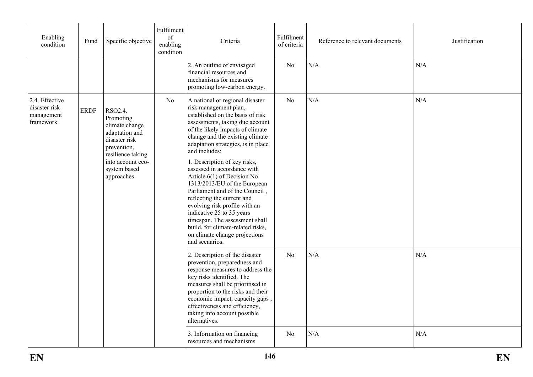| Enabling<br>condition                                      | Fund        | Specific objective                                                                                                                                               | Fulfilment<br>of<br>enabling<br>condition | Criteria                                                                                                                                                                                                                                                                                                                                                                                                                                                                                                                                                                                                                                            | Fulfilment<br>of criteria | Reference to relevant documents | Justification |
|------------------------------------------------------------|-------------|------------------------------------------------------------------------------------------------------------------------------------------------------------------|-------------------------------------------|-----------------------------------------------------------------------------------------------------------------------------------------------------------------------------------------------------------------------------------------------------------------------------------------------------------------------------------------------------------------------------------------------------------------------------------------------------------------------------------------------------------------------------------------------------------------------------------------------------------------------------------------------------|---------------------------|---------------------------------|---------------|
|                                                            |             |                                                                                                                                                                  |                                           | 2. An outline of envisaged<br>financial resources and<br>mechanisms for measures<br>promoting low-carbon energy.                                                                                                                                                                                                                                                                                                                                                                                                                                                                                                                                    | No                        | N/A                             | N/A           |
| 2.4. Effective<br>disaster risk<br>management<br>framework | <b>ERDF</b> | RSO2.4.<br>Promoting<br>climate change<br>adaptation and<br>disaster risk<br>prevention,<br>resilience taking<br>into account eco-<br>system based<br>approaches | N <sub>o</sub>                            | A national or regional disaster<br>risk management plan,<br>established on the basis of risk<br>assessments, taking due account<br>of the likely impacts of climate<br>change and the existing climate<br>adaptation strategies, is in place<br>and includes:<br>1. Description of key risks,<br>assessed in accordance with<br>Article 6(1) of Decision No<br>1313/2013/EU of the European<br>Parliament and of the Council,<br>reflecting the current and<br>evolving risk profile with an<br>indicative 25 to 35 years<br>timespan. The assessment shall<br>build, for climate-related risks,<br>on climate change projections<br>and scenarios. | N <sub>o</sub>            | N/A                             | N/A           |
|                                                            |             |                                                                                                                                                                  |                                           | 2. Description of the disaster<br>prevention, preparedness and<br>response measures to address the<br>key risks identified. The<br>measures shall be prioritised in<br>proportion to the risks and their<br>economic impact, capacity gaps,<br>effectiveness and efficiency,<br>taking into account possible<br>alternatives.                                                                                                                                                                                                                                                                                                                       | N <sub>o</sub>            | N/A                             | N/A           |
|                                                            |             |                                                                                                                                                                  |                                           | 3. Information on financing<br>resources and mechanisms                                                                                                                                                                                                                                                                                                                                                                                                                                                                                                                                                                                             | N <sub>0</sub>            | N/A                             | N/A           |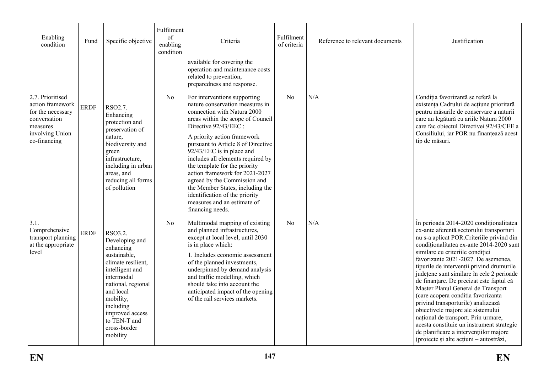| Enabling<br>condition                                                                                                    | Fund        | Specific objective                                                                                                                                                                                                                        | Fulfilment<br>of<br>enabling<br>condition | Criteria                                                                                                                                                                                                                                                                                                                                                                                                                                                                                                                        | Fulfilment<br>of criteria | Reference to relevant documents | Justification                                                                                                                                                                                                                                                                                                                                                                                                                                                                                                                                                                                                                                                                                                                  |
|--------------------------------------------------------------------------------------------------------------------------|-------------|-------------------------------------------------------------------------------------------------------------------------------------------------------------------------------------------------------------------------------------------|-------------------------------------------|---------------------------------------------------------------------------------------------------------------------------------------------------------------------------------------------------------------------------------------------------------------------------------------------------------------------------------------------------------------------------------------------------------------------------------------------------------------------------------------------------------------------------------|---------------------------|---------------------------------|--------------------------------------------------------------------------------------------------------------------------------------------------------------------------------------------------------------------------------------------------------------------------------------------------------------------------------------------------------------------------------------------------------------------------------------------------------------------------------------------------------------------------------------------------------------------------------------------------------------------------------------------------------------------------------------------------------------------------------|
|                                                                                                                          |             |                                                                                                                                                                                                                                           |                                           | available for covering the<br>operation and maintenance costs<br>related to prevention,<br>preparedness and response.                                                                                                                                                                                                                                                                                                                                                                                                           |                           |                                 |                                                                                                                                                                                                                                                                                                                                                                                                                                                                                                                                                                                                                                                                                                                                |
| 2.7. Prioritised<br>action framework<br>for the necessary<br>conversation<br>measures<br>involving Union<br>co-financing | <b>ERDF</b> | RSO2.7.<br>Enhancing<br>protection and<br>preservation of<br>nature,<br>biodiversity and<br>green<br>infrastructure,<br>including in urban<br>areas, and<br>reducing all forms<br>of pollution                                            | No                                        | For interventions supporting<br>nature conservation measures in<br>connection with Natura 2000<br>areas within the scope of Council<br>Directive 92/43/EEC :<br>A priority action framework<br>pursuant to Article 8 of Directive<br>92/43/EEC is in place and<br>includes all elements required by<br>the template for the priority<br>action framework for 2021-2027<br>agreed by the Commission and<br>the Member States, including the<br>identification of the priority<br>measures and an estimate of<br>financing needs. | N <sub>0</sub>            | N/A                             | Condiția favorizantă se referă la<br>existența Cadrului de acțiune prioritară<br>pentru măsurile de conservare a naturii<br>care au legătură cu ariile Natura 2000<br>care fac objectul Directivei 92/43/CEE a<br>Consiliului, iar POR nu finanțează acest<br>tip de măsuri.                                                                                                                                                                                                                                                                                                                                                                                                                                                   |
| 3.1.<br>Comprehensive<br>transport planning<br>at the appropriate<br>level                                               | <b>ERDF</b> | RSO3.2.<br>Developing and<br>enhancing<br>sustainable,<br>climate resilient,<br>intelligent and<br>intermodal<br>national, regional<br>and local<br>mobility,<br>including<br>improved access<br>to TEN-T and<br>cross-border<br>mobility | No                                        | Multimodal mapping of existing<br>and planned infrastructures,<br>except at local level, until 2030<br>is in place which:<br>1. Includes economic assessment<br>of the planned investments,<br>underpinned by demand analysis<br>and traffic modelling, which<br>should take into account the<br>anticipated impact of the opening<br>of the rail services markets.                                                                                                                                                             | N <sub>0</sub>            | N/A                             | În perioada 2014-2020 condiționalitatea<br>ex-ante aferentă sectorului transporturi<br>nu s-a aplicat POR. Criteriile privind din<br>conditionalitatea ex-ante 2014-2020 sunt<br>similare cu criteriile condiției<br>favorizante 2021-2027. De asemenea,<br>tipurile de intervenții privind drumurile<br>județene sunt similare în cele 2 perioade<br>de finanțare. De precizat este faptul că<br>Master Planul General de Transport<br>(care acopera conditia favorizanta<br>privind transporturile) analizează<br>obiectivele majore ale sistemului<br>național de transport. Prin urmare,<br>acesta constituie un instrument strategic<br>de planificare a intervențiilor majore<br>(proiecte și alte acțiuni – autostrăzi, |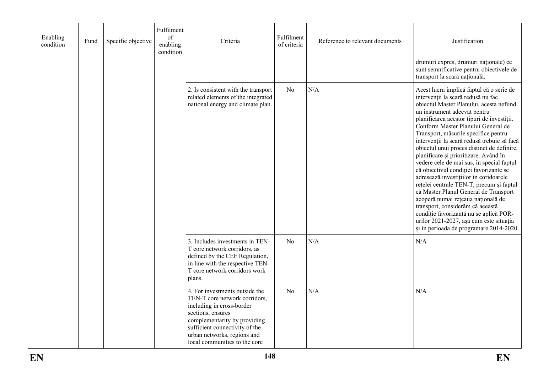| Enabling<br>condition | Fund | Specific objective | Fulfilment<br>of<br>enabling<br>condition | Criteria                                                                                                                                                                                                                                            | Fulfilment<br>Reference to relevant documents<br>of criteria |     | Justification                                                                                                                                                                                                                                                                                                                                                                                                                                                                                                                                                                                                                                                                                                                                                                                                                                                |  |
|-----------------------|------|--------------------|-------------------------------------------|-----------------------------------------------------------------------------------------------------------------------------------------------------------------------------------------------------------------------------------------------------|--------------------------------------------------------------|-----|--------------------------------------------------------------------------------------------------------------------------------------------------------------------------------------------------------------------------------------------------------------------------------------------------------------------------------------------------------------------------------------------------------------------------------------------------------------------------------------------------------------------------------------------------------------------------------------------------------------------------------------------------------------------------------------------------------------------------------------------------------------------------------------------------------------------------------------------------------------|--|
|                       |      |                    |                                           |                                                                                                                                                                                                                                                     |                                                              |     | drumuri expres, drumuri naționale) ce<br>sunt semnificative pentru obiectivele de<br>transport la scară națională.                                                                                                                                                                                                                                                                                                                                                                                                                                                                                                                                                                                                                                                                                                                                           |  |
|                       |      |                    |                                           | 2. Is consistent with the transport<br>related elements of the integrated<br>national energy and climate plan.                                                                                                                                      | N <sub>o</sub>                                               | N/A | Acest lucru implică faptul că o serie de<br>intervenții la scară redusă nu fac<br>obiectul Master Planului, acesta nefiind<br>un instrument adecvat pentru<br>planificarea acestor tipuri de investiții.<br>Conform Master Planului General de<br>Transport, măsurile specifice pentru<br>intervenții la scară redusă trebuie să facă<br>obiectul unui proces distinct de definire,<br>planificare și prioritizare. Având în<br>vedere cele de mai sus, în special faptul<br>că obiectivul condiției favorizante se<br>adresează investițiilor în coridoarele<br>rețelei centrale TEN-T, precum și faptul<br>că Master Planul General de Transport<br>acoperă numai rețeaua națională de<br>transport, considerăm că această<br>condiție favorizantă nu se aplică POR-<br>urilor 2021-2027, așa cum este situația<br>și în perioada de programare 2014-2020. |  |
|                       |      |                    |                                           | 3. Includes investments in TEN-<br>T core network corridors, as<br>defined by the CEF Regulation,<br>in line with the respective TEN-<br>T core network corridors work<br>plans.                                                                    | N <sub>0</sub>                                               | N/A | N/A                                                                                                                                                                                                                                                                                                                                                                                                                                                                                                                                                                                                                                                                                                                                                                                                                                                          |  |
|                       |      |                    |                                           | 4. For investments outside the<br>TEN-T core network corridors,<br>including in cross-border<br>sections, ensures<br>complementarity by providing<br>sufficient connectivity of the<br>urban networks, regions and<br>local communities to the core | No                                                           | N/A | N/A                                                                                                                                                                                                                                                                                                                                                                                                                                                                                                                                                                                                                                                                                                                                                                                                                                                          |  |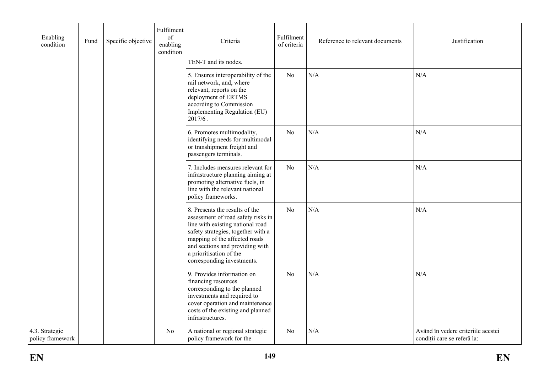| Enabling<br>condition              | Fund | Specific objective | Fulfilment<br>of<br>enabling<br>condition | Criteria                                                                                                                                                                                                                                                                    | Fulfilment<br>Reference to relevant documents<br>of criteria |     | Justification                                                     |
|------------------------------------|------|--------------------|-------------------------------------------|-----------------------------------------------------------------------------------------------------------------------------------------------------------------------------------------------------------------------------------------------------------------------------|--------------------------------------------------------------|-----|-------------------------------------------------------------------|
|                                    |      |                    |                                           | TEN-T and its nodes.                                                                                                                                                                                                                                                        |                                                              |     |                                                                   |
|                                    |      |                    |                                           | 5. Ensures interoperability of the<br>rail network, and, where<br>relevant, reports on the<br>deployment of ERTMS<br>according to Commission<br>Implementing Regulation (EU)<br>$2017/6$ .                                                                                  | No                                                           | N/A | N/A                                                               |
|                                    |      |                    |                                           | 6. Promotes multimodality,<br>identifying needs for multimodal<br>or transhipment freight and<br>passengers terminals.                                                                                                                                                      | No                                                           | N/A | N/A                                                               |
|                                    |      |                    |                                           | 7. Includes measures relevant for<br>infrastructure planning aiming at<br>promoting alternative fuels, in<br>line with the relevant national<br>policy frameworks.                                                                                                          | No                                                           | N/A | N/A                                                               |
|                                    |      |                    |                                           | 8. Presents the results of the<br>assessment of road safety risks in<br>line with existing national road<br>safety strategies, together with a<br>mapping of the affected roads<br>and sections and providing with<br>a prioritisation of the<br>corresponding investments. | N <sub>o</sub>                                               | N/A | $\rm N/A$                                                         |
|                                    |      |                    |                                           | 9. Provides information on<br>financing resources<br>corresponding to the planned<br>investments and required to<br>cover operation and maintenance<br>costs of the existing and planned<br>infrastructures.                                                                | No                                                           | N/A | N/A                                                               |
| 4.3. Strategic<br>policy framework |      |                    | No                                        | A national or regional strategic<br>policy framework for the                                                                                                                                                                                                                | No                                                           | N/A | Având în vedere criteriile acestei<br>condiții care se referă la: |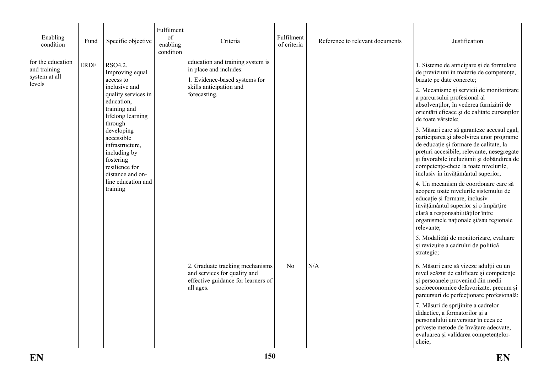| Enabling<br>condition                                        | Fund        | Specific objective                                                                                             | Fulfilment<br>of<br>enabling<br>condition | Criteria                                                                                                           | Fulfilment<br>of criteria | Reference to relevant documents | Justification                                                                                                                                                                                                                                                                                              |
|--------------------------------------------------------------|-------------|----------------------------------------------------------------------------------------------------------------|-------------------------------------------|--------------------------------------------------------------------------------------------------------------------|---------------------------|---------------------------------|------------------------------------------------------------------------------------------------------------------------------------------------------------------------------------------------------------------------------------------------------------------------------------------------------------|
| for the education<br>and training<br>system at all<br>levels | <b>ERDF</b> | RSO4.2.<br>Improving equal<br>access to                                                                        |                                           | education and training system is<br>in place and includes:<br>1. Evidence-based systems for                        |                           |                                 | 1. Sisteme de anticipare și de formulare<br>de previziuni în materie de competențe,<br>bazate pe date concrete;                                                                                                                                                                                            |
|                                                              |             | inclusive and<br>quality services in<br>education,<br>training and<br>lifelong learning<br>through             | skills anticipation and<br>forecasting.   |                                                                                                                    |                           |                                 | 2. Mecanisme și servicii de monitorizare<br>a parcursului profesional al<br>absolvenților, în vederea furnizării de<br>orientări eficace și de calitate cursanților<br>de toate vârstele;                                                                                                                  |
|                                                              |             | developing<br>accessible<br>infrastructure,<br>including by<br>fostering<br>resilience for<br>distance and on- |                                           |                                                                                                                    |                           |                                 | 3. Măsuri care să garanteze accesul egal,<br>participarea și absolvirea unor programe<br>de educație și formare de calitate, la<br>prețuri accesibile, relevante, nesegregate<br>și favorabile incluziunii și dobândirea de<br>competențe-cheie la toate nivelurile,<br>inclusiv în învățământul superior; |
|                                                              |             | line education and<br>training                                                                                 |                                           |                                                                                                                    |                           |                                 | 4. Un mecanism de coordonare care să<br>acopere toate nivelurile sistemului de<br>educație și formare, inclusiv<br>învățământul superior și o împărțire<br>clară a responsabilităților între<br>organismele naționale și/sau regionale<br>relevante;                                                       |
|                                                              |             |                                                                                                                |                                           |                                                                                                                    |                           |                                 | 5. Modalități de monitorizare, evaluare<br>și revizuire a cadrului de politică<br>strategic;                                                                                                                                                                                                               |
|                                                              |             |                                                                                                                |                                           | 2. Graduate tracking mechanisms<br>and services for quality and<br>effective guidance for learners of<br>all ages. | N <sub>0</sub>            | N/A                             | 6. Măsuri care să vizeze adulții cu un<br>nivel scăzut de calificare și competențe<br>și persoanele provenind din medii<br>socioeconomice defavorizate, precum și<br>parcursuri de perfecționare profesională;                                                                                             |
|                                                              |             |                                                                                                                |                                           |                                                                                                                    |                           |                                 | 7. Măsuri de sprijinire a cadrelor<br>didactice, a formatorilor și a<br>personalului universitar în ceea ce<br>privește metode de învățare adecvate,<br>evaluarea și validarea competențelor-<br>cheie;                                                                                                    |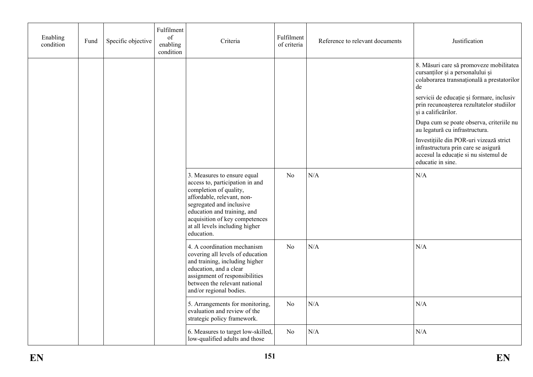| Enabling<br>condition | Fund | Specific objective | Fulfilment<br>of<br>enabling<br>condition | Criteria                                                                                                                                                                                                                                                            | Fulfilment<br>of criteria | Reference to relevant documents | Justification                                                                                                                                |  |
|-----------------------|------|--------------------|-------------------------------------------|---------------------------------------------------------------------------------------------------------------------------------------------------------------------------------------------------------------------------------------------------------------------|---------------------------|---------------------------------|----------------------------------------------------------------------------------------------------------------------------------------------|--|
|                       |      |                    |                                           |                                                                                                                                                                                                                                                                     |                           |                                 | 8. Măsuri care să promoveze mobilitatea<br>cursanților și a personalului și<br>colaborarea transnațională a prestatorilor<br>de              |  |
|                       |      |                    |                                           |                                                                                                                                                                                                                                                                     |                           |                                 | servicii de educație și formare, inclusiv<br>prin recunoașterea rezultatelor studiilor<br>și a calificărilor.                                |  |
|                       |      |                    |                                           |                                                                                                                                                                                                                                                                     |                           |                                 | Dupa cum se poate observa, criteriile nu<br>au legatură cu infrastructura.                                                                   |  |
|                       |      |                    |                                           |                                                                                                                                                                                                                                                                     |                           |                                 | Investițiile din POR-uri vizează strict<br>infrastructura prin care se asigură<br>accesul la educație si nu sistemul de<br>educatie in sine. |  |
|                       |      |                    |                                           | 3. Measures to ensure equal<br>access to, participation in and<br>completion of quality,<br>affordable, relevant, non-<br>segregated and inclusive<br>education and training, and<br>acquisition of key competences<br>at all levels including higher<br>education. | N <sub>o</sub>            | N/A                             | $\rm N/A$                                                                                                                                    |  |
|                       |      |                    |                                           | 4. A coordination mechanism<br>covering all levels of education<br>and training, including higher<br>education, and a clear<br>assignment of responsibilities<br>between the relevant national<br>and/or regional bodies.                                           | N <sub>o</sub>            | N/A                             | N/A                                                                                                                                          |  |
|                       |      |                    |                                           | 5. Arrangements for monitoring,<br>evaluation and review of the<br>strategic policy framework.                                                                                                                                                                      | N <sub>0</sub>            | N/A                             | N/A                                                                                                                                          |  |
|                       |      |                    |                                           | 6. Measures to target low-skilled,<br>low-qualified adults and those                                                                                                                                                                                                | N <sub>0</sub>            | N/A                             | N/A                                                                                                                                          |  |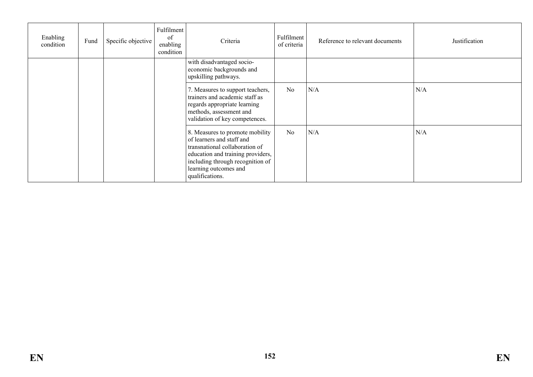| Enabling<br>condition | Fund | Specific objective | Fulfilment<br>of<br>enabling<br>condition | Criteria                                                                                                                                                                                                            | Fulfilment<br>of criteria | Reference to relevant documents | Justification |
|-----------------------|------|--------------------|-------------------------------------------|---------------------------------------------------------------------------------------------------------------------------------------------------------------------------------------------------------------------|---------------------------|---------------------------------|---------------|
|                       |      |                    |                                           | with disadvantaged socio-<br>economic backgrounds and<br>upskilling pathways.                                                                                                                                       |                           |                                 |               |
|                       |      |                    |                                           | 7. Measures to support teachers,<br>trainers and academic staff as<br>regards appropriate learning<br>methods, assessment and<br>validation of key competences.                                                     | N <sub>o</sub>            | N/A                             | N/A           |
|                       |      |                    |                                           | 8. Measures to promote mobility<br>of learners and staff and<br>transnational collaboration of<br>education and training providers,<br>including through recognition of<br>learning outcomes and<br>qualifications. | N <sub>o</sub>            | N/A                             | N/A           |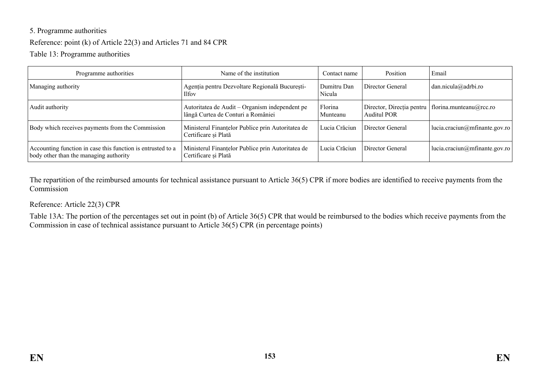# 5. Programme authorities

#### Reference: point (k) of Article 22(3) and Articles 71 and 84 CPR

Table 13: Programme authorities

| Programme authorities                                                                                 | Name of the institution                                                              | Contact name          | Position                                        | Email                         |
|-------------------------------------------------------------------------------------------------------|--------------------------------------------------------------------------------------|-----------------------|-------------------------------------------------|-------------------------------|
| Managing authority                                                                                    | Agenția pentru Dezvoltare Regională București-<br><b>Ilfov</b>                       | Dumitru Dan<br>Nicula | Director General                                | $dan.nicula@adrbi-ro$         |
| Audit authority                                                                                       | Autoritatea de Audit – Organism independent pe<br>lângă Curtea de Conturi a României | Florina<br>Munteanu   | Director, Direcția pentru<br><b>Auditul POR</b> | florina.munteanu@rcc.ro       |
| Body which receives payments from the Commission                                                      | Ministerul Finanțelor Publice prin Autoritatea de<br>Certificare și Plată            | Lucia Crăciun         | Director General                                | lucia.craciun@mfinante.gov.ro |
| Accounting function in case this function is entrusted to a<br>body other than the managing authority | Ministerul Finanțelor Publice prin Autoritatea de<br>Certificare și Plată            | Lucia Crăciun         | Director General                                | lucia.craciun@mfinante.gov.ro |

The repartition of the reimbursed amounts for technical assistance pursuant to Article 36(5) CPR if more bodies are identified to receive payments from the Commission

#### Reference: Article 22(3) CPR

Table 13A: The portion of the percentages set out in point (b) of Article 36(5) CPR that would be reimbursed to the bodies which receive payments from the Commission in case of technical assistance pursuant to Article 36(5) CPR (in percentage points)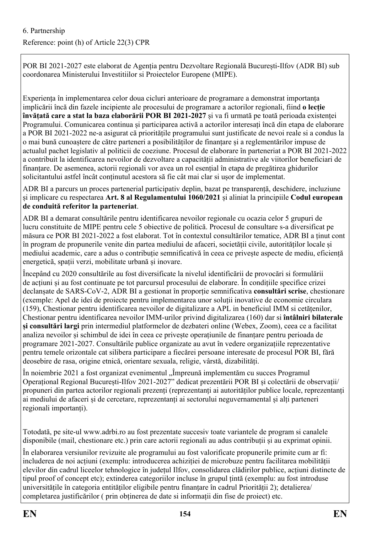# 6. Partnership

# Reference: point (h) of Article 22(3) CPR

POR BI 2021-2027 este elaborat de Agenția pentru Dezvoltare Regională București-Ilfov (ADR BI) sub coordonarea Ministerului Investitiilor si Proiectelor Europene (MIPE).

Experiența în implementarea celor doua cicluri anterioare de programare a demonstrat importanța implicării încă din fazele incipiente ale procesului de programare a actorilor regionali, fiind **o lecție învățată care a stat la baza elaborării POR BI 2021-2027** și va fi urmată pe toată perioada existenței Programului. Comunicarea continua și participarea activă a actorilor interesați încă din etapa de elaborare a POR BI 2021-2022 ne-a asigurat că prioritățile programului sunt justificate de nevoi reale si a condus la o mai bună cunoaștere de către parteneri a posibilităților de finanțare și a reglementărilor impuse de actualul pachet legislativ al politicii de coeziune. Procesul de elaborare în parteneriat a POR BI 2021-2022 a contribuit la identificarea nevoilor de dezvoltare a capacității administrative ale viitorilor beneficiari de finanțare. De asemenea, actorii regionali vor avea un rol esențial în etapa de pregătirea ghidurilor solicitantului astfel încât conținutul acestora să fie cât mai clar si ușor de implementat.

ADR BI a parcurs un proces partenerial participativ deplin, bazat pe transparență, deschidere, incluziune și implicare cu respectarea **Art. 8 al Regulamentului 1060/2021** și aliniat la principiile **Codul european de conduită referitor la parteneriat**.

ADR BI a demarat consultările pentru identificarea nevoilor regionale cu ocazia celor 5 grupuri de lucru constituite de MIPE pentru cele 5 obiective de politică. Procesul de consultare s-a diversificat pe măsura ce POR BI 2021-2022 a fost elaborat. Tot în contextul consultărilor tematice, ADR BI a ținut cont în program de propunerile venite din partea mediului de afaceri, societății civile, autorităților locale și mediului academic, care a adus o contribuție semnificativă în ceea ce privește aspecte de mediu, eficiență energetică, spații verzi, mobilitate urbană și inovare.

Începând cu 2020 consultările au fost diversificate la nivelul identificării de provocări si formulării de acțiuni și au fost continuate pe tot parcursul procesului de elaborare. În condițiile specifice crizei declanșate de SARS-CoV-2, ADR BI a gestionat în proporție semnificativa **consultări scrise**, chestionare (exemple: Apel de idei de proiecte pentru implementarea unor soluții inovative de economie circulara (159), Chestionar pentru identificarea nevoilor de digitalizare a APL in beneficiul IMM si cetățenilor, Chestionar pentru identificarea nevoilor IMM-urilor privind digitalizarea (160) dar si **întâlniri bilaterale și consultări largi** prin intermediul platformelor de dezbateri online (Webex, Zoom), ceea ce a facilitat analiza nevoilor și schimbul de idei în ceea ce privește operațiunile de finanțare pentru perioada de programare 2021-2027. Consultările publice organizate au avut în vedere organizațiile reprezentative pentru temele orizontale cat silibera participare a fiecărei persoane interesate de procesul POR BI, fără deosebire de rasa, origine etnică, orientare sexuala, religie, vârstă, dizabilități.

În noiembrie 2021 a fost organizat evenimentul "Împreună implementăm cu succes Programul Operațional Regional București-Ilfov 2021-2027" dedicat prezentării POR BI și colectării de observații/ propuneri din partea actorilor regionali prezenți (reprezentanți ai autorităților publice locale, reprezentanți ai mediului de afaceri și de cercetare, reprezentanți ai sectorului neguvernamental și alți parteneri regionali importanți).

Totodată, pe site-ul www.adrbi.ro au fost prezentate succesiv toate variantele de program si canalele disponibile (mail, chestionare etc.) prin care actorii regionali au adus contribuții și au exprimat opinii.

În elaborarea versiunilor revizuite ale programului au fost valorificate propunerile primite cum ar fi: includerea de noi acțiuni (exemplu: introducerea achiziției de microbuze pentru facilitarea mobilității elevilor din cadrul liceelor tehnologice în județul Ilfov, consolidarea clădirilor publice, acțiuni distincte de tipul proof of concept etc); extinderea categoriilor incluse în grupul țintă (exemplu: au fost introduse universitățile în categoria entităților eligibile pentru finanțare în cadrul Priorității 2); detalierea/ completarea justificărilor ( prin obținerea de date si informații din fise de proiect) etc.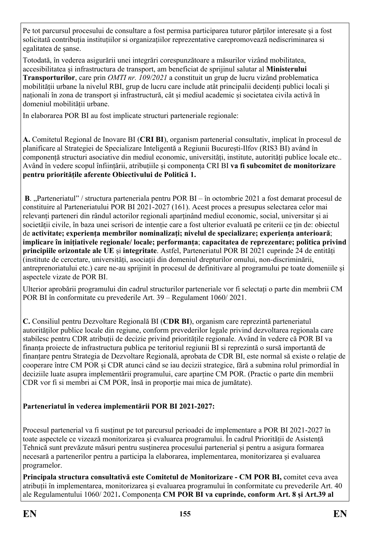Pe tot parcursul procesului de consultare a fost permisa participarea tuturor părților interesate și a fost solicitată contribuția instituțiilor si organizațiilor reprezentative carepromovează nediscriminarea si egalitatea de șanse.

Totodată, în vederea asigurării unei integrări corespunzătoare a măsurilor vizând mobilitatea, accesibilitatea și infrastructura de transport, am beneficiat de sprijinul salutar al **Ministerului Transporturilor**, care prin *OMTI nr. 109/2021* a constituit un grup de lucru vizând problematica mobilității urbane la nivelul RBI, grup de lucru care include atât principalii decidenți publici locali și naționali în zona de transport și infrastructură, cât și mediul academic și societatea civila activă în domeniul mobilității urbane.

In elaborarea POR BI au fost implicate structuri parteneriale regionale:

**A.** Comitetul Regional de Inovare BI (**CRI BI**), organism partenerial consultativ, implicat în procesul de planificare al Strategiei de Specializare Inteligentă a Regiunii București-Ilfov (RIS3 BI) având în componență structuri asociative din mediul economic, universități, institute, autorități publice locale etc.. Având în vedere scopul înființării, atribuțiile și componența CRI BI **va fi subcomitet de monitorizare pentru prioritățile aferente Obiectivului de Politică 1.** 

**B**. "Parteneriatul" / structura parteneriala pentru POR BI – în octombrie 2021 a fost demarat procesul de constituire al Parteneriatului POR BI 2021-2027 (161). Acest proces a presupus selectarea celor mai relevanți parteneri din rândul actorilor regionali aparținând mediul economic, social, universitar și ai societății civile, în baza unei scrisori de intenție care a fost ulterior evaluată pe criterii ce țin de: obiectul de **activitate; experiența membrilor nominalizați; nivelul de specializare; experiența anterioară**; **implicare în inițiativele regionale/ locale; performanța**; **capacitatea de reprezentare; politica privind principiile orizontale ale UE** și **integritate**. Astfel, Parteneriatul POR BI 2021 cuprinde 24 de entități (institute de cercetare, universități, asociații din domeniul drepturilor omului, non-discriminării, antreprenoriatului etc.) care ne-au sprijinit în procesul de definitivare al programului pe toate domeniile și aspectele vizate de POR BI.

Ulterior aprobării programului din cadrul structurilor parteneriale vor fi selectați o parte din membrii CM POR BI în conformitate cu prevederile Art. 39 – Regulament 1060/ 2021.

**C.** Consiliul pentru Dezvoltare Regională BI (**CDR BI**), organism care reprezintă parteneriatul autorităților publice locale din regiune, conform prevederilor legale privind dezvoltarea regionala care stabilesc pentru CDR atribuții de decizie privind prioritățile regionale. Având în vedere că POR BI va finanța proiecte de infrastructura publica pe teritoriul regiunii BI si reprezintă o sursă importantă de finanțare pentru Strategia de Dezvoltare Regională, aprobata de CDR BI, este normal să existe o relație de cooperare între CM POR și CDR atunci când se iau decizii strategice, fără a submina rolul primordial în deciziile luate asupra implementării programului, care aparține CM POR. (Practic o parte din membrii CDR vor fi si membri ai CM POR, însă in proporție mai mica de jumătate).

# **Parteneriatul în vederea implementării POR BI 2021-2027:**

Procesul partenerial va fi susținut pe tot parcursul perioadei de implementare a POR BI 2021-2027 în toate aspectele ce vizează monitorizarea și evaluarea programului. În cadrul Priorității de Asistență Tehnică sunt prevăzute măsuri pentru susținerea procesului partenerial și pentru a asigura formarea necesară a partenerilor pentru a participa la elaborarea, implementarea, monitorizarea și evaluarea programelor.

**Principala structura consultativă este Comitetul de Monitorizare - CM POR BI,** comitet ceva avea atribuții în implementarea, monitorizarea și evaluarea programului în conformitate cu prevederile Art. 40 ale Regulamentului 1060/ 2021**.** Componența **CM POR BI va cuprinde, conform Art. 8 și Art.39 al**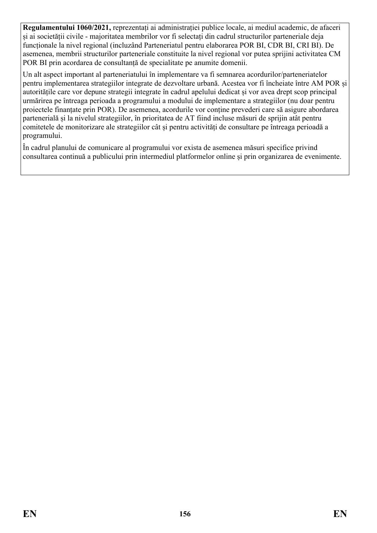**Regulamentului 1060/2021,** reprezentați ai administrației publice locale, ai mediul academic, de afaceri și ai societății civile - majoritatea membrilor vor fi selectați din cadrul structurilor parteneriale deja funcționale la nivel regional (incluzând Parteneriatul pentru elaborarea POR BI, CDR BI, CRI BI). De asemenea, membrii structurilor parteneriale constituite la nivel regional vor putea sprijini activitatea CM POR BI prin acordarea de consultanță de specialitate pe anumite domenii.

Un alt aspect important al parteneriatului în implementare va fi semnarea acordurilor/parteneriatelor pentru implementarea strategiilor integrate de dezvoltare urbană. Acestea vor fi încheiate între AM POR și autoritățile care vor depune strategii integrate în cadrul apelului dedicat și vor avea drept scop principal urmărirea pe întreaga perioada a programului a modului de implementare a strategiilor (nu doar pentru proiectele finanțate prin POR). De asemenea, acordurile vor conține prevederi care să asigure abordarea partenerială și la nivelul strategiilor, în prioritatea de AT fiind incluse măsuri de sprijin atât pentru comitetele de monitorizare ale strategiilor cât și pentru activități de consultare pe întreaga perioadă a programului.

În cadrul planului de comunicare al programului vor exista de asemenea măsuri specifice privind consultarea continuă a publicului prin intermediul platformelor online și prin organizarea de evenimente.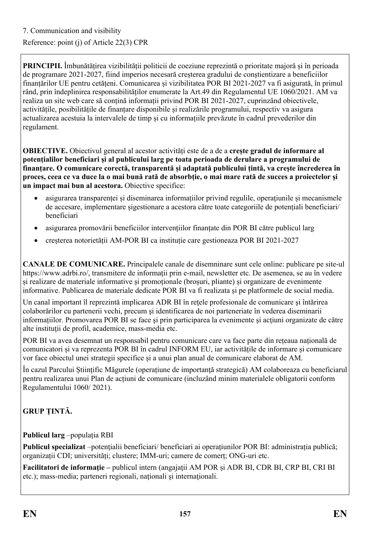# Reference: point (j) of Article 22(3) CPR

**PRINCIPII.** Îmbunătățirea vizibilității politicii de coeziune reprezintă o prioritate majoră și în perioada de programare 2021-2027, fiind imperios necesară creșterea gradului de conștientizare a beneficiilor finanțărilor UE pentru cetățeni. Comunicarea și vizibilitatea POR BI 2021-2027 va fi asigurată, în primul rând, prin îndeplinirea responsabilităților enumerate la Art.49 din Regulamentul UE 1060/2021. AM va realiza un site web care să conțină informații privind POR BI 2021-2027, cuprinzând obiectivele, activitățile, posibilitățile de finanțare disponibile și realizările programului, respectiv va asigura actualizarea acestuia la intervalele de timp și cu informațiile prevăzute în cadrul prevederilor din regulament.

**OBIECTIVE.** Obiectivul general al acestor activități este de a de a **crește gradul de informare al potențialilor beneficiari și al publicului larg pe toata perioada de derulare a programului de finanțare. O comunicare corectă, transparentă și adaptată publicului țintă, va crește încrederea în proces, ceea ce va duce la o mai bună rată de absorbție, o mai mare rată de succes a proiectelor și un impact mai bun al acestora.** Obiective specifice:

- asigurarea transparenței și diseminarea informațiilor privind regulile, operaţiunile și mecanismele de accesare, implementare șigestionare a acestora către toate categoriile de potențiali beneficiari/ beneficiari
- asigurarea promovării beneficiilor intervențiilor finanțate din POR BI către publicul larg
- creșterea notorietății AM-POR BI ca instituție care gestioneaza POR BI 2021-2027

**CANALE DE COMUNICARE.** Principalele canale de disemninare sunt cele online: publicare pe site-ul https://www.adrbi.ro/, transmitere de informații prin e-mail, newsletter etc. De asemenea, se au în vedere și realizare de materiale informative și promoționale (broșuri, pliante) și organizare de evenimente informative. Publicarea de materiale dedicate POR BI va fi realizata și pe platformele de social media.

Un canal important îl reprezintă implicarea ADR BI în rețele profesionale de comunicare și întărirea colaborărilor cu partenerii vechi, precum şi identificarea de noi parteneriate în vederea diseminarii informațiilor. Promovarea POR BI se face şi prin participarea la evenimente şi acţiuni organizate de către alte instituţii de profil, academice, mass-media etc.

POR BI va avea desemnat un responsabil pentru comunicare care va face parte din rețeaua națională de comunicatori și va reprezenta POR BI în cadrul INFORM EU, iar activitățile de informare și comunicare vor face obiectul unei strategii specifice și a unui plan anual de comunicare elaborat de AM.

În cazul Parcului Științific Măgurele (operațiune de importanţă strategică) AM colaboreaza cu beneficiarul pentru realizarea unui Plan de acțiuni de comunicare (incluzând minim materialele obligatorii conform Regulamentului 1060/ 2021).

# **GRUP ȚINTĂ.**

# **Publicul larg** –populația RBI

**Publicul specializat** –potențialii beneficiari/ beneficiari ai operațiunilor POR BI: administrația publică; organizații CDI; universități; clustere; IMM-uri; camere de comerț; ONG-uri etc.

**Facilitatori de informaţie –** publicul intern (angajaţii AM POR și ADR BI, CDR BI, CRP BI, CRI BI etc.); mass-media; parteneri regionali, naționali și internaționali.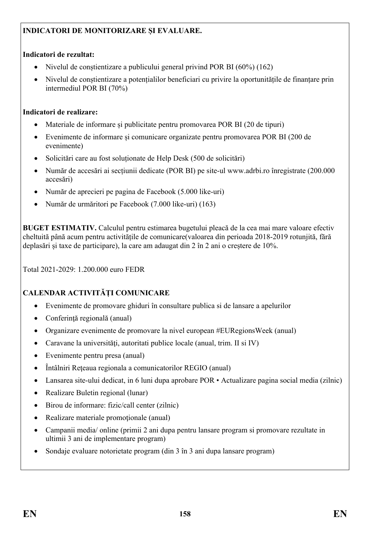# **INDICATORI DE MONITORIZARE ȘI EVALUARE.**

#### **Indicatori de rezultat:**

- Nivelul de conștientizare a publicului general privind POR BI (60%) (162)
- Nivelul de conștientizare a potențialilor beneficiari cu privire la oportunitățile de finanțare prin intermediul POR BI (70%)

#### **Indicatori de realizare:**

- Materiale de informare și publicitate pentru promovarea POR BI (20 de tipuri)
- Evenimente de informare și comunicare organizate pentru promovarea POR BI (200 de evenimente)
- Solicitări care au fost soluționate de Help Desk (500 de solicitări)
- Număr de accesări ai secțiunii dedicate (POR BI) pe site-ul www.adrbi.ro înregistrate (200.000 accesări)
- Număr de aprecieri pe pagina de Facebook (5.000 like-uri)
- Număr de urmăritori pe Facebook (7.000 like-uri) (163)

**BUGET ESTIMATIV.** Calculul pentru estimarea bugetului pleacă de la cea mai mare valoare efectiv cheltuită până acum pentru activitățile de comunicare(valoarea din perioada 2018-2019 rotunjită, fără deplasări și taxe de participare), la care am adaugat din 2 în 2 ani o creștere de 10%.

Total 2021-2029: 1.200.000 euro FEDR

# **CALENDAR ACTIVITĂȚI COMUNICARE**

- Evenimente de promovare ghiduri în consultare publica si de lansare a apelurilor
- Conferință regională (anual)
- Organizare evenimente de promovare la nivel european #EURegionsWeek (anual)
- Caravane la universități, autoritati publice locale (anual, trim. II și IV)
- Evenimente pentru presa (anual)
- Întâlniri Reţeaua regionala a comunicatorilor REGIO (anual)
- Lansarea site-ului dedicat, in 6 luni dupa aprobare POR Actualizare pagina social media (zilnic)
- Realizare Buletin regional (lunar)
- Birou de informare: fizic/call center (zilnic)
- Realizare materiale promoţionale (anual)
- Campanii media/ online (primii 2 ani dupa pentru lansare program si promovare rezultate in ultimii 3 ani de implementare program)
- Sondaje evaluare notorietate program (din 3 în 3 ani dupa lansare program)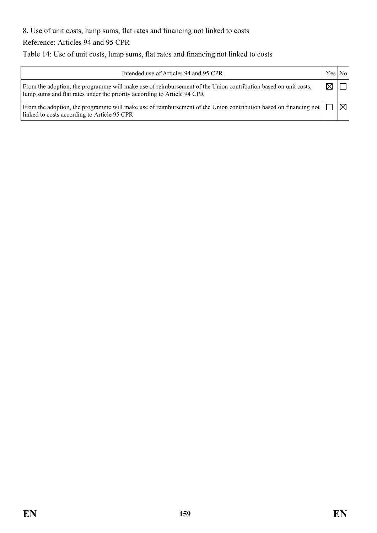8. Use of unit costs, lump sums, flat rates and financing not linked to costs

Reference: Articles 94 and 95 CPR

Table 14: Use of unit costs, lump sums, flat rates and financing not linked to costs

| Intended use of Articles 94 and 95 CPR                                                                                                                                                    | Yes No    |   |
|-------------------------------------------------------------------------------------------------------------------------------------------------------------------------------------------|-----------|---|
| From the adoption, the programme will make use of reimbursement of the Union contribution based on unit costs,<br>lump sums and flat rates under the priority according to Article 94 CPR | $\bowtie$ |   |
| From the adoption, the programme will make use of reimbursement of the Union contribution based on financing not<br>linked to costs according to Article 95 CPR                           |           | ⊠ |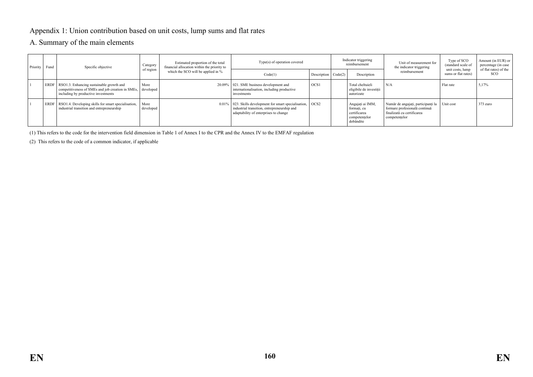#### Appendix 1: Union contribution based on unit costs, lump sums and flat rates

#### A. Summary of the main elements

| Priority | Fund        | Specific objective                                                                                                                   | Estimated proportion of the total<br>Category<br>financial allocation within the priority to |         | Type(s) of operation covered                                                                                                                      |                   |             |                                                                               | Unit of measurement for<br>the indicator triggering                                                                | Type of SCO<br>(standard scale of   | Amount (in EUR) or<br>percentage (in case |
|----------|-------------|--------------------------------------------------------------------------------------------------------------------------------------|----------------------------------------------------------------------------------------------|---------|---------------------------------------------------------------------------------------------------------------------------------------------------|-------------------|-------------|-------------------------------------------------------------------------------|--------------------------------------------------------------------------------------------------------------------|-------------------------------------|-------------------------------------------|
|          | of region   |                                                                                                                                      | which the SCO will be applied in %                                                           | Code(1) | Description $\big $ Code(2)                                                                                                                       |                   | Description | reimbursement                                                                 | unit costs, lump<br>sums or flat rates)                                                                            | of flat rates) of the<br><b>SCO</b> |                                           |
|          | ERDF        | RSO1.3. Enhancing sustainable growth and<br>competitiveness of SMEs and job creation in SMEs,<br>including by productive investments | More<br>developed                                                                            |         | 20.09%   021. SME business development and<br>internationalisation, including productive<br>investments                                           | OCS <sub>1</sub>  |             | Total cheltuieli<br>eligibile de investitii<br>autorizate                     | N/A                                                                                                                | Flat rate                           | 5,17%                                     |
|          | <b>ERDF</b> | RSO1.4. Developing skills for smart specialisation,<br>industrial transition and entrepreneurship                                    | More<br>developed                                                                            |         | 0.01%   023. Skills development for smart specialisation,<br>industrial transition, entrepreneurship and<br>adaptability of enterprises to change | $\overline{OCS2}$ |             | Angajați ai IMM,<br>formati, cu<br>certificarea<br>competentelor<br>dobândite | Număr de angajați, participanți la<br>formare profesională continuă<br>finalizată cu certificarea<br>competentelor | Unit cost                           | 373 euro                                  |

(1) This refers to the code for the intervention field dimension in Table 1 of Annex I to the CPR and the Annex IV to the EMFAF regulation

(2) This refers to the code of a common indicator, if applicable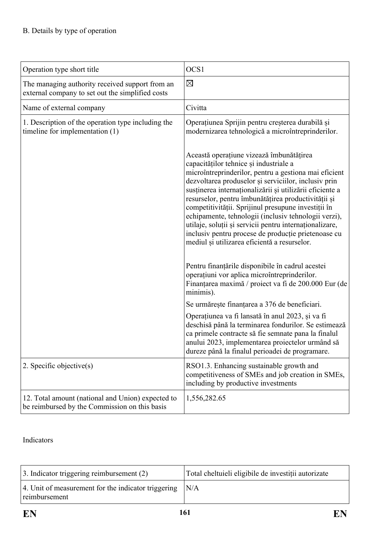| Operation type short title                                                                          | OCS1                                                                                                                                                                                                                                                                                                                                                                                                                                                                                                                                                                                                                                                                                                                                                                                                                 |
|-----------------------------------------------------------------------------------------------------|----------------------------------------------------------------------------------------------------------------------------------------------------------------------------------------------------------------------------------------------------------------------------------------------------------------------------------------------------------------------------------------------------------------------------------------------------------------------------------------------------------------------------------------------------------------------------------------------------------------------------------------------------------------------------------------------------------------------------------------------------------------------------------------------------------------------|
| The managing authority received support from an<br>external company to set out the simplified costs | $\boxtimes$                                                                                                                                                                                                                                                                                                                                                                                                                                                                                                                                                                                                                                                                                                                                                                                                          |
| Name of external company                                                                            | Civitta                                                                                                                                                                                                                                                                                                                                                                                                                                                                                                                                                                                                                                                                                                                                                                                                              |
| 1. Description of the operation type including the<br>timeline for implementation (1)               | Operațiunea Sprijin pentru creșterea durabilă și<br>modernizarea tehnologică a microîntreprinderilor.<br>Această operațiune vizează îmbunătățirea<br>capacităților tehnice și industriale a<br>microîntreprinderilor, pentru a gestiona mai eficient<br>dezvoltarea produselor și serviciilor, inclusiv prin<br>susținerea internaționalizării și utilizării eficiente a<br>resurselor, pentru îmbunătățirea productivității și<br>competitivității. Sprijinul presupune investiții în<br>echipamente, tehnologii (inclusiv tehnologii verzi),<br>utilaje, soluții și servicii pentru internaționalizare,<br>inclusiv pentru procese de producție prietenoase cu<br>mediul și utilizarea eficientă a resurselor.<br>Pentru finanțările disponibile în cadrul acestei<br>operațiuni vor aplica microîntreprinderilor. |
|                                                                                                     | Finanțarea maximă / proiect va fi de 200.000 Eur (de<br>minimis).                                                                                                                                                                                                                                                                                                                                                                                                                                                                                                                                                                                                                                                                                                                                                    |
|                                                                                                     | Se urmărește finanțarea a 376 de beneficiari.                                                                                                                                                                                                                                                                                                                                                                                                                                                                                                                                                                                                                                                                                                                                                                        |
|                                                                                                     | Operațiunea va fi lansată în anul 2023, și va fi<br>deschisă până la terminarea fondurilor. Se estimează<br>ca primele contracte să fie semnate pana la finalul<br>anului 2023, implementarea proiectelor urmând să<br>dureze până la finalul perioadei de programare.                                                                                                                                                                                                                                                                                                                                                                                                                                                                                                                                               |
| 2. Specific objective(s)                                                                            | RSO1.3. Enhancing sustainable growth and<br>competitiveness of SMEs and job creation in SMEs,<br>including by productive investments                                                                                                                                                                                                                                                                                                                                                                                                                                                                                                                                                                                                                                                                                 |
| 12. Total amount (national and Union) expected to<br>be reimbursed by the Commission on this basis  | 1,556,282.65                                                                                                                                                                                                                                                                                                                                                                                                                                                                                                                                                                                                                                                                                                                                                                                                         |

Indicators

| $\vert$ 3. Indicator triggering reimbursement (2)                    | Total cheltuieli eligibile de investiții autorizate |
|----------------------------------------------------------------------|-----------------------------------------------------|
| 4. Unit of measurement for the indicator triggering<br>reimbursement | N/A                                                 |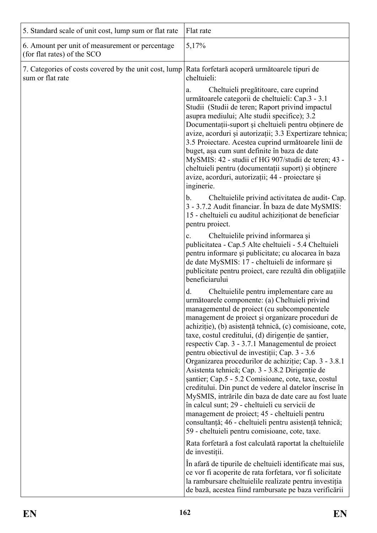| 5. Standard scale of unit cost, lump sum or flat rate                          | Flat rate                                                                                                                                                                                                                                                                                                                                                                                                                                                                                                                                                                                                       |
|--------------------------------------------------------------------------------|-----------------------------------------------------------------------------------------------------------------------------------------------------------------------------------------------------------------------------------------------------------------------------------------------------------------------------------------------------------------------------------------------------------------------------------------------------------------------------------------------------------------------------------------------------------------------------------------------------------------|
| 6. Amount per unit of measurement or percentage<br>(for flat rates) of the SCO | 5,17%                                                                                                                                                                                                                                                                                                                                                                                                                                                                                                                                                                                                           |
| 7. Categories of costs covered by the unit cost, lump<br>sum or flat rate      | Rata forfetară acoperă următoarele tipuri de<br>cheltuieli:                                                                                                                                                                                                                                                                                                                                                                                                                                                                                                                                                     |
|                                                                                | Cheltuieli pregătitoare, care cuprind<br>a.<br>următoarele categorii de cheltuieli: Cap.3 - 3.1<br>Studii (Studii de teren; Raport privind impactul<br>asupra mediului; Alte studii specifice); 3.2<br>Documentații-suport și cheltuieli pentru obținere de<br>avize, acorduri și autorizații; 3.3 Expertizare tehnica;<br>3.5 Proiectare. Acestea cuprind următoarele linii de<br>buget, așa cum sunt definite în baza de date<br>MySMIS: 42 - studii cf HG 907/studii de teren; 43 -<br>cheltuieli pentru (documentații suport) și obținere<br>avize, acorduri, autorizații; 44 - proiectare și<br>inginerie. |
|                                                                                | Cheltuielile privind activitatea de audit-Cap.<br>$b_{\cdot}$<br>3 - 3.7.2 Audit financiar. În baza de date MySMIS:<br>15 - cheltuieli cu auditul achiziționat de beneficiar<br>pentru proiect.                                                                                                                                                                                                                                                                                                                                                                                                                 |
|                                                                                | Cheltuielile privind informarea și<br>$c_{\cdot}$<br>publicitatea - Cap.5 Alte cheltuieli - 5.4 Cheltuieli<br>pentru informare și publicitate; cu alocarea în baza<br>de date MySMIS: 17 - cheltuieli de informare și<br>publicitate pentru proiect, care rezultă din obligațiile<br>beneficiarului                                                                                                                                                                                                                                                                                                             |
|                                                                                | Cheltuielile pentru implementare care au<br>d.<br>următoarele componente: (a) Cheltuieli privind<br>managementul de proiect (cu subcomponentele<br>management de proiect și organizare proceduri de<br>achiziție), (b) asistență tehnică, (c) comisioane, cote,<br>taxe, costul creditului, (d) dirigentie de santier,<br>respectiv Cap. 3 - 3.7.1 Managementul de proiect<br>pentru obiectivul de investiții; Cap. 3 - 3.6<br>Organizarea procedurilor de achiziție; Cap. 3 - 3.8.1<br>Asistenta tehnică; Cap. 3 - 3.8.2 Dirigenție de                                                                         |
|                                                                                | santier; Cap.5 - 5.2 Comisioane, cote, taxe, costul<br>creditului. Din punct de vedere al datelor înscrise în<br>MySMIS, intrările din baza de date care au fost luate<br>în calcul sunt; 29 - cheltuieli cu servicii de<br>management de proiect; 45 - cheltuieli pentru<br>consultanță; 46 - cheltuieli pentru asistență tehnică;<br>59 - cheltuieli pentru comisioane, cote, taxe.                                                                                                                                                                                                                           |
|                                                                                | Rata forfetară a fost calculată raportat la cheltuielile<br>de investiții.                                                                                                                                                                                                                                                                                                                                                                                                                                                                                                                                      |
|                                                                                | In afară de tipurile de cheltuieli identificate mai sus,<br>ce vor fi acoperite de rata forfetara, vor fi solicitate<br>la rambursare cheltuielile realizate pentru investiția<br>de bază, acestea fiind rambursate pe baza verificării                                                                                                                                                                                                                                                                                                                                                                         |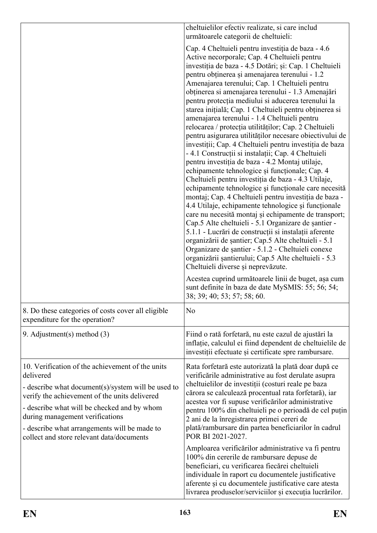|                                                                                                                                                                                                                                                                                                                                                     | cheltuielilor efectiv realizate, si care includ<br>următoarele categorii de cheltuieli:                                                                                                                                                                                                                                                                                                                                                                                                                                                                                                                                                                                                                                                                                                                                                                                                                                                                                                                                                                                                                                                                                                                                                                                                                                                                                                                                                         |  |  |
|-----------------------------------------------------------------------------------------------------------------------------------------------------------------------------------------------------------------------------------------------------------------------------------------------------------------------------------------------------|-------------------------------------------------------------------------------------------------------------------------------------------------------------------------------------------------------------------------------------------------------------------------------------------------------------------------------------------------------------------------------------------------------------------------------------------------------------------------------------------------------------------------------------------------------------------------------------------------------------------------------------------------------------------------------------------------------------------------------------------------------------------------------------------------------------------------------------------------------------------------------------------------------------------------------------------------------------------------------------------------------------------------------------------------------------------------------------------------------------------------------------------------------------------------------------------------------------------------------------------------------------------------------------------------------------------------------------------------------------------------------------------------------------------------------------------------|--|--|
|                                                                                                                                                                                                                                                                                                                                                     | Cap. 4 Cheltuieli pentru investiția de baza - 4.6<br>Active necorporale; Cap. 4 Cheltuieli pentru<br>investiția de baza - 4.5 Dotări; și: Cap. 1 Cheltuieli<br>pentru obținerea și amenajarea terenului - 1.2<br>Amenajarea terenului; Cap. 1 Cheltuieli pentru<br>obținerea si amenajarea terenului - 1.3 Amenajări<br>pentru protecția mediului si aducerea terenului la<br>starea inițială; Cap. 1 Cheltuieli pentru obținerea si<br>amenajarea terenului - 1.4 Cheltuieli pentru<br>relocarea / protecția utilităților; Cap. 2 Cheltuieli<br>pentru asigurarea utilităților necesare obiectivului de<br>investiții; Cap. 4 Cheltuieli pentru investiția de baza<br>- 4.1 Construcții si instalații; Cap. 4 Cheltuieli<br>pentru investiția de baza - 4.2 Montaj utilaje,<br>echipamente tehnologice și funcționale; Cap. 4<br>Cheltuieli pentru investiția de baza - 4.3 Utilaje,<br>echipamente tehnologice și funcționale care necesită<br>montaj; Cap. 4 Cheltuieli pentru investiția de baza -<br>4.4 Utilaje, echipamente tehnologice și funcționale<br>care nu necesită montaj și echipamente de transport;<br>Cap.5 Alte cheltuieli - 5.1 Organizare de șantier -<br>5.1.1 - Lucrări de construcții si instalații aferente<br>organizării de șantier; Cap.5 Alte cheltuieli - 5.1<br>Organizare de șantier - 5.1.2 - Cheltuieli conexe<br>organizării șantierului; Cap.5 Alte cheltuieli - 5.3<br>Cheltuieli diverse și neprevăzute. |  |  |
|                                                                                                                                                                                                                                                                                                                                                     | Acestea cuprind următoarele linii de buget, așa cum<br>sunt definite în baza de date MySMIS: 55; 56; 54;<br>38; 39; 40; 53; 57; 58; 60.                                                                                                                                                                                                                                                                                                                                                                                                                                                                                                                                                                                                                                                                                                                                                                                                                                                                                                                                                                                                                                                                                                                                                                                                                                                                                                         |  |  |
| 8. Do these categories of costs cover all eligible<br>expenditure for the operation?                                                                                                                                                                                                                                                                | N <sub>o</sub>                                                                                                                                                                                                                                                                                                                                                                                                                                                                                                                                                                                                                                                                                                                                                                                                                                                                                                                                                                                                                                                                                                                                                                                                                                                                                                                                                                                                                                  |  |  |
| 9. Adjustment(s) method $(3)$                                                                                                                                                                                                                                                                                                                       | Fiind o rată forfetară, nu este cazul de ajustări la<br>inflatie, calculul ei fiind dependent de cheltuielile de<br>investiții efectuate și certificate spre rambursare.                                                                                                                                                                                                                                                                                                                                                                                                                                                                                                                                                                                                                                                                                                                                                                                                                                                                                                                                                                                                                                                                                                                                                                                                                                                                        |  |  |
| 10. Verification of the achievement of the units<br>delivered<br>- describe what document(s)/system will be used to<br>verify the achievement of the units delivered<br>- describe what will be checked and by whom<br>during management verifications<br>- describe what arrangements will be made to<br>collect and store relevant data/documents | Rata forfetară este autorizată la plată doar după ce<br>verificările administrative au fost derulate asupra<br>cheltuielilor de investiții (costuri reale pe baza<br>cărora se calculează procentual rata forfetară), iar<br>acestea vor fi supuse verificărilor administrative<br>pentru 100% din cheltuieli pe o perioadă de cel puțin<br>2 ani de la înregistrarea primei cereri de<br>plată/rambursare din partea beneficiarilor în cadrul<br>POR BI 2021-2027.                                                                                                                                                                                                                                                                                                                                                                                                                                                                                                                                                                                                                                                                                                                                                                                                                                                                                                                                                                             |  |  |
|                                                                                                                                                                                                                                                                                                                                                     | Amploarea verificărilor administrative va fi pentru<br>100% din cererile de rambursare depuse de<br>beneficiari, cu verificarea fiecărei cheltuieli<br>individuale în raport cu documentele justificative<br>aferente și cu documentele justificative care atesta<br>livrarea produselor/serviciilor și execuția lucrărilor.                                                                                                                                                                                                                                                                                                                                                                                                                                                                                                                                                                                                                                                                                                                                                                                                                                                                                                                                                                                                                                                                                                                    |  |  |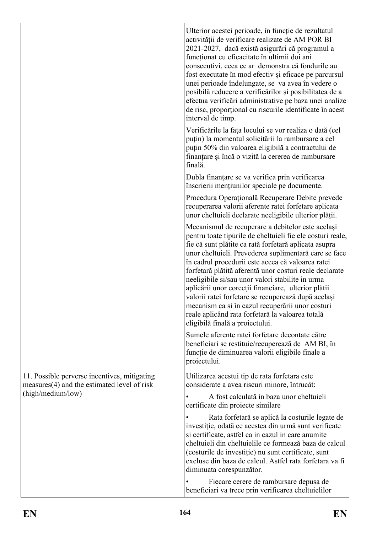|                                                                                               | Ulterior acestei perioade, în funcție de rezultatul<br>activității de verificare realizate de AM POR BI<br>2021-2027, dacă există asigurări că programul a<br>funcționat cu eficacitate în ultimii doi ani<br>consecutivi, ceea ce ar demonstra că fondurile au<br>fost executate în mod efectiv și eficace pe parcursul<br>unei perioade îndelungate, se va avea în vedere o<br>posibilă reducere a verificărilor și posibilitatea de a<br>efectua verificări administrative pe baza unei analize<br>de risc, proportional cu riscurile identificate în acest<br>interval de timp.                                                                            |  |  |  |
|-----------------------------------------------------------------------------------------------|----------------------------------------------------------------------------------------------------------------------------------------------------------------------------------------------------------------------------------------------------------------------------------------------------------------------------------------------------------------------------------------------------------------------------------------------------------------------------------------------------------------------------------------------------------------------------------------------------------------------------------------------------------------|--|--|--|
|                                                                                               | Verificările la fața locului se vor realiza o dată (cel<br>puțin) la momentul solicitării la rambursare a cel<br>puțin 50% din valoarea eligibilă a contractului de<br>finanțare și încă o vizită la cererea de rambursare<br>finală.                                                                                                                                                                                                                                                                                                                                                                                                                          |  |  |  |
|                                                                                               | Dubla finanțare se va verifica prin verificarea<br>înscrierii mențiunilor speciale pe documente.                                                                                                                                                                                                                                                                                                                                                                                                                                                                                                                                                               |  |  |  |
|                                                                                               | Procedura Operațională Recuperare Debite prevede<br>recuperarea valorii aferente ratei forfetare aplicata<br>unor cheltuieli declarate neeligibile ulterior plății.                                                                                                                                                                                                                                                                                                                                                                                                                                                                                            |  |  |  |
|                                                                                               | Mecanismul de recuperare a debitelor este același<br>pentru toate tipurile de cheltuieli fie ele costuri reale,<br>fie că sunt plătite ca rată forfetară aplicata asupra<br>unor cheltuieli. Prevederea suplimentară care se face<br>în cadrul procedurii este aceea că valoarea ratei<br>forfetară plătită aferentă unor costuri reale declarate<br>neeligibile si/sau unor valori stabilite in urma<br>aplicării unor corecții financiare, ulterior plătii<br>valorii ratei forfetare se recuperează după același<br>mecanism ca si în cazul recuperării unor costuri<br>reale aplicând rata forfetară la valoarea totală<br>eligibilă finală a proiectului. |  |  |  |
|                                                                                               | Sumele aferente ratei forfetare decontate către<br>beneficiari se restituie/recuperează de AM BI, în<br>funcție de diminuarea valorii eligibile finale a<br>proiectului.                                                                                                                                                                                                                                                                                                                                                                                                                                                                                       |  |  |  |
| 11. Possible perverse incentives, mitigating<br>$measures(4)$ and the estimated level of risk | Utilizarea acestui tip de rata forfetara este<br>considerate a avea riscuri minore, întrucât:                                                                                                                                                                                                                                                                                                                                                                                                                                                                                                                                                                  |  |  |  |
| (high/medium/low)                                                                             | A fost calculată în baza unor cheltuieli<br>certificate din projecte similare                                                                                                                                                                                                                                                                                                                                                                                                                                                                                                                                                                                  |  |  |  |
|                                                                                               | Rata forfetară se aplică la costurile legate de<br>investiție, odată ce acestea din urmă sunt verificate<br>si certificate, astfel ca in cazul in care anumite<br>cheltuieli din cheltuielile ce formează baza de calcul<br>(costurile de investiție) nu sunt certificate, sunt<br>excluse din baza de calcul. Astfel rata forfetara va fi<br>diminuata corespunzător.                                                                                                                                                                                                                                                                                         |  |  |  |
|                                                                                               | Fiecare cerere de rambursare depusa de<br>beneficiari va trece prin verificarea cheltuielilor                                                                                                                                                                                                                                                                                                                                                                                                                                                                                                                                                                  |  |  |  |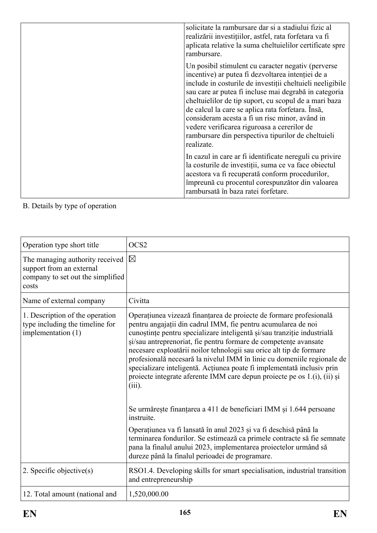| solicitate la rambursare dar si a stadiului fizic al<br>realizării investițiilor, astfel, rata forfetara va fi<br>aplicata relative la suma cheltuielilor certificate spre<br>rambursare.                                                                                                                                                                                                                                                                                                                        |
|------------------------------------------------------------------------------------------------------------------------------------------------------------------------------------------------------------------------------------------------------------------------------------------------------------------------------------------------------------------------------------------------------------------------------------------------------------------------------------------------------------------|
| Un posibil stimulent cu caracter negativ (perverse<br>incentive) ar putea fi dezvoltarea intenției de a<br>include in costurile de investiții cheltuieli neeligibile<br>sau care ar putea fi incluse mai degrabă in categoria<br>cheltuielilor de tip suport, cu scopul de a mari baza<br>de calcul la care se aplica rata forfetara. Însă,<br>consideram acesta a fi un risc minor, având in<br>vedere verificarea riguroasa a cererilor de<br>rambursare din perspectiva tipurilor de cheltuieli<br>realizate. |
| In cazul in care ar fi identificate nereguli cu privire<br>la costurile de investiții, suma ce va face obiectul<br>acestora va fi recuperată conform procedurilor,<br>împreună cu procentul corespunzător din valoarea<br>rambursată în baza ratei forfetare.                                                                                                                                                                                                                                                    |

# B. Details by type of operation

| Operation type short title                                                                                | OCS <sub>2</sub>                                                                                                                                                                                                                                                                                                                                                                                                                                                                                                                                                                                        |
|-----------------------------------------------------------------------------------------------------------|---------------------------------------------------------------------------------------------------------------------------------------------------------------------------------------------------------------------------------------------------------------------------------------------------------------------------------------------------------------------------------------------------------------------------------------------------------------------------------------------------------------------------------------------------------------------------------------------------------|
| The managing authority received<br>support from an external<br>company to set out the simplified<br>costs | $\boxtimes$                                                                                                                                                                                                                                                                                                                                                                                                                                                                                                                                                                                             |
| Name of external company                                                                                  | Civitta                                                                                                                                                                                                                                                                                                                                                                                                                                                                                                                                                                                                 |
| 1. Description of the operation<br>type including the timeline for<br>implementation (1)                  | Operațiunea vizează finanțarea de proiecte de formare profesională<br>pentru angajații din cadrul IMM, fie pentru acumularea de noi<br>cunoștințe pentru specializare inteligentă și/sau tranziție industrială<br>și/sau antreprenoriat, fie pentru formare de competențe avansate<br>necesare exploatării noilor tehnologii sau orice alt tip de formare<br>profesională necesară la nivelul IMM în linie cu domeniile regionale de<br>specializare inteligentă. Acțiunea poate fi implementată inclusiv prin<br>proiecte integrate aferente IMM care depun proiecte pe os 1.(i), (ii) și<br>$(iii)$ . |
|                                                                                                           | Se urmărește finanțarea a 411 de beneficiari IMM și 1.644 persoane<br>instruite.                                                                                                                                                                                                                                                                                                                                                                                                                                                                                                                        |
|                                                                                                           | Operațiunea va fi lansată în anul 2023 și va fi deschisă până la<br>terminarea fondurilor. Se estimează ca primele contracte să fie semnate<br>pana la finalul anului 2023, implementarea proiectelor urmând să<br>dureze până la finalul perioadei de programare.                                                                                                                                                                                                                                                                                                                                      |
| 2. Specific objective $(s)$                                                                               | RSO1.4. Developing skills for smart specialisation, industrial transition<br>and entrepreneurship                                                                                                                                                                                                                                                                                                                                                                                                                                                                                                       |
| 12. Total amount (national and                                                                            | 1,520,000.00                                                                                                                                                                                                                                                                                                                                                                                                                                                                                                                                                                                            |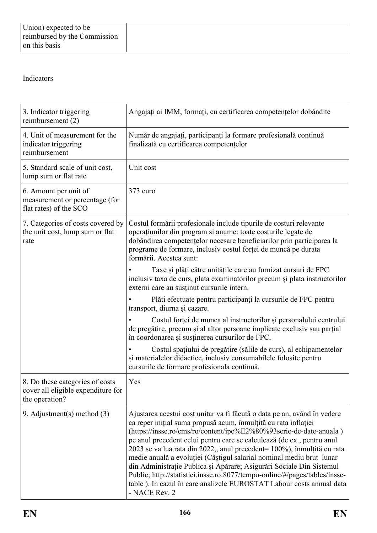# Indicators

| 3. Indicator triggering<br>reimbursement (2)                                            | Angajați ai IMM, formați, cu certificarea competențelor dobândite                                                                                                                                                                                                                                                                                                                                                                                                                                                                                                                                                                                                                             |
|-----------------------------------------------------------------------------------------|-----------------------------------------------------------------------------------------------------------------------------------------------------------------------------------------------------------------------------------------------------------------------------------------------------------------------------------------------------------------------------------------------------------------------------------------------------------------------------------------------------------------------------------------------------------------------------------------------------------------------------------------------------------------------------------------------|
| 4. Unit of measurement for the<br>indicator triggering<br>reimbursement                 | Număr de angajați, participanți la formare profesională continuă<br>finalizată cu certificarea competențelor                                                                                                                                                                                                                                                                                                                                                                                                                                                                                                                                                                                  |
| 5. Standard scale of unit cost,<br>lump sum or flat rate                                | Unit cost                                                                                                                                                                                                                                                                                                                                                                                                                                                                                                                                                                                                                                                                                     |
| 6. Amount per unit of<br>measurement or percentage (for<br>flat rates) of the SCO       | 373 euro                                                                                                                                                                                                                                                                                                                                                                                                                                                                                                                                                                                                                                                                                      |
| 7. Categories of costs covered by<br>the unit cost, lump sum or flat<br>rate            | Costul formării profesionale include tipurile de costuri relevante<br>operatiunilor din program si anume: toate costurile legate de<br>dobândirea competențelor necesare beneficiarilor prin participarea la<br>programe de formare, inclusiv costul forței de muncă pe durata<br>formării. Acestea sunt:                                                                                                                                                                                                                                                                                                                                                                                     |
|                                                                                         | Taxe și plăți către unitățile care au furnizat cursuri de FPC<br>inclusiv taxa de curs, plata examinatorilor precum și plata instructorilor<br>externi care au susținut cursurile intern.                                                                                                                                                                                                                                                                                                                                                                                                                                                                                                     |
|                                                                                         | Plăti efectuate pentru participanți la cursurile de FPC pentru<br>transport, diurna și cazare.                                                                                                                                                                                                                                                                                                                                                                                                                                                                                                                                                                                                |
|                                                                                         | Costul forței de munca al instructorilor și personalului centrului<br>de pregătire, precum și al altor persoane implicate exclusiv sau parțial<br>în coordonarea și susținerea cursurilor de FPC.                                                                                                                                                                                                                                                                                                                                                                                                                                                                                             |
|                                                                                         | Costul spațiului de pregătire (sălile de curs), al echipamentelor<br>și materialelor didactice, inclusiv consumabilele folosite pentru<br>cursurile de formare profesionala continuă.                                                                                                                                                                                                                                                                                                                                                                                                                                                                                                         |
| 8. Do these categories of costs<br>cover all eligible expenditure for<br>the operation? | Yes                                                                                                                                                                                                                                                                                                                                                                                                                                                                                                                                                                                                                                                                                           |
| 9. Adjustment(s) method $(3)$                                                           | Ajustarea acestui cost unitar va fi făcută o data pe an, având în vedere<br>ca reper inițial suma propusă acum, înmulțită cu rata inflației<br>(https://insse.ro/cms/ro/content/ipc%E2%80%93serie-de-date-anuala)<br>pe anul precedent celui pentru care se calculează (de ex., pentru anul<br>2023 se va lua rata din 2022,, anul precedent= 100%), înmulțită cu rata<br>medie anuală a evoluției (Câștigul salarial nominal mediu brut lunar<br>din Administrație Publica și Apărare; Asigurări Sociale Din Sistemul<br>Public; http://statistici.insse.ro:8077/tempo-online/#/pages/tables/insse-<br>table). In cazul în care analizele EUROSTAT Labour costs annual data<br>- NACE Rev. 2 |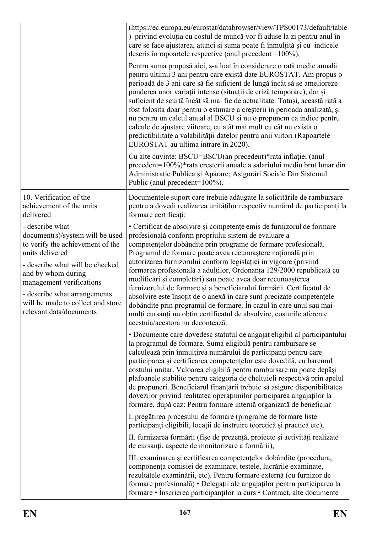|                                                                                                                                                                                                                                                                                                | (https://ec.europa.eu/eurostat/databrowser/view/TPS00173/default/table<br>) privind evoluția cu costul de muncă vor fi aduse la zi pentru anul în<br>care se face ajustarea, atunci si suma poate fi înmulțită și cu indicele<br>descris în rapoartele respective (anul precedent $=100\%$ ),                                                                                                                                                                                                                                                                                                                                                                                                                                                                                                                  |
|------------------------------------------------------------------------------------------------------------------------------------------------------------------------------------------------------------------------------------------------------------------------------------------------|----------------------------------------------------------------------------------------------------------------------------------------------------------------------------------------------------------------------------------------------------------------------------------------------------------------------------------------------------------------------------------------------------------------------------------------------------------------------------------------------------------------------------------------------------------------------------------------------------------------------------------------------------------------------------------------------------------------------------------------------------------------------------------------------------------------|
|                                                                                                                                                                                                                                                                                                | Pentru suma propusă aici, s-a luat în considerare o rată medie anuală<br>pentru ultimii 3 ani pentru care există date EUROSTAT. Am propus o<br>perioadă de 3 ani care să fie suficient de lungă încât să se amelioreze<br>ponderea unor variații intense (situații de criză temporare), dar și<br>suficient de scurtă încât să mai fie de actualitate. Totuși, această rată a<br>fost folosita doar pentru o estimare a creșterii în perioada analizată, și<br>nu pentru un calcul anual al BSCU și nu o propunem ca indice pentru<br>calcule de ajustare viitoare, cu atât mai mult cu cât nu există o<br>predictibilitate a valabilității datelor pentru anii viitori (Rapoartele<br>EUROSTAT au ultima intrare în 2020).                                                                                    |
|                                                                                                                                                                                                                                                                                                | Cu alte cuvinte: BSCU=BSCU(an precedent)*rata inflației (anul<br>precedent=100%)*rata creșterii anuale a salariului mediu brut lunar din<br>Administrație Publica și Apărare; Asigurări Sociale Din Sistemul<br>Public (anul precedent=100%).                                                                                                                                                                                                                                                                                                                                                                                                                                                                                                                                                                  |
| 10. Verification of the<br>achievement of the units<br>delivered                                                                                                                                                                                                                               | Documentele suport care trebuie adăugate la solicitările de rambursare<br>pentru a dovedi realizarea unităților respectiv numărul de participanți la<br>formare certificați:                                                                                                                                                                                                                                                                                                                                                                                                                                                                                                                                                                                                                                   |
| - describe what<br>document(s)/system will be used<br>to verify the achievement of the<br>units delivered<br>- describe what will be checked<br>and by whom during<br>management verifications<br>- describe what arrangements<br>will be made to collect and store<br>relevant data/documents | • Certificat de absolvire și competențe emis de furnizorul de formare<br>profesională conform propriului sistem de evaluare a<br>competențelor dobândite prin programe de formare profesională.<br>Programul de formare poate avea recunoaștere națională prin<br>autorizarea furnizorului conform legislației în vigoare (privind<br>formarea profesională a adulților, Ordonanța 129/2000 republicată cu<br>modificări și completări) sau poate avea doar recunoașterea<br>furnizorului de formare și a beneficiarului formării. Certificatul de<br>absolvire este însoțit de o anexă în care sunt precizate competențele<br>dobândite prin programul de formare. În cazul în care unul sau mai<br>mulți cursanți nu obțin certificatul de absolvire, costurile aferente<br>acestuia/acestora nu decontează. |
|                                                                                                                                                                                                                                                                                                | • Documente care dovedesc statutul de angajat eligibil al participantului<br>la programul de formare. Suma eligibilă pentru rambursare se<br>calculează prin înmulțirea numărului de participanți pentru care<br>participarea și certificarea competențelor este dovedită, cu baremul<br>costului unitar. Valoarea eligibilă pentru rambursare nu poate depăși<br>plafoanele stabilite pentru categoria de cheltuieli respectivă prin apelul<br>de propuneri. Beneficiarul finanțării trebuie să asigure disponibilitatea<br>dovezilor privind realitatea operațiunilor participarea angajaților la<br>formare, după caz: Pentru formare internă organizată de beneficiar                                                                                                                                      |
|                                                                                                                                                                                                                                                                                                | I. pregătirea procesului de formare (programe de formare liste<br>participanți eligibili, locații de instruire teoretică și practică etc),<br>II. furnizarea formării (fișe de prezență, proiecte și activități realizate                                                                                                                                                                                                                                                                                                                                                                                                                                                                                                                                                                                      |
|                                                                                                                                                                                                                                                                                                | de cursanți, aspecte de monitorizare a formării),                                                                                                                                                                                                                                                                                                                                                                                                                                                                                                                                                                                                                                                                                                                                                              |
|                                                                                                                                                                                                                                                                                                | III. examinarea și certificarea competențelor dobândite (procedura,<br>componența comisiei de examinare, testele, lucrările examinate,<br>rezultatele examinării, etc). Pentru formare externă (cu furnizor de<br>formare profesională) • Delegații ale angajaților pentru participarea la<br>formare · Înscrierea participanților la curs · Contract, alte documente                                                                                                                                                                                                                                                                                                                                                                                                                                          |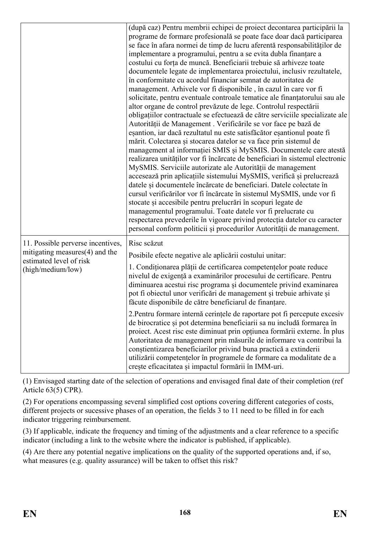|                                                                     | (după caz) Pentru membrii echipei de proiect decontarea participării la<br>programe de formare profesională se poate face doar dacă participarea<br>se face în afara normei de timp de lucru aferentă responsabilităților de<br>implementare a programului, pentru a se evita dubla finanțare a<br>costului cu forța de muncă. Beneficiarii trebuie să arhiveze toate<br>documentele legate de implementarea proiectului, inclusiv rezultatele,<br>în conformitate cu acordul financiar semnat de autoritatea de<br>management. Arhivele vor fi disponibile, în cazul în care vor fi<br>solicitate, pentru eventuale controale tematice ale finanțatorului sau ale<br>altor organe de control prevăzute de lege. Controlul respectării<br>obligațiilor contractuale se efectuează de către serviciile specializate ale<br>Autorității de Management. Verificările se vor face pe bază de<br>esantion, iar dacă rezultatul nu este satisfăcător esantionul poate fi<br>mărit. Colectarea și stocarea datelor se va face prin sistemul de<br>management al informației SMIS și MySMIS. Documentele care atestă<br>realizarea unităților vor fi încărcate de beneficiari în sistemul electronic<br>MySMIS. Serviciile autorizate ale Autorității de management<br>accesează prin aplicațiile sistemului MySMIS, verifică și prelucrează<br>datele și documentele încărcate de beneficiari. Datele colectate în<br>cursul verificărilor vor fi încărcate în sistemul MySMIS, unde vor fi<br>stocate și accesibile pentru prelucrări în scopuri legate de<br>managementul programului. Toate datele vor fi prelucrate cu<br>respectarea prevederile în vigoare privind protecția datelor cu caracter<br>personal conform politicii și procedurilor Autorității de management. |
|---------------------------------------------------------------------|--------------------------------------------------------------------------------------------------------------------------------------------------------------------------------------------------------------------------------------------------------------------------------------------------------------------------------------------------------------------------------------------------------------------------------------------------------------------------------------------------------------------------------------------------------------------------------------------------------------------------------------------------------------------------------------------------------------------------------------------------------------------------------------------------------------------------------------------------------------------------------------------------------------------------------------------------------------------------------------------------------------------------------------------------------------------------------------------------------------------------------------------------------------------------------------------------------------------------------------------------------------------------------------------------------------------------------------------------------------------------------------------------------------------------------------------------------------------------------------------------------------------------------------------------------------------------------------------------------------------------------------------------------------------------------------------------------------------------------------------------------------------------|
| 11. Possible perverse incentives,<br>mitigating measures(4) and the | Risc scăzut<br>Posibile efecte negative ale aplicării costului unitar:                                                                                                                                                                                                                                                                                                                                                                                                                                                                                                                                                                                                                                                                                                                                                                                                                                                                                                                                                                                                                                                                                                                                                                                                                                                                                                                                                                                                                                                                                                                                                                                                                                                                                                   |
| estimated level of risk<br>(high/medium/low)                        | 1. Condiționarea plății de certificarea competențelor poate reduce<br>nivelul de exigență a examinărilor procesului de certificare. Pentru<br>diminuarea acestui risc programa și documentele privind examinarea<br>pot fi obiectul unor verificări de management și trebuie arhivate și<br>făcute disponibile de către beneficiarul de finanțare.                                                                                                                                                                                                                                                                                                                                                                                                                                                                                                                                                                                                                                                                                                                                                                                                                                                                                                                                                                                                                                                                                                                                                                                                                                                                                                                                                                                                                       |
|                                                                     | 2. Pentru formare internă cerințele de raportare pot fi percepute excesiv<br>de birocratice și pot determina beneficiarii sa nu includă formarea în<br>proiect. Acest risc este diminuat prin opțiunea formării externe. În plus<br>Autoritatea de management prin măsurile de informare va contribui la<br>conștientizarea beneficiarilor privind buna practică a extinderii<br>utilizării competențelor în programele de formare ca modalitate de a<br>crește eficacitatea și impactul formării în IMM-uri.                                                                                                                                                                                                                                                                                                                                                                                                                                                                                                                                                                                                                                                                                                                                                                                                                                                                                                                                                                                                                                                                                                                                                                                                                                                            |

(1) Envisaged starting date of the selection of operations and envisaged final date of their completion (ref Article 63(5) CPR).

(2) For operations encompassing several simplified cost options covering different categories of costs, different projects or sucessive phases of an operation, the fields 3 to 11 need to be filled in for each indicator triggering reimbursement.

(3) If applicable, indicate the frequency and timing of the adjustments and a clear reference to a specific indicator (including a link to the website where the indicator is published, if applicable).

(4) Are there any potential negative implications on the quality of the supported operations and, if so, what measures (e.g. quality assurance) will be taken to offset this risk?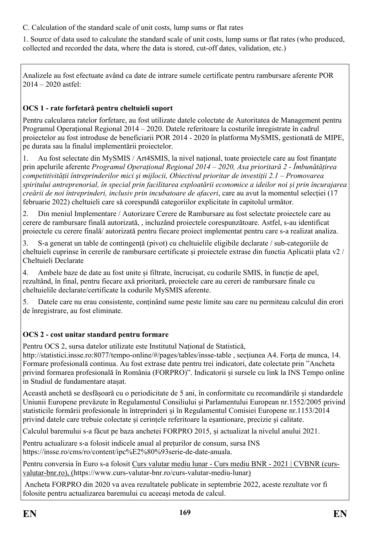C. Calculation of the standard scale of unit costs, lump sums or flat rates

1. Source of data used to calculate the standard scale of unit costs, lump sums or flat rates (who produced, collected and recorded the data, where the data is stored, cut-off dates, validation, etc.)

Analizele au fost efectuate având ca date de intrare sumele certificate pentru rambursare aferente POR 2014 – 2020 astfel:

# **OCS 1 - rate forfetară pentru cheltuieli suport**

Pentru calcularea ratelor forfetare, au fost utilizate datele colectate de Autoritatea de Management pentru Programul Operațional Regional 2014 – 2020. Datele referitoare la costurile înregistrate în cadrul proiectelor au fost introduse de beneficiarii POR 2014 - 2020 în platforma MySMIS, gestionată de MIPE, pe durata sau la finalul implementării proiectelor.

1. Au fost selectate din MySMIS / Art4SMIS, la nivel național, toate proiectele care au fost finanțate prin apelurile aferente *Programul Operațional Regional 2014 – 2020, Axa prioritară 2 - Îmbunătățirea competitivității întreprinderilor mici şi mijlocii, Obiectivul prioritar de investiții 2.1 – Promovarea spiritului antreprenorial, în special prin facilitarea exploatării economice a ideilor noi și prin încurajarea creării de noi întreprinderi, inclusiv prin incubatoare de afaceri*, care au avut la momentul selecției (17 februarie 2022) cheltuieli care să corespundă categoriilor explicitate în capitolul următor.

2. Din meniul Implementare / Autorizare Cerere de Rambursare au fost selectate proiectele care au cerere de rambursare finală autorizată, , incluzând proiectele corespunzătoare. Astfel, s-au identificat proiectele cu cerere finală/ autorizată pentru fiecare proiect implementat pentru care s-a realizat analiza.

3. S-a generat un table de contingență (pivot) cu cheltuielile eligibile declarate / sub-categoriile de cheltuieli cuprinse în cererile de rambursare certificate și proiectele extrase din functia Aplicatii plata v2 / Cheltuieli Declarate

4. Ambele baze de date au fost unite și filtrate, încrucișat, cu codurile SMIS, în funcție de apel, rezultând, în final, pentru fiecare axă prioritară, proiectele care au cereri de rambursare finale cu cheltuielile declarate/certificate la codurile MySMIS aferente.

5. Datele care nu erau consistente, conținând sume peste limite sau care nu permiteau calculul din erori de înregistrare, au fost eliminate.

# **OCS 2 - cost unitar standard pentru formare**

Pentru OCS 2, sursa datelor utilizate este Institutul Național de Statistică,

http://statistici.insse.ro:8077/tempo-online/#/pages/tables/insse-table, sectiunea A4. Forta de munca, 14. Formare profesională continua. Au fost extrase date pentru trei indicatori, date colectate prin "Ancheta privind formarea profesională în România (FORPRO)". Indicatorii și sursele cu link la INS Tempo online in Studiul de fundamentare atașat.

Această anchetă se desfășoară cu o periodicitate de 5 ani, în conformitate cu recomandările și standardele Uniunii Europene prevăzute în Regulamentul Consiliului și Parlamentului European nr.1552/2005 privind statisticile formării profesionale în întreprinderi și în Regulamentul Comisiei Europene nr.1153/2014 privind datele care trebuie colectate și cerințele referitoare la eșantionare, precizie și calitate.

Calculul baremului s-a făcut pe baza anchetei FORPRO 2015, și actualizat la nivelul anului 2021.

Pentru actualizare s-a folosit indicele anual al prețurilor de consum, sursa INS https://insse.ro/cms/ro/content/ipc%E2%80%93serie-de-date-anuala.

Pentru conversia în Euro s-a folosit Curs valutar mediu lunar - Curs mediu BNR - 2021 | CVBNR (cursvalutar-bnr.ro), (https://www.curs-valutar-bnr.ro/curs-valutar-mediu-lunar)

 Ancheta FORPRO din 2020 va avea rezultatele publicate in septembrie 2022, aceste rezultate vor fi folosite pentru actualizarea baremului cu aceeași metoda de calcul.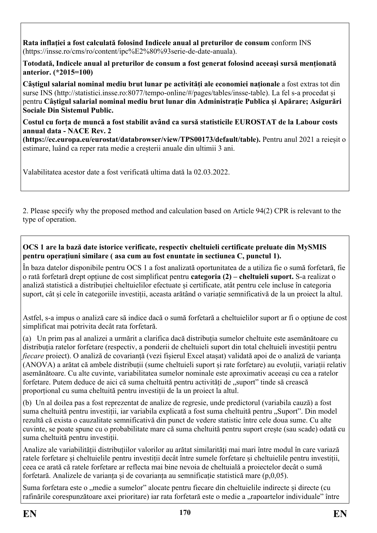**Rata inflației a fost calculată folosind Indicele anual al preturilor de consum** conform INS (https://insse.ro/cms/ro/content/ipc%E2%80%93serie-de-date-anuala).

**Totodată, Indicele anual al preturilor de consum a fost generat folosind aceeași sursă menționată anterior. (\*2015=100)**

**Câștigul salarial nominal mediu brut lunar pe activități ale economiei naționale** a fost extras tot din surse INS (http://statistici.insse.ro:8077/tempo-online/#/pages/tables/insse-table). La fel s-a procedat și pentru **Câștigul salarial nominal mediu brut lunar din Administrație Publica și Apărare; Asigurări Sociale Din Sistemul Public.** 

**Costul cu forța de muncă a fost stabilit având ca sursă statisticile EUROSTAT de la Labour costs annual data - NACE Rev. 2** 

**(https://ec.europa.eu/eurostat/databrowser/view/TPS00173/default/table).** Pentru anul 2021 a reieșit o estimare, luând ca reper rata medie a creșterii anuale din ultimii 3 ani.

Valabilitatea acestor date a fost verificată ultima dată la 02.03.2022.

2. Please specify why the proposed method and calculation based on Article 94(2) CPR is relevant to the type of operation.

#### **OCS 1 are la bază date istorice verificate, respectiv cheltuieli certificate preluate din MySMIS pentru operațiuni similare ( asa cum au fost enuntate in sectiunea C, punctul 1).**

În baza datelor disponibile pentru OCS 1 a fost analizată oportunitatea de a utiliza fie o sumă forfetară, fie o rată forfetară drept opțiune de cost simplificat pentru **categoria (2) – cheltuieli suport.** S-a realizat o analiză statistică a distribuției cheltuielilor efectuate și certificate, atât pentru cele incluse în categoria suport, cât și cele în categoriile investiții, aceasta arătând o variație semnificativă de la un proiect la altul.

Astfel, s-a impus o analiză care să indice dacă o sumă forfetară a cheltuielilor suport ar fi o opțiune de cost simplificat mai potrivita decât rata forfetară.

(a) Un prim pas al analizei a urmărit a clarifica dacă distribuția sumelor cheltuite este asemănătoare cu distribuția ratelor forfetare (respectiv, a ponderii de cheltuieli suport din total cheltuieli investiții pentru *fiecare* proiect). O analiză de covarianță (vezi fișierul Excel atașat) validată apoi de o analiză de varianța (ANOVA) a arătat că ambele distribuții (sume cheltuieli suport și rate forfetare) au evoluții, variații relativ asemănătoare. Cu alte cuvinte, variabilitatea sumelor nominale este aproximativ aceeași cu cea a ratelor forfetare. Putem deduce de aici că suma cheltuită pentru activități de "suport" tinde să crească proporțional cu suma cheltuită pentru investiții de la un proiect la altul.

(b) Un al doilea pas a fost reprezentat de analize de regresie, unde predictorul (variabila cauză) a fost suma cheltuită pentru investiții, iar variabila explicată a fost suma cheltuită pentru "Suport". Din model rezultă că exista o cauzalitate semnificativă din punct de vedere statistic între cele doua sume. Cu alte cuvinte, se poate spune cu o probabilitate mare că suma cheltuită pentru suport crește (sau scade) odată cu suma cheltuită pentru investiții.

Analize ale variabilității distribuțiilor valorilor au arătat similarități mai mari între modul în care variază ratele forfetare și cheltuielile pentru investiții decât între sumele forfetare și cheltuielile pentru investiții, ceea ce arată că ratele forfetare ar reflecta mai bine nevoia de cheltuială a proiectelor decât o sumă forfetară. Analizele de varianța și de covarianța au semnificație statistică mare (p,0,05).

Suma forfetara este o "medie a sumelor" alocate pentru fiecare din cheltuielile indirecte și directe (cu rafinările corespunzătoare axei prioritare) iar rata forfetară este o medie a "rapoartelor individuale" între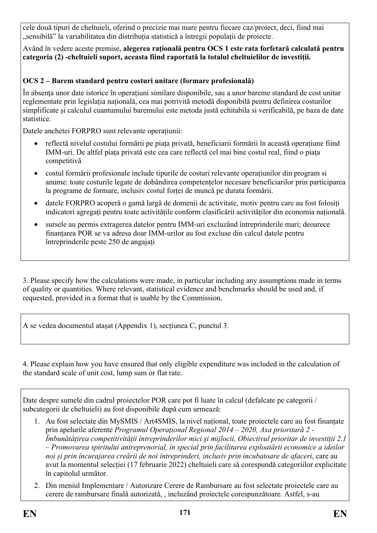cele două tipuri de cheltuieli, oferind o precizie mai mare pentru fiecare caz/proiect, deci, fiind mai "sensibilă" la variabilitatea din distribuția statistică a întregii populații de proiecte.

Având în vedere aceste premise, **alegerea rațională pentru OCS 1 este rata forfetară calculată pentru categoria (2) -cheltuieli suport, aceasta fiind raportată la totalul cheltuielilor de investiții.**

# **OCS 2 – Barem standard pentru costuri unitare (formare profesională)**

În absența unor date istorice în operațiuni similare disponibile, sau a unor bareme standard de cost unitar reglementate prin legislația națională, cea mai potrivită metodă disponibilă pentru definirea costurilor simplificate și calculul cuantumului baremului este metoda justă echitabila si verificabilă, pe baza de date statistice.

Datele anchetei FORPRO sunt relevante operațiunii:

- reflectă nivelul costului formării pe piața privată, beneficiarii formării în această operațiune fiind IMM-uri. De altfel piața privată este cea care reflectă cel mai bine costul real, fiind o piața competitivă
- costul formării profesionale include tipurile de costuri relevante operațiunilor din program si anume: toate costurile legate de dobândirea competențelor necesare beneficiarilor prin participarea la programe de formare, inclusiv costul forței de muncă pe durata formării.
- datele FORPRO acoperă o gamă largă de domenii de activitate, motiv pentru care au fost folosiți indicatori agregați pentru toate activitățile conform clasificării activităților din economia națională.
- sursele au permis extragerea datelor pentru IMM-uri excluzând întreprinderile mari; deoarece finanțarea POR se va adresa doar IMM-urilor au fost excluse din calcul datele pentru întreprinderile peste 250 de angajați

3. Please specify how the calculations were made, in particular including any assumptions made in terms of quality or quantities. Where relevant, statistical evidence and benchmarks should be used and, if requested, provided in a format that is usable by the Commission.

A se vedea documentul atașat (Appendix 1), secțiunea C, punctul 3.

4. Please explain how you have ensured that only eligible expenditure was included in the calculation of the standard scale of unit cost, lump sum or flat rate.

Date despre sumele din cadrul proiectelor POR care pot fi luate în calcul (defalcate pe categorii / subcategorii de cheltuieli) au fost disponibile după cum urmează:

- 1. Au fost selectate din MySMIS / Art4SMIS, la nivel național, toate proiectele care au fost finanțate prin apelurile aferente *Programul Operațional Regional 2014 – 2020, Axa prioritară 2 - Îmbunătățirea competitivității întreprinderilor mici şi mijlocii, Obiectivul prioritar de investiții 2.1 – Promovarea spiritului antreprenorial, în special prin facilitarea exploatării economice a ideilor noi și prin încurajarea creării de noi întreprinderi, inclusiv prin incubatoare de afaceri*, care au avut la momentul selecției (17 februarie 2022) cheltuieli care să corespundă categoriilor explicitate în capitolul următor.
- 2. Din meniul Implementare / Autorizare Cerere de Rambursare au fost selectate proiectele care au cerere de rambursare finală autorizată, , incluzând proiectele corespunzătoare. Astfel, s-au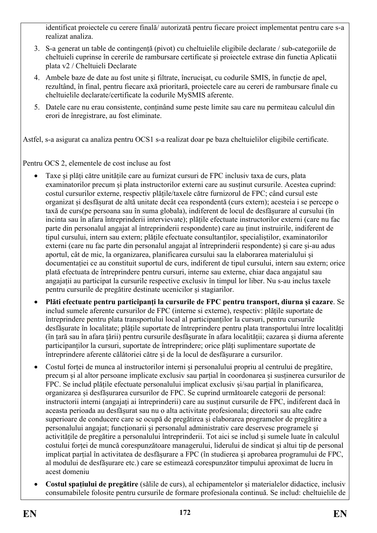identificat proiectele cu cerere finală/ autorizată pentru fiecare proiect implementat pentru care s-a realizat analiza.

- 3. S-a generat un table de contingență (pivot) cu cheltuielile eligibile declarate / sub-categoriile de cheltuieli cuprinse în cererile de rambursare certificate și proiectele extrase din functia Aplicatii plata v2 / Cheltuieli Declarate
- 4. Ambele baze de date au fost unite și filtrate, încrucișat, cu codurile SMIS, în funcție de apel, rezultând, în final, pentru fiecare axă prioritară, proiectele care au cereri de rambursare finale cu cheltuielile declarate/certificate la codurile MySMIS aferente.
- 5. Datele care nu erau consistente, conținând sume peste limite sau care nu permiteau calculul din erori de înregistrare, au fost eliminate.

Astfel, s-a asigurat ca analiza pentru OCS1 s-a realizat doar pe baza cheltuielilor eligibile certificate.

Pentru OCS 2, elementele de cost incluse au fost

- Taxe și plăți către unitățile care au furnizat cursuri de FPC inclusiv taxa de curs, plata examinatorilor precum și plata instructorilor externi care au susținut cursurile. Acestea cuprind: costul cursurilor externe, respectiv plățile/taxele către furnizorul de FPC; când cursul este organizat și desfășurat de altă unitate decât cea respondentă (curs extern); acesteia i se percepe o taxă de curs(pe persoana sau în suma globala), indiferent de locul de desfășurare al cursului (în incinta sau în afara întreprinderii intervievate); plățile efectuate instructorilor externi (care nu fac parte din personalul angajat al întreprinderii respondente) care au ținut instruirile, indiferent de tipul cursului, intern sau extern; plățile efectuate consultanților, specialiștilor, examinatorilor externi (care nu fac parte din personalul angajat al întreprinderii respondente) și care și-au adus aportul, cât de mic, la organizarea, planificarea cursului sau la elaborarea materialului și documentației ce au constituit suportul de curs, indiferent de tipul cursului, intern sau extern; orice plată efectuata de întreprindere pentru cursuri, interne sau externe, chiar daca angajatul sau angajații au participat la cursurile respective exclusiv în timpul lor liber. Nu s-au inclus taxele pentru cursurile de pregătire destinate ucenicilor și stagiarilor.
- **Plăti efectuate pentru participanți la cursurile de FPC pentru transport, diurna și cazare**. Se includ sumele aferente cursurilor de FPC (interne si externe), respectiv: plățile suportate de întreprindere pentru plata transportului local al participanților la cursuri, pentru cursurile desfășurate în localitate; plățile suportate de întreprindere pentru plata transportului între localități (în țară sau în afara țării) pentru cursurile desfășurate în afara localității; cazarea și diurna aferente participanților la cursuri, suportate de întreprindere; orice plăți suplimentare suportate de întreprindere aferente călătoriei către și de la locul de desfășurare a cursurilor.
- Costul forței de munca al instructorilor interni și personalului propriu al centrului de pregătire, precum și al altor persoane implicate exclusiv sau parțial în coordonarea și susținerea cursurilor de FPC. Se includ plățile efectuate personalului implicat exclusiv și/sau parțial în planificarea, organizarea și desfășurarea cursurilor de FPC. Se cuprind următoarele categorii de personal: instructorii interni (angajați ai întreprinderii) care au susținut cursurile de FPC, indiferent dacă în aceasta perioada au desfășurat sau nu o alta activitate profesionala; directorii sau alte cadre superioare de conducere care se ocupă de pregătirea și elaborarea programelor de pregătire a personalului angajat; funcționarii și personalul administrativ care deservesc programele și activitățile de pregătire a personalului întreprinderii. Tot aici se includ și sumele luate în calculul costului forței de muncă corespunzătoare managerului, liderului de sindicat și altui tip de personal implicat parțial în activitatea de desfășurare a FPC (în studierea și aprobarea programului de FPC, al modului de desfășurare etc.) care se estimează corespunzător timpului aproximat de lucru în acest domeniu
- **Costul spațiului de pregătire** (sălile de curs), al echipamentelor și materialelor didactice, inclusiv consumabilele folosite pentru cursurile de formare profesionala continuă. Se includ: cheltuielile de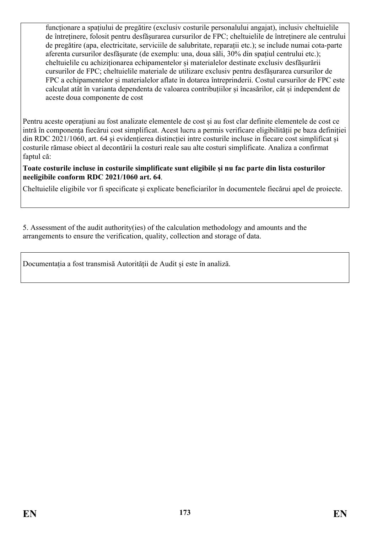funcționare a spațiului de pregătire (exclusiv costurile personalului angajat), inclusiv cheltuielile de întreținere, folosit pentru desfășurarea cursurilor de FPC; cheltuielile de întreținere ale centrului de pregătire (apa, electricitate, serviciile de salubritate, reparații etc.); se include numai cota-parte aferenta cursurilor desfășurate (de exemplu: una, doua săli, 30% din spațiul centrului etc.); cheltuielile cu achiziționarea echipamentelor și materialelor destinate exclusiv desfășurării cursurilor de FPC; cheltuielile materiale de utilizare exclusiv pentru desfășurarea cursurilor de FPC a echipamentelor și materialelor aflate în dotarea întreprinderii. Costul cursurilor de FPC este calculat atât în varianta dependenta de valoarea contribuțiilor și încasărilor, cât și independent de aceste doua componente de cost

Pentru aceste operațiuni au fost analizate elementele de cost și au fost clar definite elementele de cost ce intră în componența fiecărui cost simplificat. Acest lucru a permis verificare eligibilității pe baza definiției din RDC 2021/1060, art. 64 și evidențierea distincției intre costurile incluse in fiecare cost simplificat și costurile rămase obiect al decontării la costuri reale sau alte costuri simplificate. Analiza a confirmat faptul că:

#### **Toate costurile incluse in costurile simplificate sunt eligibile și nu fac parte din lista costurilor neeligibile conform RDC 2021/1060 art. 64**.

Cheltuielile eligibile vor fi specificate și explicate beneficiarilor în documentele fiecărui apel de proiecte.

5. Assessment of the audit authority(ies) of the calculation methodology and amounts and the arrangements to ensure the verification, quality, collection and storage of data.

Documentația a fost transmisă Autorității de Audit și este în analiză.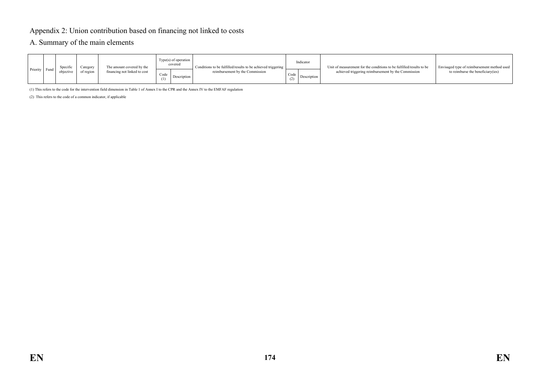# Appendix 2: Union contribution based on financing not linked to costs

#### A. Summary of the main elements

| Priority Fund | Specific<br>objective | Category<br>of region | The amount covered by the<br>financing not linked to cost | $Type(s)$ of operation<br>covered<br>Code<br>Description | Conditions to be fulfilled/results to be achieved triggering<br>reimbursement by the Commission | Indicator<br>Code<br>Description | Unit of measurement for the conditions to be fulfilled/results to be<br>achieved triggering reimbursement by the Commission | Envisaged type of reimbursement method used<br>to reimburse the beneficiary (ies) |
|---------------|-----------------------|-----------------------|-----------------------------------------------------------|----------------------------------------------------------|-------------------------------------------------------------------------------------------------|----------------------------------|-----------------------------------------------------------------------------------------------------------------------------|-----------------------------------------------------------------------------------|
|               |                       |                       |                                                           |                                                          |                                                                                                 |                                  |                                                                                                                             |                                                                                   |

(1) This refers to the code for the intervention field dimension in Table 1 of Annex I to the CPR and the Annex IV to the EMFAF regulation

(2) This refers to the code of a common indicator, if applicable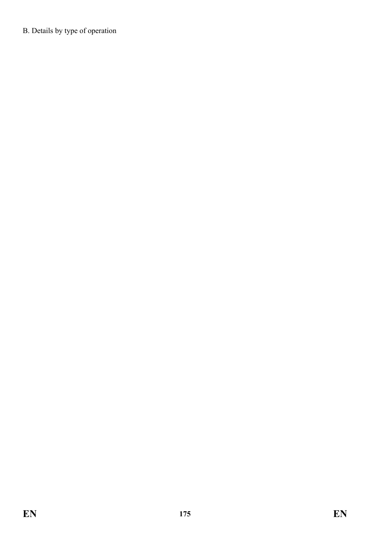B. Details by type of operation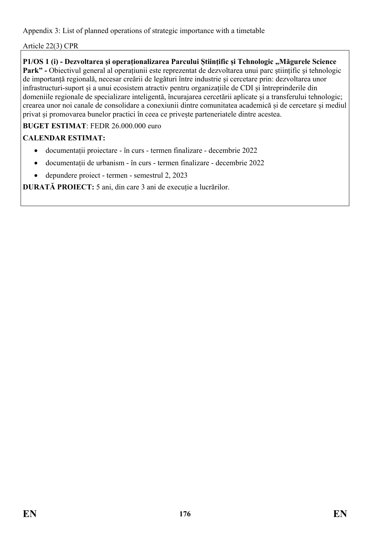Appendix 3: List of planned operations of strategic importance with a timetable

Article 22(3) CPR

**P1/OS 1 (i) - Dezvoltarea și operaționalizarea Parcului Științific și Tehnologic "Măgurele Science** 

Park" - Obiectivul general al operațiunii este reprezentat de dezvoltarea unui parc științific și tehnologic de importanță regională, necesar creării de legături între industrie și cercetare prin: dezvoltarea unor infrastructuri-suport și a unui ecosistem atractiv pentru organizațiile de CDI și întreprinderile din domeniile regionale de specializare inteligentă, încurajarea cercetării aplicate și a transferului tehnologic; crearea unor noi canale de consolidare a conexiunii dintre comunitatea academică și de cercetare și mediul privat și promovarea bunelor practici în ceea ce privește parteneriatele dintre acestea.

# **BUGET ESTIMAT**: FEDR 26.000.000 euro

# **CALENDAR ESTIMAT:**

- documentații proiectare în curs termen finalizare decembrie 2022
- documentații de urbanism în curs termen finalizare decembrie 2022
- depundere proiect termen semestrul 2, 2023

**DURATĂ PROIECT:** 5 ani, din care 3 ani de execuție a lucrărilor.